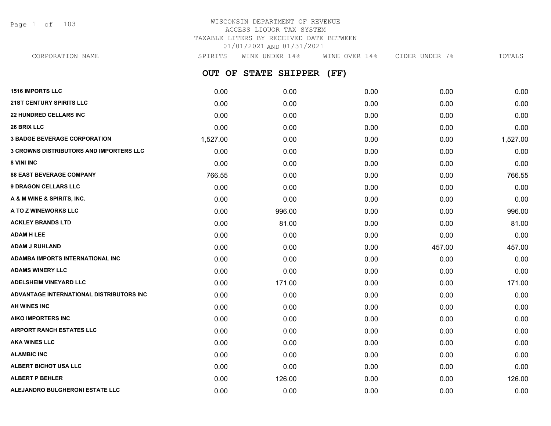Page 1 of 103

# WISCONSIN DEPARTMENT OF REVENUE ACCESS LIQUOR TAX SYSTEM TAXABLE LITERS BY RECEIVED DATE BETWEEN 01/01/2021 AND 01/31/2021

**OUT OF STATE SHIPPER (FF) 1516 IMPORTS LLC** 0.00 0.00 0.00 0.00 0.00 CORPORATION NAME SPIRITS WINE UNDER 14% WINE OVER 14% CIDER UNDER 7% TOTALS

| <b>21ST CENTURY SPIRITS LLC</b>                | 0.00     | 0.00   | 0.00 | 0.00   | 0.00     |
|------------------------------------------------|----------|--------|------|--------|----------|
| <b>22 HUNDRED CELLARS INC</b>                  | 0.00     | 0.00   | 0.00 | 0.00   | 0.00     |
| <b>26 BRIX LLC</b>                             | 0.00     | 0.00   | 0.00 | 0.00   | 0.00     |
| <b>3 BADGE BEVERAGE CORPORATION</b>            | 1,527.00 | 0.00   | 0.00 | 0.00   | 1,527.00 |
| <b>3 CROWNS DISTRIBUTORS AND IMPORTERS LLC</b> | 0.00     | 0.00   | 0.00 | 0.00   | 0.00     |
| 8 VINI INC                                     | 0.00     | 0.00   | 0.00 | 0.00   | 0.00     |
| <b>88 EAST BEVERAGE COMPANY</b>                | 766.55   | 0.00   | 0.00 | 0.00   | 766.55   |
| <b>9 DRAGON CELLARS LLC</b>                    | 0.00     | 0.00   | 0.00 | 0.00   | 0.00     |
| A & M WINE & SPIRITS, INC.                     | 0.00     | 0.00   | 0.00 | 0.00   | 0.00     |
| A TO Z WINEWORKS LLC                           | 0.00     | 996.00 | 0.00 | 0.00   | 996.00   |
| <b>ACKLEY BRANDS LTD</b>                       | 0.00     | 81.00  | 0.00 | 0.00   | 81.00    |
| <b>ADAM H LEE</b>                              | 0.00     | 0.00   | 0.00 | 0.00   | 0.00     |
| <b>ADAM J RUHLAND</b>                          | 0.00     | 0.00   | 0.00 | 457.00 | 457.00   |
| ADAMBA IMPORTS INTERNATIONAL INC               | 0.00     | 0.00   | 0.00 | 0.00   | 0.00     |
| <b>ADAMS WINERY LLC</b>                        | 0.00     | 0.00   | 0.00 | 0.00   | 0.00     |
| <b>ADELSHEIM VINEYARD LLC</b>                  | 0.00     | 171.00 | 0.00 | 0.00   | 171.00   |
| ADVANTAGE INTERNATIONAL DISTRIBUTORS INC       | 0.00     | 0.00   | 0.00 | 0.00   | 0.00     |
| AH WINES INC                                   | 0.00     | 0.00   | 0.00 | 0.00   | 0.00     |
| <b>AIKO IMPORTERS INC</b>                      | 0.00     | 0.00   | 0.00 | 0.00   | 0.00     |
| <b>AIRPORT RANCH ESTATES LLC</b>               | 0.00     | 0.00   | 0.00 | 0.00   | 0.00     |
| <b>AKA WINES LLC</b>                           | 0.00     | 0.00   | 0.00 | 0.00   | 0.00     |
| <b>ALAMBIC INC</b>                             | 0.00     | 0.00   | 0.00 | 0.00   | 0.00     |
| ALBERT BICHOT USA LLC                          | 0.00     | 0.00   | 0.00 | 0.00   | 0.00     |
| <b>ALBERT P BEHLER</b>                         | 0.00     | 126.00 | 0.00 | 0.00   | 126.00   |
| ALEJANDRO BULGHERONI ESTATE LLC                | 0.00     | 0.00   | 0.00 | 0.00   | 0.00     |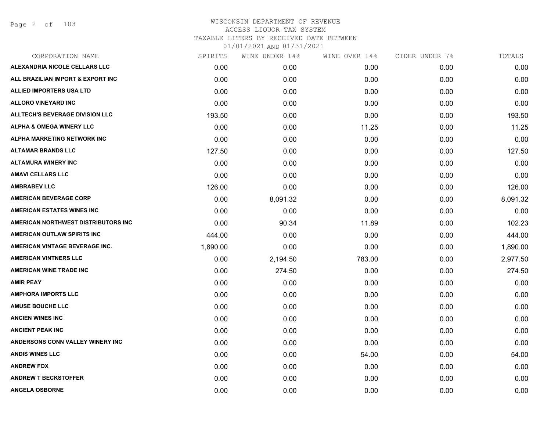| CORPORATION NAME                       | SPIRITS  | WINE UNDER 14% | WINE OVER 14% | CIDER UNDER 7% | TOTALS   |
|----------------------------------------|----------|----------------|---------------|----------------|----------|
| <b>ALEXANDRIA NICOLE CELLARS LLC</b>   | 0.00     | 0.00           | 0.00          | 0.00           | 0.00     |
| ALL BRAZILIAN IMPORT & EXPORT INC      | 0.00     | 0.00           | 0.00          | 0.00           | 0.00     |
| <b>ALLIED IMPORTERS USA LTD</b>        | 0.00     | 0.00           | 0.00          | 0.00           | 0.00     |
| <b>ALLORO VINEYARD INC</b>             | 0.00     | 0.00           | 0.00          | 0.00           | 0.00     |
| <b>ALLTECH'S BEVERAGE DIVISION LLC</b> | 193.50   | 0.00           | 0.00          | 0.00           | 193.50   |
| <b>ALPHA &amp; OMEGA WINERY LLC</b>    | 0.00     | 0.00           | 11.25         | 0.00           | 11.25    |
| ALPHA MARKETING NETWORK INC            | 0.00     | 0.00           | 0.00          | 0.00           | 0.00     |
| <b>ALTAMAR BRANDS LLC</b>              | 127.50   | 0.00           | 0.00          | 0.00           | 127.50   |
| <b>ALTAMURA WINERY INC</b>             | 0.00     | 0.00           | 0.00          | 0.00           | 0.00     |
| <b>AMAVI CELLARS LLC</b>               | 0.00     | 0.00           | 0.00          | 0.00           | 0.00     |
| <b>AMBRABEV LLC</b>                    | 126.00   | 0.00           | 0.00          | 0.00           | 126.00   |
| <b>AMERICAN BEVERAGE CORP</b>          | 0.00     | 8,091.32       | 0.00          | 0.00           | 8,091.32 |
| <b>AMERICAN ESTATES WINES INC</b>      | 0.00     | 0.00           | 0.00          | 0.00           | 0.00     |
| AMERICAN NORTHWEST DISTRIBUTORS INC    | 0.00     | 90.34          | 11.89         | 0.00           | 102.23   |
| AMERICAN OUTLAW SPIRITS INC            | 444.00   | 0.00           | 0.00          | 0.00           | 444.00   |
| AMERICAN VINTAGE BEVERAGE INC.         | 1,890.00 | 0.00           | 0.00          | 0.00           | 1,890.00 |
| <b>AMERICAN VINTNERS LLC</b>           | 0.00     | 2,194.50       | 783.00        | 0.00           | 2,977.50 |
| <b>AMERICAN WINE TRADE INC</b>         | 0.00     | 274.50         | 0.00          | 0.00           | 274.50   |
| <b>AMIR PEAY</b>                       | 0.00     | 0.00           | 0.00          | 0.00           | 0.00     |
| <b>AMPHORA IMPORTS LLC</b>             | 0.00     | 0.00           | 0.00          | 0.00           | 0.00     |
| <b>AMUSE BOUCHE LLC</b>                | 0.00     | 0.00           | 0.00          | 0.00           | 0.00     |
| <b>ANCIEN WINES INC</b>                | 0.00     | 0.00           | 0.00          | 0.00           | 0.00     |
| <b>ANCIENT PEAK INC</b>                | 0.00     | 0.00           | 0.00          | 0.00           | 0.00     |
| ANDERSONS CONN VALLEY WINERY INC       | 0.00     | 0.00           | 0.00          | 0.00           | 0.00     |
| <b>ANDIS WINES LLC</b>                 | 0.00     | 0.00           | 54.00         | 0.00           | 54.00    |
| <b>ANDREW FOX</b>                      | 0.00     | 0.00           | 0.00          | 0.00           | 0.00     |
| <b>ANDREW T BECKSTOFFER</b>            | 0.00     | 0.00           | 0.00          | 0.00           | 0.00     |
| <b>ANGELA OSBORNE</b>                  | 0.00     | 0.00           | 0.00          | 0.00           | 0.00     |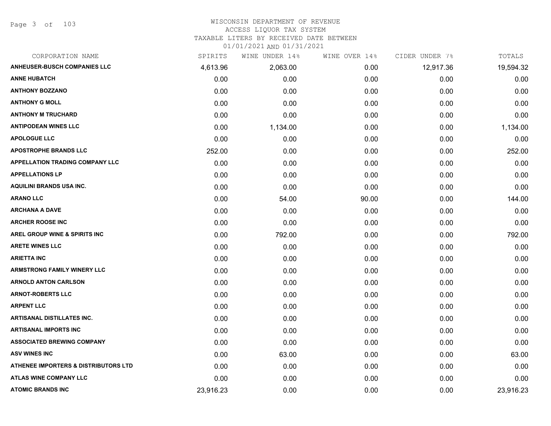# WISCONSIN DEPARTMENT OF REVENUE

#### ACCESS LIQUOR TAX SYSTEM

TAXABLE LITERS BY RECEIVED DATE BETWEEN

| CORPORATION NAME                                | SPIRITS   | WINE UNDER 14% | WINE OVER 14% | CIDER UNDER 7% | TOTALS    |
|-------------------------------------------------|-----------|----------------|---------------|----------------|-----------|
| <b>ANHEUSER-BUSCH COMPANIES LLC</b>             | 4,613.96  | 2,063.00       | 0.00          | 12,917.36      | 19,594.32 |
| <b>ANNE HUBATCH</b>                             | 0.00      | 0.00           | 0.00          | 0.00           | 0.00      |
| <b>ANTHONY BOZZANO</b>                          | 0.00      | 0.00           | 0.00          | 0.00           | 0.00      |
| <b>ANTHONY G MOLL</b>                           | 0.00      | 0.00           | 0.00          | 0.00           | 0.00      |
| <b>ANTHONY M TRUCHARD</b>                       | 0.00      | 0.00           | 0.00          | 0.00           | 0.00      |
| <b>ANTIPODEAN WINES LLC</b>                     | 0.00      | 1,134.00       | 0.00          | 0.00           | 1,134.00  |
| <b>APOLOGUE LLC</b>                             | 0.00      | 0.00           | 0.00          | 0.00           | 0.00      |
| <b>APOSTROPHE BRANDS LLC</b>                    | 252.00    | 0.00           | 0.00          | 0.00           | 252.00    |
| <b>APPELLATION TRADING COMPANY LLC</b>          | 0.00      | 0.00           | 0.00          | 0.00           | 0.00      |
| <b>APPELLATIONS LP</b>                          | 0.00      | 0.00           | 0.00          | 0.00           | 0.00      |
| <b>AQUILINI BRANDS USA INC.</b>                 | 0.00      | 0.00           | 0.00          | 0.00           | 0.00      |
| <b>ARANO LLC</b>                                | 0.00      | 54.00          | 90.00         | 0.00           | 144.00    |
| <b>ARCHANA A DAVE</b>                           | 0.00      | 0.00           | 0.00          | 0.00           | 0.00      |
| <b>ARCHER ROOSE INC</b>                         | 0.00      | 0.00           | 0.00          | 0.00           | 0.00      |
| AREL GROUP WINE & SPIRITS INC                   | 0.00      | 792.00         | 0.00          | 0.00           | 792.00    |
| <b>ARETE WINES LLC</b>                          | 0.00      | 0.00           | 0.00          | 0.00           | 0.00      |
| <b>ARIETTA INC</b>                              | 0.00      | 0.00           | 0.00          | 0.00           | 0.00      |
| <b>ARMSTRONG FAMILY WINERY LLC</b>              | 0.00      | 0.00           | 0.00          | 0.00           | 0.00      |
| <b>ARNOLD ANTON CARLSON</b>                     | 0.00      | 0.00           | 0.00          | 0.00           | 0.00      |
| <b>ARNOT-ROBERTS LLC</b>                        | 0.00      | 0.00           | 0.00          | 0.00           | 0.00      |
| <b>ARPENT LLC</b>                               | 0.00      | 0.00           | 0.00          | 0.00           | 0.00      |
| <b>ARTISANAL DISTILLATES INC.</b>               | 0.00      | 0.00           | 0.00          | 0.00           | 0.00      |
| <b>ARTISANAL IMPORTS INC</b>                    | 0.00      | 0.00           | 0.00          | 0.00           | 0.00      |
| <b>ASSOCIATED BREWING COMPANY</b>               | 0.00      | 0.00           | 0.00          | 0.00           | 0.00      |
| <b>ASV WINES INC</b>                            | 0.00      | 63.00          | 0.00          | 0.00           | 63.00     |
| <b>ATHENEE IMPORTERS &amp; DISTRIBUTORS LTD</b> | 0.00      | 0.00           | 0.00          | 0.00           | 0.00      |
| <b>ATLAS WINE COMPANY LLC</b>                   | 0.00      | 0.00           | 0.00          | 0.00           | 0.00      |
| <b>ATOMIC BRANDS INC</b>                        | 23,916.23 | 0.00           | 0.00          | 0.00           | 23,916.23 |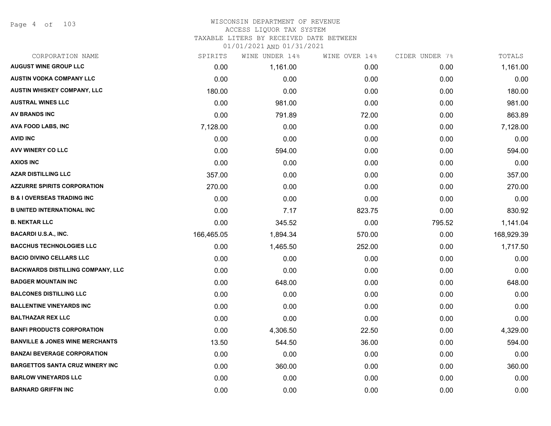Page 4 of 103

### WISCONSIN DEPARTMENT OF REVENUE ACCESS LIQUOR TAX SYSTEM TAXABLE LITERS BY RECEIVED DATE BETWEEN

| CORPORATION NAME                           | SPIRITS    | WINE UNDER 14% | WINE OVER 14% | CIDER UNDER 7% | TOTALS     |
|--------------------------------------------|------------|----------------|---------------|----------------|------------|
| <b>AUGUST WINE GROUP LLC</b>               | 0.00       | 1,161.00       | 0.00          | 0.00           | 1,161.00   |
| <b>AUSTIN VODKA COMPANY LLC</b>            | 0.00       | 0.00           | 0.00          | 0.00           | 0.00       |
| AUSTIN WHISKEY COMPANY, LLC                | 180.00     | 0.00           | 0.00          | 0.00           | 180.00     |
| <b>AUSTRAL WINES LLC</b>                   | 0.00       | 981.00         | 0.00          | 0.00           | 981.00     |
| <b>AV BRANDS INC</b>                       | 0.00       | 791.89         | 72.00         | 0.00           | 863.89     |
| AVA FOOD LABS, INC                         | 7,128.00   | 0.00           | 0.00          | 0.00           | 7,128.00   |
| <b>AVID INC</b>                            | 0.00       | 0.00           | 0.00          | 0.00           | 0.00       |
| AVV WINERY CO LLC                          | 0.00       | 594.00         | 0.00          | 0.00           | 594.00     |
| <b>AXIOS INC</b>                           | 0.00       | 0.00           | 0.00          | 0.00           | 0.00       |
| <b>AZAR DISTILLING LLC</b>                 | 357.00     | 0.00           | 0.00          | 0.00           | 357.00     |
| <b>AZZURRE SPIRITS CORPORATION</b>         | 270.00     | 0.00           | 0.00          | 0.00           | 270.00     |
| <b>B &amp; I OVERSEAS TRADING INC</b>      | 0.00       | 0.00           | 0.00          | 0.00           | 0.00       |
| <b>B UNITED INTERNATIONAL INC</b>          | 0.00       | 7.17           | 823.75        | 0.00           | 830.92     |
| <b>B. NEKTAR LLC</b>                       | 0.00       | 345.52         | 0.00          | 795.52         | 1,141.04   |
| <b>BACARDI U.S.A., INC.</b>                | 166,465.05 | 1,894.34       | 570.00        | 0.00           | 168,929.39 |
| <b>BACCHUS TECHNOLOGIES LLC</b>            | 0.00       | 1,465.50       | 252.00        | 0.00           | 1,717.50   |
| <b>BACIO DIVINO CELLARS LLC</b>            | 0.00       | 0.00           | 0.00          | 0.00           | 0.00       |
| <b>BACKWARDS DISTILLING COMPANY, LLC</b>   | 0.00       | 0.00           | 0.00          | 0.00           | 0.00       |
| <b>BADGER MOUNTAIN INC</b>                 | 0.00       | 648.00         | 0.00          | 0.00           | 648.00     |
| <b>BALCONES DISTILLING LLC</b>             | 0.00       | 0.00           | 0.00          | 0.00           | 0.00       |
| <b>BALLENTINE VINEYARDS INC</b>            | 0.00       | 0.00           | 0.00          | 0.00           | 0.00       |
| <b>BALTHAZAR REX LLC</b>                   | 0.00       | 0.00           | 0.00          | 0.00           | 0.00       |
| <b>BANFI PRODUCTS CORPORATION</b>          | 0.00       | 4,306.50       | 22.50         | 0.00           | 4,329.00   |
| <b>BANVILLE &amp; JONES WINE MERCHANTS</b> | 13.50      | 544.50         | 36.00         | 0.00           | 594.00     |
| <b>BANZAI BEVERAGE CORPORATION</b>         | 0.00       | 0.00           | 0.00          | 0.00           | 0.00       |
| <b>BARGETTOS SANTA CRUZ WINERY INC</b>     | 0.00       | 360.00         | 0.00          | 0.00           | 360.00     |
| <b>BARLOW VINEYARDS LLC</b>                | 0.00       | 0.00           | 0.00          | 0.00           | 0.00       |
| <b>BARNARD GRIFFIN INC</b>                 | 0.00       | 0.00           | 0.00          | 0.00           | 0.00       |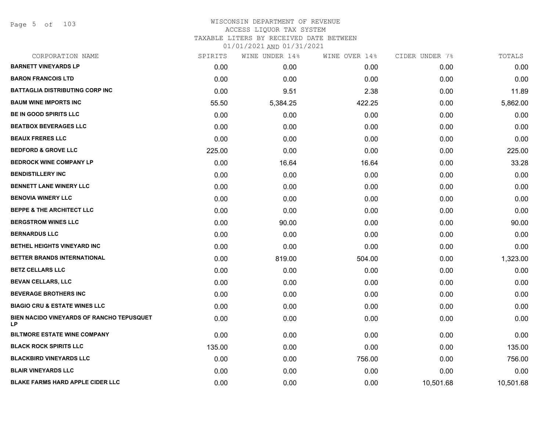Page 5 of 103

| CORPORATION NAME                                | SPIRITS | WINE UNDER 14% | WINE OVER 14% | CIDER UNDER 7% | TOTALS    |
|-------------------------------------------------|---------|----------------|---------------|----------------|-----------|
| <b>BARNETT VINEYARDS LP</b>                     | 0.00    | 0.00           | 0.00          | 0.00           | 0.00      |
| <b>BARON FRANCOIS LTD</b>                       | 0.00    | 0.00           | 0.00          | 0.00           | 0.00      |
| <b>BATTAGLIA DISTRIBUTING CORP INC</b>          | 0.00    | 9.51           | 2.38          | 0.00           | 11.89     |
| <b>BAUM WINE IMPORTS INC</b>                    | 55.50   | 5,384.25       | 422.25        | 0.00           | 5,862.00  |
| BE IN GOOD SPIRITS LLC                          | 0.00    | 0.00           | 0.00          | 0.00           | 0.00      |
| <b>BEATBOX BEVERAGES LLC</b>                    | 0.00    | 0.00           | 0.00          | 0.00           | 0.00      |
| <b>BEAUX FRERES LLC</b>                         | 0.00    | 0.00           | 0.00          | 0.00           | 0.00      |
| <b>BEDFORD &amp; GROVE LLC</b>                  | 225.00  | 0.00           | 0.00          | 0.00           | 225.00    |
| <b>BEDROCK WINE COMPANY LP</b>                  | 0.00    | 16.64          | 16.64         | 0.00           | 33.28     |
| <b>BENDISTILLERY INC</b>                        | 0.00    | 0.00           | 0.00          | 0.00           | 0.00      |
| <b>BENNETT LANE WINERY LLC</b>                  | 0.00    | 0.00           | 0.00          | 0.00           | 0.00      |
| <b>BENOVIA WINERY LLC</b>                       | 0.00    | 0.00           | 0.00          | 0.00           | 0.00      |
| <b>BEPPE &amp; THE ARCHITECT LLC</b>            | 0.00    | 0.00           | 0.00          | 0.00           | 0.00      |
| <b>BERGSTROM WINES LLC</b>                      | 0.00    | 90.00          | 0.00          | 0.00           | 90.00     |
| <b>BERNARDUS LLC</b>                            | 0.00    | 0.00           | 0.00          | 0.00           | 0.00      |
| BETHEL HEIGHTS VINEYARD INC                     | 0.00    | 0.00           | 0.00          | 0.00           | 0.00      |
| BETTER BRANDS INTERNATIONAL                     | 0.00    | 819.00         | 504.00        | 0.00           | 1,323.00  |
| <b>BETZ CELLARS LLC</b>                         | 0.00    | 0.00           | 0.00          | 0.00           | 0.00      |
| <b>BEVAN CELLARS, LLC</b>                       | 0.00    | 0.00           | 0.00          | 0.00           | 0.00      |
| <b>BEVERAGE BROTHERS INC</b>                    | 0.00    | 0.00           | 0.00          | 0.00           | 0.00      |
| <b>BIAGIO CRU &amp; ESTATE WINES LLC</b>        | 0.00    | 0.00           | 0.00          | 0.00           | 0.00      |
| BIEN NACIDO VINEYARDS OF RANCHO TEPUSQUET<br>LP | 0.00    | 0.00           | 0.00          | 0.00           | 0.00      |
| <b>BILTMORE ESTATE WINE COMPANY</b>             | 0.00    | 0.00           | 0.00          | 0.00           | 0.00      |
| <b>BLACK ROCK SPIRITS LLC</b>                   | 135.00  | 0.00           | 0.00          | 0.00           | 135.00    |
| <b>BLACKBIRD VINEYARDS LLC</b>                  | 0.00    | 0.00           | 756.00        | 0.00           | 756.00    |
| <b>BLAIR VINEYARDS LLC</b>                      | 0.00    | 0.00           | 0.00          | 0.00           | 0.00      |
| <b>BLAKE FARMS HARD APPLE CIDER LLC</b>         | 0.00    | 0.00           | 0.00          | 10,501.68      | 10,501.68 |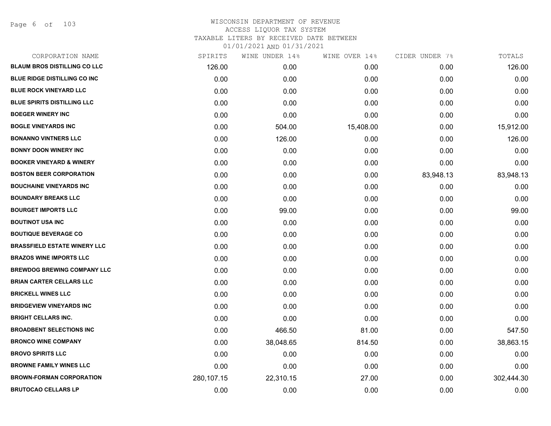Page 6 of 103

| CORPORATION NAME                    | SPIRITS    | WINE UNDER 14% | WINE OVER 14% | CIDER UNDER 7% | TOTALS     |
|-------------------------------------|------------|----------------|---------------|----------------|------------|
| <b>BLAUM BROS DISTILLING CO LLC</b> | 126.00     | 0.00           | 0.00          | 0.00           | 126.00     |
| <b>BLUE RIDGE DISTILLING CO INC</b> | 0.00       | 0.00           | 0.00          | 0.00           | 0.00       |
| <b>BLUE ROCK VINEYARD LLC</b>       | 0.00       | 0.00           | 0.00          | 0.00           | 0.00       |
| <b>BLUE SPIRITS DISTILLING LLC</b>  | 0.00       | 0.00           | 0.00          | 0.00           | 0.00       |
| <b>BOEGER WINERY INC</b>            | 0.00       | 0.00           | 0.00          | 0.00           | 0.00       |
| <b>BOGLE VINEYARDS INC</b>          | 0.00       | 504.00         | 15,408.00     | 0.00           | 15,912.00  |
| <b>BONANNO VINTNERS LLC</b>         | 0.00       | 126.00         | 0.00          | 0.00           | 126.00     |
| <b>BONNY DOON WINERY INC</b>        | 0.00       | 0.00           | 0.00          | 0.00           | 0.00       |
| <b>BOOKER VINEYARD &amp; WINERY</b> | 0.00       | 0.00           | 0.00          | 0.00           | 0.00       |
| <b>BOSTON BEER CORPORATION</b>      | 0.00       | 0.00           | 0.00          | 83,948.13      | 83,948.13  |
| <b>BOUCHAINE VINEYARDS INC</b>      | 0.00       | 0.00           | 0.00          | 0.00           | 0.00       |
| <b>BOUNDARY BREAKS LLC</b>          | 0.00       | 0.00           | 0.00          | 0.00           | 0.00       |
| <b>BOURGET IMPORTS LLC</b>          | 0.00       | 99.00          | 0.00          | 0.00           | 99.00      |
| <b>BOUTINOT USA INC</b>             | 0.00       | 0.00           | 0.00          | 0.00           | 0.00       |
| <b>BOUTIQUE BEVERAGE CO</b>         | 0.00       | 0.00           | 0.00          | 0.00           | 0.00       |
| <b>BRASSFIELD ESTATE WINERY LLC</b> | 0.00       | 0.00           | 0.00          | 0.00           | 0.00       |
| <b>BRAZOS WINE IMPORTS LLC</b>      | 0.00       | 0.00           | 0.00          | 0.00           | 0.00       |
| <b>BREWDOG BREWING COMPANY LLC</b>  | 0.00       | 0.00           | 0.00          | 0.00           | 0.00       |
| <b>BRIAN CARTER CELLARS LLC</b>     | 0.00       | 0.00           | 0.00          | 0.00           | 0.00       |
| <b>BRICKELL WINES LLC</b>           | 0.00       | 0.00           | 0.00          | 0.00           | 0.00       |
| <b>BRIDGEVIEW VINEYARDS INC</b>     | 0.00       | 0.00           | 0.00          | 0.00           | 0.00       |
| <b>BRIGHT CELLARS INC.</b>          | 0.00       | 0.00           | 0.00          | 0.00           | 0.00       |
| <b>BROADBENT SELECTIONS INC</b>     | 0.00       | 466.50         | 81.00         | 0.00           | 547.50     |
| <b>BRONCO WINE COMPANY</b>          | 0.00       | 38,048.65      | 814.50        | 0.00           | 38,863.15  |
| <b>BROVO SPIRITS LLC</b>            | 0.00       | 0.00           | 0.00          | 0.00           | 0.00       |
| <b>BROWNE FAMILY WINES LLC</b>      | 0.00       | 0.00           | 0.00          | 0.00           | 0.00       |
| <b>BROWN-FORMAN CORPORATION</b>     | 280,107.15 | 22,310.15      | 27.00         | 0.00           | 302,444.30 |
| <b>BRUTOCAO CELLARS LP</b>          | 0.00       | 0.00           | 0.00          | 0.00           | 0.00       |
|                                     |            |                |               |                |            |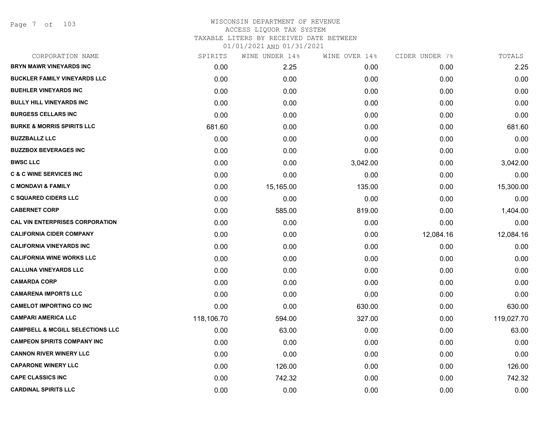Page 7 of 103

# WISCONSIN DEPARTMENT OF REVENUE ACCESS LIQUOR TAX SYSTEM TAXABLE LITERS BY RECEIVED DATE BETWEEN

| CORPORATION NAME                            | SPIRITS    | WINE UNDER 14% | WINE OVER 14% | CIDER UNDER 7% | TOTALS     |
|---------------------------------------------|------------|----------------|---------------|----------------|------------|
| BRYN MAWR VINEYARDS INC                     | 0.00       | 2.25           | 0.00          | 0.00           | 2.25       |
| <b>BUCKLER FAMILY VINEYARDS LLC</b>         | 0.00       | 0.00           | 0.00          | 0.00           | 0.00       |
| <b>BUEHLER VINEYARDS INC</b>                | 0.00       | 0.00           | 0.00          | 0.00           | 0.00       |
| <b>BULLY HILL VINEYARDS INC</b>             | 0.00       | 0.00           | 0.00          | 0.00           | 0.00       |
| <b>BURGESS CELLARS INC</b>                  | 0.00       | 0.00           | 0.00          | 0.00           | 0.00       |
| <b>BURKE &amp; MORRIS SPIRITS LLC</b>       | 681.60     | 0.00           | 0.00          | 0.00           | 681.60     |
| <b>BUZZBALLZ LLC</b>                        | 0.00       | 0.00           | 0.00          | 0.00           | 0.00       |
| <b>BUZZBOX BEVERAGES INC</b>                | 0.00       | 0.00           | 0.00          | 0.00           | 0.00       |
| <b>BWSC LLC</b>                             | 0.00       | 0.00           | 3,042.00      | 0.00           | 3,042.00   |
| <b>C &amp; C WINE SERVICES INC</b>          | 0.00       | 0.00           | 0.00          | 0.00           | 0.00       |
| <b>C MONDAVI &amp; FAMILY</b>               | 0.00       | 15,165.00      | 135.00        | 0.00           | 15,300.00  |
| <b>C SQUARED CIDERS LLC</b>                 | 0.00       | 0.00           | 0.00          | 0.00           | 0.00       |
| <b>CABERNET CORP</b>                        | 0.00       | 585.00         | 819.00        | 0.00           | 1,404.00   |
| <b>CAL VIN ENTERPRISES CORPORATION</b>      | 0.00       | 0.00           | 0.00          | 0.00           | 0.00       |
| <b>CALIFORNIA CIDER COMPANY</b>             | 0.00       | 0.00           | 0.00          | 12,084.16      | 12,084.16  |
| <b>CALIFORNIA VINEYARDS INC</b>             | 0.00       | 0.00           | 0.00          | 0.00           | 0.00       |
| <b>CALIFORNIA WINE WORKS LLC</b>            | 0.00       | 0.00           | 0.00          | 0.00           | 0.00       |
| <b>CALLUNA VINEYARDS LLC</b>                | 0.00       | 0.00           | 0.00          | 0.00           | 0.00       |
| <b>CAMARDA CORP</b>                         | 0.00       | 0.00           | 0.00          | 0.00           | 0.00       |
| <b>CAMARENA IMPORTS LLC</b>                 | 0.00       | 0.00           | 0.00          | 0.00           | 0.00       |
| <b>CAMELOT IMPORTING CO INC</b>             | 0.00       | 0.00           | 630.00        | 0.00           | 630.00     |
| <b>CAMPARI AMERICA LLC</b>                  | 118,106.70 | 594.00         | 327.00        | 0.00           | 119,027.70 |
| <b>CAMPBELL &amp; MCGILL SELECTIONS LLC</b> | 0.00       | 63.00          | 0.00          | 0.00           | 63.00      |
| <b>CAMPEON SPIRITS COMPANY INC</b>          | 0.00       | 0.00           | 0.00          | 0.00           | 0.00       |
| <b>CANNON RIVER WINERY LLC</b>              | 0.00       | 0.00           | 0.00          | 0.00           | 0.00       |
| <b>CAPARONE WINERY LLC</b>                  | 0.00       | 126.00         | 0.00          | 0.00           | 126.00     |
| <b>CAPE CLASSICS INC</b>                    | 0.00       | 742.32         | 0.00          | 0.00           | 742.32     |
| <b>CARDINAL SPIRITS LLC</b>                 | 0.00       | 0.00           | 0.00          | 0.00           | 0.00       |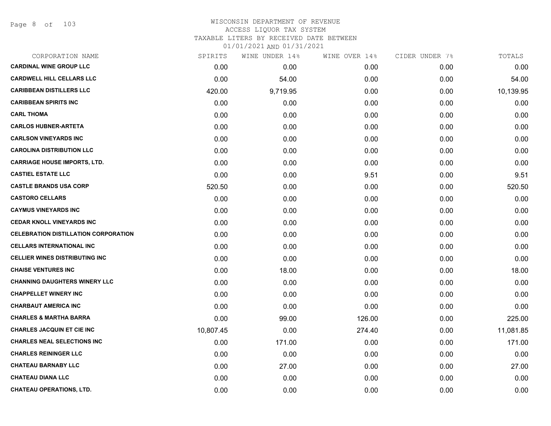Page 8 of 103

# WISCONSIN DEPARTMENT OF REVENUE ACCESS LIQUOR TAX SYSTEM

TAXABLE LITERS BY RECEIVED DATE BETWEEN

| CORPORATION NAME                            | SPIRITS   | WINE UNDER 14% | WINE OVER 14% | CIDER UNDER 7% | TOTALS    |
|---------------------------------------------|-----------|----------------|---------------|----------------|-----------|
| <b>CARDINAL WINE GROUP LLC</b>              | 0.00      | 0.00           | 0.00          | 0.00           | 0.00      |
| <b>CARDWELL HILL CELLARS LLC</b>            | 0.00      | 54.00          | 0.00          | 0.00           | 54.00     |
| <b>CARIBBEAN DISTILLERS LLC</b>             | 420.00    | 9,719.95       | 0.00          | 0.00           | 10,139.95 |
| <b>CARIBBEAN SPIRITS INC</b>                | 0.00      | 0.00           | 0.00          | 0.00           | 0.00      |
| <b>CARL THOMA</b>                           | 0.00      | 0.00           | 0.00          | 0.00           | 0.00      |
| <b>CARLOS HUBNER-ARTETA</b>                 | 0.00      | 0.00           | 0.00          | 0.00           | 0.00      |
| <b>CARLSON VINEYARDS INC</b>                | 0.00      | 0.00           | 0.00          | 0.00           | 0.00      |
| <b>CAROLINA DISTRIBUTION LLC</b>            | 0.00      | 0.00           | 0.00          | 0.00           | 0.00      |
| <b>CARRIAGE HOUSE IMPORTS, LTD.</b>         | 0.00      | 0.00           | 0.00          | 0.00           | 0.00      |
| <b>CASTIEL ESTATE LLC</b>                   | 0.00      | 0.00           | 9.51          | 0.00           | 9.51      |
| <b>CASTLE BRANDS USA CORP</b>               | 520.50    | 0.00           | 0.00          | 0.00           | 520.50    |
| <b>CASTORO CELLARS</b>                      | 0.00      | 0.00           | 0.00          | 0.00           | 0.00      |
| <b>CAYMUS VINEYARDS INC</b>                 | 0.00      | 0.00           | 0.00          | 0.00           | 0.00      |
| <b>CEDAR KNOLL VINEYARDS INC</b>            | 0.00      | 0.00           | 0.00          | 0.00           | 0.00      |
| <b>CELEBRATION DISTILLATION CORPORATION</b> | 0.00      | 0.00           | 0.00          | 0.00           | 0.00      |
| <b>CELLARS INTERNATIONAL INC</b>            | 0.00      | 0.00           | 0.00          | 0.00           | 0.00      |
| <b>CELLIER WINES DISTRIBUTING INC</b>       | 0.00      | 0.00           | 0.00          | 0.00           | 0.00      |
| <b>CHAISE VENTURES INC</b>                  | 0.00      | 18.00          | 0.00          | 0.00           | 18.00     |
| <b>CHANNING DAUGHTERS WINERY LLC</b>        | 0.00      | 0.00           | 0.00          | 0.00           | 0.00      |
| <b>CHAPPELLET WINERY INC</b>                | 0.00      | 0.00           | 0.00          | 0.00           | 0.00      |
| <b>CHARBAUT AMERICA INC</b>                 | 0.00      | 0.00           | 0.00          | 0.00           | 0.00      |
| <b>CHARLES &amp; MARTHA BARRA</b>           | 0.00      | 99.00          | 126.00        | 0.00           | 225.00    |
| <b>CHARLES JACQUIN ET CIE INC</b>           | 10,807.45 | 0.00           | 274.40        | 0.00           | 11,081.85 |
| <b>CHARLES NEAL SELECTIONS INC</b>          | 0.00      | 171.00         | 0.00          | 0.00           | 171.00    |
| <b>CHARLES REININGER LLC</b>                | 0.00      | 0.00           | 0.00          | 0.00           | 0.00      |
| <b>CHATEAU BARNABY LLC</b>                  | 0.00      | 27.00          | 0.00          | 0.00           | 27.00     |
| <b>CHATEAU DIANA LLC</b>                    | 0.00      | 0.00           | 0.00          | 0.00           | 0.00      |
| <b>CHATEAU OPERATIONS, LTD.</b>             | 0.00      | 0.00           | 0.00          | 0.00           | 0.00      |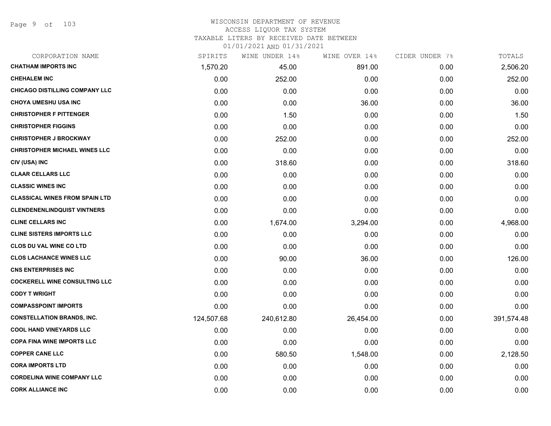Page 9 of 103

# WISCONSIN DEPARTMENT OF REVENUE ACCESS LIQUOR TAX SYSTEM

TAXABLE LITERS BY RECEIVED DATE BETWEEN

| CORPORATION NAME                      | SPIRITS    | WINE UNDER 14% | WINE OVER 14% | CIDER UNDER 7% | TOTALS     |
|---------------------------------------|------------|----------------|---------------|----------------|------------|
| <b>CHATHAM IMPORTS INC</b>            | 1,570.20   | 45.00          | 891.00        | 0.00           | 2,506.20   |
| <b>CHEHALEM INC</b>                   | 0.00       | 252.00         | 0.00          | 0.00           | 252.00     |
| <b>CHICAGO DISTILLING COMPANY LLC</b> | 0.00       | 0.00           | 0.00          | 0.00           | 0.00       |
| <b>CHOYA UMESHU USA INC</b>           | 0.00       | 0.00           | 36.00         | 0.00           | 36.00      |
| <b>CHRISTOPHER F PITTENGER</b>        | 0.00       | 1.50           | 0.00          | 0.00           | 1.50       |
| <b>CHRISTOPHER FIGGINS</b>            | 0.00       | 0.00           | 0.00          | 0.00           | 0.00       |
| <b>CHRISTOPHER J BROCKWAY</b>         | 0.00       | 252.00         | 0.00          | 0.00           | 252.00     |
| <b>CHRISTOPHER MICHAEL WINES LLC</b>  | 0.00       | 0.00           | 0.00          | 0.00           | 0.00       |
| CIV (USA) INC                         | 0.00       | 318.60         | 0.00          | 0.00           | 318.60     |
| <b>CLAAR CELLARS LLC</b>              | 0.00       | 0.00           | 0.00          | 0.00           | 0.00       |
| <b>CLASSIC WINES INC</b>              | 0.00       | 0.00           | 0.00          | 0.00           | 0.00       |
| <b>CLASSICAL WINES FROM SPAIN LTD</b> | 0.00       | 0.00           | 0.00          | 0.00           | 0.00       |
| <b>CLENDENENLINDQUIST VINTNERS</b>    | 0.00       | 0.00           | 0.00          | 0.00           | 0.00       |
| <b>CLINE CELLARS INC</b>              | 0.00       | 1,674.00       | 3,294.00      | 0.00           | 4,968.00   |
| <b>CLINE SISTERS IMPORTS LLC</b>      | 0.00       | 0.00           | 0.00          | 0.00           | 0.00       |
| <b>CLOS DU VAL WINE CO LTD</b>        | 0.00       | 0.00           | 0.00          | 0.00           | 0.00       |
| <b>CLOS LACHANCE WINES LLC</b>        | 0.00       | 90.00          | 36.00         | 0.00           | 126.00     |
| <b>CNS ENTERPRISES INC</b>            | 0.00       | 0.00           | 0.00          | 0.00           | 0.00       |
| <b>COCKERELL WINE CONSULTING LLC</b>  | 0.00       | 0.00           | 0.00          | 0.00           | 0.00       |
| <b>CODY T WRIGHT</b>                  | 0.00       | 0.00           | 0.00          | 0.00           | 0.00       |
| <b>COMPASSPOINT IMPORTS</b>           | 0.00       | 0.00           | 0.00          | 0.00           | 0.00       |
| <b>CONSTELLATION BRANDS, INC.</b>     | 124,507.68 | 240,612.80     | 26,454.00     | 0.00           | 391,574.48 |
| <b>COOL HAND VINEYARDS LLC</b>        | 0.00       | 0.00           | 0.00          | 0.00           | 0.00       |
| <b>COPA FINA WINE IMPORTS LLC</b>     | 0.00       | 0.00           | 0.00          | 0.00           | 0.00       |
| <b>COPPER CANE LLC</b>                | 0.00       | 580.50         | 1,548.00      | 0.00           | 2,128.50   |
| <b>CORA IMPORTS LTD</b>               | 0.00       | 0.00           | 0.00          | 0.00           | 0.00       |
| <b>CORDELINA WINE COMPANY LLC</b>     | 0.00       | 0.00           | 0.00          | 0.00           | 0.00       |
| <b>CORK ALLIANCE INC</b>              | 0.00       | 0.00           | 0.00          | 0.00           | 0.00       |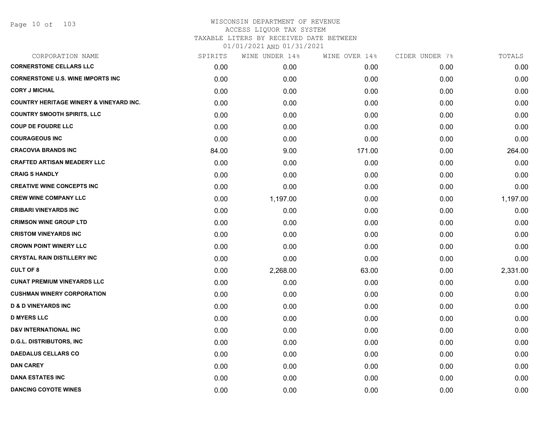| CORPORATION NAME                                   | SPIRITS | WINE UNDER 14% | WINE OVER 14% | CIDER UNDER 7% | TOTALS   |
|----------------------------------------------------|---------|----------------|---------------|----------------|----------|
| <b>CORNERSTONE CELLARS LLC</b>                     | 0.00    | 0.00           | 0.00          | 0.00           | 0.00     |
| <b>CORNERSTONE U.S. WINE IMPORTS INC</b>           | 0.00    | 0.00           | 0.00          | 0.00           | 0.00     |
| <b>CORY J MICHAL</b>                               | 0.00    | 0.00           | 0.00          | 0.00           | 0.00     |
| <b>COUNTRY HERITAGE WINERY &amp; VINEYARD INC.</b> | 0.00    | 0.00           | 0.00          | 0.00           | 0.00     |
| <b>COUNTRY SMOOTH SPIRITS, LLC</b>                 | 0.00    | 0.00           | 0.00          | 0.00           | 0.00     |
| <b>COUP DE FOUDRE LLC</b>                          | 0.00    | 0.00           | 0.00          | 0.00           | 0.00     |
| <b>COURAGEOUS INC</b>                              | 0.00    | 0.00           | 0.00          | 0.00           | 0.00     |
| <b>CRACOVIA BRANDS INC</b>                         | 84.00   | 9.00           | 171.00        | 0.00           | 264.00   |
| <b>CRAFTED ARTISAN MEADERY LLC</b>                 | 0.00    | 0.00           | 0.00          | 0.00           | 0.00     |
| <b>CRAIG S HANDLY</b>                              | 0.00    | 0.00           | 0.00          | 0.00           | 0.00     |
| <b>CREATIVE WINE CONCEPTS INC</b>                  | 0.00    | 0.00           | 0.00          | 0.00           | 0.00     |
| <b>CREW WINE COMPANY LLC</b>                       | 0.00    | 1,197.00       | 0.00          | 0.00           | 1,197.00 |
| <b>CRIBARI VINEYARDS INC</b>                       | 0.00    | 0.00           | 0.00          | 0.00           | 0.00     |
| <b>CRIMSON WINE GROUP LTD</b>                      | 0.00    | 0.00           | 0.00          | 0.00           | 0.00     |
| <b>CRISTOM VINEYARDS INC</b>                       | 0.00    | 0.00           | 0.00          | 0.00           | 0.00     |
| <b>CROWN POINT WINERY LLC</b>                      | 0.00    | 0.00           | 0.00          | 0.00           | 0.00     |
| <b>CRYSTAL RAIN DISTILLERY INC</b>                 | 0.00    | 0.00           | 0.00          | 0.00           | 0.00     |
| <b>CULT OF 8</b>                                   | 0.00    | 2,268.00       | 63.00         | 0.00           | 2,331.00 |
| <b>CUNAT PREMIUM VINEYARDS LLC</b>                 | 0.00    | 0.00           | 0.00          | 0.00           | 0.00     |
| <b>CUSHMAN WINERY CORPORATION</b>                  | 0.00    | 0.00           | 0.00          | 0.00           | 0.00     |
| <b>D &amp; D VINEYARDS INC</b>                     | 0.00    | 0.00           | 0.00          | 0.00           | 0.00     |
| <b>D MYERS LLC</b>                                 | 0.00    | 0.00           | 0.00          | 0.00           | 0.00     |
| <b>D&amp;V INTERNATIONAL INC</b>                   | 0.00    | 0.00           | 0.00          | 0.00           | 0.00     |
| <b>D.G.L. DISTRIBUTORS, INC</b>                    | 0.00    | 0.00           | 0.00          | 0.00           | 0.00     |
| <b>DAEDALUS CELLARS CO</b>                         | 0.00    | 0.00           | 0.00          | 0.00           | 0.00     |
| <b>DAN CAREY</b>                                   | 0.00    | 0.00           | 0.00          | 0.00           | 0.00     |
| <b>DANA ESTATES INC</b>                            | 0.00    | 0.00           | 0.00          | 0.00           | 0.00     |
| <b>DANCING COYOTE WINES</b>                        | 0.00    | 0.00           | 0.00          | 0.00           | 0.00     |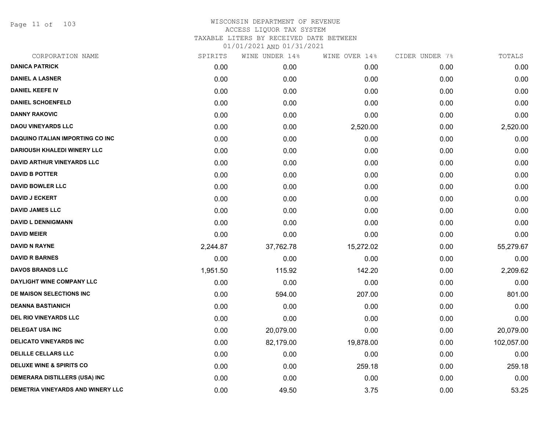Page 11 of 103

| CORPORATION NAME                        | SPIRITS  | WINE UNDER 14% | WINE OVER 14% | CIDER UNDER 7% | TOTALS     |
|-----------------------------------------|----------|----------------|---------------|----------------|------------|
| <b>DANICA PATRICK</b>                   | 0.00     | 0.00           | 0.00          | 0.00           | 0.00       |
| <b>DANIEL A LASNER</b>                  | 0.00     | 0.00           | 0.00          | 0.00           | 0.00       |
| <b>DANIEL KEEFE IV</b>                  | 0.00     | 0.00           | 0.00          | 0.00           | 0.00       |
| <b>DANIEL SCHOENFELD</b>                | 0.00     | 0.00           | 0.00          | 0.00           | 0.00       |
| <b>DANNY RAKOVIC</b>                    | 0.00     | 0.00           | 0.00          | 0.00           | 0.00       |
| <b>DAOU VINEYARDS LLC</b>               | 0.00     | 0.00           | 2,520.00      | 0.00           | 2,520.00   |
| <b>DAQUINO ITALIAN IMPORTING CO INC</b> | 0.00     | 0.00           | 0.00          | 0.00           | 0.00       |
| <b>DARIOUSH KHALEDI WINERY LLC</b>      | 0.00     | 0.00           | 0.00          | 0.00           | 0.00       |
| <b>DAVID ARTHUR VINEYARDS LLC</b>       | 0.00     | 0.00           | 0.00          | 0.00           | 0.00       |
| <b>DAVID B POTTER</b>                   | 0.00     | 0.00           | 0.00          | 0.00           | 0.00       |
| <b>DAVID BOWLER LLC</b>                 | 0.00     | 0.00           | 0.00          | 0.00           | 0.00       |
| <b>DAVID J ECKERT</b>                   | 0.00     | 0.00           | 0.00          | 0.00           | 0.00       |
| <b>DAVID JAMES LLC</b>                  | 0.00     | 0.00           | 0.00          | 0.00           | 0.00       |
| <b>DAVID L DENNIGMANN</b>               | 0.00     | 0.00           | 0.00          | 0.00           | 0.00       |
| <b>DAVID MEIER</b>                      | 0.00     | 0.00           | 0.00          | 0.00           | 0.00       |
| <b>DAVID N RAYNE</b>                    | 2,244.87 | 37,762.78      | 15,272.02     | 0.00           | 55,279.67  |
| <b>DAVID R BARNES</b>                   | 0.00     | 0.00           | 0.00          | 0.00           | 0.00       |
| <b>DAVOS BRANDS LLC</b>                 | 1,951.50 | 115.92         | 142.20        | 0.00           | 2,209.62   |
| DAYLIGHT WINE COMPANY LLC               | 0.00     | 0.00           | 0.00          | 0.00           | 0.00       |
| DE MAISON SELECTIONS INC                | 0.00     | 594.00         | 207.00        | 0.00           | 801.00     |
| <b>DEANNA BASTIANICH</b>                | 0.00     | 0.00           | 0.00          | 0.00           | 0.00       |
| <b>DEL RIO VINEYARDS LLC</b>            | 0.00     | 0.00           | 0.00          | 0.00           | 0.00       |
| <b>DELEGAT USA INC</b>                  | 0.00     | 20,079.00      | 0.00          | 0.00           | 20,079.00  |
| <b>DELICATO VINEYARDS INC</b>           | 0.00     | 82,179.00      | 19,878.00     | 0.00           | 102,057.00 |
| <b>DELILLE CELLARS LLC</b>              | 0.00     | 0.00           | 0.00          | 0.00           | 0.00       |
| DELUXE WINE & SPIRITS CO                | 0.00     | 0.00           | 259.18        | 0.00           | 259.18     |
| <b>DEMERARA DISTILLERS (USA) INC</b>    | 0.00     | 0.00           | 0.00          | 0.00           | 0.00       |
| DEMETRIA VINEYARDS AND WINERY LLC       | 0.00     | 49.50          | 3.75          | 0.00           | 53.25      |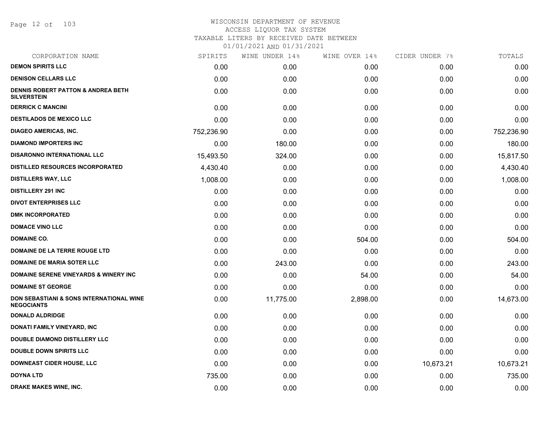Page 12 of 103

| CORPORATION NAME                                                         | SPIRITS    | WINE UNDER 14% | WINE OVER 14% | CIDER UNDER 7% | TOTALS     |
|--------------------------------------------------------------------------|------------|----------------|---------------|----------------|------------|
| <b>DEMON SPIRITS LLC</b>                                                 | 0.00       | 0.00           | 0.00          | 0.00           | 0.00       |
| <b>DENISON CELLARS LLC</b>                                               | 0.00       | 0.00           | 0.00          | 0.00           | 0.00       |
| <b>DENNIS ROBERT PATTON &amp; ANDREA BETH</b><br><b>SILVERSTEIN</b>      | 0.00       | 0.00           | 0.00          | 0.00           | 0.00       |
| <b>DERRICK C MANCINI</b>                                                 | 0.00       | 0.00           | 0.00          | 0.00           | 0.00       |
| <b>DESTILADOS DE MEXICO LLC</b>                                          | 0.00       | 0.00           | 0.00          | 0.00           | 0.00       |
| <b>DIAGEO AMERICAS, INC.</b>                                             | 752,236.90 | 0.00           | 0.00          | 0.00           | 752,236.90 |
| <b>DIAMOND IMPORTERS INC</b>                                             | 0.00       | 180.00         | 0.00          | 0.00           | 180.00     |
| <b>DISARONNO INTERNATIONAL LLC</b>                                       | 15,493.50  | 324.00         | 0.00          | 0.00           | 15,817.50  |
| <b>DISTILLED RESOURCES INCORPORATED</b>                                  | 4,430.40   | 0.00           | 0.00          | 0.00           | 4,430.40   |
| <b>DISTILLERS WAY, LLC</b>                                               | 1,008.00   | 0.00           | 0.00          | 0.00           | 1,008.00   |
| <b>DISTILLERY 291 INC</b>                                                | 0.00       | 0.00           | 0.00          | 0.00           | 0.00       |
| <b>DIVOT ENTERPRISES LLC</b>                                             | 0.00       | 0.00           | 0.00          | 0.00           | 0.00       |
| <b>DMK INCORPORATED</b>                                                  | 0.00       | 0.00           | 0.00          | 0.00           | 0.00       |
| <b>DOMACE VINO LLC</b>                                                   | 0.00       | 0.00           | 0.00          | 0.00           | 0.00       |
| <b>DOMAINE CO.</b>                                                       | 0.00       | 0.00           | 504.00        | 0.00           | 504.00     |
| DOMAINE DE LA TERRE ROUGE LTD                                            | 0.00       | 0.00           | 0.00          | 0.00           | 0.00       |
| <b>DOMAINE DE MARIA SOTER LLC</b>                                        | 0.00       | 243.00         | 0.00          | 0.00           | 243.00     |
| <b>DOMAINE SERENE VINEYARDS &amp; WINERY INC</b>                         | 0.00       | 0.00           | 54.00         | 0.00           | 54.00      |
| <b>DOMAINE ST GEORGE</b>                                                 | 0.00       | 0.00           | 0.00          | 0.00           | 0.00       |
| <b>DON SEBASTIANI &amp; SONS INTERNATIONAL WINE</b><br><b>NEGOCIANTS</b> | 0.00       | 11,775.00      | 2,898.00      | 0.00           | 14,673.00  |
| <b>DONALD ALDRIDGE</b>                                                   | 0.00       | 0.00           | 0.00          | 0.00           | 0.00       |
| DONATI FAMILY VINEYARD, INC                                              | 0.00       | 0.00           | 0.00          | 0.00           | 0.00       |
| DOUBLE DIAMOND DISTILLERY LLC                                            | 0.00       | 0.00           | 0.00          | 0.00           | 0.00       |
| <b>DOUBLE DOWN SPIRITS LLC</b>                                           | 0.00       | 0.00           | 0.00          | 0.00           | 0.00       |
| <b>DOWNEAST CIDER HOUSE, LLC</b>                                         | 0.00       | 0.00           | 0.00          | 10,673.21      | 10,673.21  |
| <b>DOYNA LTD</b>                                                         | 735.00     | 0.00           | 0.00          | 0.00           | 735.00     |
| <b>DRAKE MAKES WINE, INC.</b>                                            | 0.00       | 0.00           | 0.00          | 0.00           | 0.00       |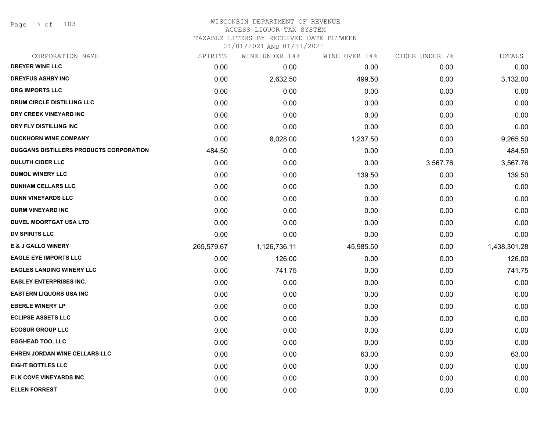Page 13 of 103

#### WISCONSIN DEPARTMENT OF REVENUE ACCESS LIQUOR TAX SYSTEM

TAXABLE LITERS BY RECEIVED DATE BETWEEN

| CORPORATION NAME                               | SPIRITS    | WINE UNDER 14% | WINE OVER 14% | CIDER UNDER 7% | TOTALS       |
|------------------------------------------------|------------|----------------|---------------|----------------|--------------|
| DREYER WINE LLC                                | 0.00       | 0.00           | 0.00          | 0.00           | 0.00         |
| <b>DREYFUS ASHBY INC</b>                       | 0.00       | 2,632.50       | 499.50        | 0.00           | 3,132.00     |
| <b>DRG IMPORTS LLC</b>                         | 0.00       | 0.00           | 0.00          | 0.00           | 0.00         |
| <b>DRUM CIRCLE DISTILLING LLC</b>              | 0.00       | 0.00           | 0.00          | 0.00           | 0.00         |
| DRY CREEK VINEYARD INC                         | 0.00       | 0.00           | 0.00          | 0.00           | 0.00         |
| DRY FLY DISTILLING INC                         | 0.00       | 0.00           | 0.00          | 0.00           | 0.00         |
| <b>DUCKHORN WINE COMPANY</b>                   | 0.00       | 8,028.00       | 1,237.50      | 0.00           | 9,265.50     |
| <b>DUGGANS DISTILLERS PRODUCTS CORPORATION</b> | 484.50     | 0.00           | 0.00          | 0.00           | 484.50       |
| <b>DULUTH CIDER LLC</b>                        | 0.00       | 0.00           | 0.00          | 3,567.76       | 3,567.76     |
| <b>DUMOL WINERY LLC</b>                        | 0.00       | 0.00           | 139.50        | 0.00           | 139.50       |
| <b>DUNHAM CELLARS LLC</b>                      | 0.00       | 0.00           | 0.00          | 0.00           | 0.00         |
| <b>DUNN VINEYARDS LLC</b>                      | 0.00       | 0.00           | 0.00          | 0.00           | 0.00         |
| <b>DURM VINEYARD INC</b>                       | 0.00       | 0.00           | 0.00          | 0.00           | 0.00         |
| DUVEL MOORTGAT USA LTD                         | 0.00       | 0.00           | 0.00          | 0.00           | 0.00         |
| DV SPIRITS LLC                                 | 0.00       | 0.00           | 0.00          | 0.00           | 0.00         |
| E & J GALLO WINERY                             | 265,579.67 | 1,126,736.11   | 45,985.50     | 0.00           | 1,438,301.28 |
| <b>EAGLE EYE IMPORTS LLC</b>                   | 0.00       | 126.00         | 0.00          | 0.00           | 126.00       |
| <b>EAGLES LANDING WINERY LLC</b>               | 0.00       | 741.75         | 0.00          | 0.00           | 741.75       |
| <b>EASLEY ENTERPRISES INC.</b>                 | 0.00       | 0.00           | 0.00          | 0.00           | 0.00         |
| <b>EASTERN LIQUORS USA INC</b>                 | 0.00       | 0.00           | 0.00          | 0.00           | 0.00         |
| <b>EBERLE WINERY LP</b>                        | 0.00       | 0.00           | 0.00          | 0.00           | 0.00         |
| <b>ECLIPSE ASSETS LLC</b>                      | 0.00       | 0.00           | 0.00          | 0.00           | 0.00         |
| <b>ECOSUR GROUP LLC</b>                        | 0.00       | 0.00           | 0.00          | 0.00           | 0.00         |
| <b>EGGHEAD TOO, LLC</b>                        | 0.00       | 0.00           | 0.00          | 0.00           | 0.00         |
| EHREN JORDAN WINE CELLARS LLC                  | 0.00       | 0.00           | 63.00         | 0.00           | 63.00        |
| <b>EIGHT BOTTLES LLC</b>                       | 0.00       | 0.00           | 0.00          | 0.00           | 0.00         |
| ELK COVE VINEYARDS INC                         | 0.00       | 0.00           | 0.00          | 0.00           | 0.00         |
| <b>ELLEN FORREST</b>                           | 0.00       | 0.00           | 0.00          | 0.00           | 0.00         |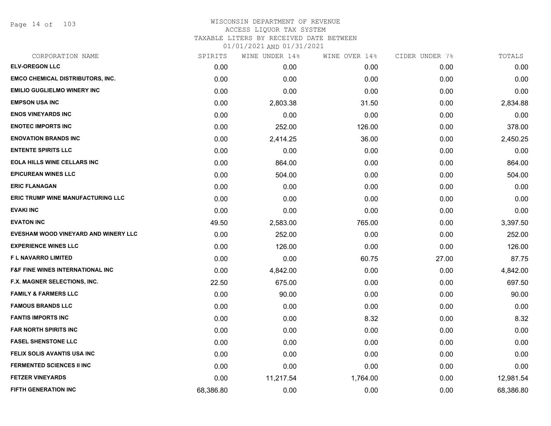Page 14 of 103

# WISCONSIN DEPARTMENT OF REVENUE ACCESS LIQUOR TAX SYSTEM TAXABLE LITERS BY RECEIVED DATE BETWEEN

| CORPORATION NAME                            | SPIRITS   | WINE UNDER 14% | WINE OVER 14% | CIDER UNDER 7% | TOTALS    |
|---------------------------------------------|-----------|----------------|---------------|----------------|-----------|
| <b>ELV-OREGON LLC</b>                       | 0.00      | 0.00           | 0.00          | 0.00           | 0.00      |
| <b>EMCO CHEMICAL DISTRIBUTORS, INC.</b>     | 0.00      | 0.00           | 0.00          | 0.00           | 0.00      |
| <b>EMILIO GUGLIELMO WINERY INC</b>          | 0.00      | 0.00           | 0.00          | 0.00           | 0.00      |
| <b>EMPSON USA INC</b>                       | 0.00      | 2,803.38       | 31.50         | 0.00           | 2,834.88  |
| <b>ENOS VINEYARDS INC</b>                   | 0.00      | 0.00           | 0.00          | 0.00           | 0.00      |
| <b>ENOTEC IMPORTS INC</b>                   | 0.00      | 252.00         | 126.00        | 0.00           | 378.00    |
| <b>ENOVATION BRANDS INC</b>                 | 0.00      | 2,414.25       | 36.00         | 0.00           | 2,450.25  |
| <b>ENTENTE SPIRITS LLC</b>                  | 0.00      | 0.00           | 0.00          | 0.00           | 0.00      |
| <b>EOLA HILLS WINE CELLARS INC</b>          | 0.00      | 864.00         | 0.00          | 0.00           | 864.00    |
| <b>EPICUREAN WINES LLC</b>                  | 0.00      | 504.00         | 0.00          | 0.00           | 504.00    |
| <b>ERIC FLANAGAN</b>                        | 0.00      | 0.00           | 0.00          | 0.00           | 0.00      |
| <b>ERIC TRUMP WINE MANUFACTURING LLC</b>    | 0.00      | 0.00           | 0.00          | 0.00           | 0.00      |
| <b>EVAKI INC</b>                            | 0.00      | 0.00           | 0.00          | 0.00           | 0.00      |
| <b>EVATON INC</b>                           | 49.50     | 2,583.00       | 765.00        | 0.00           | 3,397.50  |
| EVESHAM WOOD VINEYARD AND WINERY LLC        | 0.00      | 252.00         | 0.00          | 0.00           | 252.00    |
| <b>EXPERIENCE WINES LLC</b>                 | 0.00      | 126.00         | 0.00          | 0.00           | 126.00    |
| <b>FL NAVARRO LIMITED</b>                   | 0.00      | 0.00           | 60.75         | 27.00          | 87.75     |
| <b>F&amp;F FINE WINES INTERNATIONAL INC</b> | 0.00      | 4,842.00       | 0.00          | 0.00           | 4,842.00  |
| <b>F.X. MAGNER SELECTIONS, INC.</b>         | 22.50     | 675.00         | 0.00          | 0.00           | 697.50    |
| <b>FAMILY &amp; FARMERS LLC</b>             | 0.00      | 90.00          | 0.00          | 0.00           | 90.00     |
| <b>FAMOUS BRANDS LLC</b>                    | 0.00      | 0.00           | 0.00          | 0.00           | 0.00      |
| <b>FANTIS IMPORTS INC</b>                   | 0.00      | 0.00           | 8.32          | 0.00           | 8.32      |
| <b>FAR NORTH SPIRITS INC</b>                | 0.00      | 0.00           | 0.00          | 0.00           | 0.00      |
| <b>FASEL SHENSTONE LLC</b>                  | 0.00      | 0.00           | 0.00          | 0.00           | 0.00      |
| FELIX SOLIS AVANTIS USA INC                 | 0.00      | 0.00           | 0.00          | 0.00           | 0.00      |
| <b>FERMENTED SCIENCES II INC</b>            | 0.00      | 0.00           | 0.00          | 0.00           | 0.00      |
| <b>FETZER VINEYARDS</b>                     | 0.00      | 11,217.54      | 1,764.00      | 0.00           | 12,981.54 |
| <b>FIFTH GENERATION INC</b>                 | 68,386.80 | 0.00           | 0.00          | 0.00           | 68,386.80 |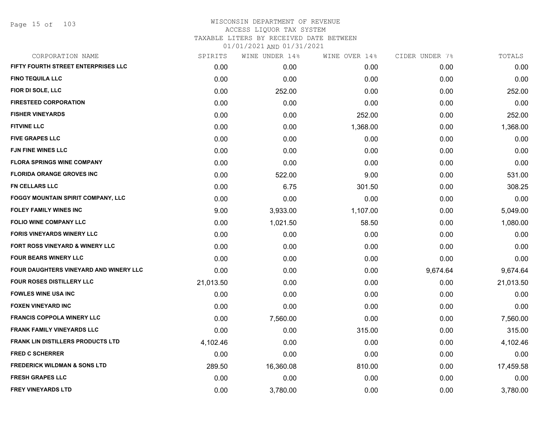Page 15 of 103

# WISCONSIN DEPARTMENT OF REVENUE ACCESS LIQUOR TAX SYSTEM TAXABLE LITERS BY RECEIVED DATE BETWEEN

| CORPORATION NAME                          | SPIRITS   | WINE UNDER 14% | WINE OVER 14% | CIDER UNDER 7% | TOTALS    |
|-------------------------------------------|-----------|----------------|---------------|----------------|-----------|
| FIFTY FOURTH STREET ENTERPRISES LLC       | 0.00      | 0.00           | 0.00          | 0.00           | 0.00      |
| <b>FINO TEQUILA LLC</b>                   | 0.00      | 0.00           | 0.00          | 0.00           | 0.00      |
| FIOR DI SOLE, LLC                         | 0.00      | 252.00         | 0.00          | 0.00           | 252.00    |
| <b>FIRESTEED CORPORATION</b>              | 0.00      | 0.00           | 0.00          | 0.00           | 0.00      |
| <b>FISHER VINEYARDS</b>                   | 0.00      | 0.00           | 252.00        | 0.00           | 252.00    |
| <b>FITVINE LLC</b>                        | 0.00      | 0.00           | 1,368.00      | 0.00           | 1,368.00  |
| <b>FIVE GRAPES LLC</b>                    | 0.00      | 0.00           | 0.00          | 0.00           | 0.00      |
| <b>FJN FINE WINES LLC</b>                 | 0.00      | 0.00           | 0.00          | 0.00           | 0.00      |
| <b>FLORA SPRINGS WINE COMPANY</b>         | 0.00      | 0.00           | 0.00          | 0.00           | 0.00      |
| <b>FLORIDA ORANGE GROVES INC</b>          | 0.00      | 522.00         | 9.00          | 0.00           | 531.00    |
| <b>FN CELLARS LLC</b>                     | 0.00      | 6.75           | 301.50        | 0.00           | 308.25    |
| <b>FOGGY MOUNTAIN SPIRIT COMPANY, LLC</b> | 0.00      | 0.00           | 0.00          | 0.00           | 0.00      |
| <b>FOLEY FAMILY WINES INC</b>             | 9.00      | 3,933.00       | 1,107.00      | 0.00           | 5,049.00  |
| <b>FOLIO WINE COMPANY LLC</b>             | 0.00      | 1,021.50       | 58.50         | 0.00           | 1,080.00  |
| <b>FORIS VINEYARDS WINERY LLC</b>         | 0.00      | 0.00           | 0.00          | 0.00           | 0.00      |
| FORT ROSS VINEYARD & WINERY LLC           | 0.00      | 0.00           | 0.00          | 0.00           | 0.00      |
| <b>FOUR BEARS WINERY LLC</b>              | 0.00      | 0.00           | 0.00          | 0.00           | 0.00      |
| FOUR DAUGHTERS VINEYARD AND WINERY LLC    | 0.00      | 0.00           | 0.00          | 9,674.64       | 9,674.64  |
| <b>FOUR ROSES DISTILLERY LLC</b>          | 21,013.50 | 0.00           | 0.00          | 0.00           | 21,013.50 |
| <b>FOWLES WINE USA INC</b>                | 0.00      | 0.00           | 0.00          | 0.00           | 0.00      |
| <b>FOXEN VINEYARD INC</b>                 | 0.00      | 0.00           | 0.00          | 0.00           | 0.00      |
| <b>FRANCIS COPPOLA WINERY LLC</b>         | 0.00      | 7,560.00       | 0.00          | 0.00           | 7,560.00  |
| <b>FRANK FAMILY VINEYARDS LLC</b>         | 0.00      | 0.00           | 315.00        | 0.00           | 315.00    |
| <b>FRANK LIN DISTILLERS PRODUCTS LTD</b>  | 4,102.46  | 0.00           | 0.00          | 0.00           | 4,102.46  |
| <b>FRED C SCHERRER</b>                    | 0.00      | 0.00           | 0.00          | 0.00           | 0.00      |
| <b>FREDERICK WILDMAN &amp; SONS LTD</b>   | 289.50    | 16,360.08      | 810.00        | 0.00           | 17,459.58 |
| <b>FRESH GRAPES LLC</b>                   | 0.00      | 0.00           | 0.00          | 0.00           | 0.00      |
| <b>FREY VINEYARDS LTD</b>                 | 0.00      | 3,780.00       | 0.00          | 0.00           | 3,780.00  |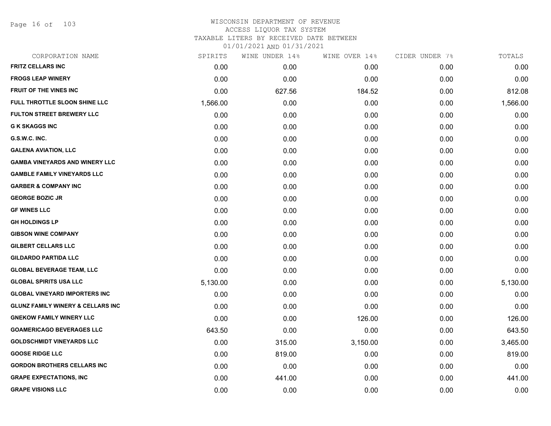Page 16 of 103

| CORPORATION NAME                             | SPIRITS  | WINE UNDER 14% | WINE OVER 14% | CIDER UNDER 7% | TOTALS   |
|----------------------------------------------|----------|----------------|---------------|----------------|----------|
| <b>FRITZ CELLARS INC</b>                     | 0.00     | 0.00           | 0.00          | 0.00           | 0.00     |
| <b>FROGS LEAP WINERY</b>                     | 0.00     | 0.00           | 0.00          | 0.00           | 0.00     |
| FRUIT OF THE VINES INC                       | 0.00     | 627.56         | 184.52        | 0.00           | 812.08   |
| FULL THROTTLE SLOON SHINE LLC                | 1,566.00 | 0.00           | 0.00          | 0.00           | 1,566.00 |
| <b>FULTON STREET BREWERY LLC</b>             | 0.00     | 0.00           | 0.00          | 0.00           | 0.00     |
| <b>G K SKAGGS INC</b>                        | 0.00     | 0.00           | 0.00          | 0.00           | 0.00     |
| G.S.W.C. INC.                                | 0.00     | 0.00           | 0.00          | 0.00           | 0.00     |
| <b>GALENA AVIATION, LLC</b>                  | 0.00     | 0.00           | 0.00          | 0.00           | 0.00     |
| <b>GAMBA VINEYARDS AND WINERY LLC</b>        | 0.00     | 0.00           | 0.00          | 0.00           | 0.00     |
| <b>GAMBLE FAMILY VINEYARDS LLC</b>           | 0.00     | 0.00           | 0.00          | 0.00           | 0.00     |
| <b>GARBER &amp; COMPANY INC</b>              | 0.00     | 0.00           | 0.00          | 0.00           | 0.00     |
| <b>GEORGE BOZIC JR</b>                       | 0.00     | 0.00           | 0.00          | 0.00           | 0.00     |
| <b>GF WINES LLC</b>                          | 0.00     | 0.00           | 0.00          | 0.00           | 0.00     |
| <b>GH HOLDINGS LP</b>                        | 0.00     | 0.00           | 0.00          | 0.00           | 0.00     |
| <b>GIBSON WINE COMPANY</b>                   | 0.00     | 0.00           | 0.00          | 0.00           | 0.00     |
| <b>GILBERT CELLARS LLC</b>                   | 0.00     | 0.00           | 0.00          | 0.00           | 0.00     |
| <b>GILDARDO PARTIDA LLC</b>                  | 0.00     | 0.00           | 0.00          | 0.00           | 0.00     |
| <b>GLOBAL BEVERAGE TEAM, LLC</b>             | 0.00     | 0.00           | 0.00          | 0.00           | 0.00     |
| <b>GLOBAL SPIRITS USA LLC</b>                | 5,130.00 | 0.00           | 0.00          | 0.00           | 5,130.00 |
| <b>GLOBAL VINEYARD IMPORTERS INC</b>         | 0.00     | 0.00           | 0.00          | 0.00           | 0.00     |
| <b>GLUNZ FAMILY WINERY &amp; CELLARS INC</b> | 0.00     | 0.00           | 0.00          | 0.00           | 0.00     |
| <b>GNEKOW FAMILY WINERY LLC</b>              | 0.00     | 0.00           | 126.00        | 0.00           | 126.00   |
| <b>GOAMERICAGO BEVERAGES LLC</b>             | 643.50   | 0.00           | 0.00          | 0.00           | 643.50   |
| <b>GOLDSCHMIDT VINEYARDS LLC</b>             | 0.00     | 315.00         | 3,150.00      | 0.00           | 3,465.00 |
| <b>GOOSE RIDGE LLC</b>                       | 0.00     | 819.00         | 0.00          | 0.00           | 819.00   |
| <b>GORDON BROTHERS CELLARS INC</b>           | 0.00     | 0.00           | 0.00          | 0.00           | 0.00     |
| <b>GRAPE EXPECTATIONS, INC.</b>              | 0.00     | 441.00         | 0.00          | 0.00           | 441.00   |
| <b>GRAPE VISIONS LLC</b>                     | 0.00     | 0.00           | 0.00          | 0.00           | 0.00     |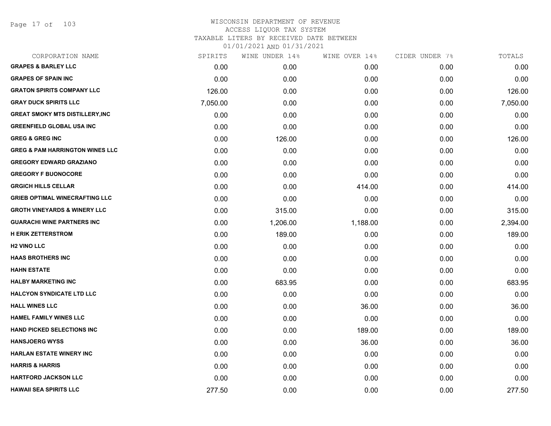Page 17 of 103

| CORPORATION NAME                           | SPIRITS  | WINE UNDER 14% | WINE OVER 14% | CIDER UNDER 7% | TOTALS   |
|--------------------------------------------|----------|----------------|---------------|----------------|----------|
| <b>GRAPES &amp; BARLEY LLC</b>             | 0.00     | 0.00           | 0.00          | 0.00           | 0.00     |
| <b>GRAPES OF SPAIN INC</b>                 | 0.00     | 0.00           | 0.00          | 0.00           | 0.00     |
| <b>GRATON SPIRITS COMPANY LLC</b>          | 126.00   | 0.00           | 0.00          | 0.00           | 126.00   |
| <b>GRAY DUCK SPIRITS LLC</b>               | 7,050.00 | 0.00           | 0.00          | 0.00           | 7,050.00 |
| <b>GREAT SMOKY MTS DISTILLERY, INC</b>     | 0.00     | 0.00           | 0.00          | 0.00           | 0.00     |
| <b>GREENFIELD GLOBAL USA INC</b>           | 0.00     | 0.00           | 0.00          | 0.00           | 0.00     |
| <b>GREG &amp; GREG INC</b>                 | 0.00     | 126.00         | 0.00          | 0.00           | 126.00   |
| <b>GREG &amp; PAM HARRINGTON WINES LLC</b> | 0.00     | 0.00           | 0.00          | 0.00           | 0.00     |
| <b>GREGORY EDWARD GRAZIANO</b>             | 0.00     | 0.00           | 0.00          | 0.00           | 0.00     |
| <b>GREGORY F BUONOCORE</b>                 | 0.00     | 0.00           | 0.00          | 0.00           | 0.00     |
| <b>GRGICH HILLS CELLAR</b>                 | 0.00     | 0.00           | 414.00        | 0.00           | 414.00   |
| <b>GRIEB OPTIMAL WINECRAFTING LLC</b>      | 0.00     | 0.00           | 0.00          | 0.00           | 0.00     |
| <b>GROTH VINEYARDS &amp; WINERY LLC</b>    | 0.00     | 315.00         | 0.00          | 0.00           | 315.00   |
| <b>GUARACHI WINE PARTNERS INC</b>          | 0.00     | 1,206.00       | 1,188.00      | 0.00           | 2,394.00 |
| <b>H ERIK ZETTERSTROM</b>                  | 0.00     | 189.00         | 0.00          | 0.00           | 189.00   |
| <b>H2 VINO LLC</b>                         | 0.00     | 0.00           | 0.00          | 0.00           | 0.00     |
| <b>HAAS BROTHERS INC</b>                   | 0.00     | 0.00           | 0.00          | 0.00           | 0.00     |
| <b>HAHN ESTATE</b>                         | 0.00     | 0.00           | 0.00          | 0.00           | 0.00     |
| <b>HALBY MARKETING INC</b>                 | 0.00     | 683.95         | 0.00          | 0.00           | 683.95   |
| <b>HALCYON SYNDICATE LTD LLC</b>           | 0.00     | 0.00           | 0.00          | 0.00           | 0.00     |
| <b>HALL WINES LLC</b>                      | 0.00     | 0.00           | 36.00         | 0.00           | 36.00    |
| <b>HAMEL FAMILY WINES LLC</b>              | 0.00     | 0.00           | 0.00          | 0.00           | 0.00     |
| <b>HAND PICKED SELECTIONS INC</b>          | 0.00     | 0.00           | 189.00        | 0.00           | 189.00   |
| <b>HANSJOERG WYSS</b>                      | 0.00     | 0.00           | 36.00         | 0.00           | 36.00    |
| <b>HARLAN ESTATE WINERY INC</b>            | 0.00     | 0.00           | 0.00          | 0.00           | 0.00     |
| <b>HARRIS &amp; HARRIS</b>                 | 0.00     | 0.00           | 0.00          | 0.00           | 0.00     |
| <b>HARTFORD JACKSON LLC</b>                | 0.00     | 0.00           | 0.00          | 0.00           | 0.00     |
| <b>HAWAII SEA SPIRITS LLC</b>              | 277.50   | 0.00           | 0.00          | 0.00           | 277.50   |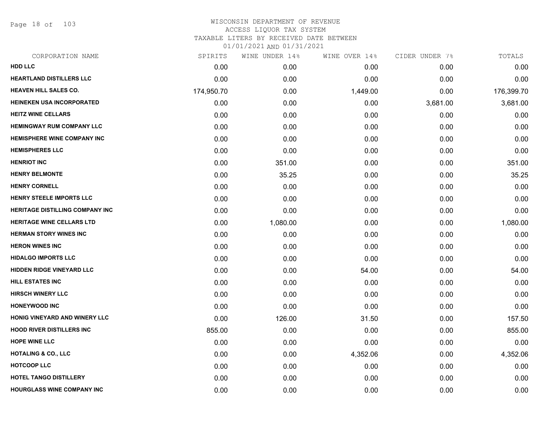Page 18 of 103

| CORPORATION NAME                       | SPIRITS    | WINE UNDER 14% | WINE OVER 14% | CIDER UNDER 7% | TOTALS     |
|----------------------------------------|------------|----------------|---------------|----------------|------------|
| <b>HDD LLC</b>                         | 0.00       | 0.00           | 0.00          | 0.00           | 0.00       |
| <b>HEARTLAND DISTILLERS LLC</b>        | 0.00       | 0.00           | 0.00          | 0.00           | 0.00       |
| <b>HEAVEN HILL SALES CO.</b>           | 174,950.70 | 0.00           | 1,449.00      | 0.00           | 176,399.70 |
| HEINEKEN USA INCORPORATED              | 0.00       | 0.00           | 0.00          | 3,681.00       | 3,681.00   |
| <b>HEITZ WINE CELLARS</b>              | 0.00       | 0.00           | 0.00          | 0.00           | 0.00       |
| <b>HEMINGWAY RUM COMPANY LLC</b>       | 0.00       | 0.00           | 0.00          | 0.00           | 0.00       |
| <b>HEMISPHERE WINE COMPANY INC</b>     | 0.00       | 0.00           | 0.00          | 0.00           | 0.00       |
| <b>HEMISPHERES LLC</b>                 | 0.00       | 0.00           | 0.00          | 0.00           | 0.00       |
| <b>HENRIOT INC</b>                     | 0.00       | 351.00         | 0.00          | 0.00           | 351.00     |
| <b>HENRY BELMONTE</b>                  | 0.00       | 35.25          | 0.00          | 0.00           | 35.25      |
| <b>HENRY CORNELL</b>                   | 0.00       | 0.00           | 0.00          | 0.00           | 0.00       |
| <b>HENRY STEELE IMPORTS LLC</b>        | 0.00       | 0.00           | 0.00          | 0.00           | 0.00       |
| <b>HERITAGE DISTILLING COMPANY INC</b> | 0.00       | 0.00           | 0.00          | 0.00           | 0.00       |
| HERITAGE WINE CELLARS LTD              | 0.00       | 1,080.00       | 0.00          | 0.00           | 1,080.00   |
| <b>HERMAN STORY WINES INC</b>          | 0.00       | 0.00           | 0.00          | 0.00           | 0.00       |
| <b>HERON WINES INC</b>                 | 0.00       | 0.00           | 0.00          | 0.00           | 0.00       |
| <b>HIDALGO IMPORTS LLC</b>             | 0.00       | 0.00           | 0.00          | 0.00           | 0.00       |
| <b>HIDDEN RIDGE VINEYARD LLC</b>       | 0.00       | 0.00           | 54.00         | 0.00           | 54.00      |
| HILL ESTATES INC                       | 0.00       | 0.00           | 0.00          | 0.00           | 0.00       |
| <b>HIRSCH WINERY LLC</b>               | 0.00       | 0.00           | 0.00          | 0.00           | 0.00       |
| <b>HONEYWOOD INC</b>                   | 0.00       | 0.00           | 0.00          | 0.00           | 0.00       |
| <b>HONIG VINEYARD AND WINERY LLC</b>   | 0.00       | 126.00         | 31.50         | 0.00           | 157.50     |
| <b>HOOD RIVER DISTILLERS INC</b>       | 855.00     | 0.00           | 0.00          | 0.00           | 855.00     |
| <b>HOPE WINE LLC</b>                   | 0.00       | 0.00           | 0.00          | 0.00           | 0.00       |
| <b>HOTALING &amp; CO., LLC</b>         | 0.00       | 0.00           | 4,352.06      | 0.00           | 4,352.06   |
| <b>HOTCOOP LLC</b>                     | 0.00       | 0.00           | 0.00          | 0.00           | 0.00       |
| <b>HOTEL TANGO DISTILLERY</b>          | 0.00       | 0.00           | 0.00          | 0.00           | 0.00       |
| <b>HOURGLASS WINE COMPANY INC</b>      | 0.00       | 0.00           | 0.00          | 0.00           | 0.00       |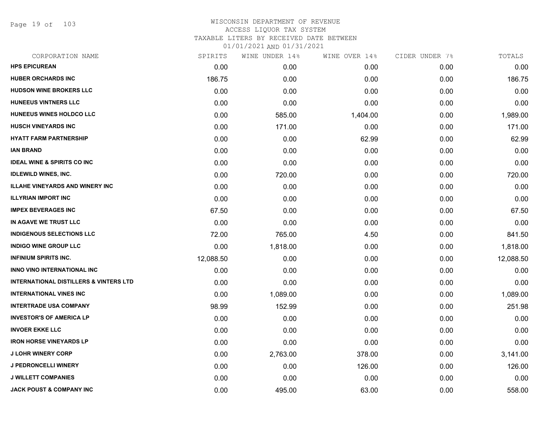Page 19 of 103

| CORPORATION NAME                                  | SPIRITS   | WINE UNDER 14% | WINE OVER 14% | CIDER UNDER 7% | TOTALS    |
|---------------------------------------------------|-----------|----------------|---------------|----------------|-----------|
| <b>HPS EPICUREAN</b>                              | 0.00      | 0.00           | 0.00          | 0.00           | 0.00      |
| <b>HUBER ORCHARDS INC</b>                         | 186.75    | 0.00           | 0.00          | 0.00           | 186.75    |
| <b>HUDSON WINE BROKERS LLC</b>                    | 0.00      | 0.00           | 0.00          | 0.00           | 0.00      |
| <b>HUNEEUS VINTNERS LLC</b>                       | 0.00      | 0.00           | 0.00          | 0.00           | 0.00      |
| HUNEEUS WINES HOLDCO LLC                          | 0.00      | 585.00         | 1,404.00      | 0.00           | 1,989.00  |
| <b>HUSCH VINEYARDS INC</b>                        | 0.00      | 171.00         | 0.00          | 0.00           | 171.00    |
| <b>HYATT FARM PARTNERSHIP</b>                     | 0.00      | 0.00           | 62.99         | 0.00           | 62.99     |
| <b>IAN BRAND</b>                                  | 0.00      | 0.00           | 0.00          | 0.00           | 0.00      |
| <b>IDEAL WINE &amp; SPIRITS CO INC</b>            | 0.00      | 0.00           | 0.00          | 0.00           | 0.00      |
| <b>IDLEWILD WINES, INC.</b>                       | 0.00      | 720.00         | 0.00          | 0.00           | 720.00    |
| <b>ILLAHE VINEYARDS AND WINERY INC</b>            | 0.00      | 0.00           | 0.00          | 0.00           | 0.00      |
| <b>ILLYRIAN IMPORT INC</b>                        | 0.00      | 0.00           | 0.00          | 0.00           | 0.00      |
| <b>IMPEX BEVERAGES INC</b>                        | 67.50     | 0.00           | 0.00          | 0.00           | 67.50     |
| IN AGAVE WE TRUST LLC                             | 0.00      | 0.00           | 0.00          | 0.00           | 0.00      |
| <b>INDIGENOUS SELECTIONS LLC</b>                  | 72.00     | 765.00         | 4.50          | 0.00           | 841.50    |
| <b>INDIGO WINE GROUP LLC</b>                      | 0.00      | 1,818.00       | 0.00          | 0.00           | 1,818.00  |
| <b>INFINIUM SPIRITS INC.</b>                      | 12,088.50 | 0.00           | 0.00          | 0.00           | 12,088.50 |
| INNO VINO INTERNATIONAL INC                       | 0.00      | 0.00           | 0.00          | 0.00           | 0.00      |
| <b>INTERNATIONAL DISTILLERS &amp; VINTERS LTD</b> | 0.00      | 0.00           | 0.00          | 0.00           | 0.00      |
| <b>INTERNATIONAL VINES INC</b>                    | 0.00      | 1,089.00       | 0.00          | 0.00           | 1,089.00  |
| <b>INTERTRADE USA COMPANY</b>                     | 98.99     | 152.99         | 0.00          | 0.00           | 251.98    |
| <b>INVESTOR'S OF AMERICA LP</b>                   | 0.00      | 0.00           | 0.00          | 0.00           | 0.00      |
| <b>INVOER EKKE LLC</b>                            | 0.00      | 0.00           | 0.00          | 0.00           | 0.00      |
| <b>IRON HORSE VINEYARDS LP</b>                    | 0.00      | 0.00           | 0.00          | 0.00           | 0.00      |
| <b>J LOHR WINERY CORP</b>                         | 0.00      | 2,763.00       | 378.00        | 0.00           | 3,141.00  |
| <b>J PEDRONCELLI WINERY</b>                       | 0.00      | 0.00           | 126.00        | 0.00           | 126.00    |
| <b>J WILLETT COMPANIES</b>                        | 0.00      | 0.00           | 0.00          | 0.00           | 0.00      |
| <b>JACK POUST &amp; COMPANY INC</b>               | 0.00      | 495.00         | 63.00         | 0.00           | 558.00    |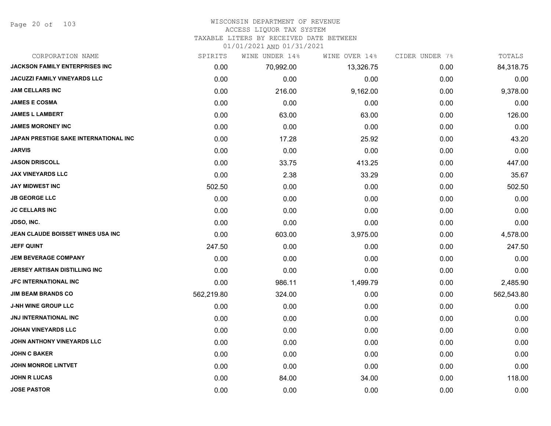Page 20 of 103

# WISCONSIN DEPARTMENT OF REVENUE

### ACCESS LIQUOR TAX SYSTEM

TAXABLE LITERS BY RECEIVED DATE BETWEEN

| CORPORATION NAME                             | SPIRITS    | WINE UNDER 14% | WINE OVER 14% | CIDER UNDER 7% | TOTALS     |
|----------------------------------------------|------------|----------------|---------------|----------------|------------|
| <b>JACKSON FAMILY ENTERPRISES INC</b>        | 0.00       | 70,992.00      | 13,326.75     | 0.00           | 84,318.75  |
| <b>JACUZZI FAMILY VINEYARDS LLC</b>          | 0.00       | 0.00           | 0.00          | 0.00           | 0.00       |
| <b>JAM CELLARS INC</b>                       | 0.00       | 216.00         | 9,162.00      | 0.00           | 9,378.00   |
| <b>JAMES E COSMA</b>                         | 0.00       | 0.00           | 0.00          | 0.00           | 0.00       |
| <b>JAMES L LAMBERT</b>                       | 0.00       | 63.00          | 63.00         | 0.00           | 126.00     |
| <b>JAMES MORONEY INC</b>                     | 0.00       | 0.00           | 0.00          | 0.00           | 0.00       |
| <b>JAPAN PRESTIGE SAKE INTERNATIONAL INC</b> | 0.00       | 17.28          | 25.92         | 0.00           | 43.20      |
| <b>JARVIS</b>                                | 0.00       | 0.00           | 0.00          | 0.00           | 0.00       |
| <b>JASON DRISCOLL</b>                        | 0.00       | 33.75          | 413.25        | 0.00           | 447.00     |
| <b>JAX VINEYARDS LLC</b>                     | 0.00       | 2.38           | 33.29         | 0.00           | 35.67      |
| <b>JAY MIDWEST INC</b>                       | 502.50     | 0.00           | 0.00          | 0.00           | 502.50     |
| <b>JB GEORGE LLC</b>                         | 0.00       | 0.00           | 0.00          | 0.00           | 0.00       |
| <b>JC CELLARS INC</b>                        | 0.00       | 0.00           | 0.00          | 0.00           | 0.00       |
| <b>JDSO, INC.</b>                            | 0.00       | 0.00           | 0.00          | 0.00           | 0.00       |
| JEAN CLAUDE BOISSET WINES USA INC            | 0.00       | 603.00         | 3,975.00      | 0.00           | 4,578.00   |
| <b>JEFF QUINT</b>                            | 247.50     | 0.00           | 0.00          | 0.00           | 247.50     |
| <b>JEM BEVERAGE COMPANY</b>                  | 0.00       | 0.00           | 0.00          | 0.00           | 0.00       |
| <b>JERSEY ARTISAN DISTILLING INC</b>         | 0.00       | 0.00           | 0.00          | 0.00           | 0.00       |
| <b>JFC INTERNATIONAL INC</b>                 | 0.00       | 986.11         | 1,499.79      | 0.00           | 2,485.90   |
| <b>JIM BEAM BRANDS CO</b>                    | 562,219.80 | 324.00         | 0.00          | 0.00           | 562,543.80 |
| <b>J-NH WINE GROUP LLC</b>                   | 0.00       | 0.00           | 0.00          | 0.00           | 0.00       |
| JNJ INTERNATIONAL INC                        | 0.00       | 0.00           | 0.00          | 0.00           | 0.00       |
| <b>JOHAN VINEYARDS LLC</b>                   | 0.00       | 0.00           | 0.00          | 0.00           | 0.00       |
| JOHN ANTHONY VINEYARDS LLC                   | 0.00       | 0.00           | 0.00          | 0.00           | 0.00       |
| <b>JOHN C BAKER</b>                          | 0.00       | 0.00           | 0.00          | 0.00           | 0.00       |
| <b>JOHN MONROE LINTVET</b>                   | 0.00       | 0.00           | 0.00          | 0.00           | 0.00       |
| <b>JOHN R LUCAS</b>                          | 0.00       | 84.00          | 34.00         | 0.00           | 118.00     |
| <b>JOSE PASTOR</b>                           | 0.00       | 0.00           | 0.00          | 0.00           | 0.00       |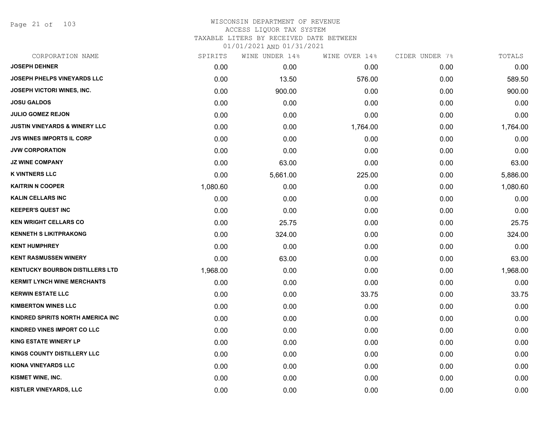Page 21 of 103

# WISCONSIN DEPARTMENT OF REVENUE ACCESS LIQUOR TAX SYSTEM TAXABLE LITERS BY RECEIVED DATE BETWEEN

| CORPORATION NAME                         | SPIRITS  | WINE UNDER 14% | WINE OVER 14% | CIDER UNDER 7% | TOTALS   |
|------------------------------------------|----------|----------------|---------------|----------------|----------|
| <b>JOSEPH DEHNER</b>                     | 0.00     | 0.00           | 0.00          | 0.00           | 0.00     |
| <b>JOSEPH PHELPS VINEYARDS LLC</b>       | 0.00     | 13.50          | 576.00        | 0.00           | 589.50   |
| JOSEPH VICTORI WINES, INC.               | 0.00     | 900.00         | 0.00          | 0.00           | 900.00   |
| <b>JOSU GALDOS</b>                       | 0.00     | 0.00           | 0.00          | 0.00           | 0.00     |
| <b>JULIO GOMEZ REJON</b>                 | 0.00     | 0.00           | 0.00          | 0.00           | 0.00     |
| <b>JUSTIN VINEYARDS &amp; WINERY LLC</b> | 0.00     | 0.00           | 1,764.00      | 0.00           | 1,764.00 |
| <b>JVS WINES IMPORTS IL CORP</b>         | 0.00     | 0.00           | 0.00          | 0.00           | 0.00     |
| <b>JVW CORPORATION</b>                   | 0.00     | 0.00           | 0.00          | 0.00           | 0.00     |
| <b>JZ WINE COMPANY</b>                   | 0.00     | 63.00          | 0.00          | 0.00           | 63.00    |
| <b>K VINTNERS LLC</b>                    | 0.00     | 5,661.00       | 225.00        | 0.00           | 5,886.00 |
| <b>KAITRIN N COOPER</b>                  | 1,080.60 | 0.00           | 0.00          | 0.00           | 1,080.60 |
| <b>KALIN CELLARS INC</b>                 | 0.00     | 0.00           | 0.00          | 0.00           | 0.00     |
| <b>KEEPER'S QUEST INC</b>                | 0.00     | 0.00           | 0.00          | 0.00           | 0.00     |
| <b>KEN WRIGHT CELLARS CO</b>             | 0.00     | 25.75          | 0.00          | 0.00           | 25.75    |
| <b>KENNETH S LIKITPRAKONG</b>            | 0.00     | 324.00         | 0.00          | 0.00           | 324.00   |
| <b>KENT HUMPHREY</b>                     | 0.00     | 0.00           | 0.00          | 0.00           | 0.00     |
| <b>KENT RASMUSSEN WINERY</b>             | 0.00     | 63.00          | 0.00          | 0.00           | 63.00    |
| <b>KENTUCKY BOURBON DISTILLERS LTD</b>   | 1,968.00 | 0.00           | 0.00          | 0.00           | 1,968.00 |
| <b>KERMIT LYNCH WINE MERCHANTS</b>       | 0.00     | 0.00           | 0.00          | 0.00           | 0.00     |
| <b>KERWIN ESTATE LLC</b>                 | 0.00     | 0.00           | 33.75         | 0.00           | 33.75    |
| <b>KIMBERTON WINES LLC</b>               | 0.00     | 0.00           | 0.00          | 0.00           | 0.00     |
| KINDRED SPIRITS NORTH AMERICA INC        | 0.00     | 0.00           | 0.00          | 0.00           | 0.00     |
| KINDRED VINES IMPORT CO LLC              | 0.00     | 0.00           | 0.00          | 0.00           | 0.00     |
| <b>KING ESTATE WINERY LP</b>             | 0.00     | 0.00           | 0.00          | 0.00           | 0.00     |
| KINGS COUNTY DISTILLERY LLC              | 0.00     | 0.00           | 0.00          | 0.00           | 0.00     |
| <b>KIONA VINEYARDS LLC</b>               | 0.00     | 0.00           | 0.00          | 0.00           | 0.00     |
| KISMET WINE, INC.                        | 0.00     | 0.00           | 0.00          | 0.00           | 0.00     |
| KISTLER VINEYARDS, LLC                   | 0.00     | 0.00           | 0.00          | 0.00           | 0.00     |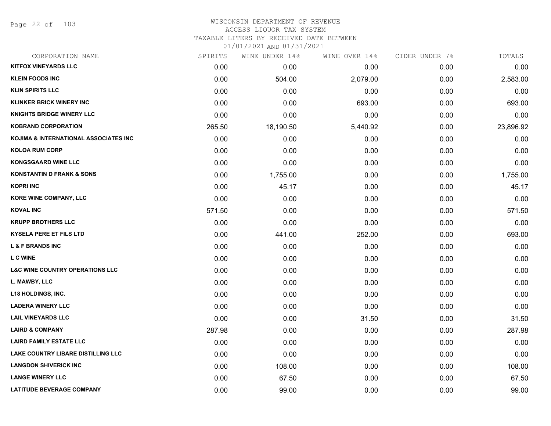Page 22 of 103

#### WISCONSIN DEPARTMENT OF REVENUE ACCESS LIQUOR TAX SYSTEM

TAXABLE LITERS BY RECEIVED DATE BETWEEN

| CORPORATION NAME                           | SPIRITS | WINE UNDER 14% | WINE OVER 14% | CIDER UNDER 7% | TOTALS    |
|--------------------------------------------|---------|----------------|---------------|----------------|-----------|
| <b>KITFOX VINEYARDS LLC</b>                | 0.00    | 0.00           | 0.00          | 0.00           | 0.00      |
| <b>KLEIN FOODS INC</b>                     | 0.00    | 504.00         | 2,079.00      | 0.00           | 2,583.00  |
| <b>KLIN SPIRITS LLC</b>                    | 0.00    | 0.00           | 0.00          | 0.00           | 0.00      |
| <b>KLINKER BRICK WINERY INC</b>            | 0.00    | 0.00           | 693.00        | 0.00           | 693.00    |
| <b>KNIGHTS BRIDGE WINERY LLC</b>           | 0.00    | 0.00           | 0.00          | 0.00           | 0.00      |
| <b>KOBRAND CORPORATION</b>                 | 265.50  | 18,190.50      | 5,440.92      | 0.00           | 23,896.92 |
| KOJIMA & INTERNATIONAL ASSOCIATES INC      | 0.00    | 0.00           | 0.00          | 0.00           | 0.00      |
| <b>KOLOA RUM CORP</b>                      | 0.00    | 0.00           | 0.00          | 0.00           | 0.00      |
| <b>KONGSGAARD WINE LLC</b>                 | 0.00    | 0.00           | 0.00          | 0.00           | 0.00      |
| <b>KONSTANTIN D FRANK &amp; SONS</b>       | 0.00    | 1,755.00       | 0.00          | 0.00           | 1,755.00  |
| <b>KOPRI INC</b>                           | 0.00    | 45.17          | 0.00          | 0.00           | 45.17     |
| <b>KORE WINE COMPANY, LLC</b>              | 0.00    | 0.00           | 0.00          | 0.00           | 0.00      |
| <b>KOVAL INC</b>                           | 571.50  | 0.00           | 0.00          | 0.00           | 571.50    |
| <b>KRUPP BROTHERS LLC</b>                  | 0.00    | 0.00           | 0.00          | 0.00           | 0.00      |
| <b>KYSELA PERE ET FILS LTD</b>             | 0.00    | 441.00         | 252.00        | 0.00           | 693.00    |
| <b>L &amp; F BRANDS INC</b>                | 0.00    | 0.00           | 0.00          | 0.00           | 0.00      |
| <b>L C WINE</b>                            | 0.00    | 0.00           | 0.00          | 0.00           | 0.00      |
| <b>L&amp;C WINE COUNTRY OPERATIONS LLC</b> | 0.00    | 0.00           | 0.00          | 0.00           | 0.00      |
| L. MAWBY, LLC                              | 0.00    | 0.00           | 0.00          | 0.00           | 0.00      |
| <b>L18 HOLDINGS, INC.</b>                  | 0.00    | 0.00           | 0.00          | 0.00           | 0.00      |
| <b>LADERA WINERY LLC</b>                   | 0.00    | 0.00           | 0.00          | 0.00           | 0.00      |
| <b>LAIL VINEYARDS LLC</b>                  | 0.00    | 0.00           | 31.50         | 0.00           | 31.50     |
| <b>LAIRD &amp; COMPANY</b>                 | 287.98  | 0.00           | 0.00          | 0.00           | 287.98    |
| <b>LAIRD FAMILY ESTATE LLC</b>             | 0.00    | 0.00           | 0.00          | 0.00           | 0.00      |
| <b>LAKE COUNTRY LIBARE DISTILLING LLC</b>  | 0.00    | 0.00           | 0.00          | 0.00           | 0.00      |
| <b>LANGDON SHIVERICK INC</b>               | 0.00    | 108.00         | 0.00          | 0.00           | 108.00    |
| <b>LANGE WINERY LLC</b>                    | 0.00    | 67.50          | 0.00          | 0.00           | 67.50     |
| <b>LATITUDE BEVERAGE COMPANY</b>           | 0.00    | 99.00          | 0.00          | 0.00           | 99.00     |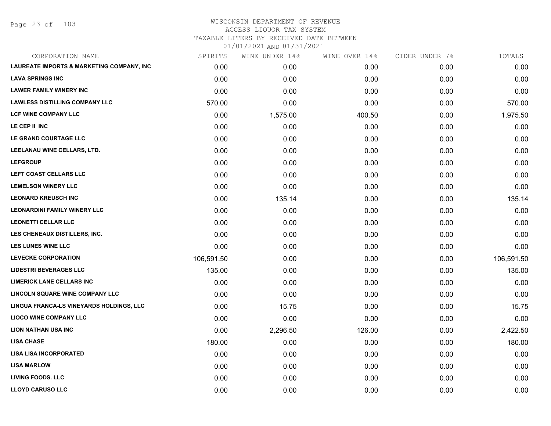Page 23 of 103

#### WISCONSIN DEPARTMENT OF REVENUE ACCESS LIQUOR TAX SYSTEM

TAXABLE LITERS BY RECEIVED DATE BETWEEN

| CORPORATION NAME                                     | SPIRITS    | WINE UNDER 14% | WINE OVER 14% | CIDER UNDER 7% | TOTALS     |
|------------------------------------------------------|------------|----------------|---------------|----------------|------------|
| <b>LAUREATE IMPORTS &amp; MARKETING COMPANY, INC</b> | 0.00       | 0.00           | 0.00          | 0.00           | 0.00       |
| <b>LAVA SPRINGS INC</b>                              | 0.00       | 0.00           | 0.00          | 0.00           | 0.00       |
| <b>LAWER FAMILY WINERY INC</b>                       | 0.00       | 0.00           | 0.00          | 0.00           | 0.00       |
| <b>LAWLESS DISTILLING COMPANY LLC</b>                | 570.00     | 0.00           | 0.00          | 0.00           | 570.00     |
| LCF WINE COMPANY LLC                                 | 0.00       | 1,575.00       | 400.50        | 0.00           | 1,975.50   |
| LE CEP II INC                                        | 0.00       | 0.00           | 0.00          | 0.00           | 0.00       |
| LE GRAND COURTAGE LLC                                | 0.00       | 0.00           | 0.00          | 0.00           | 0.00       |
| LEELANAU WINE CELLARS, LTD.                          | 0.00       | 0.00           | 0.00          | 0.00           | 0.00       |
| <b>LEFGROUP</b>                                      | 0.00       | 0.00           | 0.00          | 0.00           | 0.00       |
| LEFT COAST CELLARS LLC                               | 0.00       | 0.00           | 0.00          | 0.00           | 0.00       |
| <b>LEMELSON WINERY LLC</b>                           | 0.00       | 0.00           | 0.00          | 0.00           | 0.00       |
| <b>LEONARD KREUSCH INC</b>                           | 0.00       | 135.14         | 0.00          | 0.00           | 135.14     |
| <b>LEONARDINI FAMILY WINERY LLC</b>                  | 0.00       | 0.00           | 0.00          | 0.00           | 0.00       |
| <b>LEONETTI CELLAR LLC</b>                           | 0.00       | 0.00           | 0.00          | 0.00           | 0.00       |
| LES CHENEAUX DISTILLERS, INC.                        | 0.00       | 0.00           | 0.00          | 0.00           | 0.00       |
| <b>LES LUNES WINE LLC</b>                            | 0.00       | 0.00           | 0.00          | 0.00           | 0.00       |
| <b>LEVECKE CORPORATION</b>                           | 106,591.50 | 0.00           | 0.00          | 0.00           | 106,591.50 |
| <b>LIDESTRI BEVERAGES LLC</b>                        | 135.00     | 0.00           | 0.00          | 0.00           | 135.00     |
| <b>LIMERICK LANE CELLARS INC</b>                     | 0.00       | 0.00           | 0.00          | 0.00           | 0.00       |
| LINCOLN SQUARE WINE COMPANY LLC                      | 0.00       | 0.00           | 0.00          | 0.00           | 0.00       |
| LINGUA FRANCA-LS VINEYARDS HOLDINGS, LLC             | 0.00       | 15.75          | 0.00          | 0.00           | 15.75      |
| <b>LIOCO WINE COMPANY LLC</b>                        | 0.00       | 0.00           | 0.00          | 0.00           | 0.00       |
| <b>LION NATHAN USA INC</b>                           | 0.00       | 2,296.50       | 126.00        | 0.00           | 2,422.50   |
| <b>LISA CHASE</b>                                    | 180.00     | 0.00           | 0.00          | 0.00           | 180.00     |
| <b>LISA LISA INCORPORATED</b>                        | 0.00       | 0.00           | 0.00          | 0.00           | 0.00       |
| <b>LISA MARLOW</b>                                   | 0.00       | 0.00           | 0.00          | 0.00           | 0.00       |
| <b>LIVING FOODS. LLC</b>                             | 0.00       | 0.00           | 0.00          | 0.00           | 0.00       |
| <b>LLOYD CARUSO LLC</b>                              | 0.00       | 0.00           | 0.00          | 0.00           | 0.00       |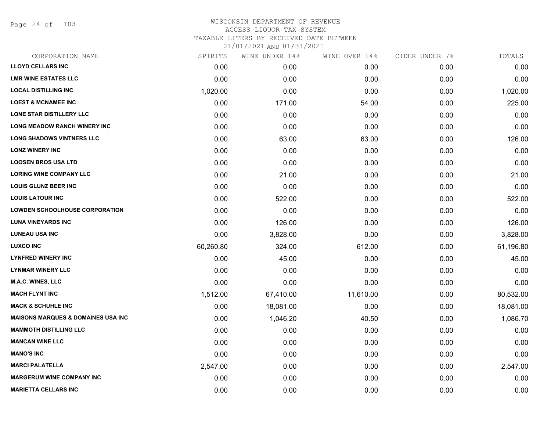Page 24 of 103

# WISCONSIN DEPARTMENT OF REVENUE ACCESS LIQUOR TAX SYSTEM TAXABLE LITERS BY RECEIVED DATE BETWEEN

| CORPORATION NAME                              | SPIRITS   | WINE UNDER 14% | WINE OVER 14% | CIDER UNDER 7% | TOTALS    |
|-----------------------------------------------|-----------|----------------|---------------|----------------|-----------|
| <b>LLOYD CELLARS INC</b>                      | 0.00      | 0.00           | 0.00          | 0.00           | 0.00      |
| <b>LMR WINE ESTATES LLC</b>                   | 0.00      | 0.00           | 0.00          | 0.00           | 0.00      |
| <b>LOCAL DISTILLING INC</b>                   | 1,020.00  | 0.00           | 0.00          | 0.00           | 1,020.00  |
| <b>LOEST &amp; MCNAMEE INC</b>                | 0.00      | 171.00         | 54.00         | 0.00           | 225.00    |
| LONE STAR DISTILLERY LLC                      | 0.00      | 0.00           | 0.00          | 0.00           | 0.00      |
| <b>LONG MEADOW RANCH WINERY INC</b>           | 0.00      | 0.00           | 0.00          | 0.00           | 0.00      |
| <b>LONG SHADOWS VINTNERS LLC</b>              | 0.00      | 63.00          | 63.00         | 0.00           | 126.00    |
| <b>LONZ WINERY INC</b>                        | 0.00      | 0.00           | 0.00          | 0.00           | 0.00      |
| <b>LOOSEN BROS USA LTD</b>                    | 0.00      | 0.00           | 0.00          | 0.00           | 0.00      |
| <b>LORING WINE COMPANY LLC</b>                | 0.00      | 21.00          | 0.00          | 0.00           | 21.00     |
| <b>LOUIS GLUNZ BEER INC</b>                   | 0.00      | 0.00           | 0.00          | 0.00           | 0.00      |
| <b>LOUIS LATOUR INC</b>                       | 0.00      | 522.00         | 0.00          | 0.00           | 522.00    |
| <b>LOWDEN SCHOOLHOUSE CORPORATION</b>         | 0.00      | 0.00           | 0.00          | 0.00           | 0.00      |
| <b>LUNA VINEYARDS INC</b>                     | 0.00      | 126.00         | 0.00          | 0.00           | 126.00    |
| <b>LUNEAU USA INC</b>                         | 0.00      | 3,828.00       | 0.00          | 0.00           | 3,828.00  |
| <b>LUXCO INC</b>                              | 60,260.80 | 324.00         | 612.00        | 0.00           | 61,196.80 |
| <b>LYNFRED WINERY INC</b>                     | 0.00      | 45.00          | 0.00          | 0.00           | 45.00     |
| <b>LYNMAR WINERY LLC</b>                      | 0.00      | 0.00           | 0.00          | 0.00           | 0.00      |
| <b>M.A.C. WINES, LLC</b>                      | 0.00      | 0.00           | 0.00          | 0.00           | 0.00      |
| <b>MACH FLYNT INC</b>                         | 1,512.00  | 67,410.00      | 11,610.00     | 0.00           | 80,532.00 |
| <b>MACK &amp; SCHUHLE INC</b>                 | 0.00      | 18,081.00      | 0.00          | 0.00           | 18,081.00 |
| <b>MAISONS MARQUES &amp; DOMAINES USA INC</b> | 0.00      | 1,046.20       | 40.50         | 0.00           | 1,086.70  |
| <b>MAMMOTH DISTILLING LLC</b>                 | 0.00      | 0.00           | 0.00          | 0.00           | 0.00      |
| <b>MANCAN WINE LLC</b>                        | 0.00      | 0.00           | 0.00          | 0.00           | 0.00      |
| <b>MANO'S INC</b>                             | 0.00      | 0.00           | 0.00          | 0.00           | 0.00      |
| <b>MARCI PALATELLA</b>                        | 2,547.00  | 0.00           | 0.00          | 0.00           | 2,547.00  |
| <b>MARGERUM WINE COMPANY INC</b>              | 0.00      | 0.00           | 0.00          | 0.00           | 0.00      |
| <b>MARIETTA CELLARS INC</b>                   | 0.00      | 0.00           | 0.00          | 0.00           | 0.00      |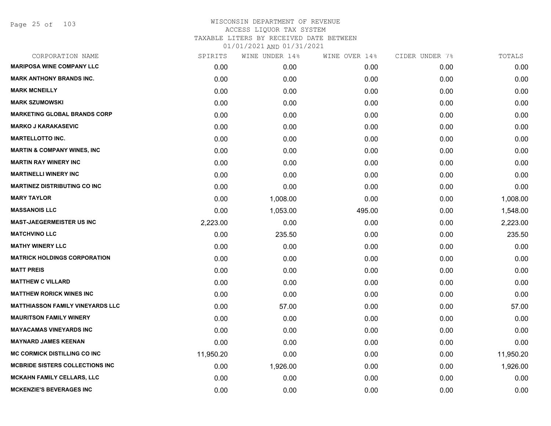# WISCONSIN DEPARTMENT OF REVENUE ACCESS LIQUOR TAX SYSTEM TAXABLE LITERS BY RECEIVED DATE BETWEEN

| CORPORATION NAME                        | SPIRITS   | WINE UNDER 14% | WINE OVER 14% | CIDER UNDER 7% | TOTALS    |
|-----------------------------------------|-----------|----------------|---------------|----------------|-----------|
| <b>MARIPOSA WINE COMPANY LLC</b>        | 0.00      | 0.00           | 0.00          | 0.00           | 0.00      |
| <b>MARK ANTHONY BRANDS INC.</b>         | 0.00      | 0.00           | 0.00          | 0.00           | 0.00      |
| <b>MARK MCNEILLY</b>                    | 0.00      | 0.00           | 0.00          | 0.00           | 0.00      |
| <b>MARK SZUMOWSKI</b>                   | 0.00      | 0.00           | 0.00          | 0.00           | 0.00      |
| <b>MARKETING GLOBAL BRANDS CORP</b>     | 0.00      | 0.00           | 0.00          | 0.00           | 0.00      |
| <b>MARKO J KARAKASEVIC</b>              | 0.00      | 0.00           | 0.00          | 0.00           | 0.00      |
| <b>MARTELLOTTO INC.</b>                 | 0.00      | 0.00           | 0.00          | 0.00           | 0.00      |
| <b>MARTIN &amp; COMPANY WINES, INC</b>  | 0.00      | 0.00           | 0.00          | 0.00           | 0.00      |
| <b>MARTIN RAY WINERY INC</b>            | 0.00      | 0.00           | 0.00          | 0.00           | 0.00      |
| <b>MARTINELLI WINERY INC</b>            | 0.00      | 0.00           | 0.00          | 0.00           | 0.00      |
| <b>MARTINEZ DISTRIBUTING CO INC</b>     | 0.00      | 0.00           | 0.00          | 0.00           | 0.00      |
| <b>MARY TAYLOR</b>                      | 0.00      | 1,008.00       | 0.00          | 0.00           | 1,008.00  |
| <b>MASSANOIS LLC</b>                    | 0.00      | 1,053.00       | 495.00        | 0.00           | 1,548.00  |
| <b>MAST-JAEGERMEISTER US INC</b>        | 2,223.00  | 0.00           | 0.00          | 0.00           | 2,223.00  |
| <b>MATCHVINO LLC</b>                    | 0.00      | 235.50         | 0.00          | 0.00           | 235.50    |
| <b>MATHY WINERY LLC</b>                 | 0.00      | 0.00           | 0.00          | 0.00           | 0.00      |
| <b>MATRICK HOLDINGS CORPORATION</b>     | 0.00      | 0.00           | 0.00          | 0.00           | 0.00      |
| <b>MATT PREIS</b>                       | 0.00      | 0.00           | 0.00          | 0.00           | 0.00      |
| <b>MATTHEW C VILLARD</b>                | 0.00      | 0.00           | 0.00          | 0.00           | 0.00      |
| <b>MATTHEW RORICK WINES INC</b>         | 0.00      | 0.00           | 0.00          | 0.00           | 0.00      |
| <b>MATTHIASSON FAMILY VINEYARDS LLC</b> | 0.00      | 57.00          | 0.00          | 0.00           | 57.00     |
| <b>MAURITSON FAMILY WINERY</b>          | 0.00      | 0.00           | 0.00          | 0.00           | 0.00      |
| <b>MAYACAMAS VINEYARDS INC</b>          | 0.00      | 0.00           | 0.00          | 0.00           | 0.00      |
| <b>MAYNARD JAMES KEENAN</b>             | 0.00      | 0.00           | 0.00          | 0.00           | 0.00      |
| <b>MC CORMICK DISTILLING CO INC</b>     | 11,950.20 | 0.00           | 0.00          | 0.00           | 11,950.20 |
| <b>MCBRIDE SISTERS COLLECTIONS INC.</b> | 0.00      | 1,926.00       | 0.00          | 0.00           | 1,926.00  |
| <b>MCKAHN FAMILY CELLARS, LLC</b>       | 0.00      | 0.00           | 0.00          | 0.00           | 0.00      |
| <b>MCKENZIE'S BEVERAGES INC</b>         | 0.00      | 0.00           | 0.00          | 0.00           | 0.00      |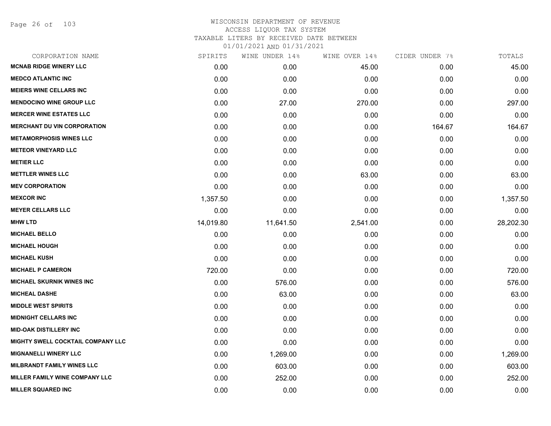Page 26 of 103

# WISCONSIN DEPARTMENT OF REVENUE ACCESS LIQUOR TAX SYSTEM TAXABLE LITERS BY RECEIVED DATE BETWEEN

| CORPORATION NAME                   | SPIRITS   | WINE UNDER 14% | WINE OVER 14% | CIDER UNDER 7% | TOTALS    |
|------------------------------------|-----------|----------------|---------------|----------------|-----------|
| <b>MCNAB RIDGE WINERY LLC</b>      | 0.00      | 0.00           | 45.00         | 0.00           | 45.00     |
| <b>MEDCO ATLANTIC INC</b>          | 0.00      | 0.00           | 0.00          | 0.00           | 0.00      |
| <b>MEIERS WINE CELLARS INC</b>     | 0.00      | 0.00           | 0.00          | 0.00           | 0.00      |
| <b>MENDOCINO WINE GROUP LLC</b>    | 0.00      | 27.00          | 270.00        | 0.00           | 297.00    |
| <b>MERCER WINE ESTATES LLC</b>     | 0.00      | 0.00           | 0.00          | 0.00           | 0.00      |
| <b>MERCHANT DU VIN CORPORATION</b> | 0.00      | 0.00           | 0.00          | 164.67         | 164.67    |
| <b>METAMORPHOSIS WINES LLC</b>     | 0.00      | 0.00           | 0.00          | 0.00           | 0.00      |
| <b>METEOR VINEYARD LLC</b>         | 0.00      | 0.00           | 0.00          | 0.00           | 0.00      |
| <b>METIER LLC</b>                  | 0.00      | 0.00           | 0.00          | 0.00           | 0.00      |
| <b>METTLER WINES LLC</b>           | 0.00      | 0.00           | 63.00         | 0.00           | 63.00     |
| <b>MEV CORPORATION</b>             | 0.00      | 0.00           | 0.00          | 0.00           | 0.00      |
| <b>MEXCOR INC</b>                  | 1,357.50  | 0.00           | 0.00          | 0.00           | 1,357.50  |
| <b>MEYER CELLARS LLC</b>           | 0.00      | 0.00           | 0.00          | 0.00           | 0.00      |
| <b>MHW LTD</b>                     | 14,019.80 | 11,641.50      | 2,541.00      | 0.00           | 28,202.30 |
| <b>MICHAEL BELLO</b>               | 0.00      | 0.00           | 0.00          | 0.00           | 0.00      |
| <b>MICHAEL HOUGH</b>               | 0.00      | 0.00           | 0.00          | 0.00           | 0.00      |
| <b>MICHAEL KUSH</b>                | 0.00      | 0.00           | 0.00          | 0.00           | 0.00      |
| <b>MICHAEL P CAMERON</b>           | 720.00    | 0.00           | 0.00          | 0.00           | 720.00    |
| <b>MICHAEL SKURNIK WINES INC</b>   | 0.00      | 576.00         | 0.00          | 0.00           | 576.00    |
| <b>MICHEAL DASHE</b>               | 0.00      | 63.00          | 0.00          | 0.00           | 63.00     |
| <b>MIDDLE WEST SPIRITS</b>         | 0.00      | 0.00           | 0.00          | 0.00           | 0.00      |
| <b>MIDNIGHT CELLARS INC</b>        | 0.00      | 0.00           | 0.00          | 0.00           | 0.00      |
| <b>MID-OAK DISTILLERY INC</b>      | 0.00      | 0.00           | 0.00          | 0.00           | 0.00      |
| MIGHTY SWELL COCKTAIL COMPANY LLC  | 0.00      | 0.00           | 0.00          | 0.00           | 0.00      |
| <b>MIGNANELLI WINERY LLC</b>       | 0.00      | 1,269.00       | 0.00          | 0.00           | 1,269.00  |
| <b>MILBRANDT FAMILY WINES LLC</b>  | 0.00      | 603.00         | 0.00          | 0.00           | 603.00    |
| MILLER FAMILY WINE COMPANY LLC     | 0.00      | 252.00         | 0.00          | 0.00           | 252.00    |
| <b>MILLER SQUARED INC</b>          | 0.00      | 0.00           | 0.00          | 0.00           | 0.00      |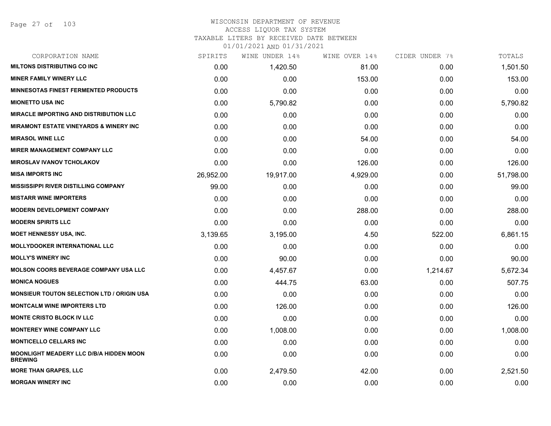#### WISCONSIN DEPARTMENT OF REVENUE ACCESS LIQUOR TAX SYSTEM

# TAXABLE LITERS BY RECEIVED DATE BETWEEN

| CORPORATION NAME                                                 | SPIRITS   | WINE UNDER 14% | WINE OVER 14% | CIDER UNDER 7% | TOTALS    |
|------------------------------------------------------------------|-----------|----------------|---------------|----------------|-----------|
| <b>MILTONS DISTRIBUTING CO INC.</b>                              | 0.00      | 1,420.50       | 81.00         | 0.00           | 1,501.50  |
| <b>MINER FAMILY WINERY LLC</b>                                   | 0.00      | 0.00           | 153.00        | 0.00           | 153.00    |
| MINNESOTAS FINEST FERMENTED PRODUCTS                             | 0.00      | 0.00           | 0.00          | 0.00           | 0.00      |
| <b>MIONETTO USA INC</b>                                          | 0.00      | 5,790.82       | 0.00          | 0.00           | 5,790.82  |
| <b>MIRACLE IMPORTING AND DISTRIBUTION LLC</b>                    | 0.00      | 0.00           | 0.00          | 0.00           | 0.00      |
| <b>MIRAMONT ESTATE VINEYARDS &amp; WINERY INC.</b>               | 0.00      | 0.00           | 0.00          | 0.00           | 0.00      |
| <b>MIRASOL WINE LLC</b>                                          | 0.00      | 0.00           | 54.00         | 0.00           | 54.00     |
| <b>MIRER MANAGEMENT COMPANY LLC</b>                              | 0.00      | 0.00           | 0.00          | 0.00           | 0.00      |
| <b>MIROSLAV IVANOV TCHOLAKOV</b>                                 | 0.00      | 0.00           | 126.00        | 0.00           | 126.00    |
| <b>MISA IMPORTS INC</b>                                          | 26,952.00 | 19,917.00      | 4,929.00      | 0.00           | 51,798.00 |
| <b>MISSISSIPPI RIVER DISTILLING COMPANY</b>                      | 99.00     | 0.00           | 0.00          | 0.00           | 99.00     |
| <b>MISTARR WINE IMPORTERS</b>                                    | 0.00      | 0.00           | 0.00          | 0.00           | 0.00      |
| <b>MODERN DEVELOPMENT COMPANY</b>                                | 0.00      | 0.00           | 288.00        | 0.00           | 288.00    |
| <b>MODERN SPIRITS LLC</b>                                        | 0.00      | 0.00           | 0.00          | 0.00           | 0.00      |
| <b>MOET HENNESSY USA, INC.</b>                                   | 3,139.65  | 3,195.00       | 4.50          | 522.00         | 6,861.15  |
| <b>MOLLYDOOKER INTERNATIONAL LLC</b>                             | 0.00      | 0.00           | 0.00          | 0.00           | 0.00      |
| <b>MOLLY'S WINERY INC</b>                                        | 0.00      | 90.00          | 0.00          | 0.00           | 90.00     |
| <b>MOLSON COORS BEVERAGE COMPANY USA LLC</b>                     | 0.00      | 4,457.67       | 0.00          | 1,214.67       | 5,672.34  |
| <b>MONICA NOGUES</b>                                             | 0.00      | 444.75         | 63.00         | 0.00           | 507.75    |
| <b>MONSIEUR TOUTON SELECTION LTD / ORIGIN USA</b>                | 0.00      | 0.00           | 0.00          | 0.00           | 0.00      |
| <b>MONTCALM WINE IMPORTERS LTD</b>                               | 0.00      | 126.00         | 0.00          | 0.00           | 126.00    |
| <b>MONTE CRISTO BLOCK IV LLC</b>                                 | 0.00      | 0.00           | 0.00          | 0.00           | 0.00      |
| <b>MONTEREY WINE COMPANY LLC</b>                                 | 0.00      | 1,008.00       | 0.00          | 0.00           | 1,008.00  |
| <b>MONTICELLO CELLARS INC</b>                                    | 0.00      | 0.00           | 0.00          | 0.00           | 0.00      |
| <b>MOONLIGHT MEADERY LLC D/B/A HIDDEN MOON</b><br><b>BREWING</b> | 0.00      | 0.00           | 0.00          | 0.00           | 0.00      |
| <b>MORE THAN GRAPES, LLC</b>                                     | 0.00      | 2,479.50       | 42.00         | 0.00           | 2,521.50  |
| <b>MORGAN WINERY INC</b>                                         | 0.00      | 0.00           | 0.00          | 0.00           | 0.00      |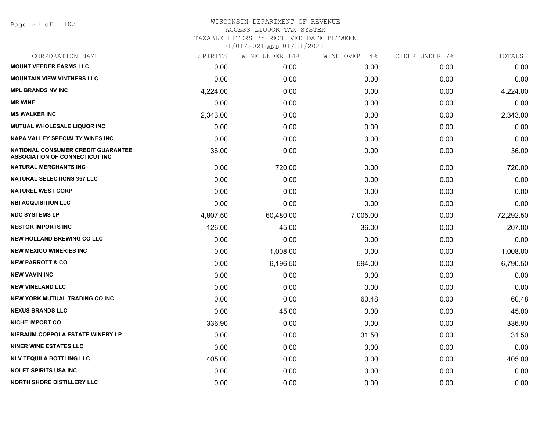Page 28 of 103

| CORPORATION NAME                                                                   | SPIRITS  | WINE UNDER 14% | WINE OVER 14% | CIDER UNDER 7% | TOTALS    |
|------------------------------------------------------------------------------------|----------|----------------|---------------|----------------|-----------|
| <b>MOUNT VEEDER FARMS LLC</b>                                                      | 0.00     | 0.00           | 0.00          | 0.00           | 0.00      |
| <b>MOUNTAIN VIEW VINTNERS LLC</b>                                                  | 0.00     | 0.00           | 0.00          | 0.00           | 0.00      |
| <b>MPL BRANDS NV INC</b>                                                           | 4,224.00 | 0.00           | 0.00          | 0.00           | 4,224.00  |
| <b>MR WINE</b>                                                                     | 0.00     | 0.00           | 0.00          | 0.00           | 0.00      |
| <b>MS WALKER INC</b>                                                               | 2,343.00 | 0.00           | 0.00          | 0.00           | 2,343.00  |
| MUTUAL WHOLESALE LIQUOR INC                                                        | 0.00     | 0.00           | 0.00          | 0.00           | 0.00      |
| NAPA VALLEY SPECIALTY WINES INC                                                    | 0.00     | 0.00           | 0.00          | 0.00           | 0.00      |
| <b>NATIONAL CONSUMER CREDIT GUARANTEE</b><br><b>ASSOCIATION OF CONNECTICUT INC</b> | 36.00    | 0.00           | 0.00          | 0.00           | 36.00     |
| <b>NATURAL MERCHANTS INC</b>                                                       | 0.00     | 720.00         | 0.00          | 0.00           | 720.00    |
| <b>NATURAL SELECTIONS 357 LLC</b>                                                  | 0.00     | 0.00           | 0.00          | 0.00           | 0.00      |
| <b>NATUREL WEST CORP</b>                                                           | 0.00     | 0.00           | 0.00          | 0.00           | 0.00      |
| <b>NBI ACQUISITION LLC</b>                                                         | 0.00     | 0.00           | 0.00          | 0.00           | 0.00      |
| <b>NDC SYSTEMS LP</b>                                                              | 4,807.50 | 60,480.00      | 7,005.00      | 0.00           | 72,292.50 |
| <b>NESTOR IMPORTS INC</b>                                                          | 126.00   | 45.00          | 36.00         | 0.00           | 207.00    |
| <b>NEW HOLLAND BREWING CO LLC</b>                                                  | 0.00     | 0.00           | 0.00          | 0.00           | 0.00      |
| <b>NEW MEXICO WINERIES INC</b>                                                     | 0.00     | 1,008.00       | 0.00          | 0.00           | 1,008.00  |
| <b>NEW PARROTT &amp; CO</b>                                                        | 0.00     | 6,196.50       | 594.00        | 0.00           | 6,790.50  |
| <b>NEW VAVIN INC</b>                                                               | 0.00     | 0.00           | 0.00          | 0.00           | 0.00      |
| <b>NEW VINELAND LLC</b>                                                            | 0.00     | 0.00           | 0.00          | 0.00           | 0.00      |
| NEW YORK MUTUAL TRADING CO INC                                                     | 0.00     | 0.00           | 60.48         | 0.00           | 60.48     |
| <b>NEXUS BRANDS LLC</b>                                                            | 0.00     | 45.00          | 0.00          | 0.00           | 45.00     |
| <b>NICHE IMPORT CO</b>                                                             | 336.90   | 0.00           | 0.00          | 0.00           | 336.90    |
| NIEBAUM-COPPOLA ESTATE WINERY LP                                                   | 0.00     | 0.00           | 31.50         | 0.00           | 31.50     |
| <b>NINER WINE ESTATES LLC</b>                                                      | 0.00     | 0.00           | 0.00          | 0.00           | 0.00      |
| <b>NLV TEQUILA BOTTLING LLC</b>                                                    | 405.00   | 0.00           | 0.00          | 0.00           | 405.00    |
| <b>NOLET SPIRITS USA INC</b>                                                       | 0.00     | 0.00           | 0.00          | 0.00           | 0.00      |
| <b>NORTH SHORE DISTILLERY LLC</b>                                                  | 0.00     | 0.00           | 0.00          | 0.00           | 0.00      |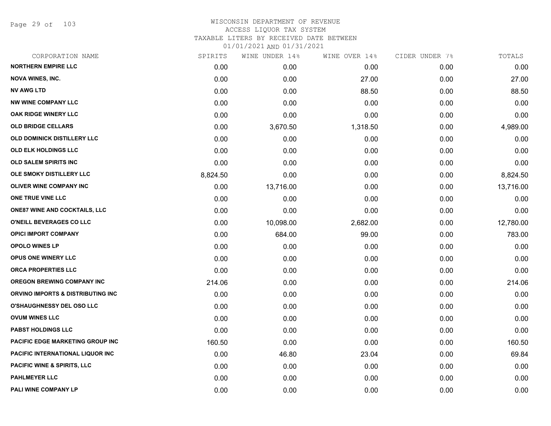Page 29 of 103

## WISCONSIN DEPARTMENT OF REVENUE ACCESS LIQUOR TAX SYSTEM TAXABLE LITERS BY RECEIVED DATE BETWEEN

| CORPORATION NAME                        | SPIRITS  | WINE UNDER 14% | WINE OVER 14% | CIDER UNDER 7% | TOTALS    |
|-----------------------------------------|----------|----------------|---------------|----------------|-----------|
| <b>NORTHERN EMPIRE LLC</b>              | 0.00     | 0.00           | 0.00          | 0.00           | 0.00      |
| <b>NOVA WINES, INC.</b>                 | 0.00     | 0.00           | 27.00         | 0.00           | 27.00     |
| <b>NV AWG LTD</b>                       | 0.00     | 0.00           | 88.50         | 0.00           | 88.50     |
| <b>NW WINE COMPANY LLC</b>              | 0.00     | 0.00           | 0.00          | 0.00           | 0.00      |
| OAK RIDGE WINERY LLC                    | 0.00     | 0.00           | 0.00          | 0.00           | 0.00      |
| <b>OLD BRIDGE CELLARS</b>               | 0.00     | 3,670.50       | 1,318.50      | 0.00           | 4,989.00  |
| OLD DOMINICK DISTILLERY LLC             | 0.00     | 0.00           | 0.00          | 0.00           | 0.00      |
| <b>OLD ELK HOLDINGS LLC</b>             | 0.00     | 0.00           | 0.00          | 0.00           | 0.00      |
| OLD SALEM SPIRITS INC                   | 0.00     | 0.00           | 0.00          | 0.00           | 0.00      |
| OLE SMOKY DISTILLERY LLC                | 8,824.50 | 0.00           | 0.00          | 0.00           | 8,824.50  |
| <b>OLIVER WINE COMPANY INC</b>          | 0.00     | 13,716.00      | 0.00          | 0.00           | 13,716.00 |
| ONE TRUE VINE LLC                       | 0.00     | 0.00           | 0.00          | 0.00           | 0.00      |
| <b>ONE87 WINE AND COCKTAILS, LLC</b>    | 0.00     | 0.00           | 0.00          | 0.00           | 0.00      |
| O'NEILL BEVERAGES CO LLC                | 0.00     | 10,098.00      | 2,682.00      | 0.00           | 12,780.00 |
| <b>OPICI IMPORT COMPANY</b>             | 0.00     | 684.00         | 99.00         | 0.00           | 783.00    |
| <b>OPOLO WINES LP</b>                   | 0.00     | 0.00           | 0.00          | 0.00           | 0.00      |
| OPUS ONE WINERY LLC                     | 0.00     | 0.00           | 0.00          | 0.00           | 0.00      |
| ORCA PROPERTIES LLC                     | 0.00     | 0.00           | 0.00          | 0.00           | 0.00      |
| <b>OREGON BREWING COMPANY INC</b>       | 214.06   | 0.00           | 0.00          | 0.00           | 214.06    |
| ORVINO IMPORTS & DISTRIBUTING INC       | 0.00     | 0.00           | 0.00          | 0.00           | 0.00      |
| <b>O'SHAUGHNESSY DEL OSO LLC</b>        | 0.00     | 0.00           | 0.00          | 0.00           | 0.00      |
| <b>OVUM WINES LLC</b>                   | 0.00     | 0.00           | 0.00          | 0.00           | 0.00      |
| <b>PABST HOLDINGS LLC</b>               | 0.00     | 0.00           | 0.00          | 0.00           | 0.00      |
| <b>PACIFIC EDGE MARKETING GROUP INC</b> | 160.50   | 0.00           | 0.00          | 0.00           | 160.50    |
| PACIFIC INTERNATIONAL LIQUOR INC        | 0.00     | 46.80          | 23.04         | 0.00           | 69.84     |
| <b>PACIFIC WINE &amp; SPIRITS, LLC</b>  | 0.00     | 0.00           | 0.00          | 0.00           | 0.00      |
| <b>PAHLMEYER LLC</b>                    | 0.00     | 0.00           | 0.00          | 0.00           | 0.00      |
| PALI WINE COMPANY LP                    | 0.00     | 0.00           | 0.00          | 0.00           | 0.00      |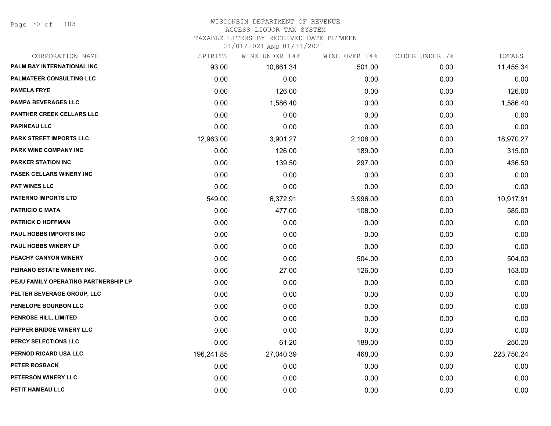Page 30 of 103

# WISCONSIN DEPARTMENT OF REVENUE

#### ACCESS LIQUOR TAX SYSTEM

TAXABLE LITERS BY RECEIVED DATE BETWEEN

| CORPORATION NAME                     | SPIRITS    | WINE UNDER 14% | WINE OVER 14% | CIDER UNDER 7% | TOTALS     |
|--------------------------------------|------------|----------------|---------------|----------------|------------|
| PALM BAY INTERNATIONAL INC           | 93.00      | 10,861.34      | 501.00        | 0.00           | 11,455.34  |
| <b>PALMATEER CONSULTING LLC</b>      | 0.00       | 0.00           | 0.00          | 0.00           | 0.00       |
| <b>PAMELA FRYE</b>                   | 0.00       | 126.00         | 0.00          | 0.00           | 126.00     |
| <b>PAMPA BEVERAGES LLC</b>           | 0.00       | 1,586.40       | 0.00          | 0.00           | 1,586.40   |
| PANTHER CREEK CELLARS LLC            | 0.00       | 0.00           | 0.00          | 0.00           | 0.00       |
| <b>PAPINEAU LLC</b>                  | 0.00       | 0.00           | 0.00          | 0.00           | 0.00       |
| PARK STREET IMPORTS LLC              | 12,963.00  | 3,901.27       | 2,106.00      | 0.00           | 18,970.27  |
| PARK WINE COMPANY INC                | 0.00       | 126.00         | 189.00        | 0.00           | 315.00     |
| <b>PARKER STATION INC</b>            | 0.00       | 139.50         | 297.00        | 0.00           | 436.50     |
| PASEK CELLARS WINERY INC             | 0.00       | 0.00           | 0.00          | 0.00           | 0.00       |
| <b>PAT WINES LLC</b>                 | 0.00       | 0.00           | 0.00          | 0.00           | 0.00       |
| <b>PATERNO IMPORTS LTD</b>           | 549.00     | 6,372.91       | 3,996.00      | 0.00           | 10,917.91  |
| <b>PATRICIO C MATA</b>               | 0.00       | 477.00         | 108.00        | 0.00           | 585.00     |
| <b>PATRICK D HOFFMAN</b>             | 0.00       | 0.00           | 0.00          | 0.00           | 0.00       |
| PAUL HOBBS IMPORTS INC               | 0.00       | 0.00           | 0.00          | 0.00           | 0.00       |
| <b>PAUL HOBBS WINERY LP</b>          | 0.00       | 0.00           | 0.00          | 0.00           | 0.00       |
| PEACHY CANYON WINERY                 | 0.00       | 0.00           | 504.00        | 0.00           | 504.00     |
| PEIRANO ESTATE WINERY INC.           | 0.00       | 27.00          | 126.00        | 0.00           | 153.00     |
| PEJU FAMILY OPERATING PARTNERSHIP LP | 0.00       | 0.00           | 0.00          | 0.00           | 0.00       |
| PELTER BEVERAGE GROUP, LLC           | 0.00       | 0.00           | 0.00          | 0.00           | 0.00       |
| PENELOPE BOURBON LLC                 | 0.00       | 0.00           | 0.00          | 0.00           | 0.00       |
| PENROSE HILL, LIMITED                | 0.00       | 0.00           | 0.00          | 0.00           | 0.00       |
| PEPPER BRIDGE WINERY LLC             | 0.00       | 0.00           | 0.00          | 0.00           | 0.00       |
| PERCY SELECTIONS LLC                 | 0.00       | 61.20          | 189.00        | 0.00           | 250.20     |
| PERNOD RICARD USA LLC                | 196,241.85 | 27,040.39      | 468.00        | 0.00           | 223,750.24 |
| PETER ROSBACK                        | 0.00       | 0.00           | 0.00          | 0.00           | 0.00       |
| <b>PETERSON WINERY LLC</b>           | 0.00       | 0.00           | 0.00          | 0.00           | 0.00       |
| PETIT HAMEAU LLC                     | 0.00       | 0.00           | 0.00          | 0.00           | 0.00       |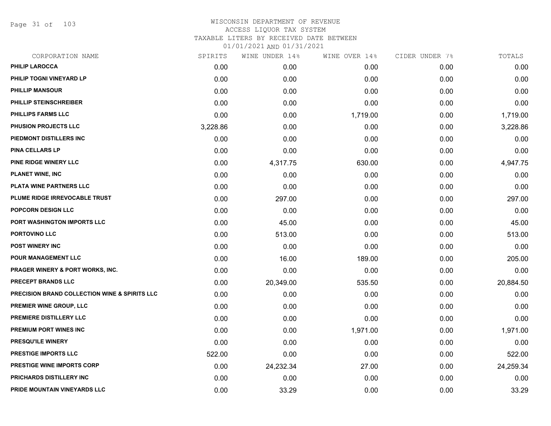Page 31 of 103

| CORPORATION NAME                                         | SPIRITS  | WINE UNDER 14% | WINE OVER 14% | CIDER UNDER 7% | TOTALS    |
|----------------------------------------------------------|----------|----------------|---------------|----------------|-----------|
| <b>PHILIP LAROCCA</b>                                    | 0.00     | 0.00           | 0.00          | 0.00           | 0.00      |
| PHILIP TOGNI VINEYARD LP                                 | 0.00     | 0.00           | 0.00          | 0.00           | 0.00      |
| <b>PHILLIP MANSOUR</b>                                   | 0.00     | 0.00           | 0.00          | 0.00           | 0.00      |
| PHILLIP STEINSCHREIBER                                   | 0.00     | 0.00           | 0.00          | 0.00           | 0.00      |
| <b>PHILLIPS FARMS LLC</b>                                | 0.00     | 0.00           | 1,719.00      | 0.00           | 1,719.00  |
| PHUSION PROJECTS LLC                                     | 3,228.86 | 0.00           | 0.00          | 0.00           | 3,228.86  |
| PIEDMONT DISTILLERS INC                                  | 0.00     | 0.00           | 0.00          | 0.00           | 0.00      |
| <b>PINA CELLARS LP</b>                                   | 0.00     | 0.00           | 0.00          | 0.00           | 0.00      |
| <b>PINE RIDGE WINERY LLC</b>                             | 0.00     | 4,317.75       | 630.00        | 0.00           | 4,947.75  |
| <b>PLANET WINE, INC</b>                                  | 0.00     | 0.00           | 0.00          | 0.00           | 0.00      |
| PLATA WINE PARTNERS LLC                                  | 0.00     | 0.00           | 0.00          | 0.00           | 0.00      |
| PLUME RIDGE IRREVOCABLE TRUST                            | 0.00     | 297.00         | 0.00          | 0.00           | 297.00    |
| POPCORN DESIGN LLC                                       | 0.00     | 0.00           | 0.00          | 0.00           | 0.00      |
| PORT WASHINGTON IMPORTS LLC                              | 0.00     | 45.00          | 0.00          | 0.00           | 45.00     |
| PORTOVINO LLC                                            | 0.00     | 513.00         | 0.00          | 0.00           | 513.00    |
| POST WINERY INC                                          | 0.00     | 0.00           | 0.00          | 0.00           | 0.00      |
| POUR MANAGEMENT LLC                                      | 0.00     | 16.00          | 189.00        | 0.00           | 205.00    |
| <b>PRAGER WINERY &amp; PORT WORKS, INC.</b>              | 0.00     | 0.00           | 0.00          | 0.00           | 0.00      |
| PRECEPT BRANDS LLC                                       | 0.00     | 20,349.00      | 535.50        | 0.00           | 20,884.50 |
| <b>PRECISION BRAND COLLECTION WINE &amp; SPIRITS LLC</b> | 0.00     | 0.00           | 0.00          | 0.00           | 0.00      |
| PREMIER WINE GROUP, LLC                                  | 0.00     | 0.00           | 0.00          | 0.00           | 0.00      |
| PREMIERE DISTILLERY LLC                                  | 0.00     | 0.00           | 0.00          | 0.00           | 0.00      |
| PREMIUM PORT WINES INC                                   | 0.00     | 0.00           | 1,971.00      | 0.00           | 1,971.00  |
| PRESQU'ILE WINERY                                        | 0.00     | 0.00           | 0.00          | 0.00           | 0.00      |
| <b>PRESTIGE IMPORTS LLC</b>                              | 522.00   | 0.00           | 0.00          | 0.00           | 522.00    |
| <b>PRESTIGE WINE IMPORTS CORP</b>                        | 0.00     | 24,232.34      | 27.00         | 0.00           | 24,259.34 |
| PRICHARDS DISTILLERY INC                                 | 0.00     | 0.00           | 0.00          | 0.00           | 0.00      |
| PRIDE MOUNTAIN VINEYARDS LLC                             | 0.00     | 33.29          | 0.00          | 0.00           | 33.29     |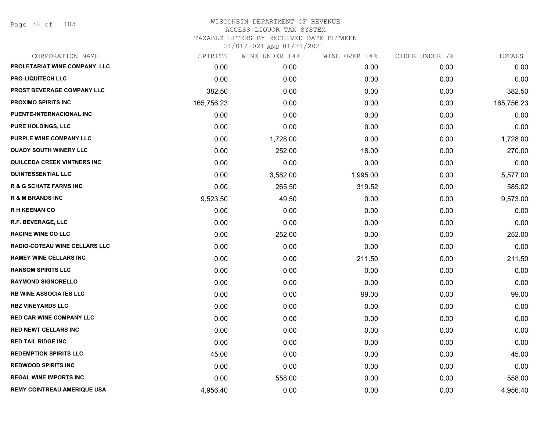Page 32 of 103

| CORPORATION NAME                     | SPIRITS    | WINE UNDER 14% | WINE OVER 14% | CIDER UNDER 7% | TOTALS     |
|--------------------------------------|------------|----------------|---------------|----------------|------------|
| PROLETARIAT WINE COMPANY, LLC        | 0.00       | 0.00           | 0.00          | 0.00           | 0.00       |
| <b>PRO-LIQUITECH LLC</b>             | 0.00       | 0.00           | 0.00          | 0.00           | 0.00       |
| PROST BEVERAGE COMPANY LLC           | 382.50     | 0.00           | 0.00          | 0.00           | 382.50     |
| <b>PROXIMO SPIRITS INC</b>           | 165,756.23 | 0.00           | 0.00          | 0.00           | 165,756.23 |
| PUENTE-INTERNACIONAL INC             | 0.00       | 0.00           | 0.00          | 0.00           | 0.00       |
| <b>PURE HOLDINGS, LLC</b>            | 0.00       | 0.00           | 0.00          | 0.00           | 0.00       |
| PURPLE WINE COMPANY LLC              | 0.00       | 1,728.00       | 0.00          | 0.00           | 1,728.00   |
| <b>QUADY SOUTH WINERY LLC</b>        | 0.00       | 252.00         | 18.00         | 0.00           | 270.00     |
| QUILCEDA CREEK VINTNERS INC          | 0.00       | 0.00           | 0.00          | 0.00           | 0.00       |
| <b>QUINTESSENTIAL LLC</b>            | 0.00       | 3,582.00       | 1,995.00      | 0.00           | 5,577.00   |
| <b>R &amp; G SCHATZ FARMS INC</b>    | 0.00       | 265.50         | 319.52        | 0.00           | 585.02     |
| <b>R &amp; M BRANDS INC</b>          | 9,523.50   | 49.50          | 0.00          | 0.00           | 9,573.00   |
| <b>RH KEENAN CO</b>                  | 0.00       | 0.00           | 0.00          | 0.00           | 0.00       |
| R.F. BEVERAGE, LLC                   | 0.00       | 0.00           | 0.00          | 0.00           | 0.00       |
| <b>RACINE WINE CO LLC</b>            | 0.00       | 252.00         | 0.00          | 0.00           | 252.00     |
| <b>RADIO-COTEAU WINE CELLARS LLC</b> | 0.00       | 0.00           | 0.00          | 0.00           | 0.00       |
| <b>RAMEY WINE CELLARS INC</b>        | 0.00       | 0.00           | 211.50        | 0.00           | 211.50     |
| <b>RANSOM SPIRITS LLC</b>            | 0.00       | 0.00           | 0.00          | 0.00           | 0.00       |
| <b>RAYMOND SIGNORELLO</b>            | 0.00       | 0.00           | 0.00          | 0.00           | 0.00       |
| <b>RB WINE ASSOCIATES LLC</b>        | 0.00       | 0.00           | 99.00         | 0.00           | 99.00      |
| <b>RBZ VINEYARDS LLC</b>             | 0.00       | 0.00           | 0.00          | 0.00           | 0.00       |
| <b>RED CAR WINE COMPANY LLC</b>      | 0.00       | 0.00           | 0.00          | 0.00           | 0.00       |
| <b>RED NEWT CELLARS INC</b>          | 0.00       | 0.00           | 0.00          | 0.00           | 0.00       |
| <b>RED TAIL RIDGE INC</b>            | 0.00       | 0.00           | 0.00          | 0.00           | 0.00       |
| <b>REDEMPTION SPIRITS LLC</b>        | 45.00      | 0.00           | 0.00          | 0.00           | 45.00      |
| <b>REDWOOD SPIRITS INC</b>           | 0.00       | 0.00           | 0.00          | 0.00           | 0.00       |
| <b>REGAL WINE IMPORTS INC</b>        | 0.00       | 558.00         | 0.00          | 0.00           | 558.00     |
| <b>REMY COINTREAU AMERIQUE USA</b>   | 4,956.40   | 0.00           | 0.00          | 0.00           | 4,956.40   |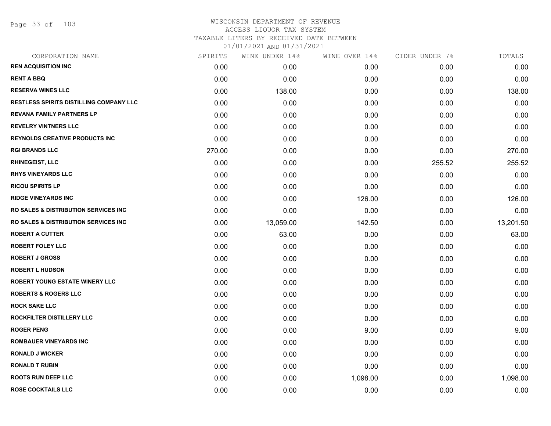Page 33 of 103

# WISCONSIN DEPARTMENT OF REVENUE ACCESS LIQUOR TAX SYSTEM

TAXABLE LITERS BY RECEIVED DATE BETWEEN

| CORPORATION NAME                                 | SPIRITS | WINE UNDER 14% | WINE OVER 14% | CIDER UNDER 7% | TOTALS    |
|--------------------------------------------------|---------|----------------|---------------|----------------|-----------|
| <b>REN ACQUISITION INC</b>                       | 0.00    | 0.00           | 0.00          | 0.00           | 0.00      |
| <b>RENT A BBQ</b>                                | 0.00    | 0.00           | 0.00          | 0.00           | 0.00      |
| <b>RESERVA WINES LLC</b>                         | 0.00    | 138.00         | 0.00          | 0.00           | 138.00    |
| <b>RESTLESS SPIRITS DISTILLING COMPANY LLC</b>   | 0.00    | 0.00           | 0.00          | 0.00           | 0.00      |
| <b>REVANA FAMILY PARTNERS LP</b>                 | 0.00    | 0.00           | 0.00          | 0.00           | 0.00      |
| <b>REVELRY VINTNERS LLC</b>                      | 0.00    | 0.00           | 0.00          | 0.00           | 0.00      |
| <b>REYNOLDS CREATIVE PRODUCTS INC</b>            | 0.00    | 0.00           | 0.00          | 0.00           | 0.00      |
| <b>RGI BRANDS LLC</b>                            | 270.00  | 0.00           | 0.00          | 0.00           | 270.00    |
| <b>RHINEGEIST, LLC</b>                           | 0.00    | 0.00           | 0.00          | 255.52         | 255.52    |
| <b>RHYS VINEYARDS LLC</b>                        | 0.00    | 0.00           | 0.00          | 0.00           | 0.00      |
| <b>RICOU SPIRITS LP</b>                          | 0.00    | 0.00           | 0.00          | 0.00           | 0.00      |
| <b>RIDGE VINEYARDS INC</b>                       | 0.00    | 0.00           | 126.00        | 0.00           | 126.00    |
| <b>RO SALES &amp; DISTRIBUTION SERVICES INC.</b> | 0.00    | 0.00           | 0.00          | 0.00           | 0.00      |
| <b>RO SALES &amp; DISTRIBUTION SERVICES INC.</b> | 0.00    | 13,059.00      | 142.50        | 0.00           | 13,201.50 |
| <b>ROBERT A CUTTER</b>                           | 0.00    | 63.00          | 0.00          | 0.00           | 63.00     |
| <b>ROBERT FOLEY LLC</b>                          | 0.00    | 0.00           | 0.00          | 0.00           | 0.00      |
| <b>ROBERT J GROSS</b>                            | 0.00    | 0.00           | 0.00          | 0.00           | 0.00      |
| <b>ROBERT L HUDSON</b>                           | 0.00    | 0.00           | 0.00          | 0.00           | 0.00      |
| <b>ROBERT YOUNG ESTATE WINERY LLC</b>            | 0.00    | 0.00           | 0.00          | 0.00           | 0.00      |
| <b>ROBERTS &amp; ROGERS LLC</b>                  | 0.00    | 0.00           | 0.00          | 0.00           | 0.00      |
| <b>ROCK SAKE LLC</b>                             | 0.00    | 0.00           | 0.00          | 0.00           | 0.00      |
| ROCKFILTER DISTILLERY LLC                        | 0.00    | 0.00           | 0.00          | 0.00           | 0.00      |
| <b>ROGER PENG</b>                                | 0.00    | 0.00           | 9.00          | 0.00           | 9.00      |
| <b>ROMBAUER VINEYARDS INC</b>                    | 0.00    | 0.00           | 0.00          | 0.00           | 0.00      |
| <b>RONALD J WICKER</b>                           | 0.00    | 0.00           | 0.00          | 0.00           | 0.00      |
| <b>RONALD T RUBIN</b>                            | 0.00    | 0.00           | 0.00          | 0.00           | 0.00      |
| <b>ROOTS RUN DEEP LLC</b>                        | 0.00    | 0.00           | 1,098.00      | 0.00           | 1,098.00  |
| <b>ROSE COCKTAILS LLC</b>                        | 0.00    | 0.00           | 0.00          | 0.00           | 0.00      |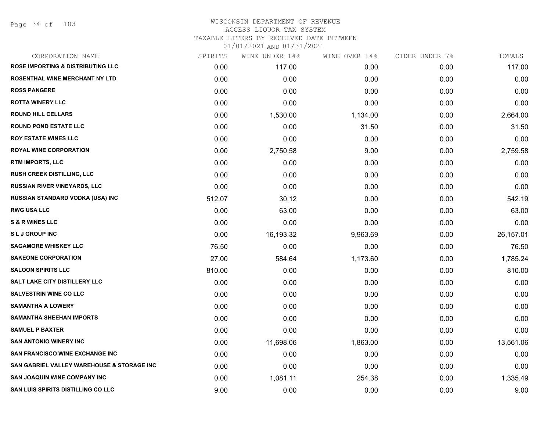Page 34 of 103

# WISCONSIN DEPARTMENT OF REVENUE ACCESS LIQUOR TAX SYSTEM TAXABLE LITERS BY RECEIVED DATE BETWEEN

| CORPORATION NAME                             | SPIRITS | WINE UNDER 14% | WINE OVER 14% | CIDER UNDER 7% | TOTALS    |
|----------------------------------------------|---------|----------------|---------------|----------------|-----------|
| <b>ROSE IMPORTING &amp; DISTRIBUTING LLC</b> | 0.00    | 117.00         | 0.00          | 0.00           | 117.00    |
| ROSENTHAL WINE MERCHANT NY LTD               | 0.00    | 0.00           | 0.00          | 0.00           | 0.00      |
| <b>ROSS PANGERE</b>                          | 0.00    | 0.00           | 0.00          | 0.00           | 0.00      |
| <b>ROTTA WINERY LLC</b>                      | 0.00    | 0.00           | 0.00          | 0.00           | 0.00      |
| <b>ROUND HILL CELLARS</b>                    | 0.00    | 1,530.00       | 1,134.00      | 0.00           | 2,664.00  |
| <b>ROUND POND ESTATE LLC</b>                 | 0.00    | 0.00           | 31.50         | 0.00           | 31.50     |
| <b>ROY ESTATE WINES LLC</b>                  | 0.00    | 0.00           | 0.00          | 0.00           | 0.00      |
| <b>ROYAL WINE CORPORATION</b>                | 0.00    | 2,750.58       | 9.00          | 0.00           | 2,759.58  |
| <b>RTM IMPORTS, LLC</b>                      | 0.00    | 0.00           | 0.00          | 0.00           | 0.00      |
| <b>RUSH CREEK DISTILLING, LLC</b>            | 0.00    | 0.00           | 0.00          | 0.00           | 0.00      |
| RUSSIAN RIVER VINEYARDS, LLC                 | 0.00    | 0.00           | 0.00          | 0.00           | 0.00      |
| RUSSIAN STANDARD VODKA (USA) INC             | 512.07  | 30.12          | 0.00          | 0.00           | 542.19    |
| <b>RWG USA LLC</b>                           | 0.00    | 63.00          | 0.00          | 0.00           | 63.00     |
| <b>S &amp; R WINES LLC</b>                   | 0.00    | 0.00           | 0.00          | 0.00           | 0.00      |
| <b>SLJ GROUP INC</b>                         | 0.00    | 16,193.32      | 9,963.69      | 0.00           | 26,157.01 |
| <b>SAGAMORE WHISKEY LLC</b>                  | 76.50   | 0.00           | 0.00          | 0.00           | 76.50     |
| <b>SAKEONE CORPORATION</b>                   | 27.00   | 584.64         | 1,173.60      | 0.00           | 1,785.24  |
| <b>SALOON SPIRITS LLC</b>                    | 810.00  | 0.00           | 0.00          | 0.00           | 810.00    |
| SALT LAKE CITY DISTILLERY LLC                | 0.00    | 0.00           | 0.00          | 0.00           | 0.00      |
| <b>SALVESTRIN WINE CO LLC</b>                | 0.00    | 0.00           | 0.00          | 0.00           | 0.00      |
| <b>SAMANTHA A LOWERY</b>                     | 0.00    | 0.00           | 0.00          | 0.00           | 0.00      |
| <b>SAMANTHA SHEEHAN IMPORTS</b>              | 0.00    | 0.00           | 0.00          | 0.00           | 0.00      |
| <b>SAMUEL P BAXTER</b>                       | 0.00    | 0.00           | 0.00          | 0.00           | 0.00      |
| <b>SAN ANTONIO WINERY INC</b>                | 0.00    | 11,698.06      | 1,863.00      | 0.00           | 13,561.06 |
| <b>SAN FRANCISCO WINE EXCHANGE INC</b>       | 0.00    | 0.00           | 0.00          | 0.00           | 0.00      |
| SAN GABRIEL VALLEY WAREHOUSE & STORAGE INC   | 0.00    | 0.00           | 0.00          | 0.00           | 0.00      |
| <b>SAN JOAQUIN WINE COMPANY INC</b>          | 0.00    | 1,081.11       | 254.38        | 0.00           | 1,335.49  |
| SAN LUIS SPIRITS DISTILLING CO LLC           | 9.00    | 0.00           | 0.00          | 0.00           | 9.00      |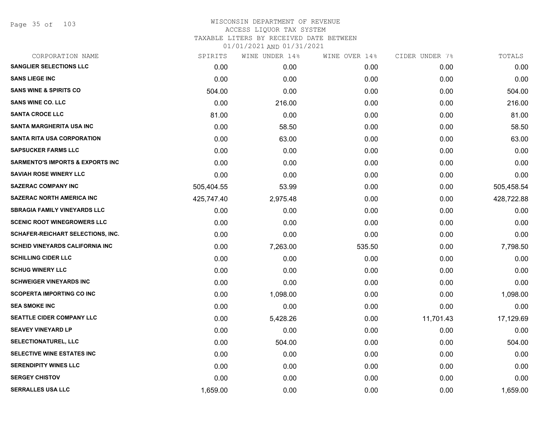Page 35 of 103

| CORPORATION NAME                            | SPIRITS    | WINE UNDER 14% | WINE OVER 14% | CIDER UNDER 7% | TOTALS     |
|---------------------------------------------|------------|----------------|---------------|----------------|------------|
| <b>SANGLIER SELECTIONS LLC</b>              | 0.00       | 0.00           | 0.00          | 0.00           | 0.00       |
| <b>SANS LIEGE INC</b>                       | 0.00       | 0.00           | 0.00          | 0.00           | 0.00       |
| <b>SANS WINE &amp; SPIRITS CO</b>           | 504.00     | 0.00           | 0.00          | 0.00           | 504.00     |
| <b>SANS WINE CO. LLC</b>                    | 0.00       | 216.00         | 0.00          | 0.00           | 216.00     |
| <b>SANTA CROCE LLC</b>                      | 81.00      | 0.00           | 0.00          | 0.00           | 81.00      |
| <b>SANTA MARGHERITA USA INC</b>             | 0.00       | 58.50          | 0.00          | 0.00           | 58.50      |
| <b>SANTA RITA USA CORPORATION</b>           | 0.00       | 63.00          | 0.00          | 0.00           | 63.00      |
| <b>SAPSUCKER FARMS LLC</b>                  | 0.00       | 0.00           | 0.00          | 0.00           | 0.00       |
| <b>SARMENTO'S IMPORTS &amp; EXPORTS INC</b> | 0.00       | 0.00           | 0.00          | 0.00           | 0.00       |
| <b>SAVIAH ROSE WINERY LLC</b>               | 0.00       | 0.00           | 0.00          | 0.00           | 0.00       |
| <b>SAZERAC COMPANY INC</b>                  | 505,404.55 | 53.99          | 0.00          | 0.00           | 505,458.54 |
| <b>SAZERAC NORTH AMERICA INC</b>            | 425,747.40 | 2,975.48       | 0.00          | 0.00           | 428,722.88 |
| <b>SBRAGIA FAMILY VINEYARDS LLC</b>         | 0.00       | 0.00           | 0.00          | 0.00           | 0.00       |
| <b>SCENIC ROOT WINEGROWERS LLC</b>          | 0.00       | 0.00           | 0.00          | 0.00           | 0.00       |
| <b>SCHAFER-REICHART SELECTIONS, INC.</b>    | 0.00       | 0.00           | 0.00          | 0.00           | 0.00       |
| <b>SCHEID VINEYARDS CALIFORNIA INC</b>      | 0.00       | 7,263.00       | 535.50        | 0.00           | 7,798.50   |
| <b>SCHILLING CIDER LLC</b>                  | 0.00       | 0.00           | 0.00          | 0.00           | 0.00       |
| <b>SCHUG WINERY LLC</b>                     | 0.00       | 0.00           | 0.00          | 0.00           | 0.00       |
| <b>SCHWEIGER VINEYARDS INC</b>              | 0.00       | 0.00           | 0.00          | 0.00           | 0.00       |
| <b>SCOPERTA IMPORTING CO INC</b>            | 0.00       | 1,098.00       | 0.00          | 0.00           | 1,098.00   |
| <b>SEA SMOKE INC</b>                        | 0.00       | 0.00           | 0.00          | 0.00           | 0.00       |
| <b>SEATTLE CIDER COMPANY LLC</b>            | 0.00       | 5,428.26       | 0.00          | 11,701.43      | 17,129.69  |
| <b>SEAVEY VINEYARD LP</b>                   | 0.00       | 0.00           | 0.00          | 0.00           | 0.00       |
| <b>SELECTIONATUREL, LLC</b>                 | 0.00       | 504.00         | 0.00          | 0.00           | 504.00     |
| SELECTIVE WINE ESTATES INC                  | 0.00       | 0.00           | 0.00          | 0.00           | 0.00       |
| <b>SERENDIPITY WINES LLC</b>                | 0.00       | 0.00           | 0.00          | 0.00           | 0.00       |
| <b>SERGEY CHISTOV</b>                       | 0.00       | 0.00           | 0.00          | 0.00           | 0.00       |
| <b>SERRALLES USA LLC</b>                    | 1,659.00   | 0.00           | 0.00          | 0.00           | 1,659.00   |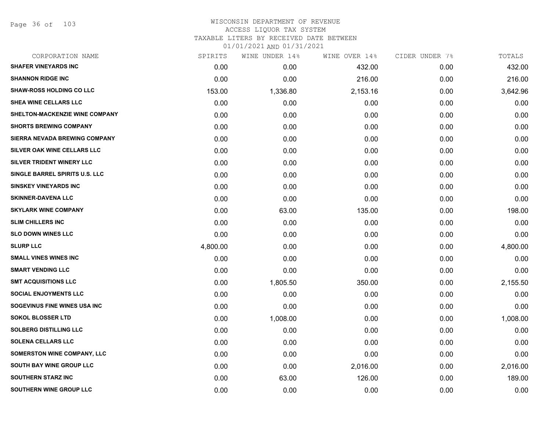Page 36 of 103

| CORPORATION NAME                   | SPIRITS  | WINE UNDER 14% | WINE OVER 14% | CIDER UNDER 7% | TOTALS   |
|------------------------------------|----------|----------------|---------------|----------------|----------|
| <b>SHAFER VINEYARDS INC</b>        | 0.00     | 0.00           | 432.00        | 0.00           | 432.00   |
| <b>SHANNON RIDGE INC</b>           | 0.00     | 0.00           | 216.00        | 0.00           | 216.00   |
| <b>SHAW-ROSS HOLDING CO LLC</b>    | 153.00   | 1,336.80       | 2,153.16      | 0.00           | 3,642.96 |
| SHEA WINE CELLARS LLC              | 0.00     | 0.00           | 0.00          | 0.00           | 0.00     |
| SHELTON-MACKENZIE WINE COMPANY     | 0.00     | 0.00           | 0.00          | 0.00           | 0.00     |
| <b>SHORTS BREWING COMPANY</b>      | 0.00     | 0.00           | 0.00          | 0.00           | 0.00     |
| SIERRA NEVADA BREWING COMPANY      | 0.00     | 0.00           | 0.00          | 0.00           | 0.00     |
| SILVER OAK WINE CELLARS LLC        | 0.00     | 0.00           | 0.00          | 0.00           | 0.00     |
| SILVER TRIDENT WINERY LLC          | 0.00     | 0.00           | 0.00          | 0.00           | 0.00     |
| SINGLE BARREL SPIRITS U.S. LLC     | 0.00     | 0.00           | 0.00          | 0.00           | 0.00     |
| <b>SINSKEY VINEYARDS INC</b>       | 0.00     | 0.00           | 0.00          | 0.00           | 0.00     |
| <b>SKINNER-DAVENA LLC</b>          | 0.00     | 0.00           | 0.00          | 0.00           | 0.00     |
| <b>SKYLARK WINE COMPANY</b>        | 0.00     | 63.00          | 135.00        | 0.00           | 198.00   |
| <b>SLIM CHILLERS INC</b>           | 0.00     | 0.00           | 0.00          | 0.00           | 0.00     |
| <b>SLO DOWN WINES LLC</b>          | 0.00     | 0.00           | 0.00          | 0.00           | 0.00     |
| <b>SLURP LLC</b>                   | 4,800.00 | 0.00           | 0.00          | 0.00           | 4,800.00 |
| <b>SMALL VINES WINES INC</b>       | 0.00     | 0.00           | 0.00          | 0.00           | 0.00     |
| <b>SMART VENDING LLC</b>           | 0.00     | 0.00           | 0.00          | 0.00           | 0.00     |
| <b>SMT ACQUISITIONS LLC</b>        | 0.00     | 1,805.50       | 350.00        | 0.00           | 2,155.50 |
| <b>SOCIAL ENJOYMENTS LLC</b>       | 0.00     | 0.00           | 0.00          | 0.00           | 0.00     |
| SOGEVINUS FINE WINES USA INC       | 0.00     | 0.00           | 0.00          | 0.00           | 0.00     |
| <b>SOKOL BLOSSER LTD</b>           | 0.00     | 1,008.00       | 0.00          | 0.00           | 1,008.00 |
| <b>SOLBERG DISTILLING LLC</b>      | 0.00     | 0.00           | 0.00          | 0.00           | 0.00     |
| <b>SOLENA CELLARS LLC</b>          | 0.00     | 0.00           | 0.00          | 0.00           | 0.00     |
| <b>SOMERSTON WINE COMPANY, LLC</b> | 0.00     | 0.00           | 0.00          | 0.00           | 0.00     |
| SOUTH BAY WINE GROUP LLC           | 0.00     | 0.00           | 2,016.00      | 0.00           | 2,016.00 |
| <b>SOUTHERN STARZ INC</b>          | 0.00     | 63.00          | 126.00        | 0.00           | 189.00   |
| SOUTHERN WINE GROUP LLC            | 0.00     | 0.00           | 0.00          | 0.00           | 0.00     |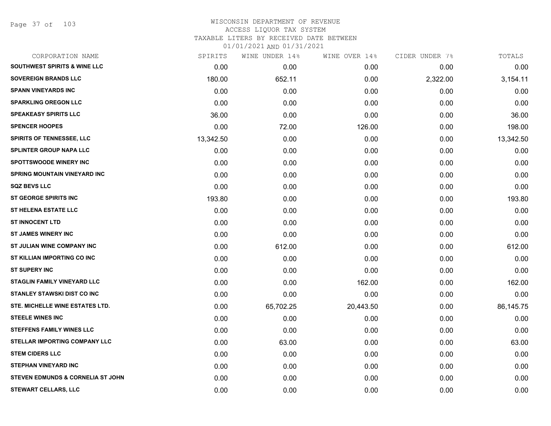Page 37 of 103

#### WISCONSIN DEPARTMENT OF REVENUE ACCESS LIQUOR TAX SYSTEM TAXABLE LITERS BY RECEIVED DATE BETWEEN

| CORPORATION NAME                             | SPIRITS   | WINE UNDER 14% | WINE OVER 14% | CIDER UNDER 7% | TOTALS    |
|----------------------------------------------|-----------|----------------|---------------|----------------|-----------|
| <b>SOUTHWEST SPIRITS &amp; WINE LLC</b>      | 0.00      | 0.00           | 0.00          | 0.00           | 0.00      |
| <b>SOVEREIGN BRANDS LLC</b>                  | 180.00    | 652.11         | 0.00          | 2,322.00       | 3,154.11  |
| <b>SPANN VINEYARDS INC</b>                   | 0.00      | 0.00           | 0.00          | 0.00           | 0.00      |
| <b>SPARKLING OREGON LLC</b>                  | 0.00      | 0.00           | 0.00          | 0.00           | 0.00      |
| <b>SPEAKEASY SPIRITS LLC</b>                 | 36.00     | 0.00           | 0.00          | 0.00           | 36.00     |
| <b>SPENCER HOOPES</b>                        | 0.00      | 72.00          | 126.00        | 0.00           | 198.00    |
| <b>SPIRITS OF TENNESSEE, LLC</b>             | 13,342.50 | 0.00           | 0.00          | 0.00           | 13,342.50 |
| <b>SPLINTER GROUP NAPA LLC</b>               | 0.00      | 0.00           | 0.00          | 0.00           | 0.00      |
| <b>SPOTTSWOODE WINERY INC</b>                | 0.00      | 0.00           | 0.00          | 0.00           | 0.00      |
| <b>SPRING MOUNTAIN VINEYARD INC</b>          | 0.00      | 0.00           | 0.00          | 0.00           | 0.00      |
| <b>SQZ BEVS LLC</b>                          | 0.00      | 0.00           | 0.00          | 0.00           | 0.00      |
| <b>ST GEORGE SPIRITS INC</b>                 | 193.80    | 0.00           | 0.00          | 0.00           | 193.80    |
| <b>ST HELENA ESTATE LLC</b>                  | 0.00      | 0.00           | 0.00          | 0.00           | 0.00      |
| <b>ST INNOCENT LTD</b>                       | 0.00      | 0.00           | 0.00          | 0.00           | 0.00      |
| <b>ST JAMES WINERY INC</b>                   | 0.00      | 0.00           | 0.00          | 0.00           | 0.00      |
| ST JULIAN WINE COMPANY INC                   | 0.00      | 612.00         | 0.00          | 0.00           | 612.00    |
| ST KILLIAN IMPORTING CO INC                  | 0.00      | 0.00           | 0.00          | 0.00           | 0.00      |
| <b>ST SUPERY INC</b>                         | 0.00      | 0.00           | 0.00          | 0.00           | 0.00      |
| STAGLIN FAMILY VINEYARD LLC                  | 0.00      | 0.00           | 162.00        | 0.00           | 162.00    |
| <b>STANLEY STAWSKI DIST CO INC</b>           | 0.00      | 0.00           | 0.00          | 0.00           | 0.00      |
| STE. MICHELLE WINE ESTATES LTD.              | 0.00      | 65,702.25      | 20,443.50     | 0.00           | 86,145.75 |
| <b>STEELE WINES INC</b>                      | 0.00      | 0.00           | 0.00          | 0.00           | 0.00      |
| <b>STEFFENS FAMILY WINES LLC</b>             | 0.00      | 0.00           | 0.00          | 0.00           | 0.00      |
| <b>STELLAR IMPORTING COMPANY LLC</b>         | 0.00      | 63.00          | 0.00          | 0.00           | 63.00     |
| <b>STEM CIDERS LLC</b>                       | 0.00      | 0.00           | 0.00          | 0.00           | 0.00      |
| <b>STEPHAN VINEYARD INC</b>                  | 0.00      | 0.00           | 0.00          | 0.00           | 0.00      |
| <b>STEVEN EDMUNDS &amp; CORNELIA ST JOHN</b> | 0.00      | 0.00           | 0.00          | 0.00           | 0.00      |
| STEWART CELLARS, LLC                         | 0.00      | 0.00           | 0.00          | 0.00           | 0.00      |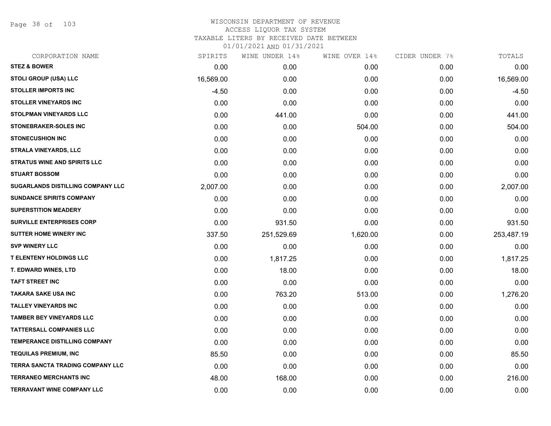Page 38 of 103

## WISCONSIN DEPARTMENT OF REVENUE ACCESS LIQUOR TAX SYSTEM TAXABLE LITERS BY RECEIVED DATE BETWEEN

| CORPORATION NAME                    | SPIRITS   | WINE UNDER 14% | WINE OVER 14% | CIDER UNDER 7% | TOTALS     |
|-------------------------------------|-----------|----------------|---------------|----------------|------------|
| <b>STEZ &amp; BOWER</b>             | 0.00      | 0.00           | 0.00          | 0.00           | 0.00       |
| STOLI GROUP (USA) LLC               | 16,569.00 | 0.00           | 0.00          | 0.00           | 16,569.00  |
| <b>STOLLER IMPORTS INC</b>          | $-4.50$   | 0.00           | 0.00          | 0.00           | $-4.50$    |
| <b>STOLLER VINEYARDS INC</b>        | 0.00      | 0.00           | 0.00          | 0.00           | 0.00       |
| <b>STOLPMAN VINEYARDS LLC</b>       | 0.00      | 441.00         | 0.00          | 0.00           | 441.00     |
| STONEBRAKER-SOLES INC               | 0.00      | 0.00           | 504.00        | 0.00           | 504.00     |
| <b>STONECUSHION INC</b>             | 0.00      | 0.00           | 0.00          | 0.00           | 0.00       |
| <b>STRALA VINEYARDS, LLC</b>        | 0.00      | 0.00           | 0.00          | 0.00           | 0.00       |
| <b>STRATUS WINE AND SPIRITS LLC</b> | 0.00      | 0.00           | 0.00          | 0.00           | 0.00       |
| <b>STUART BOSSOM</b>                | 0.00      | 0.00           | 0.00          | 0.00           | 0.00       |
| SUGARLANDS DISTILLING COMPANY LLC   | 2,007.00  | 0.00           | 0.00          | 0.00           | 2,007.00   |
| <b>SUNDANCE SPIRITS COMPANY</b>     | 0.00      | 0.00           | 0.00          | 0.00           | 0.00       |
| <b>SUPERSTITION MEADERY</b>         | 0.00      | 0.00           | 0.00          | 0.00           | 0.00       |
| <b>SURVILLE ENTERPRISES CORP</b>    | 0.00      | 931.50         | 0.00          | 0.00           | 931.50     |
| <b>SUTTER HOME WINERY INC</b>       | 337.50    | 251,529.69     | 1,620.00      | 0.00           | 253,487.19 |
| <b>SVP WINERY LLC</b>               | 0.00      | 0.00           | 0.00          | 0.00           | 0.00       |
| <b>T ELENTENY HOLDINGS LLC</b>      | 0.00      | 1,817.25       | 0.00          | 0.00           | 1,817.25   |
| T. EDWARD WINES, LTD                | 0.00      | 18.00          | 0.00          | 0.00           | 18.00      |
| <b>TAFT STREET INC</b>              | 0.00      | 0.00           | 0.00          | 0.00           | 0.00       |
| <b>TAKARA SAKE USA INC</b>          | 0.00      | 763.20         | 513.00        | 0.00           | 1,276.20   |
| <b>TALLEY VINEYARDS INC</b>         | 0.00      | 0.00           | 0.00          | 0.00           | 0.00       |
| <b>TAMBER BEY VINEYARDS LLC</b>     | 0.00      | 0.00           | 0.00          | 0.00           | 0.00       |
| <b>TATTERSALL COMPANIES LLC</b>     | 0.00      | 0.00           | 0.00          | 0.00           | 0.00       |
| TEMPERANCE DISTILLING COMPANY       | 0.00      | 0.00           | 0.00          | 0.00           | 0.00       |
| <b>TEQUILAS PREMIUM, INC</b>        | 85.50     | 0.00           | 0.00          | 0.00           | 85.50      |
| TERRA SANCTA TRADING COMPANY LLC    | 0.00      | 0.00           | 0.00          | 0.00           | 0.00       |
| <b>TERRANEO MERCHANTS INC</b>       | 48.00     | 168.00         | 0.00          | 0.00           | 216.00     |
| <b>TERRAVANT WINE COMPANY LLC</b>   | 0.00      | 0.00           | 0.00          | 0.00           | 0.00       |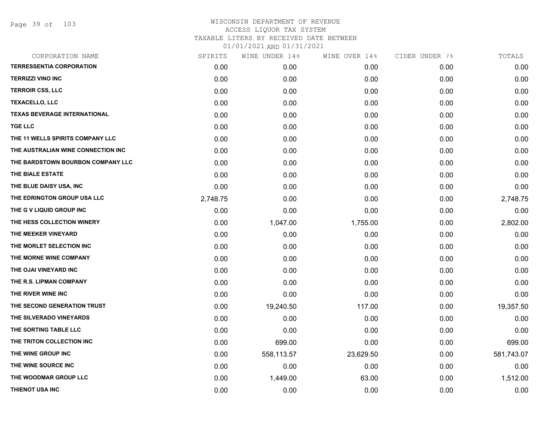Page 39 of 103

### WISCONSIN DEPARTMENT OF REVENUE ACCESS LIQUOR TAX SYSTEM TAXABLE LITERS BY RECEIVED DATE BETWEEN

| CORPORATION NAME                    | SPIRITS  | WINE UNDER 14% | WINE OVER 14% | CIDER UNDER 7% | TOTALS     |
|-------------------------------------|----------|----------------|---------------|----------------|------------|
| <b>TERRESSENTIA CORPORATION</b>     | 0.00     | 0.00           | 0.00          | 0.00           | 0.00       |
| <b>TERRIZZI VINO INC</b>            | 0.00     | 0.00           | 0.00          | 0.00           | 0.00       |
| <b>TERROIR CSS, LLC</b>             | 0.00     | 0.00           | 0.00          | 0.00           | 0.00       |
| <b>TEXACELLO, LLC</b>               | 0.00     | 0.00           | 0.00          | 0.00           | 0.00       |
| <b>TEXAS BEVERAGE INTERNATIONAL</b> | 0.00     | 0.00           | 0.00          | 0.00           | 0.00       |
| <b>TGE LLC</b>                      | 0.00     | 0.00           | 0.00          | 0.00           | 0.00       |
| THE 11 WELLS SPIRITS COMPANY LLC    | 0.00     | 0.00           | 0.00          | 0.00           | 0.00       |
| THE AUSTRALIAN WINE CONNECTION INC  | 0.00     | 0.00           | 0.00          | 0.00           | 0.00       |
| THE BARDSTOWN BOURBON COMPANY LLC   | 0.00     | 0.00           | 0.00          | 0.00           | 0.00       |
| THE BIALE ESTATE                    | 0.00     | 0.00           | 0.00          | 0.00           | 0.00       |
| THE BLUE DAISY USA, INC             | 0.00     | 0.00           | 0.00          | 0.00           | 0.00       |
| THE EDRINGTON GROUP USA LLC         | 2,748.75 | 0.00           | 0.00          | 0.00           | 2,748.75   |
| THE G V LIQUID GROUP INC            | 0.00     | 0.00           | 0.00          | 0.00           | 0.00       |
| THE HESS COLLECTION WINERY          | 0.00     | 1,047.00       | 1,755.00      | 0.00           | 2,802.00   |
| THE MEEKER VINEYARD                 | 0.00     | 0.00           | 0.00          | 0.00           | 0.00       |
| THE MORLET SELECTION INC            | 0.00     | 0.00           | 0.00          | 0.00           | 0.00       |
| THE MORNE WINE COMPANY              | 0.00     | 0.00           | 0.00          | 0.00           | 0.00       |
| THE OJAI VINEYARD INC               | 0.00     | 0.00           | 0.00          | 0.00           | 0.00       |
| THE R.S. LIPMAN COMPANY             | 0.00     | 0.00           | 0.00          | 0.00           | 0.00       |
| THE RIVER WINE INC                  | 0.00     | 0.00           | 0.00          | 0.00           | 0.00       |
| THE SECOND GENERATION TRUST         | 0.00     | 19,240.50      | 117.00        | 0.00           | 19,357.50  |
| THE SILVERADO VINEYARDS             | 0.00     | 0.00           | 0.00          | 0.00           | 0.00       |
| THE SORTING TABLE LLC               | 0.00     | 0.00           | 0.00          | 0.00           | 0.00       |
| THE TRITON COLLECTION INC           | 0.00     | 699.00         | 0.00          | 0.00           | 699.00     |
| THE WINE GROUP INC                  | 0.00     | 558,113.57     | 23,629.50     | 0.00           | 581,743.07 |
| THE WINE SOURCE INC                 | 0.00     | 0.00           | 0.00          | 0.00           | 0.00       |
| THE WOODMAR GROUP LLC               | 0.00     | 1,449.00       | 63.00         | 0.00           | 1,512.00   |
| THIENOT USA INC                     | 0.00     | 0.00           | 0.00          | 0.00           | 0.00       |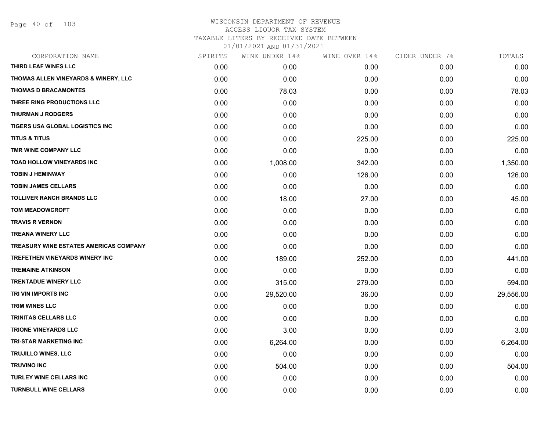Page 40 of 103

## WISCONSIN DEPARTMENT OF REVENUE ACCESS LIQUOR TAX SYSTEM TAXABLE LITERS BY RECEIVED DATE BETWEEN

| CORPORATION NAME                       | SPIRITS | WINE UNDER 14% | WINE OVER 14% | CIDER UNDER 7% | TOTALS    |
|----------------------------------------|---------|----------------|---------------|----------------|-----------|
| THIRD LEAF WINES LLC                   | 0.00    | 0.00           | 0.00          | 0.00           | 0.00      |
| THOMAS ALLEN VINEYARDS & WINERY, LLC   | 0.00    | 0.00           | 0.00          | 0.00           | 0.00      |
| <b>THOMAS D BRACAMONTES</b>            | 0.00    | 78.03          | 0.00          | 0.00           | 78.03     |
| THREE RING PRODUCTIONS LLC             | 0.00    | 0.00           | 0.00          | 0.00           | 0.00      |
| <b>THURMAN J RODGERS</b>               | 0.00    | 0.00           | 0.00          | 0.00           | 0.00      |
| TIGERS USA GLOBAL LOGISTICS INC        | 0.00    | 0.00           | 0.00          | 0.00           | 0.00      |
| <b>TITUS &amp; TITUS</b>               | 0.00    | 0.00           | 225.00        | 0.00           | 225.00    |
| TMR WINE COMPANY LLC                   | 0.00    | 0.00           | 0.00          | 0.00           | 0.00      |
| <b>TOAD HOLLOW VINEYARDS INC</b>       | 0.00    | 1,008.00       | 342.00        | 0.00           | 1,350.00  |
| <b>TOBIN J HEMINWAY</b>                | 0.00    | 0.00           | 126.00        | 0.00           | 126.00    |
| <b>TOBIN JAMES CELLARS</b>             | 0.00    | 0.00           | 0.00          | 0.00           | 0.00      |
| <b>TOLLIVER RANCH BRANDS LLC</b>       | 0.00    | 18.00          | 27.00         | 0.00           | 45.00     |
| <b>TOM MEADOWCROFT</b>                 | 0.00    | 0.00           | 0.00          | 0.00           | 0.00      |
| <b>TRAVIS R VERNON</b>                 | 0.00    | 0.00           | 0.00          | 0.00           | 0.00      |
| <b>TREANA WINERY LLC</b>               | 0.00    | 0.00           | 0.00          | 0.00           | 0.00      |
| TREASURY WINE ESTATES AMERICAS COMPANY | 0.00    | 0.00           | 0.00          | 0.00           | 0.00      |
| TREFETHEN VINEYARDS WINERY INC         | 0.00    | 189.00         | 252.00        | 0.00           | 441.00    |
| <b>TREMAINE ATKINSON</b>               | 0.00    | 0.00           | 0.00          | 0.00           | 0.00      |
| <b>TRENTADUE WINERY LLC</b>            | 0.00    | 315.00         | 279.00        | 0.00           | 594.00    |
| TRI VIN IMPORTS INC                    | 0.00    | 29,520.00      | 36.00         | 0.00           | 29,556.00 |
| <b>TRIM WINES LLC</b>                  | 0.00    | 0.00           | 0.00          | 0.00           | 0.00      |
| <b>TRINITAS CELLARS LLC</b>            | 0.00    | 0.00           | 0.00          | 0.00           | 0.00      |
| <b>TRIONE VINEYARDS LLC</b>            | 0.00    | 3.00           | 0.00          | 0.00           | 3.00      |
| <b>TRI-STAR MARKETING INC</b>          | 0.00    | 6,264.00       | 0.00          | 0.00           | 6,264.00  |
| <b>TRUJILLO WINES, LLC</b>             | 0.00    | 0.00           | 0.00          | 0.00           | 0.00      |
| <b>TRUVINO INC</b>                     | 0.00    | 504.00         | 0.00          | 0.00           | 504.00    |
| <b>TURLEY WINE CELLARS INC</b>         | 0.00    | 0.00           | 0.00          | 0.00           | 0.00      |
| <b>TURNBULL WINE CELLARS</b>           | 0.00    | 0.00           | 0.00          | 0.00           | 0.00      |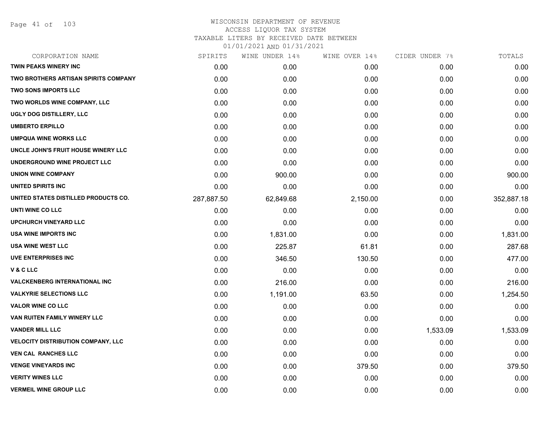Page 41 of 103

| CORPORATION NAME                          | SPIRITS    | WINE UNDER 14% | WINE OVER 14% | CIDER UNDER 7% | TOTALS     |
|-------------------------------------------|------------|----------------|---------------|----------------|------------|
| <b>TWIN PEAKS WINERY INC</b>              | 0.00       | 0.00           | 0.00          | 0.00           | 0.00       |
| TWO BROTHERS ARTISAN SPIRITS COMPANY      | 0.00       | 0.00           | 0.00          | 0.00           | 0.00       |
| <b>TWO SONS IMPORTS LLC</b>               | 0.00       | 0.00           | 0.00          | 0.00           | 0.00       |
| TWO WORLDS WINE COMPANY, LLC              | 0.00       | 0.00           | 0.00          | 0.00           | 0.00       |
| UGLY DOG DISTILLERY, LLC                  | 0.00       | 0.00           | 0.00          | 0.00           | 0.00       |
| <b>UMBERTO ERPILLO</b>                    | 0.00       | 0.00           | 0.00          | 0.00           | 0.00       |
| <b>UMPQUA WINE WORKS LLC</b>              | 0.00       | 0.00           | 0.00          | 0.00           | 0.00       |
| UNCLE JOHN'S FRUIT HOUSE WINERY LLC       | 0.00       | 0.00           | 0.00          | 0.00           | 0.00       |
| UNDERGROUND WINE PROJECT LLC              | 0.00       | 0.00           | 0.00          | 0.00           | 0.00       |
| <b>UNION WINE COMPANY</b>                 | 0.00       | 900.00         | 0.00          | 0.00           | 900.00     |
| <b>UNITED SPIRITS INC</b>                 | 0.00       | 0.00           | 0.00          | 0.00           | 0.00       |
| UNITED STATES DISTILLED PRODUCTS CO.      | 287,887.50 | 62,849.68      | 2,150.00      | 0.00           | 352,887.18 |
| UNTI WINE CO LLC                          | 0.00       | 0.00           | 0.00          | 0.00           | 0.00       |
| <b>UPCHURCH VINEYARD LLC</b>              | 0.00       | 0.00           | 0.00          | 0.00           | 0.00       |
| <b>USA WINE IMPORTS INC</b>               | 0.00       | 1,831.00       | 0.00          | 0.00           | 1,831.00   |
| <b>USA WINE WEST LLC</b>                  | 0.00       | 225.87         | 61.81         | 0.00           | 287.68     |
| <b>UVE ENTERPRISES INC</b>                | 0.00       | 346.50         | 130.50        | 0.00           | 477.00     |
| <b>V&amp;CLLC</b>                         | 0.00       | 0.00           | 0.00          | 0.00           | 0.00       |
| <b>VALCKENBERG INTERNATIONAL INC</b>      | 0.00       | 216.00         | 0.00          | 0.00           | 216.00     |
| <b>VALKYRIE SELECTIONS LLC</b>            | 0.00       | 1,191.00       | 63.50         | 0.00           | 1,254.50   |
| <b>VALOR WINE CO LLC</b>                  | 0.00       | 0.00           | 0.00          | 0.00           | 0.00       |
| VAN RUITEN FAMILY WINERY LLC              | 0.00       | 0.00           | 0.00          | 0.00           | 0.00       |
| <b>VANDER MILL LLC</b>                    | 0.00       | 0.00           | 0.00          | 1,533.09       | 1,533.09   |
| <b>VELOCITY DISTRIBUTION COMPANY, LLC</b> | 0.00       | 0.00           | 0.00          | 0.00           | 0.00       |
| <b>VEN CAL RANCHES LLC</b>                | 0.00       | 0.00           | 0.00          | 0.00           | 0.00       |
| <b>VENGE VINEYARDS INC</b>                | 0.00       | 0.00           | 379.50        | 0.00           | 379.50     |
| <b>VERITY WINES LLC</b>                   | 0.00       | 0.00           | 0.00          | 0.00           | 0.00       |
| <b>VERMEIL WINE GROUP LLC</b>             | 0.00       | 0.00           | 0.00          | 0.00           | 0.00       |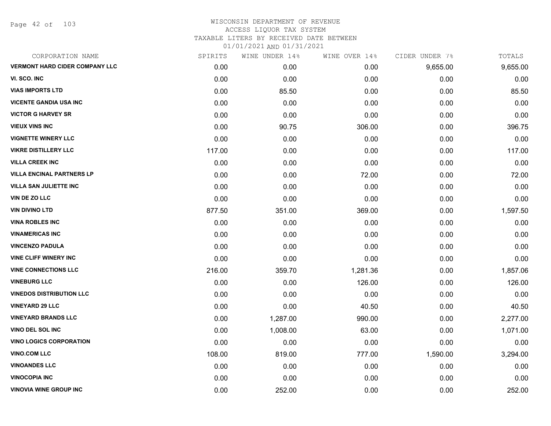Page 42 of 103

| CORPORATION NAME                      | SPIRITS | WINE UNDER 14% | WINE OVER 14% | CIDER UNDER 7% | TOTALS   |
|---------------------------------------|---------|----------------|---------------|----------------|----------|
| <b>VERMONT HARD CIDER COMPANY LLC</b> | 0.00    | 0.00           | 0.00          | 9,655.00       | 9,655.00 |
| VI. SCO. INC                          | 0.00    | 0.00           | 0.00          | 0.00           | 0.00     |
| <b>VIAS IMPORTS LTD</b>               | 0.00    | 85.50          | 0.00          | 0.00           | 85.50    |
| <b>VICENTE GANDIA USA INC</b>         | 0.00    | 0.00           | 0.00          | 0.00           | 0.00     |
| <b>VICTOR G HARVEY SR</b>             | 0.00    | 0.00           | 0.00          | 0.00           | 0.00     |
| <b>VIEUX VINS INC</b>                 | 0.00    | 90.75          | 306.00        | 0.00           | 396.75   |
| <b>VIGNETTE WINERY LLC</b>            | 0.00    | 0.00           | 0.00          | 0.00           | 0.00     |
| <b>VIKRE DISTILLERY LLC</b>           | 117.00  | 0.00           | 0.00          | 0.00           | 117.00   |
| <b>VILLA CREEK INC</b>                | 0.00    | 0.00           | 0.00          | 0.00           | 0.00     |
| <b>VILLA ENCINAL PARTNERS LP</b>      | 0.00    | 0.00           | 72.00         | 0.00           | 72.00    |
| <b>VILLA SAN JULIETTE INC</b>         | 0.00    | 0.00           | 0.00          | 0.00           | 0.00     |
| <b>VIN DE ZO LLC</b>                  | 0.00    | 0.00           | 0.00          | 0.00           | 0.00     |
| <b>VIN DIVINO LTD</b>                 | 877.50  | 351.00         | 369.00        | 0.00           | 1,597.50 |
| <b>VINA ROBLES INC</b>                | 0.00    | 0.00           | 0.00          | 0.00           | 0.00     |
| <b>VINAMERICAS INC</b>                | 0.00    | 0.00           | 0.00          | 0.00           | 0.00     |
| <b>VINCENZO PADULA</b>                | 0.00    | 0.00           | 0.00          | 0.00           | 0.00     |
| <b>VINE CLIFF WINERY INC</b>          | 0.00    | 0.00           | 0.00          | 0.00           | 0.00     |
| <b>VINE CONNECTIONS LLC</b>           | 216.00  | 359.70         | 1,281.36      | 0.00           | 1,857.06 |
| <b>VINEBURG LLC</b>                   | 0.00    | 0.00           | 126.00        | 0.00           | 126.00   |
| <b>VINEDOS DISTRIBUTION LLC</b>       | 0.00    | 0.00           | 0.00          | 0.00           | 0.00     |
| <b>VINEYARD 29 LLC</b>                | 0.00    | 0.00           | 40.50         | 0.00           | 40.50    |
| <b>VINEYARD BRANDS LLC</b>            | 0.00    | 1,287.00       | 990.00        | 0.00           | 2,277.00 |
| <b>VINO DEL SOL INC</b>               | 0.00    | 1,008.00       | 63.00         | 0.00           | 1,071.00 |
| <b>VINO LOGICS CORPORATION</b>        | 0.00    | 0.00           | 0.00          | 0.00           | 0.00     |
| <b>VINO.COM LLC</b>                   | 108.00  | 819.00         | 777.00        | 1,590.00       | 3,294.00 |
| <b>VINOANDES LLC</b>                  | 0.00    | 0.00           | 0.00          | 0.00           | 0.00     |
| <b>VINOCOPIA INC</b>                  | 0.00    | 0.00           | 0.00          | 0.00           | 0.00     |
| <b>VINOVIA WINE GROUP INC</b>         | 0.00    | 252.00         | 0.00          | 0.00           | 252.00   |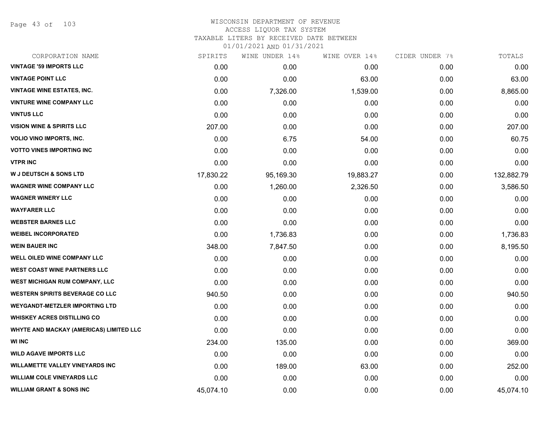Page 43 of 103

#### WISCONSIN DEPARTMENT OF REVENUE ACCESS LIQUOR TAX SYSTEM TAXABLE LITERS BY RECEIVED DATE BETWEEN

| CORPORATION NAME                        | SPIRITS   | WINE UNDER 14% | WINE OVER 14% | CIDER UNDER 7% | TOTALS     |
|-----------------------------------------|-----------|----------------|---------------|----------------|------------|
| <b>VINTAGE '59 IMPORTS LLC</b>          | 0.00      | 0.00           | 0.00          | 0.00           | 0.00       |
| <b>VINTAGE POINT LLC</b>                | 0.00      | 0.00           | 63.00         | 0.00           | 63.00      |
| <b>VINTAGE WINE ESTATES, INC.</b>       | 0.00      | 7,326.00       | 1,539.00      | 0.00           | 8,865.00   |
| <b>VINTURE WINE COMPANY LLC</b>         | 0.00      | 0.00           | 0.00          | 0.00           | 0.00       |
| <b>VINTUS LLC</b>                       | 0.00      | 0.00           | 0.00          | 0.00           | 0.00       |
| <b>VISION WINE &amp; SPIRITS LLC</b>    | 207.00    | 0.00           | 0.00          | 0.00           | 207.00     |
| VOLIO VINO IMPORTS, INC.                | 0.00      | 6.75           | 54.00         | 0.00           | 60.75      |
| <b>VOTTO VINES IMPORTING INC</b>        | 0.00      | 0.00           | 0.00          | 0.00           | 0.00       |
| <b>VTPR INC</b>                         | 0.00      | 0.00           | 0.00          | 0.00           | 0.00       |
| <b>W J DEUTSCH &amp; SONS LTD</b>       | 17,830.22 | 95,169.30      | 19,883.27     | 0.00           | 132,882.79 |
| <b>WAGNER WINE COMPANY LLC</b>          | 0.00      | 1,260.00       | 2,326.50      | 0.00           | 3,586.50   |
| <b>WAGNER WINERY LLC</b>                | 0.00      | 0.00           | 0.00          | 0.00           | 0.00       |
| <b>WAYFARER LLC</b>                     | 0.00      | 0.00           | 0.00          | 0.00           | 0.00       |
| <b>WEBSTER BARNES LLC</b>               | 0.00      | 0.00           | 0.00          | 0.00           | 0.00       |
| <b>WEIBEL INCORPORATED</b>              | 0.00      | 1,736.83       | 0.00          | 0.00           | 1,736.83   |
| <b>WEIN BAUER INC</b>                   | 348.00    | 7,847.50       | 0.00          | 0.00           | 8,195.50   |
| WELL OILED WINE COMPANY LLC             | 0.00      | 0.00           | 0.00          | 0.00           | 0.00       |
| <b>WEST COAST WINE PARTNERS LLC</b>     | 0.00      | 0.00           | 0.00          | 0.00           | 0.00       |
| WEST MICHIGAN RUM COMPANY, LLC          | 0.00      | 0.00           | 0.00          | 0.00           | 0.00       |
| <b>WESTERN SPIRITS BEVERAGE CO LLC</b>  | 940.50    | 0.00           | 0.00          | 0.00           | 940.50     |
| <b>WEYGANDT-METZLER IMPORTING LTD</b>   | 0.00      | 0.00           | 0.00          | 0.00           | 0.00       |
| <b>WHISKEY ACRES DISTILLING CO</b>      | 0.00      | 0.00           | 0.00          | 0.00           | 0.00       |
| WHYTE AND MACKAY (AMERICAS) LIMITED LLC | 0.00      | 0.00           | 0.00          | 0.00           | 0.00       |
| <b>WI INC</b>                           | 234.00    | 135.00         | 0.00          | 0.00           | 369.00     |
| <b>WILD AGAVE IMPORTS LLC</b>           | 0.00      | 0.00           | 0.00          | 0.00           | 0.00       |
| <b>WILLAMETTE VALLEY VINEYARDS INC</b>  | 0.00      | 189.00         | 63.00         | 0.00           | 252.00     |
| <b>WILLIAM COLE VINEYARDS LLC</b>       | 0.00      | 0.00           | 0.00          | 0.00           | 0.00       |
| <b>WILLIAM GRANT &amp; SONS INC</b>     | 45,074.10 | 0.00           | 0.00          | 0.00           | 45,074.10  |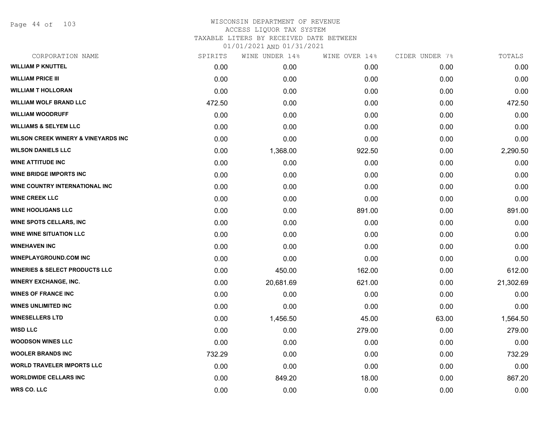Page 44 of 103

#### WISCONSIN DEPARTMENT OF REVENUE ACCESS LIQUOR TAX SYSTEM

TAXABLE LITERS BY RECEIVED DATE BETWEEN

| CORPORATION NAME                               | SPIRITS | WINE UNDER 14% | WINE OVER 14% | CIDER UNDER 7% | TOTALS    |
|------------------------------------------------|---------|----------------|---------------|----------------|-----------|
| <b>WILLIAM P KNUTTEL</b>                       | 0.00    | 0.00           | 0.00          | 0.00           | 0.00      |
| <b>WILLIAM PRICE III</b>                       | 0.00    | 0.00           | 0.00          | 0.00           | 0.00      |
| <b>WILLIAM T HOLLORAN</b>                      | 0.00    | 0.00           | 0.00          | 0.00           | 0.00      |
| <b>WILLIAM WOLF BRAND LLC</b>                  | 472.50  | 0.00           | 0.00          | 0.00           | 472.50    |
| <b>WILLIAM WOODRUFF</b>                        | 0.00    | 0.00           | 0.00          | 0.00           | 0.00      |
| <b>WILLIAMS &amp; SELYEM LLC</b>               | 0.00    | 0.00           | 0.00          | 0.00           | 0.00      |
| <b>WILSON CREEK WINERY &amp; VINEYARDS INC</b> | 0.00    | 0.00           | 0.00          | 0.00           | 0.00      |
| <b>WILSON DANIELS LLC</b>                      | 0.00    | 1,368.00       | 922.50        | 0.00           | 2,290.50  |
| <b>WINE ATTITUDE INC</b>                       | 0.00    | 0.00           | 0.00          | 0.00           | 0.00      |
| <b>WINE BRIDGE IMPORTS INC</b>                 | 0.00    | 0.00           | 0.00          | 0.00           | 0.00      |
| <b>WINE COUNTRY INTERNATIONAL INC</b>          | 0.00    | 0.00           | 0.00          | 0.00           | 0.00      |
| <b>WINE CREEK LLC</b>                          | 0.00    | 0.00           | 0.00          | 0.00           | 0.00      |
| <b>WINE HOOLIGANS LLC</b>                      | 0.00    | 0.00           | 891.00        | 0.00           | 891.00    |
| <b>WINE SPOTS CELLARS, INC</b>                 | 0.00    | 0.00           | 0.00          | 0.00           | 0.00      |
| <b>WINE WINE SITUATION LLC</b>                 | 0.00    | 0.00           | 0.00          | 0.00           | 0.00      |
| <b>WINEHAVEN INC</b>                           | 0.00    | 0.00           | 0.00          | 0.00           | 0.00      |
| <b>WINEPLAYGROUND.COM INC</b>                  | 0.00    | 0.00           | 0.00          | 0.00           | 0.00      |
| <b>WINERIES &amp; SELECT PRODUCTS LLC</b>      | 0.00    | 450.00         | 162.00        | 0.00           | 612.00    |
| <b>WINERY EXCHANGE, INC.</b>                   | 0.00    | 20,681.69      | 621.00        | 0.00           | 21,302.69 |
| <b>WINES OF FRANCE INC</b>                     | 0.00    | 0.00           | 0.00          | 0.00           | 0.00      |
| <b>WINES UNLIMITED INC</b>                     | 0.00    | 0.00           | 0.00          | 0.00           | 0.00      |
| <b>WINESELLERS LTD</b>                         | 0.00    | 1,456.50       | 45.00         | 63.00          | 1,564.50  |
| <b>WISD LLC</b>                                | 0.00    | 0.00           | 279.00        | 0.00           | 279.00    |
| <b>WOODSON WINES LLC</b>                       | 0.00    | 0.00           | 0.00          | 0.00           | 0.00      |
| <b>WOOLER BRANDS INC</b>                       | 732.29  | 0.00           | 0.00          | 0.00           | 732.29    |
| <b>WORLD TRAVELER IMPORTS LLC</b>              | 0.00    | 0.00           | 0.00          | 0.00           | 0.00      |
| <b>WORLDWIDE CELLARS INC</b>                   | 0.00    | 849.20         | 18.00         | 0.00           | 867.20    |
| <b>WRS CO. LLC</b>                             | 0.00    | 0.00           | 0.00          | 0.00           | 0.00      |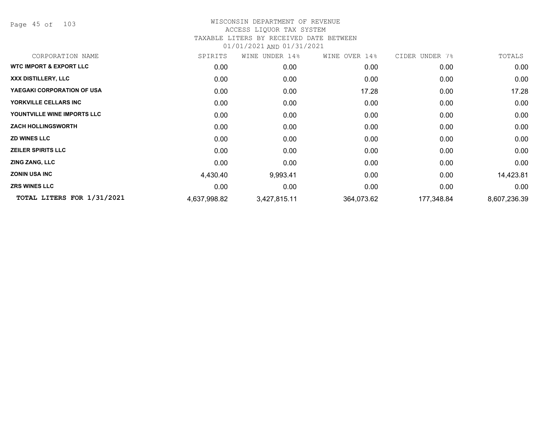Page 45 of 103

| CORPORATION NAME                   | SPIRITS      | WINE<br>UNDER 14% | WINE OVER 14% | CIDER UNDER 7% | TOTALS       |
|------------------------------------|--------------|-------------------|---------------|----------------|--------------|
| <b>WTC IMPORT &amp; EXPORT LLC</b> | 0.00         | 0.00              | 0.00          | 0.00           | 0.00         |
| XXX DISTILLERY, LLC                | 0.00         | 0.00              | 0.00          | 0.00           | 0.00         |
| YAEGAKI CORPORATION OF USA         | 0.00         | 0.00              | 17.28         | 0.00           | 17.28        |
| YORKVILLE CELLARS INC              | 0.00         | 0.00              | 0.00          | 0.00           | 0.00         |
| YOUNTVILLE WINE IMPORTS LLC        | 0.00         | 0.00              | 0.00          | 0.00           | 0.00         |
| <b>ZACH HOLLINGSWORTH</b>          | 0.00         | 0.00              | 0.00          | 0.00           | 0.00         |
| <b>ZD WINES LLC</b>                | 0.00         | 0.00              | 0.00          | 0.00           | 0.00         |
| <b>ZEILER SPIRITS LLC</b>          | 0.00         | 0.00              | 0.00          | 0.00           | 0.00         |
| <b>ZING ZANG, LLC</b>              | 0.00         | 0.00              | 0.00          | 0.00           | 0.00         |
| <b>ZONIN USA INC</b>               | 4,430.40     | 9,993.41          | 0.00          | 0.00           | 14,423.81    |
| <b>ZRS WINES LLC</b>               | 0.00         | 0.00              | 0.00          | 0.00           | 0.00         |
| TOTAL LITERS FOR 1/31/2021         | 4,637,998.82 | 3,427,815.11      | 364,073.62    | 177,348.84     | 8,607,236.39 |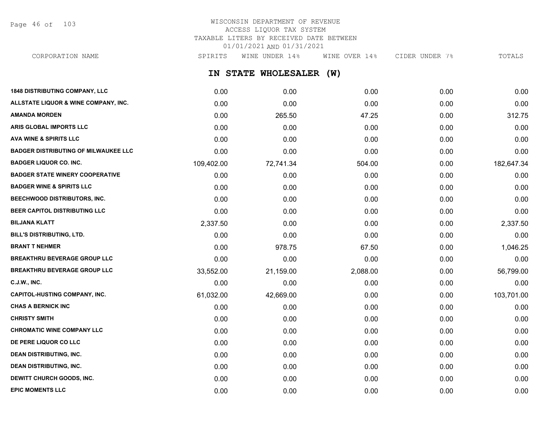Page 46 of 103

### WISCONSIN DEPARTMENT OF REVENUE ACCESS LIQUOR TAX SYSTEM TAXABLE LITERS BY RECEIVED DATE BETWEEN 01/01/2021 AND 01/31/2021

CORPORATION NAME SPIRITS WINE UNDER 14% WINE OVER 14% CIDER UNDER 7% TOTALS

**IN STATE WHOLESALER (W)**

| <b>1848 DISTRIBUTING COMPANY, LLC</b>       | 0.00       | 0.00      | 0.00     | 0.00 | 0.00       |
|---------------------------------------------|------------|-----------|----------|------|------------|
| ALLSTATE LIQUOR & WINE COMPANY, INC.        | 0.00       | 0.00      | 0.00     | 0.00 | 0.00       |
| <b>AMANDA MORDEN</b>                        | 0.00       | 265.50    | 47.25    | 0.00 | 312.75     |
| ARIS GLOBAL IMPORTS LLC                     | 0.00       | 0.00      | 0.00     | 0.00 | 0.00       |
| <b>AVA WINE &amp; SPIRITS LLC</b>           | 0.00       | 0.00      | 0.00     | 0.00 | 0.00       |
| <b>BADGER DISTRIBUTING OF MILWAUKEE LLC</b> | 0.00       | 0.00      | 0.00     | 0.00 | 0.00       |
| <b>BADGER LIQUOR CO. INC.</b>               | 109,402.00 | 72,741.34 | 504.00   | 0.00 | 182,647.34 |
| <b>BADGER STATE WINERY COOPERATIVE</b>      | 0.00       | 0.00      | 0.00     | 0.00 | 0.00       |
| <b>BADGER WINE &amp; SPIRITS LLC</b>        | 0.00       | 0.00      | 0.00     | 0.00 | 0.00       |
| BEECHWOOD DISTRIBUTORS, INC.                | 0.00       | 0.00      | 0.00     | 0.00 | 0.00       |
| BEER CAPITOL DISTRIBUTING LLC               | 0.00       | 0.00      | 0.00     | 0.00 | 0.00       |
| <b>BILJANA KLATT</b>                        | 2,337.50   | 0.00      | 0.00     | 0.00 | 2,337.50   |
| <b>BILL'S DISTRIBUTING, LTD.</b>            | 0.00       | 0.00      | 0.00     | 0.00 | 0.00       |
| <b>BRANT T NEHMER</b>                       | 0.00       | 978.75    | 67.50    | 0.00 | 1,046.25   |
| <b>BREAKTHRU BEVERAGE GROUP LLC</b>         | 0.00       | 0.00      | 0.00     | 0.00 | 0.00       |
| <b>BREAKTHRU BEVERAGE GROUP LLC</b>         | 33,552.00  | 21,159.00 | 2,088.00 | 0.00 | 56,799.00  |
| <b>C.J.W., INC.</b>                         | 0.00       | 0.00      | 0.00     | 0.00 | 0.00       |
| <b>CAPITOL-HUSTING COMPANY, INC.</b>        | 61,032.00  | 42,669.00 | 0.00     | 0.00 | 103,701.00 |
| <b>CHAS A BERNICK INC</b>                   | 0.00       | 0.00      | 0.00     | 0.00 | 0.00       |
| <b>CHRISTY SMITH</b>                        | 0.00       | 0.00      | 0.00     | 0.00 | 0.00       |
| <b>CHROMATIC WINE COMPANY LLC</b>           | 0.00       | 0.00      | 0.00     | 0.00 | 0.00       |
| DE PERE LIQUOR CO LLC                       | 0.00       | 0.00      | 0.00     | 0.00 | 0.00       |
| <b>DEAN DISTRIBUTING, INC.</b>              | 0.00       | 0.00      | 0.00     | 0.00 | 0.00       |
| <b>DEAN DISTRIBUTING, INC.</b>              | 0.00       | 0.00      | 0.00     | 0.00 | 0.00       |
| <b>DEWITT CHURCH GOODS, INC.</b>            | 0.00       | 0.00      | 0.00     | 0.00 | 0.00       |
| <b>EPIC MOMENTS LLC</b>                     | 0.00       | 0.00      | 0.00     | 0.00 | 0.00       |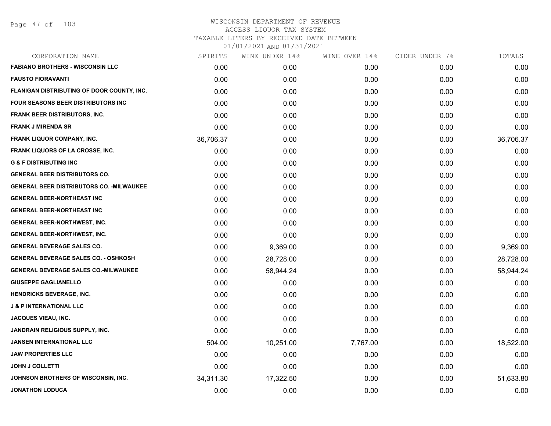| CORPORATION NAME                                 | SPIRITS   | WINE UNDER 14% | WINE OVER 14% | CIDER UNDER 7% | TOTALS    |
|--------------------------------------------------|-----------|----------------|---------------|----------------|-----------|
| <b>FABIANO BROTHERS - WISCONSIN LLC</b>          | 0.00      | 0.00           | 0.00          | 0.00           | 0.00      |
| <b>FAUSTO FIORAVANTI</b>                         | 0.00      | 0.00           | 0.00          | 0.00           | 0.00      |
| FLANIGAN DISTRIBUTING OF DOOR COUNTY, INC.       | 0.00      | 0.00           | 0.00          | 0.00           | 0.00      |
| <b>FOUR SEASONS BEER DISTRIBUTORS INC</b>        | 0.00      | 0.00           | 0.00          | 0.00           | 0.00      |
| <b>FRANK BEER DISTRIBUTORS, INC.</b>             | 0.00      | 0.00           | 0.00          | 0.00           | 0.00      |
| <b>FRANK J MIRENDA SR</b>                        | 0.00      | 0.00           | 0.00          | 0.00           | 0.00      |
| <b>FRANK LIQUOR COMPANY, INC.</b>                | 36,706.37 | 0.00           | 0.00          | 0.00           | 36,706.37 |
| <b>FRANK LIQUORS OF LA CROSSE, INC.</b>          | 0.00      | 0.00           | 0.00          | 0.00           | 0.00      |
| <b>G &amp; F DISTRIBUTING INC</b>                | 0.00      | 0.00           | 0.00          | 0.00           | 0.00      |
| <b>GENERAL BEER DISTRIBUTORS CO.</b>             | 0.00      | 0.00           | 0.00          | 0.00           | 0.00      |
| <b>GENERAL BEER DISTRIBUTORS CO. - MILWAUKEE</b> | 0.00      | 0.00           | 0.00          | 0.00           | 0.00      |
| <b>GENERAL BEER-NORTHEAST INC</b>                | 0.00      | 0.00           | 0.00          | 0.00           | 0.00      |
| <b>GENERAL BEER-NORTHEAST INC</b>                | 0.00      | 0.00           | 0.00          | 0.00           | 0.00      |
| <b>GENERAL BEER-NORTHWEST, INC.</b>              | 0.00      | 0.00           | 0.00          | 0.00           | 0.00      |
| <b>GENERAL BEER-NORTHWEST, INC.</b>              | 0.00      | 0.00           | 0.00          | 0.00           | 0.00      |
| <b>GENERAL BEVERAGE SALES CO.</b>                | 0.00      | 9,369.00       | 0.00          | 0.00           | 9,369.00  |
| <b>GENERAL BEVERAGE SALES CO. - OSHKOSH</b>      | 0.00      | 28,728.00      | 0.00          | 0.00           | 28,728.00 |
| <b>GENERAL BEVERAGE SALES CO.-MILWAUKEE</b>      | 0.00      | 58,944.24      | 0.00          | 0.00           | 58,944.24 |
| <b>GIUSEPPE GAGLIANELLO</b>                      | 0.00      | 0.00           | 0.00          | 0.00           | 0.00      |
| <b>HENDRICKS BEVERAGE, INC.</b>                  | 0.00      | 0.00           | 0.00          | 0.00           | 0.00      |
| <b>J &amp; P INTERNATIONAL LLC</b>               | 0.00      | 0.00           | 0.00          | 0.00           | 0.00      |
| <b>JACQUES VIEAU, INC.</b>                       | 0.00      | 0.00           | 0.00          | 0.00           | 0.00      |
| JANDRAIN RELIGIOUS SUPPLY, INC.                  | 0.00      | 0.00           | 0.00          | 0.00           | 0.00      |
| JANSEN INTERNATIONAL LLC                         | 504.00    | 10,251.00      | 7,767.00      | 0.00           | 18,522.00 |
| <b>JAW PROPERTIES LLC</b>                        | 0.00      | 0.00           | 0.00          | 0.00           | 0.00      |
| <b>JOHN J COLLETTI</b>                           | 0.00      | 0.00           | 0.00          | 0.00           | 0.00      |
| JOHNSON BROTHERS OF WISCONSIN, INC.              | 34,311.30 | 17,322.50      | 0.00          | 0.00           | 51,633.80 |
| <b>JONATHON LODUCA</b>                           | 0.00      | 0.00           | 0.00          | 0.00           | 0.00      |
|                                                  |           |                |               |                |           |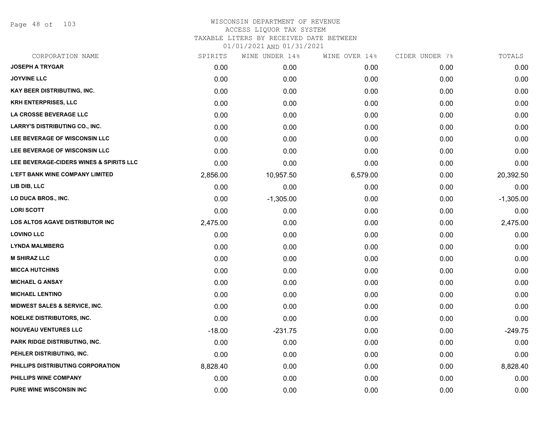Page 48 of 103

| CORPORATION NAME                         | SPIRITS  | WINE UNDER 14% | WINE OVER 14% | CIDER UNDER 7% | TOTALS      |
|------------------------------------------|----------|----------------|---------------|----------------|-------------|
| <b>JOSEPH A TRYGAR</b>                   | 0.00     | 0.00           | 0.00          | 0.00           | 0.00        |
| <b>JOYVINE LLC</b>                       | 0.00     | 0.00           | 0.00          | 0.00           | 0.00        |
| KAY BEER DISTRIBUTING, INC.              | 0.00     | 0.00           | 0.00          | 0.00           | 0.00        |
| <b>KRH ENTERPRISES, LLC</b>              | 0.00     | 0.00           | 0.00          | 0.00           | 0.00        |
| LA CROSSE BEVERAGE LLC                   | 0.00     | 0.00           | 0.00          | 0.00           | 0.00        |
| <b>LARRY'S DISTRIBUTING CO., INC.</b>    | 0.00     | 0.00           | 0.00          | 0.00           | 0.00        |
| LEE BEVERAGE OF WISCONSIN LLC            | 0.00     | 0.00           | 0.00          | 0.00           | 0.00        |
| LEE BEVERAGE OF WISCONSIN LLC            | 0.00     | 0.00           | 0.00          | 0.00           | 0.00        |
| LEE BEVERAGE-CIDERS WINES & SPIRITS LLC  | 0.00     | 0.00           | 0.00          | 0.00           | 0.00        |
| <b>L'EFT BANK WINE COMPANY LIMITED</b>   | 2,856.00 | 10,957.50      | 6,579.00      | 0.00           | 20,392.50   |
| LIB DIB, LLC                             | 0.00     | 0.00           | 0.00          | 0.00           | 0.00        |
| LO DUCA BROS., INC.                      | 0.00     | $-1,305.00$    | 0.00          | 0.00           | $-1,305.00$ |
| <b>LORI SCOTT</b>                        | 0.00     | 0.00           | 0.00          | 0.00           | 0.00        |
| <b>LOS ALTOS AGAVE DISTRIBUTOR INC</b>   | 2,475.00 | 0.00           | 0.00          | 0.00           | 2,475.00    |
| <b>LOVINO LLC</b>                        | 0.00     | 0.00           | 0.00          | 0.00           | 0.00        |
| <b>LYNDA MALMBERG</b>                    | 0.00     | 0.00           | 0.00          | 0.00           | 0.00        |
| <b>M SHIRAZ LLC</b>                      | 0.00     | 0.00           | 0.00          | 0.00           | 0.00        |
| <b>MICCA HUTCHINS</b>                    | 0.00     | 0.00           | 0.00          | 0.00           | 0.00        |
| <b>MICHAEL G ANSAY</b>                   | 0.00     | 0.00           | 0.00          | 0.00           | 0.00        |
| <b>MICHAEL LENTINO</b>                   | 0.00     | 0.00           | 0.00          | 0.00           | 0.00        |
| <b>MIDWEST SALES &amp; SERVICE, INC.</b> | 0.00     | 0.00           | 0.00          | 0.00           | 0.00        |
| <b>NOELKE DISTRIBUTORS, INC.</b>         | 0.00     | 0.00           | 0.00          | 0.00           | 0.00        |
| <b>NOUVEAU VENTURES LLC</b>              | $-18.00$ | $-231.75$      | 0.00          | 0.00           | $-249.75$   |
| PARK RIDGE DISTRIBUTING, INC.            | 0.00     | 0.00           | 0.00          | 0.00           | 0.00        |
| PEHLER DISTRIBUTING, INC.                | 0.00     | 0.00           | 0.00          | 0.00           | 0.00        |
| PHILLIPS DISTRIBUTING CORPORATION        | 8,828.40 | 0.00           | 0.00          | 0.00           | 8,828.40    |
| PHILLIPS WINE COMPANY                    | 0.00     | 0.00           | 0.00          | 0.00           | 0.00        |
| <b>PURE WINE WISCONSIN INC</b>           | 0.00     | 0.00           | 0.00          | 0.00           | 0.00        |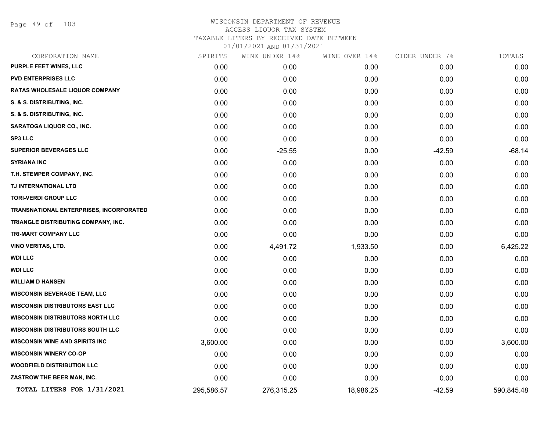Page 49 of 103

## WISCONSIN DEPARTMENT OF REVENUE ACCESS LIQUOR TAX SYSTEM TAXABLE LITERS BY RECEIVED DATE BETWEEN

| CORPORATION NAME                        | SPIRITS    | WINE UNDER 14% | WINE OVER 14% | CIDER UNDER 7% | TOTALS     |
|-----------------------------------------|------------|----------------|---------------|----------------|------------|
| PURPLE FEET WINES, LLC                  | 0.00       | 0.00           | 0.00          | 0.00           | 0.00       |
| <b>PVD ENTERPRISES LLC</b>              | 0.00       | 0.00           | 0.00          | 0.00           | 0.00       |
| <b>RATAS WHOLESALE LIQUOR COMPANY</b>   | 0.00       | 0.00           | 0.00          | 0.00           | 0.00       |
| S. & S. DISTRIBUTING, INC.              | 0.00       | 0.00           | 0.00          | 0.00           | 0.00       |
| S. & S. DISTRIBUTING, INC.              | 0.00       | 0.00           | 0.00          | 0.00           | 0.00       |
| <b>SARATOGA LIQUOR CO., INC.</b>        | 0.00       | 0.00           | 0.00          | 0.00           | 0.00       |
| <b>SP3 LLC</b>                          | 0.00       | 0.00           | 0.00          | 0.00           | 0.00       |
| <b>SUPERIOR BEVERAGES LLC</b>           | 0.00       | $-25.55$       | 0.00          | $-42.59$       | $-68.14$   |
| <b>SYRIANA INC</b>                      | 0.00       | 0.00           | 0.00          | 0.00           | 0.00       |
| T.H. STEMPER COMPANY, INC.              | 0.00       | 0.00           | 0.00          | 0.00           | 0.00       |
| TJ INTERNATIONAL LTD                    | 0.00       | 0.00           | 0.00          | 0.00           | 0.00       |
| <b>TORI-VERDI GROUP LLC</b>             | 0.00       | 0.00           | 0.00          | 0.00           | 0.00       |
| TRANSNATIONAL ENTERPRISES, INCORPORATED | 0.00       | 0.00           | 0.00          | 0.00           | 0.00       |
| TRIANGLE DISTRIBUTING COMPANY, INC.     | 0.00       | 0.00           | 0.00          | 0.00           | 0.00       |
| <b>TRI-MART COMPANY LLC</b>             | 0.00       | 0.00           | 0.00          | 0.00           | 0.00       |
| <b>VINO VERITAS, LTD.</b>               | 0.00       | 4,491.72       | 1,933.50      | 0.00           | 6,425.22   |
| <b>WDI LLC</b>                          | 0.00       | 0.00           | 0.00          | 0.00           | 0.00       |
| <b>WDI LLC</b>                          | 0.00       | 0.00           | 0.00          | 0.00           | 0.00       |
| <b>WILLIAM D HANSEN</b>                 | 0.00       | 0.00           | 0.00          | 0.00           | 0.00       |
| <b>WISCONSIN BEVERAGE TEAM, LLC</b>     | 0.00       | 0.00           | 0.00          | 0.00           | 0.00       |
| <b>WISCONSIN DISTRIBUTORS EAST LLC</b>  | 0.00       | 0.00           | 0.00          | 0.00           | 0.00       |
| <b>WISCONSIN DISTRIBUTORS NORTH LLC</b> | 0.00       | 0.00           | 0.00          | 0.00           | 0.00       |
| <b>WISCONSIN DISTRIBUTORS SOUTH LLC</b> | 0.00       | 0.00           | 0.00          | 0.00           | 0.00       |
| <b>WISCONSIN WINE AND SPIRITS INC</b>   | 3,600.00   | 0.00           | 0.00          | 0.00           | 3,600.00   |
| <b>WISCONSIN WINERY CO-OP</b>           | 0.00       | 0.00           | 0.00          | 0.00           | 0.00       |
| <b>WOODFIELD DISTRIBUTION LLC</b>       | 0.00       | 0.00           | 0.00          | 0.00           | 0.00       |
| ZASTROW THE BEER MAN, INC.              | 0.00       | 0.00           | 0.00          | 0.00           | 0.00       |
| TOTAL LITERS FOR 1/31/2021              | 295,586.57 | 276,315.25     | 18,986.25     | $-42.59$       | 590,845.48 |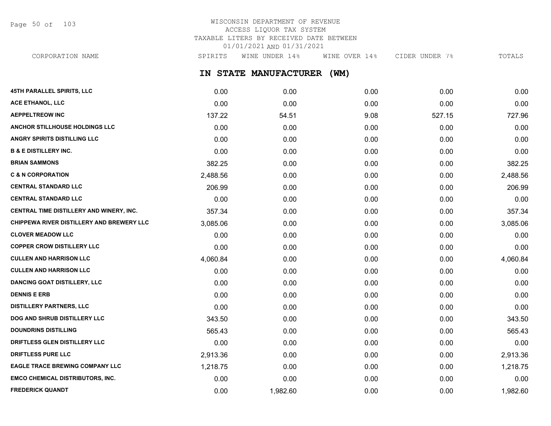Page 50 of 103

## WISCONSIN DEPARTMENT OF REVENUE ACCESS LIQUOR TAX SYSTEM TAXABLE LITERS BY RECEIVED DATE BETWEEN 01/01/2021 AND 01/31/2021

**IN STATE MANUFACTURER (WM) 45TH PARALLEL SPIRITS, LLC** 0.00 0.00 0.00 0.00 0.00 **ACE ETHANOL, LLC** 0.00 0.00 0.00 0.00 0.00 **AEPPELTREOW INC** 137.22 54.51 9.08 527.15 527.15 54.96 **ANCHOR STILLHOUSE HOLDINGS LLC** 0.00 0.00 0.00 0.00 0.00 CORPORATION NAME SPIRITS WINE UNDER 14% WINE OVER 14% CIDER UNDER 7% TOTALS

**ANGRY SPIRITS DISTILLING LLC** 0.00 0.00 0.00 0.00 0.00 **B & E DISTILLERY INC.** 0.00 0.00 0.00 0.00 0.00 **BRIAN SAMMONS** 382.25 0.00 0.00 0.00 382.25 **C & N CORPORATION** 2,488.56 0.00 0.00 0.00 2,488.56 **CENTRAL STANDARD LLC** 206.99 0.00 0.00 0.00 206.99 **CENTRAL STANDARD LLC** 0.00 0.00 0.00 0.00 0.00 **CENTRAL TIME DISTILLERY AND WINERY, INC.**  $357.34$   $0.00$   $0.00$   $0.00$   $0.00$   $0.00$   $357.34$ **CHIPPEWA RIVER DISTILLERY AND BREWERY LLC**  $3.085.06$   $0.00$   $0.00$   $0.00$   $0.00$   $0.00$   $3.085.06$ **CLOVER MEADOW LLC** 0.00 0.00 0.00 0.00 0.00 **COPPER CROW DISTILLERY LLC** 0.00 0.00 0.00 0.00 0.00 **CULLEN AND HARRISON LLC** 4,060.84 0.00 0.00 0.00 4,060.84 **CULLEN AND HARRISON LLC** 0.00 0.00 0.00 0.00 0.00 **DANCING GOAT DISTILLERY, LLC** 0.00 0.00 0.00 0.00 0.00 **DENNIS E ERB** 0.00 0.00 0.00 0.00 0.00 **DISTILLERY PARTNERS, LLC** 0.00 0.00 0.00 0.00 0.00 **DOG AND SHRUB DISTILLERY LLC**  $343.50$   $343.50$   $0.00$   $0.00$   $0.00$   $0.00$   $343.50$ **DOUNDRINS DISTILLING** 565.43 0.00 0.00 0.00 565.43 **DRIFTLESS GLEN DISTILLERY LLC** 0.00 0.00 0.00 0.00 0.00 **DRIFTLESS PURE LLC** 2,913.36 0.00 0.00 0.00 2,913.36 **EAGLE TRACE BREWING COMPANY LLC** 1,218.75 0.00 0.00 0.00 1,218.75 **EMCO CHEMICAL DISTRIBUTORS, INC.** 0.00 0.00 0.00 0.00 0.00

**FREDERICK QUANDT** 0.00 1,982.60 0.00 0.00 1,982.60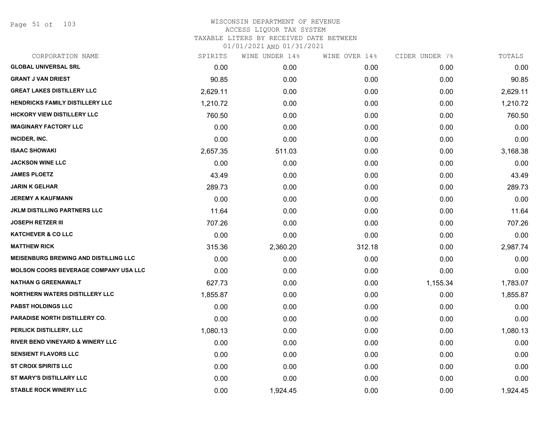Page 51 of 103

| CORPORATION NAME                             | SPIRITS  | WINE UNDER 14% | WINE OVER 14% | CIDER UNDER 7% | TOTALS   |
|----------------------------------------------|----------|----------------|---------------|----------------|----------|
| <b>GLOBAL UNIVERSAL SRL</b>                  | 0.00     | 0.00           | 0.00          | 0.00           | 0.00     |
| <b>GRANT J VAN DRIEST</b>                    | 90.85    | 0.00           | 0.00          | 0.00           | 90.85    |
| <b>GREAT LAKES DISTILLERY LLC</b>            | 2,629.11 | 0.00           | 0.00          | 0.00           | 2,629.11 |
| <b>HENDRICKS FAMILY DISTILLERY LLC</b>       | 1,210.72 | 0.00           | 0.00          | 0.00           | 1,210.72 |
| <b>HICKORY VIEW DISTILLERY LLC</b>           | 760.50   | 0.00           | 0.00          | 0.00           | 760.50   |
| <b>IMAGINARY FACTORY LLC</b>                 | 0.00     | 0.00           | 0.00          | 0.00           | 0.00     |
| INCIDER, INC.                                | 0.00     | 0.00           | 0.00          | 0.00           | 0.00     |
| <b>ISAAC SHOWAKI</b>                         | 2,657.35 | 511.03         | 0.00          | 0.00           | 3,168.38 |
| <b>JACKSON WINE LLC</b>                      | 0.00     | 0.00           | 0.00          | 0.00           | 0.00     |
| <b>JAMES PLOETZ</b>                          | 43.49    | 0.00           | 0.00          | 0.00           | 43.49    |
| <b>JARIN K GELHAR</b>                        | 289.73   | 0.00           | 0.00          | 0.00           | 289.73   |
| <b>JEREMY A KAUFMANN</b>                     | 0.00     | 0.00           | 0.00          | 0.00           | 0.00     |
| <b>JKLM DISTILLING PARTNERS LLC</b>          | 11.64    | 0.00           | 0.00          | 0.00           | 11.64    |
| <b>JOSEPH RETZER III</b>                     | 707.26   | 0.00           | 0.00          | 0.00           | 707.26   |
| <b>KATCHEVER &amp; CO LLC</b>                | 0.00     | 0.00           | 0.00          | 0.00           | 0.00     |
| <b>MATTHEW RICK</b>                          | 315.36   | 2,360.20       | 312.18        | 0.00           | 2,987.74 |
| <b>MEISENBURG BREWING AND DISTILLING LLC</b> | 0.00     | 0.00           | 0.00          | 0.00           | 0.00     |
| <b>MOLSON COORS BEVERAGE COMPANY USA LLC</b> | 0.00     | 0.00           | 0.00          | 0.00           | 0.00     |
| <b>NATHAN G GREENAWALT</b>                   | 627.73   | 0.00           | 0.00          | 1,155.34       | 1,783.07 |
| <b>NORTHERN WATERS DISTILLERY LLC</b>        | 1,855.87 | 0.00           | 0.00          | 0.00           | 1,855.87 |
| <b>PABST HOLDINGS LLC</b>                    | 0.00     | 0.00           | 0.00          | 0.00           | 0.00     |
| PARADISE NORTH DISTILLERY CO.                | 0.00     | 0.00           | 0.00          | 0.00           | 0.00     |
| PERLICK DISTILLERY, LLC                      | 1,080.13 | 0.00           | 0.00          | 0.00           | 1,080.13 |
| <b>RIVER BEND VINEYARD &amp; WINERY LLC</b>  | 0.00     | 0.00           | 0.00          | 0.00           | 0.00     |
| <b>SENSIENT FLAVORS LLC</b>                  | 0.00     | 0.00           | 0.00          | 0.00           | 0.00     |
| <b>ST CROIX SPIRITS LLC</b>                  | 0.00     | 0.00           | 0.00          | 0.00           | 0.00     |
| <b>ST MARY'S DISTILLARY LLC</b>              | 0.00     | 0.00           | 0.00          | 0.00           | 0.00     |
| <b>STABLE ROCK WINERY LLC</b>                | 0.00     | 1,924.45       | 0.00          | 0.00           | 1,924.45 |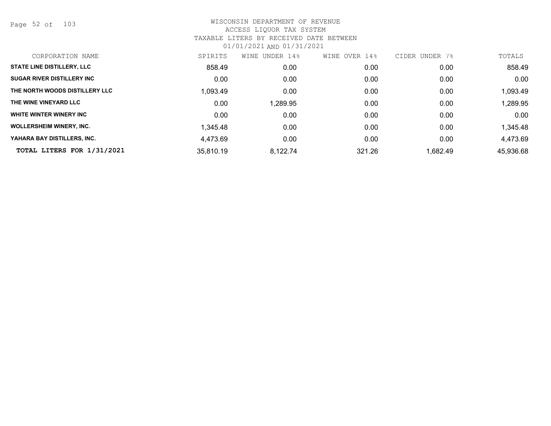Page 52 of 103

| CORPORATION NAME                  | SPIRITS   | WINE UNDER 14% | OVER 14%<br>WINE | UNDER 7%<br><b>CIDER</b> | TOTALS    |
|-----------------------------------|-----------|----------------|------------------|--------------------------|-----------|
| <b>STATE LINE DISTILLERY, LLC</b> | 858.49    | 0.00           | 0.00             | 0.00                     | 858.49    |
| <b>SUGAR RIVER DISTILLERY INC</b> | 0.00      | 0.00           | 0.00             | 0.00                     | 0.00      |
| THE NORTH WOODS DISTILLERY LLC    | 1,093.49  | 0.00           | 0.00             | 0.00                     | 1,093.49  |
| THE WINE VINEYARD LLC             | 0.00      | 1,289.95       | 0.00             | 0.00                     | 1,289.95  |
| WHITE WINTER WINERY INC           | 0.00      | 0.00           | 0.00             | 0.00                     | 0.00      |
| <b>WOLLERSHEIM WINERY, INC.</b>   | 1,345.48  | 0.00           | 0.00             | 0.00                     | 1,345.48  |
| YAHARA BAY DISTILLERS, INC.       | 4,473.69  | 0.00           | 0.00             | 0.00                     | 4,473.69  |
| TOTAL LITERS FOR 1/31/2021        | 35,810.19 | 8,122.74       | 321.26           | .682.49                  | 45,936.68 |
|                                   |           |                |                  |                          |           |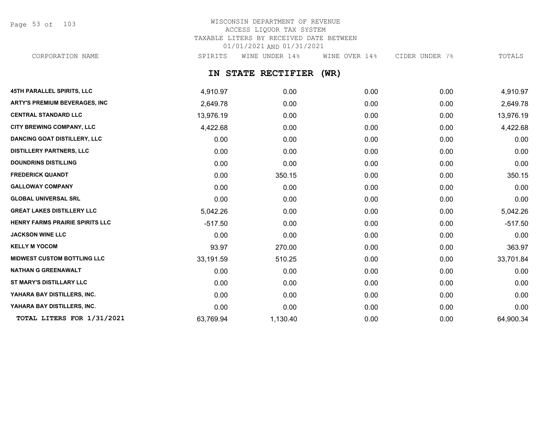Page 53 of 103

#### WISCONSIN DEPARTMENT OF REVENUE ACCESS LIQUOR TAX SYSTEM TAXABLE LITERS BY RECEIVED DATE BETWEEN 01/01/2021 AND 01/31/2021 CORPORATION NAME SPIRITS WINE UNDER 14% WINE OVER 14% CIDER UNDER 7% TOTALS

## **IN STATE RECTIFIER (WR)**

| 45TH PARALLEL SPIRITS, LLC             | 4,910.97  | 0.00     | 0.00 | 0.00 | 4,910.97  |
|----------------------------------------|-----------|----------|------|------|-----------|
| <b>ARTY'S PREMIUM BEVERAGES, INC</b>   | 2,649.78  | 0.00     | 0.00 | 0.00 | 2,649.78  |
| <b>CENTRAL STANDARD LLC</b>            | 13,976.19 | 0.00     | 0.00 | 0.00 | 13,976.19 |
| CITY BREWING COMPANY, LLC              | 4,422.68  | 0.00     | 0.00 | 0.00 | 4,422.68  |
| <b>DANCING GOAT DISTILLERY, LLC</b>    | 0.00      | 0.00     | 0.00 | 0.00 | 0.00      |
| <b>DISTILLERY PARTNERS, LLC</b>        | 0.00      | 0.00     | 0.00 | 0.00 | 0.00      |
| <b>DOUNDRINS DISTILLING</b>            | 0.00      | 0.00     | 0.00 | 0.00 | 0.00      |
| <b>FREDERICK QUANDT</b>                | 0.00      | 350.15   | 0.00 | 0.00 | 350.15    |
| <b>GALLOWAY COMPANY</b>                | 0.00      | 0.00     | 0.00 | 0.00 | 0.00      |
| <b>GLOBAL UNIVERSAL SRL</b>            | 0.00      | 0.00     | 0.00 | 0.00 | 0.00      |
| <b>GREAT LAKES DISTILLERY LLC</b>      | 5,042.26  | 0.00     | 0.00 | 0.00 | 5,042.26  |
| <b>HENRY FARMS PRAIRIE SPIRITS LLC</b> | $-517.50$ | 0.00     | 0.00 | 0.00 | $-517.50$ |
| <b>JACKSON WINE LLC</b>                | 0.00      | 0.00     | 0.00 | 0.00 | 0.00      |
| <b>KELLY M YOCOM</b>                   | 93.97     | 270.00   | 0.00 | 0.00 | 363.97    |
| <b>MIDWEST CUSTOM BOTTLING LLC</b>     | 33,191.59 | 510.25   | 0.00 | 0.00 | 33,701.84 |
| <b>NATHAN G GREENAWALT</b>             | 0.00      | 0.00     | 0.00 | 0.00 | 0.00      |
| ST MARY'S DISTILLARY LLC               | 0.00      | 0.00     | 0.00 | 0.00 | 0.00      |
| YAHARA BAY DISTILLERS, INC.            | 0.00      | 0.00     | 0.00 | 0.00 | 0.00      |
| YAHARA BAY DISTILLERS, INC.            | 0.00      | 0.00     | 0.00 | 0.00 | 0.00      |
| TOTAL LITERS FOR 1/31/2021             | 63,769.94 | 1,130.40 | 0.00 | 0.00 | 64,900.34 |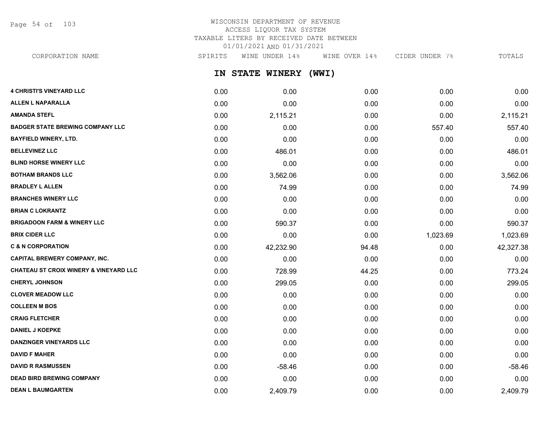Page 54 of 103

## WISCONSIN DEPARTMENT OF REVENUE ACCESS LIQUOR TAX SYSTEM TAXABLE LITERS BY RECEIVED DATE BETWEEN 01/01/2021 AND 01/31/2021

CORPORATION NAME SPIRITS WINE UNDER 14% WINE OVER 14% CIDER UNDER 7% TOTALS

**IN STATE WINERY (WWI)**

| <b>4 CHRISTI'S VINEYARD LLC</b>                   | 0.00 | 0.00      | 0.00  | 0.00     | 0.00      |
|---------------------------------------------------|------|-----------|-------|----------|-----------|
| <b>ALLEN L NAPARALLA</b>                          | 0.00 | 0.00      | 0.00  | 0.00     | 0.00      |
| <b>AMANDA STEFL</b>                               | 0.00 | 2,115.21  | 0.00  | 0.00     | 2,115.21  |
| <b>BADGER STATE BREWING COMPANY LLC</b>           | 0.00 | 0.00      | 0.00  | 557.40   | 557.40    |
| <b>BAYFIELD WINERY, LTD.</b>                      | 0.00 | 0.00      | 0.00  | 0.00     | 0.00      |
| <b>BELLEVINEZ LLC</b>                             | 0.00 | 486.01    | 0.00  | 0.00     | 486.01    |
| <b>BLIND HORSE WINERY LLC</b>                     | 0.00 | 0.00      | 0.00  | 0.00     | 0.00      |
| <b>BOTHAM BRANDS LLC</b>                          | 0.00 | 3,562.06  | 0.00  | 0.00     | 3,562.06  |
| <b>BRADLEY L ALLEN</b>                            | 0.00 | 74.99     | 0.00  | 0.00     | 74.99     |
| <b>BRANCHES WINERY LLC</b>                        | 0.00 | 0.00      | 0.00  | 0.00     | 0.00      |
| <b>BRIAN C LOKRANTZ</b>                           | 0.00 | 0.00      | 0.00  | 0.00     | 0.00      |
| <b>BRIGADOON FARM &amp; WINERY LLC</b>            | 0.00 | 590.37    | 0.00  | 0.00     | 590.37    |
| <b>BRIX CIDER LLC</b>                             | 0.00 | 0.00      | 0.00  | 1,023.69 | 1,023.69  |
| <b>C &amp; N CORPORATION</b>                      | 0.00 | 42,232.90 | 94.48 | 0.00     | 42,327.38 |
| <b>CAPITAL BREWERY COMPANY, INC.</b>              | 0.00 | 0.00      | 0.00  | 0.00     | 0.00      |
| <b>CHATEAU ST CROIX WINERY &amp; VINEYARD LLC</b> | 0.00 | 728.99    | 44.25 | 0.00     | 773.24    |
| <b>CHERYL JOHNSON</b>                             | 0.00 | 299.05    | 0.00  | 0.00     | 299.05    |
| <b>CLOVER MEADOW LLC</b>                          | 0.00 | 0.00      | 0.00  | 0.00     | 0.00      |
| <b>COLLEEN M BOS</b>                              | 0.00 | 0.00      | 0.00  | 0.00     | 0.00      |
| <b>CRAIG FLETCHER</b>                             | 0.00 | 0.00      | 0.00  | 0.00     | 0.00      |
| <b>DANIEL J KOEPKE</b>                            | 0.00 | 0.00      | 0.00  | 0.00     | 0.00      |
| <b>DANZINGER VINEYARDS LLC</b>                    | 0.00 | 0.00      | 0.00  | 0.00     | 0.00      |
| <b>DAVID F MAHER</b>                              | 0.00 | 0.00      | 0.00  | 0.00     | 0.00      |
| <b>DAVID R RASMUSSEN</b>                          | 0.00 | $-58.46$  | 0.00  | 0.00     | $-58.46$  |
| <b>DEAD BIRD BREWING COMPANY</b>                  | 0.00 | 0.00      | 0.00  | 0.00     | 0.00      |
| <b>DEAN L BAUMGARTEN</b>                          | 0.00 | 2,409.79  | 0.00  | 0.00     | 2,409.79  |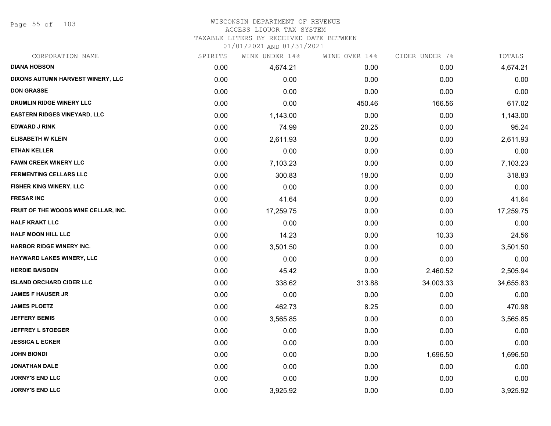Page 55 of 103

#### WISCONSIN DEPARTMENT OF REVENUE ACCESS LIQUOR TAX SYSTEM

TAXABLE LITERS BY RECEIVED DATE BETWEEN

| CORPORATION NAME                     | SPIRITS | WINE UNDER 14% | WINE OVER 14% | CIDER UNDER 7% | TOTALS    |
|--------------------------------------|---------|----------------|---------------|----------------|-----------|
| <b>DIANA HOBSON</b>                  | 0.00    | 4,674.21       | 0.00          | 0.00           | 4,674.21  |
| DIXONS AUTUMN HARVEST WINERY, LLC    | 0.00    | 0.00           | 0.00          | 0.00           | 0.00      |
| <b>DON GRASSE</b>                    | 0.00    | 0.00           | 0.00          | 0.00           | 0.00      |
| DRUMLIN RIDGE WINERY LLC             | 0.00    | 0.00           | 450.46        | 166.56         | 617.02    |
| <b>EASTERN RIDGES VINEYARD, LLC</b>  | 0.00    | 1,143.00       | 0.00          | 0.00           | 1,143.00  |
| <b>EDWARD J RINK</b>                 | 0.00    | 74.99          | 20.25         | 0.00           | 95.24     |
| <b>ELISABETH W KLEIN</b>             | 0.00    | 2,611.93       | 0.00          | 0.00           | 2,611.93  |
| <b>ETHAN KELLER</b>                  | 0.00    | 0.00           | 0.00          | 0.00           | 0.00      |
| <b>FAWN CREEK WINERY LLC</b>         | 0.00    | 7,103.23       | 0.00          | 0.00           | 7,103.23  |
| <b>FERMENTING CELLARS LLC</b>        | 0.00    | 300.83         | 18.00         | 0.00           | 318.83    |
| FISHER KING WINERY, LLC              | 0.00    | 0.00           | 0.00          | 0.00           | 0.00      |
| <b>FRESAR INC</b>                    | 0.00    | 41.64          | 0.00          | 0.00           | 41.64     |
| FRUIT OF THE WOODS WINE CELLAR, INC. | 0.00    | 17,259.75      | 0.00          | 0.00           | 17,259.75 |
| <b>HALF KRAKT LLC</b>                | 0.00    | 0.00           | 0.00          | 0.00           | 0.00      |
| <b>HALF MOON HILL LLC</b>            | 0.00    | 14.23          | 0.00          | 10.33          | 24.56     |
| <b>HARBOR RIDGE WINERY INC.</b>      | 0.00    | 3,501.50       | 0.00          | 0.00           | 3,501.50  |
| <b>HAYWARD LAKES WINERY, LLC</b>     | 0.00    | 0.00           | 0.00          | 0.00           | 0.00      |
| <b>HERDIE BAISDEN</b>                | 0.00    | 45.42          | 0.00          | 2,460.52       | 2,505.94  |
| <b>ISLAND ORCHARD CIDER LLC</b>      | 0.00    | 338.62         | 313.88        | 34,003.33      | 34,655.83 |
| <b>JAMES F HAUSER JR</b>             | 0.00    | 0.00           | 0.00          | 0.00           | 0.00      |
| <b>JAMES PLOETZ</b>                  | 0.00    | 462.73         | 8.25          | 0.00           | 470.98    |
| <b>JEFFERY BEMIS</b>                 | 0.00    | 3,565.85       | 0.00          | 0.00           | 3,565.85  |
| <b>JEFFREY L STOEGER</b>             | 0.00    | 0.00           | 0.00          | 0.00           | 0.00      |
| <b>JESSICA L ECKER</b>               | 0.00    | 0.00           | 0.00          | 0.00           | 0.00      |
| <b>JOHN BIONDI</b>                   | 0.00    | 0.00           | 0.00          | 1,696.50       | 1,696.50  |
| <b>JONATHAN DALE</b>                 | 0.00    | 0.00           | 0.00          | 0.00           | 0.00      |
| <b>JORNY'S END LLC</b>               | 0.00    | 0.00           | 0.00          | 0.00           | 0.00      |
| <b>JORNY'S END LLC</b>               | 0.00    | 3,925.92       | 0.00          | 0.00           | 3,925.92  |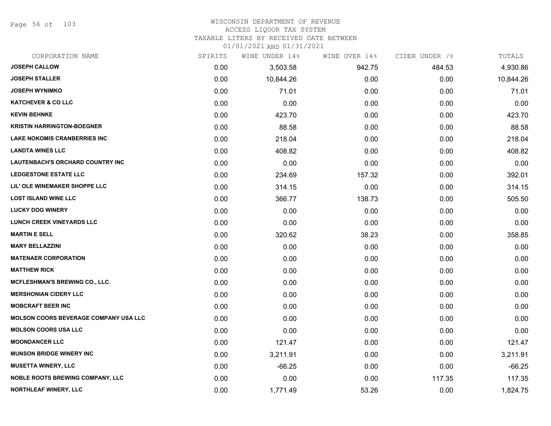Page 56 of 103

### WISCONSIN DEPARTMENT OF REVENUE

#### ACCESS LIQUOR TAX SYSTEM

TAXABLE LITERS BY RECEIVED DATE BETWEEN

| CORPORATION NAME                             | SPIRITS | WINE UNDER 14% | WINE OVER 14% | CIDER UNDER 7% | TOTALS    |
|----------------------------------------------|---------|----------------|---------------|----------------|-----------|
| <b>JOSEPH CALLOW</b>                         | 0.00    | 3,503.58       | 942.75        | 484.53         | 4,930.86  |
| <b>JOSEPH STALLER</b>                        | 0.00    | 10,844.26      | 0.00          | 0.00           | 10,844.26 |
| <b>JOSEPH WYNIMKO</b>                        | 0.00    | 71.01          | 0.00          | 0.00           | 71.01     |
| <b>KATCHEVER &amp; CO LLC</b>                | 0.00    | 0.00           | 0.00          | 0.00           | 0.00      |
| <b>KEVIN BEHNKE</b>                          | 0.00    | 423.70         | 0.00          | 0.00           | 423.70    |
| <b>KRISTIN HARRINGTON-BOEGNER</b>            | 0.00    | 88.58          | 0.00          | 0.00           | 88.58     |
| <b>LAKE NOKOMIS CRANBERRIES INC</b>          | 0.00    | 218.04         | 0.00          | 0.00           | 218.04    |
| <b>LANDTA WINES LLC</b>                      | 0.00    | 408.82         | 0.00          | 0.00           | 408.82    |
| LAUTENBACH'S ORCHARD COUNTRY INC             | 0.00    | 0.00           | 0.00          | 0.00           | 0.00      |
| <b>LEDGESTONE ESTATE LLC</b>                 | 0.00    | 234.69         | 157.32        | 0.00           | 392.01    |
| LIL' OLE WINEMAKER SHOPPE LLC                | 0.00    | 314.15         | 0.00          | 0.00           | 314.15    |
| <b>LOST ISLAND WINE LLC</b>                  | 0.00    | 366.77         | 138.73        | 0.00           | 505.50    |
| <b>LUCKY DOG WINERY</b>                      | 0.00    | 0.00           | 0.00          | 0.00           | 0.00      |
| <b>LUNCH CREEK VINEYARDS LLC</b>             | 0.00    | 0.00           | 0.00          | 0.00           | 0.00      |
| <b>MARTIN E SELL</b>                         | 0.00    | 320.62         | 38.23         | 0.00           | 358.85    |
| <b>MARY BELLAZZINI</b>                       | 0.00    | 0.00           | 0.00          | 0.00           | 0.00      |
| <b>MATENAER CORPORATION</b>                  | 0.00    | 0.00           | 0.00          | 0.00           | 0.00      |
| <b>MATTHEW RICK</b>                          | 0.00    | 0.00           | 0.00          | 0.00           | 0.00      |
| MCFLESHMAN'S BREWING CO., LLC.               | 0.00    | 0.00           | 0.00          | 0.00           | 0.00      |
| <b>MERSHONIAN CIDERY LLC</b>                 | 0.00    | 0.00           | 0.00          | 0.00           | 0.00      |
| <b>MOBCRAFT BEER INC</b>                     | 0.00    | 0.00           | 0.00          | 0.00           | 0.00      |
| <b>MOLSON COORS BEVERAGE COMPANY USA LLC</b> | 0.00    | 0.00           | 0.00          | 0.00           | 0.00      |
| <b>MOLSON COORS USA LLC</b>                  | 0.00    | 0.00           | 0.00          | 0.00           | 0.00      |
| <b>MOONDANCER LLC</b>                        | 0.00    | 121.47         | 0.00          | 0.00           | 121.47    |
| <b>MUNSON BRIDGE WINERY INC</b>              | 0.00    | 3,211.91       | 0.00          | 0.00           | 3,211.91  |
| <b>MUSETTA WINERY, LLC</b>                   | 0.00    | $-66.25$       | 0.00          | 0.00           | $-66.25$  |
| <b>NOBLE ROOTS BREWING COMPANY, LLC</b>      | 0.00    | 0.00           | 0.00          | 117.35         | 117.35    |
| NORTHLEAF WINERY, LLC                        | 0.00    | 1,771.49       | 53.26         | 0.00           | 1,824.75  |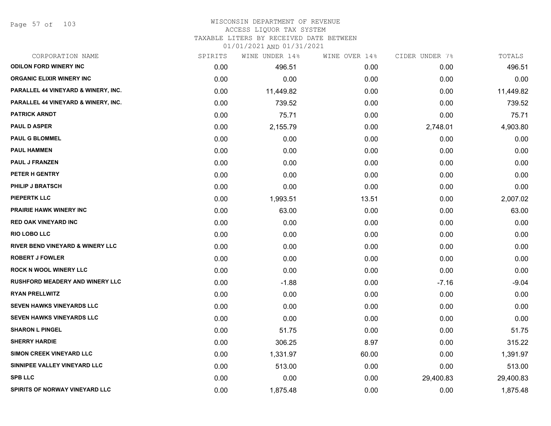Page 57 of 103

#### WISCONSIN DEPARTMENT OF REVENUE ACCESS LIQUOR TAX SYSTEM TAXABLE LITERS BY RECEIVED DATE BETWEEN

| CORPORATION NAME                            | SPIRITS | WINE UNDER 14% | WINE OVER 14% | CIDER UNDER 7% | TOTALS    |
|---------------------------------------------|---------|----------------|---------------|----------------|-----------|
| <b>ODILON FORD WINERY INC</b>               | 0.00    | 496.51         | 0.00          | 0.00           | 496.51    |
| <b>ORGANIC ELIXIR WINERY INC</b>            | 0.00    | 0.00           | 0.00          | 0.00           | 0.00      |
| PARALLEL 44 VINEYARD & WINERY, INC.         | 0.00    | 11,449.82      | 0.00          | 0.00           | 11,449.82 |
| PARALLEL 44 VINEYARD & WINERY, INC.         | 0.00    | 739.52         | 0.00          | 0.00           | 739.52    |
| <b>PATRICK ARNDT</b>                        | 0.00    | 75.71          | 0.00          | 0.00           | 75.71     |
| <b>PAUL D ASPER</b>                         | 0.00    | 2,155.79       | 0.00          | 2,748.01       | 4,903.80  |
| <b>PAUL G BLOMMEL</b>                       | 0.00    | 0.00           | 0.00          | 0.00           | 0.00      |
| <b>PAUL HAMMEN</b>                          | 0.00    | 0.00           | 0.00          | 0.00           | 0.00      |
| <b>PAUL J FRANZEN</b>                       | 0.00    | 0.00           | 0.00          | 0.00           | 0.00      |
| PETER H GENTRY                              | 0.00    | 0.00           | 0.00          | 0.00           | 0.00      |
| <b>PHILIP J BRATSCH</b>                     | 0.00    | 0.00           | 0.00          | 0.00           | 0.00      |
| <b>PIEPERTK LLC</b>                         | 0.00    | 1,993.51       | 13.51         | 0.00           | 2,007.02  |
| <b>PRAIRIE HAWK WINERY INC</b>              | 0.00    | 63.00          | 0.00          | 0.00           | 63.00     |
| <b>RED OAK VINEYARD INC</b>                 | 0.00    | 0.00           | 0.00          | 0.00           | 0.00      |
| <b>RIO LOBO LLC</b>                         | 0.00    | 0.00           | 0.00          | 0.00           | 0.00      |
| <b>RIVER BEND VINEYARD &amp; WINERY LLC</b> | 0.00    | 0.00           | 0.00          | 0.00           | 0.00      |
| <b>ROBERT J FOWLER</b>                      | 0.00    | 0.00           | 0.00          | 0.00           | 0.00      |
| <b>ROCK N WOOL WINERY LLC</b>               | 0.00    | 0.00           | 0.00          | 0.00           | 0.00      |
| <b>RUSHFORD MEADERY AND WINERY LLC</b>      | 0.00    | $-1.88$        | 0.00          | $-7.16$        | $-9.04$   |
| <b>RYAN PRELLWITZ</b>                       | 0.00    | 0.00           | 0.00          | 0.00           | 0.00      |
| SEVEN HAWKS VINEYARDS LLC                   | 0.00    | 0.00           | 0.00          | 0.00           | 0.00      |
| SEVEN HAWKS VINEYARDS LLC                   | 0.00    | 0.00           | 0.00          | 0.00           | 0.00      |
| <b>SHARON L PINGEL</b>                      | 0.00    | 51.75          | 0.00          | 0.00           | 51.75     |
| <b>SHERRY HARDIE</b>                        | 0.00    | 306.25         | 8.97          | 0.00           | 315.22    |
| SIMON CREEK VINEYARD LLC                    | 0.00    | 1,331.97       | 60.00         | 0.00           | 1,391.97  |
| SINNIPEE VALLEY VINEYARD LLC                | 0.00    | 513.00         | 0.00          | 0.00           | 513.00    |
| <b>SPB LLC</b>                              | 0.00    | 0.00           | 0.00          | 29,400.83      | 29,400.83 |
| SPIRITS OF NORWAY VINEYARD LLC              | 0.00    | 1,875.48       | 0.00          | 0.00           | 1,875.48  |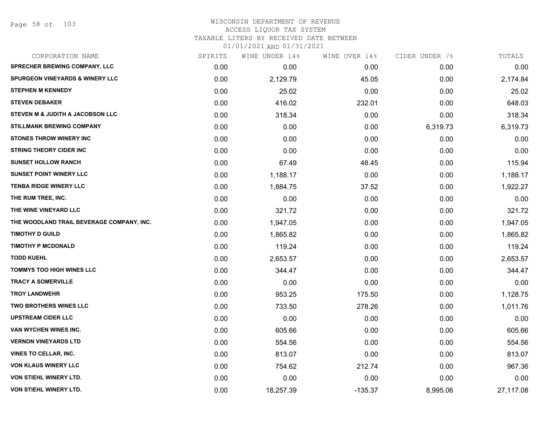Page 58 of 103

#### WISCONSIN DEPARTMENT OF REVENUE ACCESS LIQUOR TAX SYSTEM TAXABLE LITERS BY RECEIVED DATE BETWEEN

| CORPORATION NAME                           | SPIRITS | WINE UNDER 14% | WINE OVER 14% | CIDER UNDER 7% | TOTALS    |
|--------------------------------------------|---------|----------------|---------------|----------------|-----------|
| <b>SPRECHER BREWING COMPANY, LLC</b>       | 0.00    | 0.00           | 0.00          | 0.00           | 0.00      |
| <b>SPURGEON VINEYARDS &amp; WINERY LLC</b> | 0.00    | 2,129.79       | 45.05         | 0.00           | 2,174.84  |
| <b>STEPHEN M KENNEDY</b>                   | 0.00    | 25.02          | 0.00          | 0.00           | 25.02     |
| <b>STEVEN DEBAKER</b>                      | 0.00    | 416.02         | 232.01        | 0.00           | 648.03    |
| STEVEN M & JUDITH A JACOBSON LLC           | 0.00    | 318.34         | 0.00          | 0.00           | 318.34    |
| <b>STILLMANK BREWING COMPANY</b>           | 0.00    | 0.00           | 0.00          | 6,319.73       | 6,319.73  |
| <b>STONES THROW WINERY INC</b>             | 0.00    | 0.00           | 0.00          | 0.00           | 0.00      |
| <b>STRING THEORY CIDER INC</b>             | 0.00    | 0.00           | 0.00          | 0.00           | 0.00      |
| <b>SUNSET HOLLOW RANCH</b>                 | 0.00    | 67.49          | 48.45         | 0.00           | 115.94    |
| <b>SUNSET POINT WINERY LLC</b>             | 0.00    | 1,188.17       | 0.00          | 0.00           | 1,188.17  |
| <b>TENBA RIDGE WINERY LLC</b>              | 0.00    | 1,884.75       | 37.52         | 0.00           | 1,922.27  |
| THE RUM TREE, INC.                         | 0.00    | 0.00           | 0.00          | 0.00           | 0.00      |
| THE WINE VINEYARD LLC                      | 0.00    | 321.72         | 0.00          | 0.00           | 321.72    |
| THE WOODLAND TRAIL BEVERAGE COMPANY, INC.  | 0.00    | 1,947.05       | 0.00          | 0.00           | 1,947.05  |
| <b>TIMOTHY D GUILD</b>                     | 0.00    | 1,865.82       | 0.00          | 0.00           | 1,865.82  |
| <b>TIMOTHY P MCDONALD</b>                  | 0.00    | 119.24         | 0.00          | 0.00           | 119.24    |
| <b>TODD KUEHL</b>                          | 0.00    | 2,653.57       | 0.00          | 0.00           | 2,653.57  |
| <b>TOMMYS TOO HIGH WINES LLC</b>           | 0.00    | 344.47         | 0.00          | 0.00           | 344.47    |
| <b>TRACY A SOMERVILLE</b>                  | 0.00    | 0.00           | 0.00          | 0.00           | 0.00      |
| <b>TROY LANDWEHR</b>                       | 0.00    | 953.25         | 175.50        | 0.00           | 1,128.75  |
| <b>TWO BROTHERS WINES LLC</b>              | 0.00    | 733.50         | 278.26        | 0.00           | 1,011.76  |
| <b>UPSTREAM CIDER LLC</b>                  | 0.00    | 0.00           | 0.00          | 0.00           | 0.00      |
| VAN WYCHEN WINES INC.                      | 0.00    | 605.66         | 0.00          | 0.00           | 605.66    |
| <b>VERNON VINEYARDS LTD</b>                | 0.00    | 554.56         | 0.00          | 0.00           | 554.56    |
| <b>VINES TO CELLAR, INC.</b>               | 0.00    | 813.07         | 0.00          | 0.00           | 813.07    |
| <b>VON KLAUS WINERY LLC</b>                | 0.00    | 754.62         | 212.74        | 0.00           | 967.36    |
| <b>VON STIEHL WINERY LTD.</b>              | 0.00    | 0.00           | 0.00          | 0.00           | 0.00      |
| <b>VON STIEHL WINERY LTD.</b>              | 0.00    | 18,257.39      | $-135.37$     | 8,995.06       | 27,117.08 |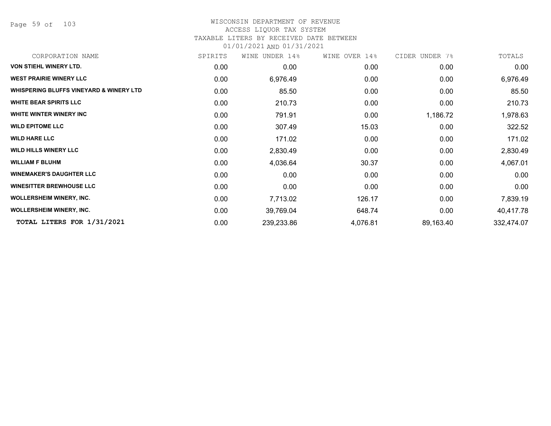Page 59 of 103

# WISCONSIN DEPARTMENT OF REVENUE

## ACCESS LIQUOR TAX SYSTEM

TAXABLE LITERS BY RECEIVED DATE BETWEEN

| CORPORATION NAME                        | SPIRITS | WINE UNDER 14% | WINE OVER 14% | CIDER UNDER 7% | TOTALS     |
|-----------------------------------------|---------|----------------|---------------|----------------|------------|
| <b>VON STIEHL WINERY LTD.</b>           | 0.00    | 0.00           | 0.00          | 0.00           | 0.00       |
| <b>WEST PRAIRIE WINERY LLC</b>          | 0.00    | 6,976.49       | 0.00          | 0.00           | 6,976.49   |
| WHISPERING BLUFFS VINEYARD & WINERY LTD | 0.00    | 85.50          | 0.00          | 0.00           | 85.50      |
| <b>WHITE BEAR SPIRITS LLC</b>           | 0.00    | 210.73         | 0.00          | 0.00           | 210.73     |
| WHITE WINTER WINERY INC                 | 0.00    | 791.91         | 0.00          | 1,186.72       | 1,978.63   |
| <b>WILD EPITOME LLC</b>                 | 0.00    | 307.49         | 15.03         | 0.00           | 322.52     |
| <b>WILD HARE LLC</b>                    | 0.00    | 171.02         | 0.00          | 0.00           | 171.02     |
| <b>WILD HILLS WINERY LLC</b>            | 0.00    | 2,830.49       | 0.00          | 0.00           | 2,830.49   |
| <b>WILLIAM F BLUHM</b>                  | 0.00    | 4,036.64       | 30.37         | 0.00           | 4,067.01   |
| <b>WINEMAKER'S DAUGHTER LLC</b>         | 0.00    | 0.00           | 0.00          | 0.00           | 0.00       |
| <b>WINESITTER BREWHOUSE LLC</b>         | 0.00    | 0.00           | 0.00          | 0.00           | 0.00       |
| <b>WOLLERSHEIM WINERY, INC.</b>         | 0.00    | 7,713.02       | 126.17        | 0.00           | 7,839.19   |
| <b>WOLLERSHEIM WINERY, INC.</b>         | 0.00    | 39,769.04      | 648.74        | 0.00           | 40,417.78  |
| TOTAL LITERS FOR 1/31/2021              | 0.00    | 239,233.86     | 4,076.81      | 89,163.40      | 332,474.07 |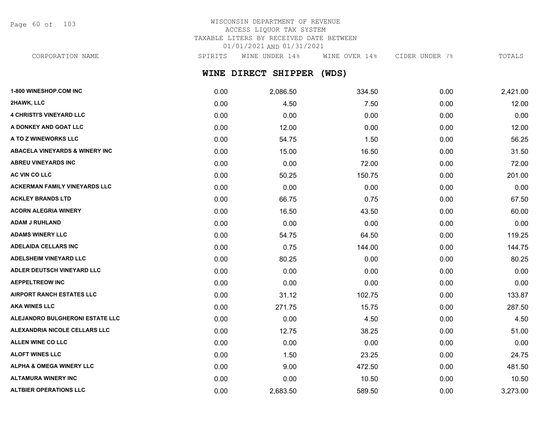Page 60 of 103

## WISCONSIN DEPARTMENT OF REVENUE ACCESS LIQUOR TAX SYSTEM TAXABLE LITERS BY RECEIVED DATE BETWEEN 01/01/2021 AND 01/31/2021

CORPORATION NAME SPIRITS WINE UNDER 14% WINE OVER 14% CIDER UNDER 7% TOTALS

## **WINE DIRECT SHIPPER (WDS)**

| 1-800 WINESHOP.COM INC                    | 0.00 | 2,086.50 | 334.50 | 0.00 | 2,421.00 |
|-------------------------------------------|------|----------|--------|------|----------|
| 2HAWK, LLC                                | 0.00 | 4.50     | 7.50   | 0.00 | 12.00    |
| <b>4 CHRISTI'S VINEYARD LLC</b>           | 0.00 | 0.00     | 0.00   | 0.00 | 0.00     |
| A DONKEY AND GOAT LLC                     | 0.00 | 12.00    | 0.00   | 0.00 | 12.00    |
| A TO Z WINEWORKS LLC                      | 0.00 | 54.75    | 1.50   | 0.00 | 56.25    |
| <b>ABACELA VINEYARDS &amp; WINERY INC</b> | 0.00 | 15.00    | 16.50  | 0.00 | 31.50    |
| <b>ABREU VINEYARDS INC</b>                | 0.00 | 0.00     | 72.00  | 0.00 | 72.00    |
| AC VIN CO LLC                             | 0.00 | 50.25    | 150.75 | 0.00 | 201.00   |
| <b>ACKERMAN FAMILY VINEYARDS LLC</b>      | 0.00 | 0.00     | 0.00   | 0.00 | 0.00     |
| <b>ACKLEY BRANDS LTD</b>                  | 0.00 | 66.75    | 0.75   | 0.00 | 67.50    |
| <b>ACORN ALEGRIA WINERY</b>               | 0.00 | 16.50    | 43.50  | 0.00 | 60.00    |
| <b>ADAM J RUHLAND</b>                     | 0.00 | 0.00     | 0.00   | 0.00 | 0.00     |
| <b>ADAMS WINERY LLC</b>                   | 0.00 | 54.75    | 64.50  | 0.00 | 119.25   |
| <b>ADELAIDA CELLARS INC</b>               | 0.00 | 0.75     | 144.00 | 0.00 | 144.75   |
| <b>ADELSHEIM VINEYARD LLC</b>             | 0.00 | 80.25    | 0.00   | 0.00 | 80.25    |
| ADLER DEUTSCH VINEYARD LLC                | 0.00 | 0.00     | 0.00   | 0.00 | 0.00     |
| <b>AEPPELTREOW INC</b>                    | 0.00 | 0.00     | 0.00   | 0.00 | 0.00     |
| <b>AIRPORT RANCH ESTATES LLC</b>          | 0.00 | 31.12    | 102.75 | 0.00 | 133.87   |
| <b>AKA WINES LLC</b>                      | 0.00 | 271.75   | 15.75  | 0.00 | 287.50   |
| ALEJANDRO BULGHERONI ESTATE LLC           | 0.00 | 0.00     | 4.50   | 0.00 | 4.50     |
| ALEXANDRIA NICOLE CELLARS LLC             | 0.00 | 12.75    | 38.25  | 0.00 | 51.00    |
| ALLEN WINE CO LLC                         | 0.00 | 0.00     | 0.00   | 0.00 | 0.00     |
| <b>ALOFT WINES LLC</b>                    | 0.00 | 1.50     | 23.25  | 0.00 | 24.75    |
| <b>ALPHA &amp; OMEGA WINERY LLC</b>       | 0.00 | 9.00     | 472.50 | 0.00 | 481.50   |
| <b>ALTAMURA WINERY INC</b>                | 0.00 | 0.00     | 10.50  | 0.00 | 10.50    |
| <b>ALTBIER OPERATIONS LLC</b>             | 0.00 | 2,683.50 | 589.50 | 0.00 | 3,273.00 |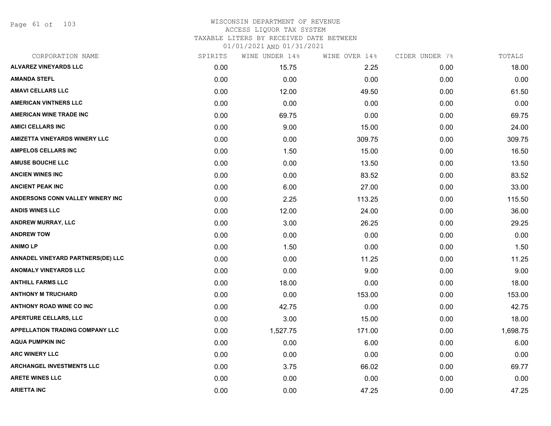Page 61 of 103

#### WISCONSIN DEPARTMENT OF REVENUE ACCESS LIQUOR TAX SYSTEM TAXABLE LITERS BY RECEIVED DATE BETWEEN

| CORPORATION NAME                       | SPIRITS | WINE UNDER 14% | WINE OVER 14% | CIDER UNDER 7% | TOTALS   |
|----------------------------------------|---------|----------------|---------------|----------------|----------|
| <b>ALVAREZ VINEYARDS LLC</b>           | 0.00    | 15.75          | 2.25          | 0.00           | 18.00    |
| <b>AMANDA STEFL</b>                    | 0.00    | 0.00           | 0.00          | 0.00           | 0.00     |
| <b>AMAVI CELLARS LLC</b>               | 0.00    | 12.00          | 49.50         | 0.00           | 61.50    |
| <b>AMERICAN VINTNERS LLC</b>           | 0.00    | 0.00           | 0.00          | 0.00           | 0.00     |
| <b>AMERICAN WINE TRADE INC</b>         | 0.00    | 69.75          | 0.00          | 0.00           | 69.75    |
| <b>AMICI CELLARS INC</b>               | 0.00    | 9.00           | 15.00         | 0.00           | 24.00    |
| <b>AMIZETTA VINEYARDS WINERY LLC</b>   | 0.00    | 0.00           | 309.75        | 0.00           | 309.75   |
| <b>AMPELOS CELLARS INC</b>             | 0.00    | 1.50           | 15.00         | 0.00           | 16.50    |
| <b>AMUSE BOUCHE LLC</b>                | 0.00    | 0.00           | 13.50         | 0.00           | 13.50    |
| <b>ANCIEN WINES INC</b>                | 0.00    | 0.00           | 83.52         | 0.00           | 83.52    |
| <b>ANCIENT PEAK INC</b>                | 0.00    | 6.00           | 27.00         | 0.00           | 33.00    |
| ANDERSONS CONN VALLEY WINERY INC       | 0.00    | 2.25           | 113.25        | 0.00           | 115.50   |
| <b>ANDIS WINES LLC</b>                 | 0.00    | 12.00          | 24.00         | 0.00           | 36.00    |
| <b>ANDREW MURRAY, LLC</b>              | 0.00    | 3.00           | 26.25         | 0.00           | 29.25    |
| <b>ANDREW TOW</b>                      | 0.00    | 0.00           | 0.00          | 0.00           | 0.00     |
| <b>ANIMOLP</b>                         | 0.00    | 1.50           | 0.00          | 0.00           | 1.50     |
| ANNADEL VINEYARD PARTNERS(DE) LLC      | 0.00    | 0.00           | 11.25         | 0.00           | 11.25    |
| <b>ANOMALY VINEYARDS LLC</b>           | 0.00    | 0.00           | 9.00          | 0.00           | 9.00     |
| <b>ANTHILL FARMS LLC</b>               | 0.00    | 18.00          | 0.00          | 0.00           | 18.00    |
| <b>ANTHONY M TRUCHARD</b>              | 0.00    | 0.00           | 153.00        | 0.00           | 153.00   |
| <b>ANTHONY ROAD WINE CO INC</b>        | 0.00    | 42.75          | 0.00          | 0.00           | 42.75    |
| APERTURE CELLARS, LLC                  | 0.00    | 3.00           | 15.00         | 0.00           | 18.00    |
| <b>APPELLATION TRADING COMPANY LLC</b> | 0.00    | 1,527.75       | 171.00        | 0.00           | 1,698.75 |
| <b>AQUA PUMPKIN INC</b>                | 0.00    | 0.00           | 6.00          | 0.00           | 6.00     |
| <b>ARC WINERY LLC</b>                  | 0.00    | 0.00           | 0.00          | 0.00           | 0.00     |
| <b>ARCHANGEL INVESTMENTS LLC</b>       | 0.00    | 3.75           | 66.02         | 0.00           | 69.77    |
| <b>ARETE WINES LLC</b>                 | 0.00    | 0.00           | 0.00          | 0.00           | 0.00     |
| <b>ARIETTA INC</b>                     | 0.00    | 0.00           | 47.25         | 0.00           | 47.25    |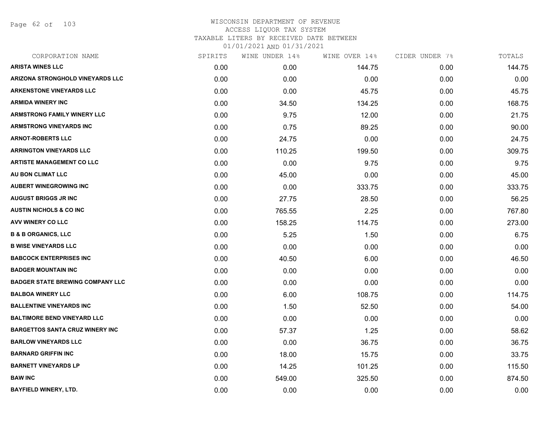Page 62 of 103

| CORPORATION NAME                        | SPIRITS | WINE UNDER 14% | WINE OVER 14% | CIDER UNDER 7% | TOTALS |
|-----------------------------------------|---------|----------------|---------------|----------------|--------|
| <b>ARISTA WINES LLC</b>                 | 0.00    | 0.00           | 144.75        | 0.00           | 144.75 |
| ARIZONA STRONGHOLD VINEYARDS LLC        | 0.00    | 0.00           | 0.00          | 0.00           | 0.00   |
| <b>ARKENSTONE VINEYARDS LLC</b>         | 0.00    | 0.00           | 45.75         | 0.00           | 45.75  |
| <b>ARMIDA WINERY INC</b>                | 0.00    | 34.50          | 134.25        | 0.00           | 168.75 |
| <b>ARMSTRONG FAMILY WINERY LLC</b>      | 0.00    | 9.75           | 12.00         | 0.00           | 21.75  |
| <b>ARMSTRONG VINEYARDS INC</b>          | 0.00    | 0.75           | 89.25         | 0.00           | 90.00  |
| <b>ARNOT-ROBERTS LLC</b>                | 0.00    | 24.75          | 0.00          | 0.00           | 24.75  |
| <b>ARRINGTON VINEYARDS LLC</b>          | 0.00    | 110.25         | 199.50        | 0.00           | 309.75 |
| <b>ARTISTE MANAGEMENT CO LLC</b>        | 0.00    | 0.00           | 9.75          | 0.00           | 9.75   |
| AU BON CLIMAT LLC                       | 0.00    | 45.00          | 0.00          | 0.00           | 45.00  |
| <b>AUBERT WINEGROWING INC</b>           | 0.00    | 0.00           | 333.75        | 0.00           | 333.75 |
| <b>AUGUST BRIGGS JR INC</b>             | 0.00    | 27.75          | 28.50         | 0.00           | 56.25  |
| <b>AUSTIN NICHOLS &amp; CO INC</b>      | 0.00    | 765.55         | 2.25          | 0.00           | 767.80 |
| <b>AVV WINERY CO LLC</b>                | 0.00    | 158.25         | 114.75        | 0.00           | 273.00 |
| <b>B &amp; B ORGANICS, LLC</b>          | 0.00    | 5.25           | 1.50          | 0.00           | 6.75   |
| <b>B WISE VINEYARDS LLC</b>             | 0.00    | 0.00           | 0.00          | 0.00           | 0.00   |
| <b>BABCOCK ENTERPRISES INC</b>          | 0.00    | 40.50          | 6.00          | 0.00           | 46.50  |
| <b>BADGER MOUNTAIN INC</b>              | 0.00    | 0.00           | 0.00          | 0.00           | 0.00   |
| <b>BADGER STATE BREWING COMPANY LLC</b> | 0.00    | 0.00           | 0.00          | 0.00           | 0.00   |
| <b>BALBOA WINERY LLC</b>                | 0.00    | 6.00           | 108.75        | 0.00           | 114.75 |
| <b>BALLENTINE VINEYARDS INC</b>         | 0.00    | 1.50           | 52.50         | 0.00           | 54.00  |
| <b>BALTIMORE BEND VINEYARD LLC</b>      | 0.00    | 0.00           | 0.00          | 0.00           | 0.00   |
| <b>BARGETTOS SANTA CRUZ WINERY INC</b>  | 0.00    | 57.37          | 1.25          | 0.00           | 58.62  |
| <b>BARLOW VINEYARDS LLC</b>             | 0.00    | 0.00           | 36.75         | 0.00           | 36.75  |
| <b>BARNARD GRIFFIN INC</b>              | 0.00    | 18.00          | 15.75         | 0.00           | 33.75  |
| <b>BARNETT VINEYARDS LP</b>             | 0.00    | 14.25          | 101.25        | 0.00           | 115.50 |
| <b>BAW INC</b>                          | 0.00    | 549.00         | 325.50        | 0.00           | 874.50 |
| <b>BAYFIELD WINERY, LTD.</b>            | 0.00    | 0.00           | 0.00          | 0.00           | 0.00   |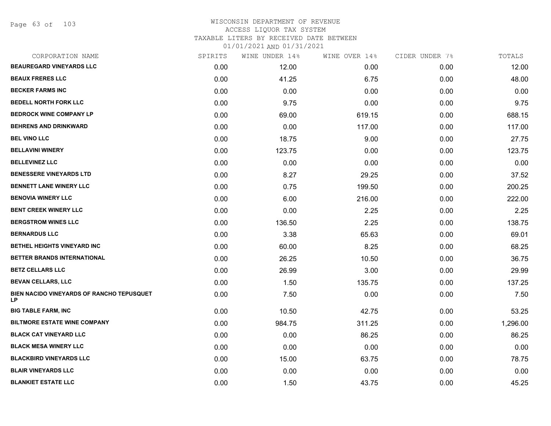Page 63 of 103

### WISCONSIN DEPARTMENT OF REVENUE ACCESS LIQUOR TAX SYSTEM TAXABLE LITERS BY RECEIVED DATE BETWEEN

| CORPORATION NAME                                 | SPIRITS | WINE UNDER 14% | WINE OVER 14% | CIDER UNDER 7% | TOTALS   |
|--------------------------------------------------|---------|----------------|---------------|----------------|----------|
| <b>BEAUREGARD VINEYARDS LLC</b>                  | 0.00    | 12.00          | 0.00          | 0.00           | 12.00    |
| <b>BEAUX FRERES LLC</b>                          | 0.00    | 41.25          | 6.75          | 0.00           | 48.00    |
| <b>BECKER FARMS INC</b>                          | 0.00    | 0.00           | 0.00          | 0.00           | 0.00     |
| <b>BEDELL NORTH FORK LLC</b>                     | 0.00    | 9.75           | 0.00          | 0.00           | 9.75     |
| <b>BEDROCK WINE COMPANY LP</b>                   | 0.00    | 69.00          | 619.15        | 0.00           | 688.15   |
| <b>BEHRENS AND DRINKWARD</b>                     | 0.00    | 0.00           | 117.00        | 0.00           | 117.00   |
| <b>BEL VINO LLC</b>                              | 0.00    | 18.75          | 9.00          | 0.00           | 27.75    |
| <b>BELLAVINI WINERY</b>                          | 0.00    | 123.75         | 0.00          | 0.00           | 123.75   |
| <b>BELLEVINEZ LLC</b>                            | 0.00    | 0.00           | 0.00          | 0.00           | 0.00     |
| <b>BENESSERE VINEYARDS LTD</b>                   | 0.00    | 8.27           | 29.25         | 0.00           | 37.52    |
| <b>BENNETT LANE WINERY LLC</b>                   | 0.00    | 0.75           | 199.50        | 0.00           | 200.25   |
| <b>BENOVIA WINERY LLC</b>                        | 0.00    | 6.00           | 216.00        | 0.00           | 222.00   |
| <b>BENT CREEK WINERY LLC</b>                     | 0.00    | 0.00           | 2.25          | 0.00           | 2.25     |
| <b>BERGSTROM WINES LLC</b>                       | 0.00    | 136.50         | 2.25          | 0.00           | 138.75   |
| <b>BERNARDUS LLC</b>                             | 0.00    | 3.38           | 65.63         | 0.00           | 69.01    |
| BETHEL HEIGHTS VINEYARD INC                      | 0.00    | 60.00          | 8.25          | 0.00           | 68.25    |
| <b>BETTER BRANDS INTERNATIONAL</b>               | 0.00    | 26.25          | 10.50         | 0.00           | 36.75    |
| <b>BETZ CELLARS LLC</b>                          | 0.00    | 26.99          | 3.00          | 0.00           | 29.99    |
| <b>BEVAN CELLARS, LLC</b>                        | 0.00    | 1.50           | 135.75        | 0.00           | 137.25   |
| BIEN NACIDO VINEYARDS OF RANCHO TEPUSQUET<br>LP. | 0.00    | 7.50           | 0.00          | 0.00           | 7.50     |
| <b>BIG TABLE FARM, INC</b>                       | 0.00    | 10.50          | 42.75         | 0.00           | 53.25    |
| <b>BILTMORE ESTATE WINE COMPANY</b>              | 0.00    | 984.75         | 311.25        | 0.00           | 1,296.00 |
| <b>BLACK CAT VINEYARD LLC</b>                    | 0.00    | 0.00           | 86.25         | 0.00           | 86.25    |
| <b>BLACK MESA WINERY LLC</b>                     | 0.00    | 0.00           | 0.00          | 0.00           | 0.00     |
| <b>BLACKBIRD VINEYARDS LLC</b>                   | 0.00    | 15.00          | 63.75         | 0.00           | 78.75    |
| <b>BLAIR VINEYARDS LLC</b>                       | 0.00    | 0.00           | 0.00          | 0.00           | 0.00     |
| <b>BLANKIET ESTATE LLC</b>                       | 0.00    | 1.50           | 43.75         | 0.00           | 45.25    |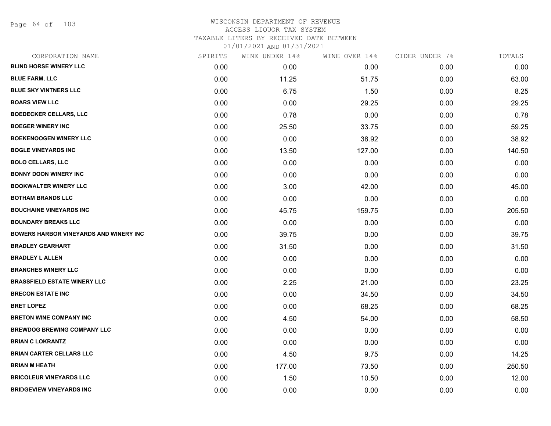Page 64 of 103

### WISCONSIN DEPARTMENT OF REVENUE ACCESS LIQUOR TAX SYSTEM TAXABLE LITERS BY RECEIVED DATE BETWEEN

| CORPORATION NAME                              | SPIRITS | WINE UNDER 14% | WINE OVER 14% | CIDER UNDER 7% | TOTALS |
|-----------------------------------------------|---------|----------------|---------------|----------------|--------|
| <b>BLIND HORSE WINERY LLC</b>                 | 0.00    | 0.00           | 0.00          | 0.00           | 0.00   |
| <b>BLUE FARM, LLC</b>                         | 0.00    | 11.25          | 51.75         | 0.00           | 63.00  |
| <b>BLUE SKY VINTNERS LLC</b>                  | 0.00    | 6.75           | 1.50          | 0.00           | 8.25   |
| <b>BOARS VIEW LLC</b>                         | 0.00    | 0.00           | 29.25         | 0.00           | 29.25  |
| <b>BOEDECKER CELLARS, LLC</b>                 | 0.00    | 0.78           | 0.00          | 0.00           | 0.78   |
| <b>BOEGER WINERY INC</b>                      | 0.00    | 25.50          | 33.75         | 0.00           | 59.25  |
| <b>BOEKENOOGEN WINERY LLC</b>                 | 0.00    | 0.00           | 38.92         | 0.00           | 38.92  |
| <b>BOGLE VINEYARDS INC</b>                    | 0.00    | 13.50          | 127.00        | 0.00           | 140.50 |
| <b>BOLO CELLARS, LLC</b>                      | 0.00    | 0.00           | 0.00          | 0.00           | 0.00   |
| <b>BONNY DOON WINERY INC</b>                  | 0.00    | 0.00           | 0.00          | 0.00           | 0.00   |
| <b>BOOKWALTER WINERY LLC</b>                  | 0.00    | 3.00           | 42.00         | 0.00           | 45.00  |
| <b>BOTHAM BRANDS LLC</b>                      | 0.00    | 0.00           | 0.00          | 0.00           | 0.00   |
| <b>BOUCHAINE VINEYARDS INC</b>                | 0.00    | 45.75          | 159.75        | 0.00           | 205.50 |
| <b>BOUNDARY BREAKS LLC</b>                    | 0.00    | 0.00           | 0.00          | 0.00           | 0.00   |
| <b>BOWERS HARBOR VINEYARDS AND WINERY INC</b> | 0.00    | 39.75          | 0.00          | 0.00           | 39.75  |
| <b>BRADLEY GEARHART</b>                       | 0.00    | 31.50          | 0.00          | 0.00           | 31.50  |
| <b>BRADLEY L ALLEN</b>                        | 0.00    | 0.00           | 0.00          | 0.00           | 0.00   |
| <b>BRANCHES WINERY LLC</b>                    | 0.00    | 0.00           | 0.00          | 0.00           | 0.00   |
| <b>BRASSFIELD ESTATE WINERY LLC</b>           | 0.00    | 2.25           | 21.00         | 0.00           | 23.25  |
| <b>BRECON ESTATE INC</b>                      | 0.00    | 0.00           | 34.50         | 0.00           | 34.50  |
| <b>BRET LOPEZ</b>                             | 0.00    | 0.00           | 68.25         | 0.00           | 68.25  |
| <b>BRETON WINE COMPANY INC</b>                | 0.00    | 4.50           | 54.00         | 0.00           | 58.50  |
| <b>BREWDOG BREWING COMPANY LLC</b>            | 0.00    | 0.00           | 0.00          | 0.00           | 0.00   |
| <b>BRIAN C LOKRANTZ</b>                       | 0.00    | 0.00           | 0.00          | 0.00           | 0.00   |
| <b>BRIAN CARTER CELLARS LLC</b>               | 0.00    | 4.50           | 9.75          | 0.00           | 14.25  |
| <b>BRIAN M HEATH</b>                          | 0.00    | 177.00         | 73.50         | 0.00           | 250.50 |
| <b>BRICOLEUR VINEYARDS LLC</b>                | 0.00    | 1.50           | 10.50         | 0.00           | 12.00  |
| <b>BRIDGEVIEW VINEYARDS INC</b>               | 0.00    | 0.00           | 0.00          | 0.00           | 0.00   |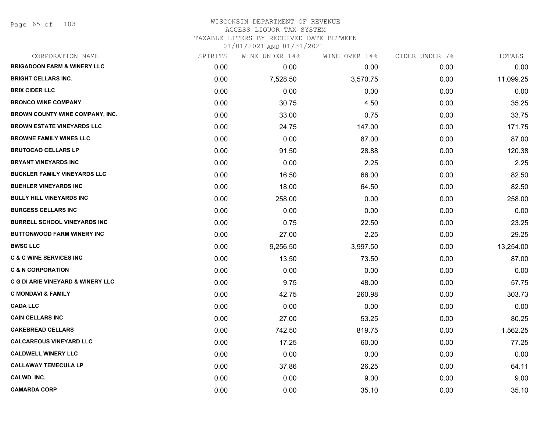# WISCONSIN DEPARTMENT OF REVENUE ACCESS LIQUOR TAX SYSTEM

TAXABLE LITERS BY RECEIVED DATE BETWEEN

| CORPORATION NAME                             | SPIRITS | WINE UNDER 14% | WINE OVER 14% | CIDER UNDER 7% | TOTALS    |
|----------------------------------------------|---------|----------------|---------------|----------------|-----------|
| <b>BRIGADOON FARM &amp; WINERY LLC</b>       | 0.00    | 0.00           | 0.00          | 0.00           | 0.00      |
| <b>BRIGHT CELLARS INC.</b>                   | 0.00    | 7,528.50       | 3,570.75      | 0.00           | 11,099.25 |
| <b>BRIX CIDER LLC</b>                        | 0.00    | 0.00           | 0.00          | 0.00           | 0.00      |
| <b>BRONCO WINE COMPANY</b>                   | 0.00    | 30.75          | 4.50          | 0.00           | 35.25     |
| BROWN COUNTY WINE COMPANY, INC.              | 0.00    | 33.00          | 0.75          | 0.00           | 33.75     |
| <b>BROWN ESTATE VINEYARDS LLC</b>            | 0.00    | 24.75          | 147.00        | 0.00           | 171.75    |
| <b>BROWNE FAMILY WINES LLC</b>               | 0.00    | 0.00           | 87.00         | 0.00           | 87.00     |
| <b>BRUTOCAO CELLARS LP</b>                   | 0.00    | 91.50          | 28.88         | 0.00           | 120.38    |
| <b>BRYANT VINEYARDS INC</b>                  | 0.00    | 0.00           | 2.25          | 0.00           | 2.25      |
| <b>BUCKLER FAMILY VINEYARDS LLC</b>          | 0.00    | 16.50          | 66.00         | 0.00           | 82.50     |
| <b>BUEHLER VINEYARDS INC</b>                 | 0.00    | 18.00          | 64.50         | 0.00           | 82.50     |
| <b>BULLY HILL VINEYARDS INC</b>              | 0.00    | 258.00         | 0.00          | 0.00           | 258.00    |
| <b>BURGESS CELLARS INC</b>                   | 0.00    | 0.00           | 0.00          | 0.00           | 0.00      |
| <b>BURRELL SCHOOL VINEYARDS INC</b>          | 0.00    | 0.75           | 22.50         | 0.00           | 23.25     |
| <b>BUTTONWOOD FARM WINERY INC</b>            | 0.00    | 27.00          | 2.25          | 0.00           | 29.25     |
| <b>BWSC LLC</b>                              | 0.00    | 9,256.50       | 3,997.50      | 0.00           | 13,254.00 |
| <b>C &amp; C WINE SERVICES INC</b>           | 0.00    | 13.50          | 73.50         | 0.00           | 87.00     |
| <b>C &amp; N CORPORATION</b>                 | 0.00    | 0.00           | 0.00          | 0.00           | 0.00      |
| <b>C G DI ARIE VINEYARD &amp; WINERY LLC</b> | 0.00    | 9.75           | 48.00         | 0.00           | 57.75     |
| <b>C MONDAVI &amp; FAMILY</b>                | 0.00    | 42.75          | 260.98        | 0.00           | 303.73    |
| <b>CADA LLC</b>                              | 0.00    | 0.00           | 0.00          | 0.00           | 0.00      |
| <b>CAIN CELLARS INC</b>                      | 0.00    | 27.00          | 53.25         | 0.00           | 80.25     |
| <b>CAKEBREAD CELLARS</b>                     | 0.00    | 742.50         | 819.75        | 0.00           | 1,562.25  |
| <b>CALCAREOUS VINEYARD LLC</b>               | 0.00    | 17.25          | 60.00         | 0.00           | 77.25     |
| <b>CALDWELL WINERY LLC</b>                   | 0.00    | 0.00           | 0.00          | 0.00           | 0.00      |
| <b>CALLAWAY TEMECULA LP</b>                  | 0.00    | 37.86          | 26.25         | 0.00           | 64.11     |
| CALWD, INC.                                  | 0.00    | 0.00           | 9.00          | 0.00           | 9.00      |
| <b>CAMARDA CORP</b>                          | 0.00    | 0.00           | 35.10         | 0.00           | 35.10     |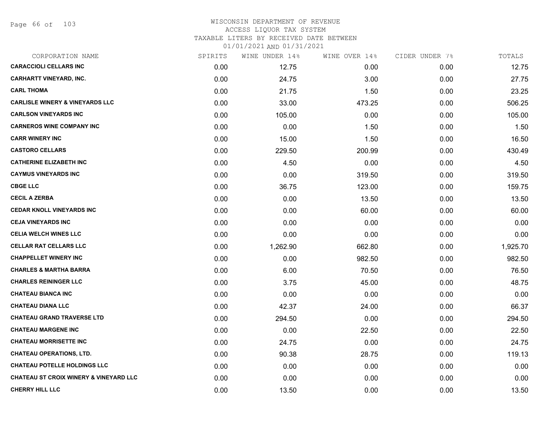Page 66 of 103

#### WISCONSIN DEPARTMENT OF REVENUE ACCESS LIQUOR TAX SYSTEM TAXABLE LITERS BY RECEIVED DATE BETWEEN

| CORPORATION NAME                                  | SPIRITS | WINE UNDER 14% | WINE OVER 14% | CIDER UNDER 7% | TOTALS   |
|---------------------------------------------------|---------|----------------|---------------|----------------|----------|
| <b>CARACCIOLI CELLARS INC</b>                     | 0.00    | 12.75          | 0.00          | 0.00           | 12.75    |
| <b>CARHARTT VINEYARD, INC.</b>                    | 0.00    | 24.75          | 3.00          | 0.00           | 27.75    |
| <b>CARL THOMA</b>                                 | 0.00    | 21.75          | 1.50          | 0.00           | 23.25    |
| <b>CARLISLE WINERY &amp; VINEYARDS LLC</b>        | 0.00    | 33.00          | 473.25        | 0.00           | 506.25   |
| <b>CARLSON VINEYARDS INC</b>                      | 0.00    | 105.00         | 0.00          | 0.00           | 105.00   |
| <b>CARNEROS WINE COMPANY INC</b>                  | 0.00    | 0.00           | 1.50          | 0.00           | 1.50     |
| <b>CARR WINERY INC</b>                            | 0.00    | 15.00          | 1.50          | 0.00           | 16.50    |
| <b>CASTORO CELLARS</b>                            | 0.00    | 229.50         | 200.99        | 0.00           | 430.49   |
| <b>CATHERINE ELIZABETH INC</b>                    | 0.00    | 4.50           | 0.00          | 0.00           | 4.50     |
| <b>CAYMUS VINEYARDS INC</b>                       | 0.00    | 0.00           | 319.50        | 0.00           | 319.50   |
| <b>CBGE LLC</b>                                   | 0.00    | 36.75          | 123.00        | 0.00           | 159.75   |
| <b>CECIL A ZERBA</b>                              | 0.00    | 0.00           | 13.50         | 0.00           | 13.50    |
| <b>CEDAR KNOLL VINEYARDS INC</b>                  | 0.00    | 0.00           | 60.00         | 0.00           | 60.00    |
| <b>CEJA VINEYARDS INC</b>                         | 0.00    | 0.00           | 0.00          | 0.00           | 0.00     |
| <b>CELIA WELCH WINES LLC</b>                      | 0.00    | 0.00           | 0.00          | 0.00           | 0.00     |
| <b>CELLAR RAT CELLARS LLC</b>                     | 0.00    | 1,262.90       | 662.80        | 0.00           | 1,925.70 |
| <b>CHAPPELLET WINERY INC</b>                      | 0.00    | 0.00           | 982.50        | 0.00           | 982.50   |
| <b>CHARLES &amp; MARTHA BARRA</b>                 | 0.00    | 6.00           | 70.50         | 0.00           | 76.50    |
| <b>CHARLES REININGER LLC</b>                      | 0.00    | 3.75           | 45.00         | 0.00           | 48.75    |
| <b>CHATEAU BIANCA INC</b>                         | 0.00    | 0.00           | 0.00          | 0.00           | 0.00     |
| <b>CHATEAU DIANA LLC</b>                          | 0.00    | 42.37          | 24.00         | 0.00           | 66.37    |
| <b>CHATEAU GRAND TRAVERSE LTD</b>                 | 0.00    | 294.50         | 0.00          | 0.00           | 294.50   |
| <b>CHATEAU MARGENE INC</b>                        | 0.00    | 0.00           | 22.50         | 0.00           | 22.50    |
| <b>CHATEAU MORRISETTE INC</b>                     | 0.00    | 24.75          | 0.00          | 0.00           | 24.75    |
| <b>CHATEAU OPERATIONS, LTD.</b>                   | 0.00    | 90.38          | 28.75         | 0.00           | 119.13   |
| <b>CHATEAU POTELLE HOLDINGS LLC</b>               | 0.00    | 0.00           | 0.00          | 0.00           | 0.00     |
| <b>CHATEAU ST CROIX WINERY &amp; VINEYARD LLC</b> | 0.00    | 0.00           | 0.00          | 0.00           | 0.00     |
| <b>CHERRY HILL LLC</b>                            | 0.00    | 13.50          | 0.00          | 0.00           | 13.50    |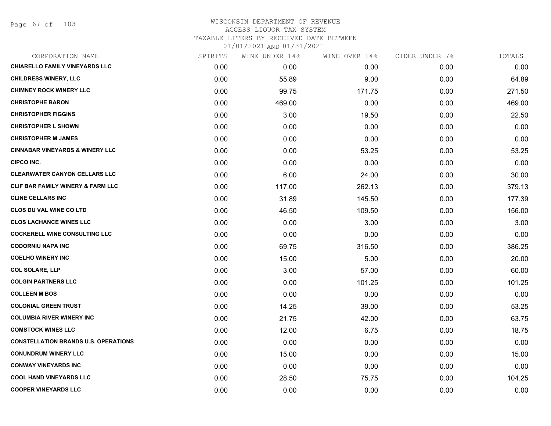Page 67 of 103

| CORPORATION NAME                            | SPIRITS | WINE UNDER 14% | WINE OVER 14% | CIDER UNDER 7% | TOTALS |
|---------------------------------------------|---------|----------------|---------------|----------------|--------|
| <b>CHIARELLO FAMILY VINEYARDS LLC</b>       | 0.00    | 0.00           | 0.00          | 0.00           | 0.00   |
| <b>CHILDRESS WINERY, LLC</b>                | 0.00    | 55.89          | 9.00          | 0.00           | 64.89  |
| <b>CHIMNEY ROCK WINERY LLC</b>              | 0.00    | 99.75          | 171.75        | 0.00           | 271.50 |
| <b>CHRISTOPHE BARON</b>                     | 0.00    | 469.00         | 0.00          | 0.00           | 469.00 |
| <b>CHRISTOPHER FIGGINS</b>                  | 0.00    | 3.00           | 19.50         | 0.00           | 22.50  |
| <b>CHRISTOPHER L SHOWN</b>                  | 0.00    | 0.00           | 0.00          | 0.00           | 0.00   |
| <b>CHRISTOPHER M JAMES</b>                  | 0.00    | 0.00           | 0.00          | 0.00           | 0.00   |
| <b>CINNABAR VINEYARDS &amp; WINERY LLC</b>  | 0.00    | 0.00           | 53.25         | 0.00           | 53.25  |
| <b>CIPCO INC.</b>                           | 0.00    | 0.00           | 0.00          | 0.00           | 0.00   |
| <b>CLEARWATER CANYON CELLARS LLC</b>        | 0.00    | 6.00           | 24.00         | 0.00           | 30.00  |
| CLIF BAR FAMILY WINERY & FARM LLC           | 0.00    | 117.00         | 262.13        | 0.00           | 379.13 |
| <b>CLINE CELLARS INC</b>                    | 0.00    | 31.89          | 145.50        | 0.00           | 177.39 |
| <b>CLOS DU VAL WINE CO LTD</b>              | 0.00    | 46.50          | 109.50        | 0.00           | 156.00 |
| <b>CLOS LACHANCE WINES LLC</b>              | 0.00    | 0.00           | 3.00          | 0.00           | 3.00   |
| <b>COCKERELL WINE CONSULTING LLC</b>        | 0.00    | 0.00           | 0.00          | 0.00           | 0.00   |
| <b>CODORNIU NAPA INC</b>                    | 0.00    | 69.75          | 316.50        | 0.00           | 386.25 |
| <b>COELHO WINERY INC</b>                    | 0.00    | 15.00          | 5.00          | 0.00           | 20.00  |
| <b>COL SOLARE, LLP</b>                      | 0.00    | 3.00           | 57.00         | 0.00           | 60.00  |
| <b>COLGIN PARTNERS LLC</b>                  | 0.00    | 0.00           | 101.25        | 0.00           | 101.25 |
| <b>COLLEEN M BOS</b>                        | 0.00    | 0.00           | 0.00          | 0.00           | 0.00   |
| <b>COLONIAL GREEN TRUST</b>                 | 0.00    | 14.25          | 39.00         | 0.00           | 53.25  |
| <b>COLUMBIA RIVER WINERY INC</b>            | 0.00    | 21.75          | 42.00         | 0.00           | 63.75  |
| <b>COMSTOCK WINES LLC</b>                   | 0.00    | 12.00          | 6.75          | 0.00           | 18.75  |
| <b>CONSTELLATION BRANDS U.S. OPERATIONS</b> | 0.00    | 0.00           | 0.00          | 0.00           | 0.00   |
| <b>CONUNDRUM WINERY LLC</b>                 | 0.00    | 15.00          | 0.00          | 0.00           | 15.00  |
| <b>CONWAY VINEYARDS INC</b>                 | 0.00    | 0.00           | 0.00          | 0.00           | 0.00   |
| <b>COOL HAND VINEYARDS LLC</b>              | 0.00    | 28.50          | 75.75         | 0.00           | 104.25 |
| <b>COOPER VINEYARDS LLC</b>                 | 0.00    | 0.00           | 0.00          | 0.00           | 0.00   |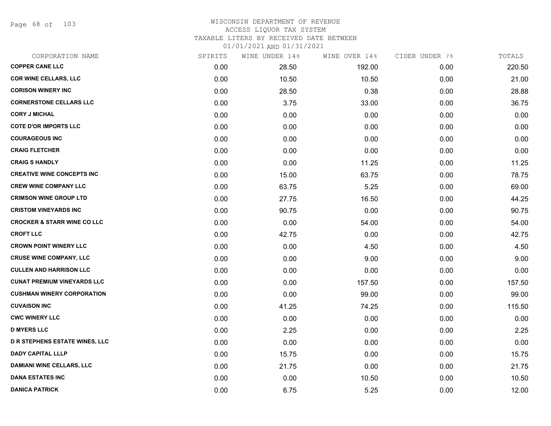Page 68 of 103

#### WISCONSIN DEPARTMENT OF REVENUE ACCESS LIQUOR TAX SYSTEM TAXABLE LITERS BY RECEIVED DATE BETWEEN

| CORPORATION NAME                       | SPIRITS | WINE UNDER 14% | WINE OVER 14% | CIDER UNDER 7% | TOTALS |
|----------------------------------------|---------|----------------|---------------|----------------|--------|
| <b>COPPER CANE LLC</b>                 | 0.00    | 28.50          | 192.00        | 0.00           | 220.50 |
| <b>COR WINE CELLARS, LLC</b>           | 0.00    | 10.50          | 10.50         | 0.00           | 21.00  |
| <b>CORISON WINERY INC</b>              | 0.00    | 28.50          | 0.38          | 0.00           | 28.88  |
| <b>CORNERSTONE CELLARS LLC</b>         | 0.00    | 3.75           | 33.00         | 0.00           | 36.75  |
| <b>CORY J MICHAL</b>                   | 0.00    | 0.00           | 0.00          | 0.00           | 0.00   |
| <b>COTE D'OR IMPORTS LLC</b>           | 0.00    | 0.00           | 0.00          | 0.00           | 0.00   |
| <b>COURAGEOUS INC</b>                  | 0.00    | 0.00           | 0.00          | 0.00           | 0.00   |
| <b>CRAIG FLETCHER</b>                  | 0.00    | 0.00           | 0.00          | 0.00           | 0.00   |
| <b>CRAIG S HANDLY</b>                  | 0.00    | 0.00           | 11.25         | 0.00           | 11.25  |
| <b>CREATIVE WINE CONCEPTS INC</b>      | 0.00    | 15.00          | 63.75         | 0.00           | 78.75  |
| <b>CREW WINE COMPANY LLC</b>           | 0.00    | 63.75          | 5.25          | 0.00           | 69.00  |
| <b>CRIMSON WINE GROUP LTD</b>          | 0.00    | 27.75          | 16.50         | 0.00           | 44.25  |
| <b>CRISTOM VINEYARDS INC</b>           | 0.00    | 90.75          | 0.00          | 0.00           | 90.75  |
| <b>CROCKER &amp; STARR WINE CO LLC</b> | 0.00    | 0.00           | 54.00         | 0.00           | 54.00  |
| <b>CROFT LLC</b>                       | 0.00    | 42.75          | 0.00          | 0.00           | 42.75  |
| <b>CROWN POINT WINERY LLC</b>          | 0.00    | 0.00           | 4.50          | 0.00           | 4.50   |
| <b>CRUSE WINE COMPANY, LLC</b>         | 0.00    | 0.00           | 9.00          | 0.00           | 9.00   |
| <b>CULLEN AND HARRISON LLC</b>         | 0.00    | 0.00           | 0.00          | 0.00           | 0.00   |
| <b>CUNAT PREMIUM VINEYARDS LLC</b>     | 0.00    | 0.00           | 157.50        | 0.00           | 157.50 |
| <b>CUSHMAN WINERY CORPORATION</b>      | 0.00    | 0.00           | 99.00         | 0.00           | 99.00  |
| <b>CUVAISON INC</b>                    | 0.00    | 41.25          | 74.25         | 0.00           | 115.50 |
| <b>CWC WINERY LLC</b>                  | 0.00    | 0.00           | 0.00          | 0.00           | 0.00   |
| <b>D MYERS LLC</b>                     | 0.00    | 2.25           | 0.00          | 0.00           | 2.25   |
| <b>D R STEPHENS ESTATE WINES, LLC</b>  | 0.00    | 0.00           | 0.00          | 0.00           | 0.00   |
| <b>DADY CAPITAL LLLP</b>               | 0.00    | 15.75          | 0.00          | 0.00           | 15.75  |
| <b>DAMIANI WINE CELLARS, LLC</b>       | 0.00    | 21.75          | 0.00          | 0.00           | 21.75  |
| <b>DANA ESTATES INC</b>                | 0.00    | 0.00           | 10.50         | 0.00           | 10.50  |
| <b>DANICA PATRICK</b>                  | 0.00    | 6.75           | 5.25          | 0.00           | 12.00  |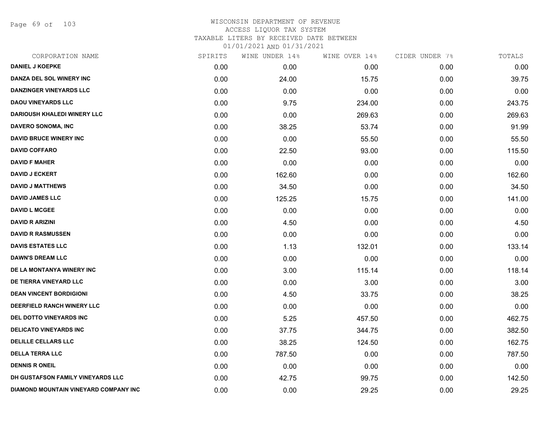Page 69 of 103

| CORPORATION NAME                      | SPIRITS | WINE UNDER 14% | WINE OVER 14% | CIDER UNDER 7% | TOTALS |
|---------------------------------------|---------|----------------|---------------|----------------|--------|
| <b>DANIEL J KOEPKE</b>                | 0.00    | 0.00           | 0.00          | 0.00           | 0.00   |
| DANZA DEL SOL WINERY INC              | 0.00    | 24.00          | 15.75         | 0.00           | 39.75  |
| DANZINGER VINEYARDS LLC               | 0.00    | 0.00           | 0.00          | 0.00           | 0.00   |
| <b>DAOU VINEYARDS LLC</b>             | 0.00    | 9.75           | 234.00        | 0.00           | 243.75 |
| <b>DARIOUSH KHALEDI WINERY LLC</b>    | 0.00    | 0.00           | 269.63        | 0.00           | 269.63 |
| DAVERO SONOMA, INC                    | 0.00    | 38.25          | 53.74         | 0.00           | 91.99  |
| <b>DAVID BRUCE WINERY INC</b>         | 0.00    | 0.00           | 55.50         | 0.00           | 55.50  |
| <b>DAVID COFFARO</b>                  | 0.00    | 22.50          | 93.00         | 0.00           | 115.50 |
| <b>DAVID F MAHER</b>                  | 0.00    | 0.00           | 0.00          | 0.00           | 0.00   |
| <b>DAVID J ECKERT</b>                 | 0.00    | 162.60         | 0.00          | 0.00           | 162.60 |
| <b>DAVID J MATTHEWS</b>               | 0.00    | 34.50          | 0.00          | 0.00           | 34.50  |
| <b>DAVID JAMES LLC</b>                | 0.00    | 125.25         | 15.75         | 0.00           | 141.00 |
| <b>DAVID L MCGEE</b>                  | 0.00    | 0.00           | 0.00          | 0.00           | 0.00   |
| <b>DAVID R ARIZINI</b>                | 0.00    | 4.50           | 0.00          | 0.00           | 4.50   |
| <b>DAVID R RASMUSSEN</b>              | 0.00    | 0.00           | 0.00          | 0.00           | 0.00   |
| <b>DAVIS ESTATES LLC</b>              | 0.00    | 1.13           | 132.01        | 0.00           | 133.14 |
| <b>DAWN'S DREAM LLC</b>               | 0.00    | 0.00           | 0.00          | 0.00           | 0.00   |
| DE LA MONTANYA WINERY INC             | 0.00    | 3.00           | 115.14        | 0.00           | 118.14 |
| DE TIERRA VINEYARD LLC                | 0.00    | 0.00           | 3.00          | 0.00           | 3.00   |
| <b>DEAN VINCENT BORDIGIONI</b>        | 0.00    | 4.50           | 33.75         | 0.00           | 38.25  |
| DEERFIELD RANCH WINERY LLC            | 0.00    | 0.00           | 0.00          | 0.00           | 0.00   |
| <b>DEL DOTTO VINEYARDS INC</b>        | 0.00    | 5.25           | 457.50        | 0.00           | 462.75 |
| <b>DELICATO VINEYARDS INC</b>         | 0.00    | 37.75          | 344.75        | 0.00           | 382.50 |
| <b>DELILLE CELLARS LLC</b>            | 0.00    | 38.25          | 124.50        | 0.00           | 162.75 |
| <b>DELLA TERRA LLC</b>                | 0.00    | 787.50         | 0.00          | 0.00           | 787.50 |
| <b>DENNIS R ONEIL</b>                 | 0.00    | 0.00           | 0.00          | 0.00           | 0.00   |
| DH GUSTAFSON FAMILY VINEYARDS LLC     | 0.00    | 42.75          | 99.75         | 0.00           | 142.50 |
| DIAMOND MOUNTAIN VINEYARD COMPANY INC | 0.00    | 0.00           | 29.25         | 0.00           | 29.25  |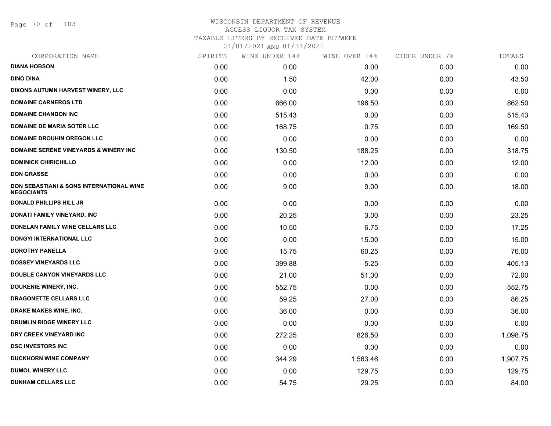Page 70 of 103

## WISCONSIN DEPARTMENT OF REVENUE ACCESS LIQUOR TAX SYSTEM TAXABLE LITERS BY RECEIVED DATE BETWEEN

| CORPORATION NAME                                                         | SPIRITS | WINE UNDER 14% | WINE OVER 14% | CIDER UNDER 7% | TOTALS   |
|--------------------------------------------------------------------------|---------|----------------|---------------|----------------|----------|
| <b>DIANA HOBSON</b>                                                      | 0.00    | 0.00           | 0.00          | 0.00           | 0.00     |
| <b>DINO DINA</b>                                                         | 0.00    | 1.50           | 42.00         | 0.00           | 43.50    |
| DIXONS AUTUMN HARVEST WINERY, LLC                                        | 0.00    | 0.00           | 0.00          | 0.00           | 0.00     |
| <b>DOMAINE CARNEROS LTD</b>                                              | 0.00    | 666.00         | 196.50        | 0.00           | 862.50   |
| <b>DOMAINE CHANDON INC</b>                                               | 0.00    | 515.43         | 0.00          | 0.00           | 515.43   |
| <b>DOMAINE DE MARIA SOTER LLC</b>                                        | 0.00    | 168.75         | 0.75          | 0.00           | 169.50   |
| <b>DOMAINE DROUHIN OREGON LLC</b>                                        | 0.00    | 0.00           | 0.00          | 0.00           | 0.00     |
| <b>DOMAINE SERENE VINEYARDS &amp; WINERY INC</b>                         | 0.00    | 130.50         | 188.25        | 0.00           | 318.75   |
| <b>DOMINICK CHIRICHILLO</b>                                              | 0.00    | 0.00           | 12.00         | 0.00           | 12.00    |
| <b>DON GRASSE</b>                                                        | 0.00    | 0.00           | 0.00          | 0.00           | 0.00     |
| <b>DON SEBASTIANI &amp; SONS INTERNATIONAL WINE</b><br><b>NEGOCIANTS</b> | 0.00    | 9.00           | 9.00          | 0.00           | 18.00    |
| <b>DONALD PHILLIPS HILL JR</b>                                           | 0.00    | 0.00           | 0.00          | 0.00           | 0.00     |
| DONATI FAMILY VINEYARD, INC                                              | 0.00    | 20.25          | 3.00          | 0.00           | 23.25    |
| DONELAN FAMILY WINE CELLARS LLC                                          | 0.00    | 10.50          | 6.75          | 0.00           | 17.25    |
| <b>DONGYI INTERNATIONAL LLC</b>                                          | 0.00    | 0.00           | 15.00         | 0.00           | 15.00    |
| <b>DOROTHY PANELLA</b>                                                   | 0.00    | 15.75          | 60.25         | 0.00           | 76.00    |
| <b>DOSSEY VINEYARDS LLC</b>                                              | 0.00    | 399.88         | 5.25          | 0.00           | 405.13   |
| <b>DOUBLE CANYON VINEYARDS LLC</b>                                       | 0.00    | 21.00          | 51.00         | 0.00           | 72.00    |
| <b>DOUKENIE WINERY, INC.</b>                                             | 0.00    | 552.75         | 0.00          | 0.00           | 552.75   |
| DRAGONETTE CELLARS LLC                                                   | 0.00    | 59.25          | 27.00         | 0.00           | 86.25    |
| DRAKE MAKES WINE, INC.                                                   | 0.00    | 36.00          | 0.00          | 0.00           | 36.00    |
| DRUMLIN RIDGE WINERY LLC                                                 | 0.00    | 0.00           | 0.00          | 0.00           | 0.00     |
| DRY CREEK VINEYARD INC                                                   | 0.00    | 272.25         | 826.50        | 0.00           | 1,098.75 |
| <b>DSC INVESTORS INC</b>                                                 | 0.00    | 0.00           | 0.00          | 0.00           | 0.00     |
| <b>DUCKHORN WINE COMPANY</b>                                             | 0.00    | 344.29         | 1,563.46      | 0.00           | 1,907.75 |
| <b>DUMOL WINERY LLC</b>                                                  | 0.00    | 0.00           | 129.75        | 0.00           | 129.75   |
| <b>DUNHAM CELLARS LLC</b>                                                | 0.00    | 54.75          | 29.25         | 0.00           | 84.00    |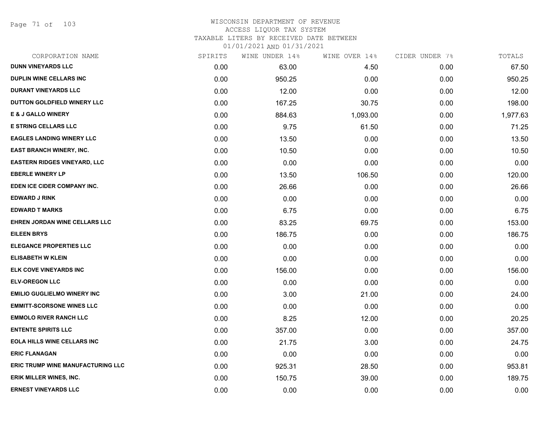Page 71 of 103

# WISCONSIN DEPARTMENT OF REVENUE ACCESS LIQUOR TAX SYSTEM

TAXABLE LITERS BY RECEIVED DATE BETWEEN

| CORPORATION NAME                         | SPIRITS | WINE UNDER 14% | WINE OVER 14% | CIDER UNDER 7% | TOTALS   |
|------------------------------------------|---------|----------------|---------------|----------------|----------|
| <b>DUNN VINEYARDS LLC</b>                | 0.00    | 63.00          | 4.50          | 0.00           | 67.50    |
| DUPLIN WINE CELLARS INC                  | 0.00    | 950.25         | 0.00          | 0.00           | 950.25   |
| <b>DURANT VINEYARDS LLC</b>              | 0.00    | 12.00          | 0.00          | 0.00           | 12.00    |
| DUTTON GOLDFIELD WINERY LLC              | 0.00    | 167.25         | 30.75         | 0.00           | 198.00   |
| <b>E &amp; J GALLO WINERY</b>            | 0.00    | 884.63         | 1,093.00      | 0.00           | 1,977.63 |
| <b>E STRING CELLARS LLC</b>              | 0.00    | 9.75           | 61.50         | 0.00           | 71.25    |
| <b>EAGLES LANDING WINERY LLC</b>         | 0.00    | 13.50          | 0.00          | 0.00           | 13.50    |
| <b>EAST BRANCH WINERY, INC.</b>          | 0.00    | 10.50          | 0.00          | 0.00           | 10.50    |
| <b>EASTERN RIDGES VINEYARD, LLC</b>      | 0.00    | 0.00           | 0.00          | 0.00           | 0.00     |
| <b>EBERLE WINERY LP</b>                  | 0.00    | 13.50          | 106.50        | 0.00           | 120.00   |
| EDEN ICE CIDER COMPANY INC.              | 0.00    | 26.66          | 0.00          | 0.00           | 26.66    |
| <b>EDWARD J RINK</b>                     | 0.00    | 0.00           | 0.00          | 0.00           | 0.00     |
| <b>EDWARD T MARKS</b>                    | 0.00    | 6.75           | 0.00          | 0.00           | 6.75     |
| EHREN JORDAN WINE CELLARS LLC            | 0.00    | 83.25          | 69.75         | 0.00           | 153.00   |
| <b>EILEEN BRYS</b>                       | 0.00    | 186.75         | 0.00          | 0.00           | 186.75   |
| <b>ELEGANCE PROPERTIES LLC</b>           | 0.00    | 0.00           | 0.00          | 0.00           | 0.00     |
| <b>ELISABETH W KLEIN</b>                 | 0.00    | 0.00           | 0.00          | 0.00           | 0.00     |
| ELK COVE VINEYARDS INC                   | 0.00    | 156.00         | 0.00          | 0.00           | 156.00   |
| <b>ELV-OREGON LLC</b>                    | 0.00    | 0.00           | 0.00          | 0.00           | 0.00     |
| <b>EMILIO GUGLIELMO WINERY INC</b>       | 0.00    | 3.00           | 21.00         | 0.00           | 24.00    |
| <b>EMMITT-SCORSONE WINES LLC</b>         | 0.00    | 0.00           | 0.00          | 0.00           | 0.00     |
| <b>EMMOLO RIVER RANCH LLC</b>            | 0.00    | 8.25           | 12.00         | 0.00           | 20.25    |
| <b>ENTENTE SPIRITS LLC</b>               | 0.00    | 357.00         | 0.00          | 0.00           | 357.00   |
| <b>EOLA HILLS WINE CELLARS INC</b>       | 0.00    | 21.75          | 3.00          | 0.00           | 24.75    |
| <b>ERIC FLANAGAN</b>                     | 0.00    | 0.00           | 0.00          | 0.00           | 0.00     |
| <b>ERIC TRUMP WINE MANUFACTURING LLC</b> | 0.00    | 925.31         | 28.50         | 0.00           | 953.81   |
| <b>ERIK MILLER WINES, INC.</b>           | 0.00    | 150.75         | 39.00         | 0.00           | 189.75   |
| <b>ERNEST VINEYARDS LLC</b>              | 0.00    | 0.00           | 0.00          | 0.00           | 0.00     |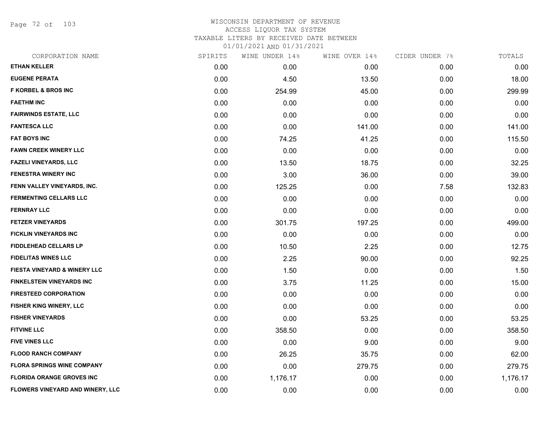Page 72 of 103

### WISCONSIN DEPARTMENT OF REVENUE ACCESS LIQUOR TAX SYSTEM TAXABLE LITERS BY RECEIVED DATE BETWEEN

| CORPORATION NAME                  | SPIRITS | WINE UNDER 14% | WINE OVER 14% | CIDER UNDER 7% | TOTALS   |
|-----------------------------------|---------|----------------|---------------|----------------|----------|
| <b>ETHAN KELLER</b>               | 0.00    | 0.00           | 0.00          | 0.00           | 0.00     |
| <b>EUGENE PERATA</b>              | 0.00    | 4.50           | 13.50         | 0.00           | 18.00    |
| <b>F KORBEL &amp; BROS INC</b>    | 0.00    | 254.99         | 45.00         | 0.00           | 299.99   |
| <b>FAETHM INC</b>                 | 0.00    | 0.00           | 0.00          | 0.00           | 0.00     |
| <b>FAIRWINDS ESTATE, LLC</b>      | 0.00    | 0.00           | 0.00          | 0.00           | 0.00     |
| <b>FANTESCA LLC</b>               | 0.00    | 0.00           | 141.00        | 0.00           | 141.00   |
| <b>FAT BOYS INC</b>               | 0.00    | 74.25          | 41.25         | 0.00           | 115.50   |
| <b>FAWN CREEK WINERY LLC</b>      | 0.00    | 0.00           | 0.00          | 0.00           | 0.00     |
| <b>FAZELI VINEYARDS, LLC</b>      | 0.00    | 13.50          | 18.75         | 0.00           | 32.25    |
| <b>FENESTRA WINERY INC</b>        | 0.00    | 3.00           | 36.00         | 0.00           | 39.00    |
| FENN VALLEY VINEYARDS, INC.       | 0.00    | 125.25         | 0.00          | 7.58           | 132.83   |
| <b>FERMENTING CELLARS LLC</b>     | 0.00    | 0.00           | 0.00          | 0.00           | 0.00     |
| <b>FERNRAY LLC</b>                | 0.00    | 0.00           | 0.00          | 0.00           | 0.00     |
| <b>FETZER VINEYARDS</b>           | 0.00    | 301.75         | 197.25        | 0.00           | 499.00   |
| <b>FICKLIN VINEYARDS INC</b>      | 0.00    | 0.00           | 0.00          | 0.00           | 0.00     |
| <b>FIDDLEHEAD CELLARS LP</b>      | 0.00    | 10.50          | 2.25          | 0.00           | 12.75    |
| <b>FIDELITAS WINES LLC</b>        | 0.00    | 2.25           | 90.00         | 0.00           | 92.25    |
| FIESTA VINEYARD & WINERY LLC      | 0.00    | 1.50           | 0.00          | 0.00           | 1.50     |
| FINKELSTEIN VINEYARDS INC         | 0.00    | 3.75           | 11.25         | 0.00           | 15.00    |
| <b>FIRESTEED CORPORATION</b>      | 0.00    | 0.00           | 0.00          | 0.00           | 0.00     |
| FISHER KING WINERY, LLC           | 0.00    | 0.00           | 0.00          | 0.00           | 0.00     |
| <b>FISHER VINEYARDS</b>           | 0.00    | 0.00           | 53.25         | 0.00           | 53.25    |
| <b>FITVINE LLC</b>                | 0.00    | 358.50         | 0.00          | 0.00           | 358.50   |
| <b>FIVE VINES LLC</b>             | 0.00    | 0.00           | 9.00          | 0.00           | 9.00     |
| <b>FLOOD RANCH COMPANY</b>        | 0.00    | 26.25          | 35.75         | 0.00           | 62.00    |
| <b>FLORA SPRINGS WINE COMPANY</b> | 0.00    | 0.00           | 279.75        | 0.00           | 279.75   |
| <b>FLORIDA ORANGE GROVES INC</b>  | 0.00    | 1,176.17       | 0.00          | 0.00           | 1,176.17 |
| FLOWERS VINEYARD AND WINERY, LLC  | 0.00    | 0.00           | 0.00          | 0.00           | 0.00     |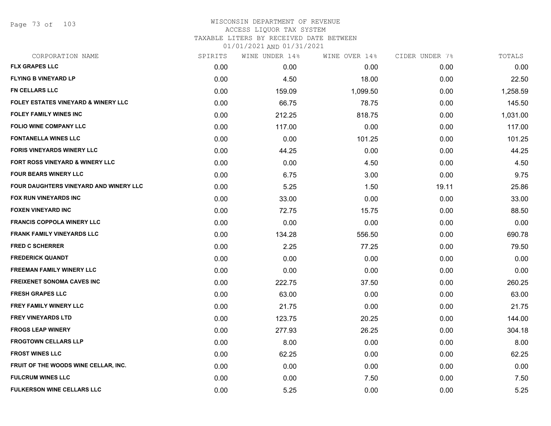Page 73 of 103

## WISCONSIN DEPARTMENT OF REVENUE ACCESS LIQUOR TAX SYSTEM TAXABLE LITERS BY RECEIVED DATE BETWEEN

| CORPORATION NAME                               | SPIRITS | WINE UNDER 14% | WINE OVER 14% | CIDER UNDER 7% | TOTALS   |
|------------------------------------------------|---------|----------------|---------------|----------------|----------|
| <b>FLX GRAPES LLC</b>                          | 0.00    | 0.00           | 0.00          | 0.00           | 0.00     |
| <b>FLYING B VINEYARD LP</b>                    | 0.00    | 4.50           | 18.00         | 0.00           | 22.50    |
| <b>FN CELLARS LLC</b>                          | 0.00    | 159.09         | 1,099.50      | 0.00           | 1,258.59 |
| <b>FOLEY ESTATES VINEYARD &amp; WINERY LLC</b> | 0.00    | 66.75          | 78.75         | 0.00           | 145.50   |
| <b>FOLEY FAMILY WINES INC</b>                  | 0.00    | 212.25         | 818.75        | 0.00           | 1,031.00 |
| <b>FOLIO WINE COMPANY LLC</b>                  | 0.00    | 117.00         | 0.00          | 0.00           | 117.00   |
| <b>FONTANELLA WINES LLC</b>                    | 0.00    | 0.00           | 101.25        | 0.00           | 101.25   |
| <b>FORIS VINEYARDS WINERY LLC</b>              | 0.00    | 44.25          | 0.00          | 0.00           | 44.25    |
| FORT ROSS VINEYARD & WINERY LLC                | 0.00    | 0.00           | 4.50          | 0.00           | 4.50     |
| <b>FOUR BEARS WINERY LLC</b>                   | 0.00    | 6.75           | 3.00          | 0.00           | 9.75     |
| FOUR DAUGHTERS VINEYARD AND WINERY LLC         | 0.00    | 5.25           | 1.50          | 19.11          | 25.86    |
| FOX RUN VINEYARDS INC                          | 0.00    | 33.00          | 0.00          | 0.00           | 33.00    |
| <b>FOXEN VINEYARD INC</b>                      | 0.00    | 72.75          | 15.75         | 0.00           | 88.50    |
| <b>FRANCIS COPPOLA WINERY LLC</b>              | 0.00    | 0.00           | 0.00          | 0.00           | 0.00     |
| <b>FRANK FAMILY VINEYARDS LLC</b>              | 0.00    | 134.28         | 556.50        | 0.00           | 690.78   |
| <b>FRED C SCHERRER</b>                         | 0.00    | 2.25           | 77.25         | 0.00           | 79.50    |
| <b>FREDERICK QUANDT</b>                        | 0.00    | 0.00           | 0.00          | 0.00           | 0.00     |
| <b>FREEMAN FAMILY WINERY LLC</b>               | 0.00    | 0.00           | 0.00          | 0.00           | 0.00     |
| <b>FREIXENET SONOMA CAVES INC</b>              | 0.00    | 222.75         | 37.50         | 0.00           | 260.25   |
| <b>FRESH GRAPES LLC</b>                        | 0.00    | 63.00          | 0.00          | 0.00           | 63.00    |
| <b>FREY FAMILY WINERY LLC</b>                  | 0.00    | 21.75          | 0.00          | 0.00           | 21.75    |
| <b>FREY VINEYARDS LTD</b>                      | 0.00    | 123.75         | 20.25         | 0.00           | 144.00   |
| <b>FROGS LEAP WINERY</b>                       | 0.00    | 277.93         | 26.25         | 0.00           | 304.18   |
| <b>FROGTOWN CELLARS LLP</b>                    | 0.00    | 8.00           | 0.00          | 0.00           | 8.00     |
| <b>FROST WINES LLC</b>                         | 0.00    | 62.25          | 0.00          | 0.00           | 62.25    |
| FRUIT OF THE WOODS WINE CELLAR, INC.           | 0.00    | 0.00           | 0.00          | 0.00           | 0.00     |
| <b>FULCRUM WINES LLC</b>                       | 0.00    | 0.00           | 7.50          | 0.00           | 7.50     |
| <b>FULKERSON WINE CELLARS LLC</b>              | 0.00    | 5.25           | 0.00          | 0.00           | 5.25     |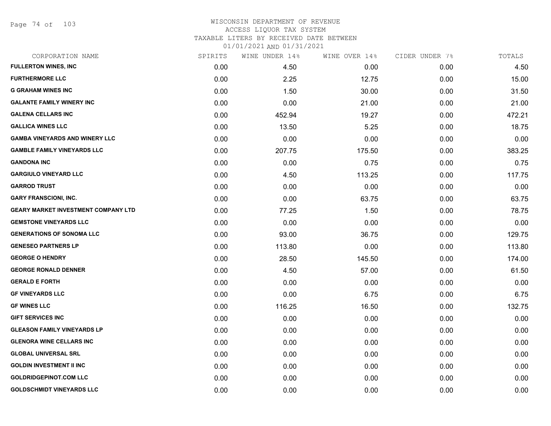Page 74 of 103

### WISCONSIN DEPARTMENT OF REVENUE ACCESS LIQUOR TAX SYSTEM TAXABLE LITERS BY RECEIVED DATE BETWEEN

| CORPORATION NAME                           | SPIRITS | WINE UNDER 14% | WINE OVER 14% | CIDER UNDER 7% | TOTALS |
|--------------------------------------------|---------|----------------|---------------|----------------|--------|
| <b>FULLERTON WINES, INC</b>                | 0.00    | 4.50           | 0.00          | 0.00           | 4.50   |
| <b>FURTHERMORE LLC</b>                     | 0.00    | 2.25           | 12.75         | 0.00           | 15.00  |
| <b>G GRAHAM WINES INC</b>                  | 0.00    | 1.50           | 30.00         | 0.00           | 31.50  |
| <b>GALANTE FAMILY WINERY INC</b>           | 0.00    | 0.00           | 21.00         | 0.00           | 21.00  |
| <b>GALENA CELLARS INC</b>                  | 0.00    | 452.94         | 19.27         | 0.00           | 472.21 |
| <b>GALLICA WINES LLC</b>                   | 0.00    | 13.50          | 5.25          | 0.00           | 18.75  |
| <b>GAMBA VINEYARDS AND WINERY LLC</b>      | 0.00    | 0.00           | 0.00          | 0.00           | 0.00   |
| <b>GAMBLE FAMILY VINEYARDS LLC</b>         | 0.00    | 207.75         | 175.50        | 0.00           | 383.25 |
| <b>GANDONA INC</b>                         | 0.00    | 0.00           | 0.75          | 0.00           | 0.75   |
| <b>GARGIULO VINEYARD LLC</b>               | 0.00    | 4.50           | 113.25        | 0.00           | 117.75 |
| <b>GARROD TRUST</b>                        | 0.00    | 0.00           | 0.00          | 0.00           | 0.00   |
| <b>GARY FRANSCIONI, INC.</b>               | 0.00    | 0.00           | 63.75         | 0.00           | 63.75  |
| <b>GEARY MARKET INVESTMENT COMPANY LTD</b> | 0.00    | 77.25          | 1.50          | 0.00           | 78.75  |
| <b>GEMSTONE VINEYARDS LLC</b>              | 0.00    | 0.00           | 0.00          | 0.00           | 0.00   |
| <b>GENERATIONS OF SONOMA LLC</b>           | 0.00    | 93.00          | 36.75         | 0.00           | 129.75 |
| <b>GENESEO PARTNERS LP</b>                 | 0.00    | 113.80         | 0.00          | 0.00           | 113.80 |
| <b>GEORGE O HENDRY</b>                     | 0.00    | 28.50          | 145.50        | 0.00           | 174.00 |
| <b>GEORGE RONALD DENNER</b>                | 0.00    | 4.50           | 57.00         | 0.00           | 61.50  |
| <b>GERALD E FORTH</b>                      | 0.00    | 0.00           | 0.00          | 0.00           | 0.00   |
| <b>GF VINEYARDS LLC</b>                    | 0.00    | 0.00           | 6.75          | 0.00           | 6.75   |
| <b>GF WINES LLC</b>                        | 0.00    | 116.25         | 16.50         | 0.00           | 132.75 |
| <b>GIFT SERVICES INC</b>                   | 0.00    | 0.00           | 0.00          | 0.00           | 0.00   |
| <b>GLEASON FAMILY VINEYARDS LP</b>         | 0.00    | 0.00           | 0.00          | 0.00           | 0.00   |
| <b>GLENORA WINE CELLARS INC</b>            | 0.00    | 0.00           | 0.00          | 0.00           | 0.00   |
| <b>GLOBAL UNIVERSAL SRL</b>                | 0.00    | 0.00           | 0.00          | 0.00           | 0.00   |
| <b>GOLDIN INVESTMENT II INC</b>            | 0.00    | 0.00           | 0.00          | 0.00           | 0.00   |
| <b>GOLDRIDGEPINOT.COM LLC</b>              | 0.00    | 0.00           | 0.00          | 0.00           | 0.00   |
| <b>GOLDSCHMIDT VINEYARDS LLC</b>           | 0.00    | 0.00           | 0.00          | 0.00           | 0.00   |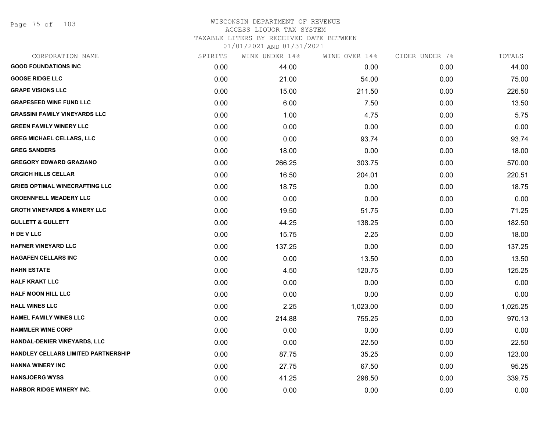Page 75 of 103

#### WISCONSIN DEPARTMENT OF REVENUE ACCESS LIQUOR TAX SYSTEM TAXABLE LITERS BY RECEIVED DATE BETWEEN

| CORPORATION NAME                           | SPIRITS | WINE UNDER 14% | WINE OVER 14% | CIDER UNDER 7% | TOTALS   |
|--------------------------------------------|---------|----------------|---------------|----------------|----------|
| <b>GOOD FOUNDATIONS INC</b>                | 0.00    | 44.00          | 0.00          | 0.00           | 44.00    |
| <b>GOOSE RIDGE LLC</b>                     | 0.00    | 21.00          | 54.00         | 0.00           | 75.00    |
| <b>GRAPE VISIONS LLC</b>                   | 0.00    | 15.00          | 211.50        | 0.00           | 226.50   |
| <b>GRAPESEED WINE FUND LLC</b>             | 0.00    | 6.00           | 7.50          | 0.00           | 13.50    |
| <b>GRASSINI FAMILY VINEYARDS LLC</b>       | 0.00    | 1.00           | 4.75          | 0.00           | 5.75     |
| <b>GREEN FAMILY WINERY LLC</b>             | 0.00    | 0.00           | 0.00          | 0.00           | 0.00     |
| <b>GREG MICHAEL CELLARS, LLC</b>           | 0.00    | 0.00           | 93.74         | 0.00           | 93.74    |
| <b>GREG SANDERS</b>                        | 0.00    | 18.00          | 0.00          | 0.00           | 18.00    |
| <b>GREGORY EDWARD GRAZIANO</b>             | 0.00    | 266.25         | 303.75        | 0.00           | 570.00   |
| <b>GRGICH HILLS CELLAR</b>                 | 0.00    | 16.50          | 204.01        | 0.00           | 220.51   |
| <b>GRIEB OPTIMAL WINECRAFTING LLC</b>      | 0.00    | 18.75          | 0.00          | 0.00           | 18.75    |
| <b>GROENNFELL MEADERY LLC</b>              | 0.00    | 0.00           | 0.00          | 0.00           | 0.00     |
| <b>GROTH VINEYARDS &amp; WINERY LLC</b>    | 0.00    | 19.50          | 51.75         | 0.00           | 71.25    |
| <b>GULLETT &amp; GULLETT</b>               | 0.00    | 44.25          | 138.25        | 0.00           | 182.50   |
| H DE V LLC                                 | 0.00    | 15.75          | 2.25          | 0.00           | 18.00    |
| <b>HAFNER VINEYARD LLC</b>                 | 0.00    | 137.25         | 0.00          | 0.00           | 137.25   |
| <b>HAGAFEN CELLARS INC</b>                 | 0.00    | 0.00           | 13.50         | 0.00           | 13.50    |
| <b>HAHN ESTATE</b>                         | 0.00    | 4.50           | 120.75        | 0.00           | 125.25   |
| <b>HALF KRAKT LLC</b>                      | 0.00    | 0.00           | 0.00          | 0.00           | 0.00     |
| <b>HALF MOON HILL LLC</b>                  | 0.00    | 0.00           | 0.00          | 0.00           | 0.00     |
| <b>HALL WINES LLC</b>                      | 0.00    | 2.25           | 1,023.00      | 0.00           | 1,025.25 |
| HAMEL FAMILY WINES LLC                     | 0.00    | 214.88         | 755.25        | 0.00           | 970.13   |
| <b>HAMMLER WINE CORP</b>                   | 0.00    | 0.00           | 0.00          | 0.00           | 0.00     |
| HANDAL-DENIER VINEYARDS, LLC               | 0.00    | 0.00           | 22.50         | 0.00           | 22.50    |
| <b>HANDLEY CELLARS LIMITED PARTNERSHIP</b> | 0.00    | 87.75          | 35.25         | 0.00           | 123.00   |
| <b>HANNA WINERY INC</b>                    | 0.00    | 27.75          | 67.50         | 0.00           | 95.25    |
| <b>HANSJOERG WYSS</b>                      | 0.00    | 41.25          | 298.50        | 0.00           | 339.75   |
| <b>HARBOR RIDGE WINERY INC.</b>            | 0.00    | 0.00           | 0.00          | 0.00           | 0.00     |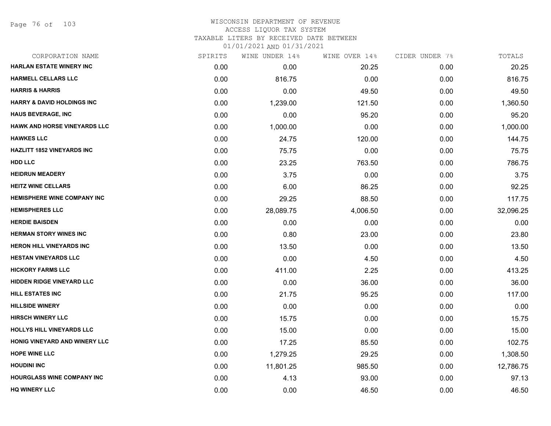#### WISCONSIN DEPARTMENT OF REVENUE ACCESS LIQUOR TAX SYSTEM

TAXABLE LITERS BY RECEIVED DATE BETWEEN

| CORPORATION NAME                      | SPIRITS | WINE UNDER 14% | WINE OVER 14% | CIDER UNDER 7% | TOTALS    |
|---------------------------------------|---------|----------------|---------------|----------------|-----------|
| HARLAN ESTATE WINERY INC              | 0.00    | 0.00           | 20.25         | 0.00           | 20.25     |
| <b>HARMELL CELLARS LLC</b>            | 0.00    | 816.75         | 0.00          | 0.00           | 816.75    |
| <b>HARRIS &amp; HARRIS</b>            | 0.00    | 0.00           | 49.50         | 0.00           | 49.50     |
| <b>HARRY &amp; DAVID HOLDINGS INC</b> | 0.00    | 1,239.00       | 121.50        | 0.00           | 1,360.50  |
| <b>HAUS BEVERAGE, INC</b>             | 0.00    | 0.00           | 95.20         | 0.00           | 95.20     |
| <b>HAWK AND HORSE VINEYARDS LLC</b>   | 0.00    | 1,000.00       | 0.00          | 0.00           | 1,000.00  |
| <b>HAWKES LLC</b>                     | 0.00    | 24.75          | 120.00        | 0.00           | 144.75    |
| <b>HAZLITT 1852 VINEYARDS INC</b>     | 0.00    | 75.75          | 0.00          | 0.00           | 75.75     |
| <b>HDD LLC</b>                        | 0.00    | 23.25          | 763.50        | 0.00           | 786.75    |
| <b>HEIDRUN MEADERY</b>                | 0.00    | 3.75           | 0.00          | 0.00           | 3.75      |
| <b>HEITZ WINE CELLARS</b>             | 0.00    | 6.00           | 86.25         | 0.00           | 92.25     |
| <b>HEMISPHERE WINE COMPANY INC</b>    | 0.00    | 29.25          | 88.50         | 0.00           | 117.75    |
| <b>HEMISPHERES LLC</b>                | 0.00    | 28,089.75      | 4,006.50      | 0.00           | 32,096.25 |
| <b>HERDIE BAISDEN</b>                 | 0.00    | 0.00           | 0.00          | 0.00           | 0.00      |
| <b>HERMAN STORY WINES INC</b>         | 0.00    | 0.80           | 23.00         | 0.00           | 23.80     |
| HERON HILL VINEYARDS INC              | 0.00    | 13.50          | 0.00          | 0.00           | 13.50     |
| <b>HESTAN VINEYARDS LLC</b>           | 0.00    | 0.00           | 4.50          | 0.00           | 4.50      |
| <b>HICKORY FARMS LLC</b>              | 0.00    | 411.00         | 2.25          | 0.00           | 413.25    |
| <b>HIDDEN RIDGE VINEYARD LLC</b>      | 0.00    | 0.00           | 36.00         | 0.00           | 36.00     |
| <b>HILL ESTATES INC</b>               | 0.00    | 21.75          | 95.25         | 0.00           | 117.00    |
| <b>HILLSIDE WINERY</b>                | 0.00    | 0.00           | 0.00          | 0.00           | 0.00      |
| <b>HIRSCH WINERY LLC</b>              | 0.00    | 15.75          | 0.00          | 0.00           | 15.75     |
| <b>HOLLYS HILL VINEYARDS LLC</b>      | 0.00    | 15.00          | 0.00          | 0.00           | 15.00     |
| HONIG VINEYARD AND WINERY LLC         | 0.00    | 17.25          | 85.50         | 0.00           | 102.75    |
| <b>HOPE WINE LLC</b>                  | 0.00    | 1,279.25       | 29.25         | 0.00           | 1,308.50  |
| <b>HOUDINI INC</b>                    | 0.00    | 11,801.25      | 985.50        | 0.00           | 12,786.75 |
| <b>HOURGLASS WINE COMPANY INC</b>     | 0.00    | 4.13           | 93.00         | 0.00           | 97.13     |
| <b>HQ WINERY LLC</b>                  | 0.00    | 0.00           | 46.50         | 0.00           | 46.50     |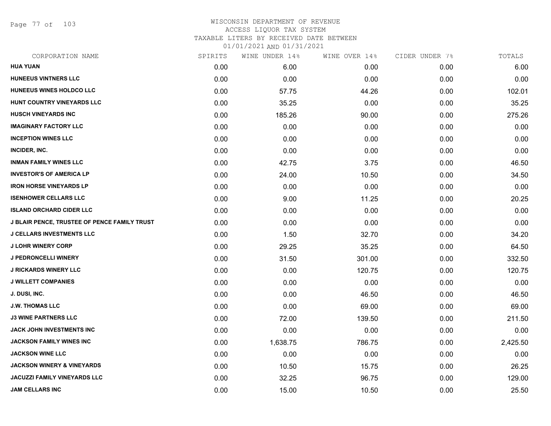Page 77 of 103

## WISCONSIN DEPARTMENT OF REVENUE ACCESS LIQUOR TAX SYSTEM TAXABLE LITERS BY RECEIVED DATE BETWEEN

| CORPORATION NAME                             | SPIRITS | WINE UNDER 14% | WINE OVER 14% | CIDER UNDER 7% | TOTALS   |
|----------------------------------------------|---------|----------------|---------------|----------------|----------|
| <b>HUA YUAN</b>                              | 0.00    | 6.00           | 0.00          | 0.00           | 6.00     |
| <b>HUNEEUS VINTNERS LLC</b>                  | 0.00    | 0.00           | 0.00          | 0.00           | 0.00     |
| HUNEEUS WINES HOLDCO LLC                     | 0.00    | 57.75          | 44.26         | 0.00           | 102.01   |
| HUNT COUNTRY VINEYARDS LLC                   | 0.00    | 35.25          | 0.00          | 0.00           | 35.25    |
| <b>HUSCH VINEYARDS INC</b>                   | 0.00    | 185.26         | 90.00         | 0.00           | 275.26   |
| <b>IMAGINARY FACTORY LLC</b>                 | 0.00    | 0.00           | 0.00          | 0.00           | 0.00     |
| <b>INCEPTION WINES LLC</b>                   | 0.00    | 0.00           | 0.00          | 0.00           | 0.00     |
| INCIDER, INC.                                | 0.00    | 0.00           | 0.00          | 0.00           | 0.00     |
| <b>INMAN FAMILY WINES LLC</b>                | 0.00    | 42.75          | 3.75          | 0.00           | 46.50    |
| <b>INVESTOR'S OF AMERICA LP</b>              | 0.00    | 24.00          | 10.50         | 0.00           | 34.50    |
| <b>IRON HORSE VINEYARDS LP</b>               | 0.00    | 0.00           | 0.00          | 0.00           | 0.00     |
| <b>ISENHOWER CELLARS LLC</b>                 | 0.00    | 9.00           | 11.25         | 0.00           | 20.25    |
| <b>ISLAND ORCHARD CIDER LLC</b>              | 0.00    | 0.00           | 0.00          | 0.00           | 0.00     |
| J BLAIR PENCE, TRUSTEE OF PENCE FAMILY TRUST | 0.00    | 0.00           | 0.00          | 0.00           | 0.00     |
| <b>J CELLARS INVESTMENTS LLC</b>             | 0.00    | 1.50           | 32.70         | 0.00           | 34.20    |
| <b>J LOHR WINERY CORP</b>                    | 0.00    | 29.25          | 35.25         | 0.00           | 64.50    |
| <b>J PEDRONCELLI WINERY</b>                  | 0.00    | 31.50          | 301.00        | 0.00           | 332.50   |
| <b>J RICKARDS WINERY LLC</b>                 | 0.00    | 0.00           | 120.75        | 0.00           | 120.75   |
| <b>J WILLETT COMPANIES</b>                   | 0.00    | 0.00           | 0.00          | 0.00           | 0.00     |
| J. DUSI, INC.                                | 0.00    | 0.00           | 46.50         | 0.00           | 46.50    |
| <b>J.W. THOMAS LLC</b>                       | 0.00    | 0.00           | 69.00         | 0.00           | 69.00    |
| <b>J3 WINE PARTNERS LLC</b>                  | 0.00    | 72.00          | 139.50        | 0.00           | 211.50   |
| JACK JOHN INVESTMENTS INC                    | 0.00    | 0.00           | 0.00          | 0.00           | 0.00     |
| <b>JACKSON FAMILY WINES INC</b>              | 0.00    | 1,638.75       | 786.75        | 0.00           | 2,425.50 |
| <b>JACKSON WINE LLC</b>                      | 0.00    | 0.00           | 0.00          | 0.00           | 0.00     |
| <b>JACKSON WINERY &amp; VINEYARDS</b>        | 0.00    | 10.50          | 15.75         | 0.00           | 26.25    |
| <b>JACUZZI FAMILY VINEYARDS LLC</b>          | 0.00    | 32.25          | 96.75         | 0.00           | 129.00   |
| <b>JAM CELLARS INC</b>                       | 0.00    | 15.00          | 10.50         | 0.00           | 25.50    |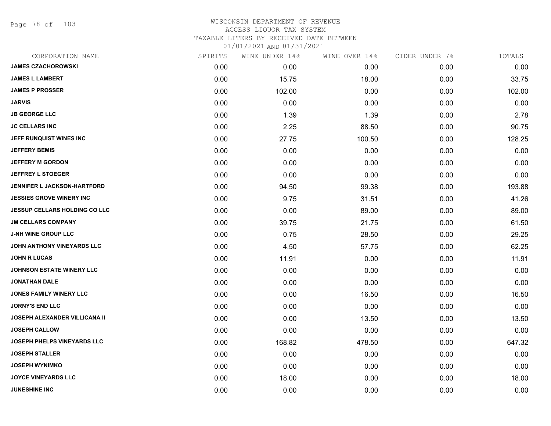Page 78 of 103

### WISCONSIN DEPARTMENT OF REVENUE ACCESS LIQUOR TAX SYSTEM TAXABLE LITERS BY RECEIVED DATE BETWEEN

| CORPORATION NAME                     | SPIRITS | WINE UNDER 14% | WINE OVER 14% | CIDER UNDER 7% | TOTALS |
|--------------------------------------|---------|----------------|---------------|----------------|--------|
| <b>JAMES CZACHOROWSKI</b>            | 0.00    | 0.00           | 0.00          | 0.00           | 0.00   |
| <b>JAMES L LAMBERT</b>               | 0.00    | 15.75          | 18.00         | 0.00           | 33.75  |
| <b>JAMES P PROSSER</b>               | 0.00    | 102.00         | 0.00          | 0.00           | 102.00 |
| <b>JARVIS</b>                        | 0.00    | 0.00           | 0.00          | 0.00           | 0.00   |
| <b>JB GEORGE LLC</b>                 | 0.00    | 1.39           | 1.39          | 0.00           | 2.78   |
| <b>JC CELLARS INC</b>                | 0.00    | 2.25           | 88.50         | 0.00           | 90.75  |
| JEFF RUNQUIST WINES INC              | 0.00    | 27.75          | 100.50        | 0.00           | 128.25 |
| <b>JEFFERY BEMIS</b>                 | 0.00    | 0.00           | 0.00          | 0.00           | 0.00   |
| <b>JEFFERY M GORDON</b>              | 0.00    | 0.00           | 0.00          | 0.00           | 0.00   |
| <b>JEFFREY L STOEGER</b>             | 0.00    | 0.00           | 0.00          | 0.00           | 0.00   |
| JENNIFER L JACKSON-HARTFORD          | 0.00    | 94.50          | 99.38         | 0.00           | 193.88 |
| <b>JESSIES GROVE WINERY INC</b>      | 0.00    | 9.75           | 31.51         | 0.00           | 41.26  |
| <b>JESSUP CELLARS HOLDING CO LLC</b> | 0.00    | 0.00           | 89.00         | 0.00           | 89.00  |
| <b>JM CELLARS COMPANY</b>            | 0.00    | 39.75          | 21.75         | 0.00           | 61.50  |
| <b>J-NH WINE GROUP LLC</b>           | 0.00    | 0.75           | 28.50         | 0.00           | 29.25  |
| JOHN ANTHONY VINEYARDS LLC           | 0.00    | 4.50           | 57.75         | 0.00           | 62.25  |
| <b>JOHN R LUCAS</b>                  | 0.00    | 11.91          | 0.00          | 0.00           | 11.91  |
| JOHNSON ESTATE WINERY LLC            | 0.00    | 0.00           | 0.00          | 0.00           | 0.00   |
| <b>JONATHAN DALE</b>                 | 0.00    | 0.00           | 0.00          | 0.00           | 0.00   |
| <b>JONES FAMILY WINERY LLC</b>       | 0.00    | 0.00           | 16.50         | 0.00           | 16.50  |
| <b>JORNY'S END LLC</b>               | 0.00    | 0.00           | 0.00          | 0.00           | 0.00   |
| <b>JOSEPH ALEXANDER VILLICANA II</b> | 0.00    | 0.00           | 13.50         | 0.00           | 13.50  |
| <b>JOSEPH CALLOW</b>                 | 0.00    | 0.00           | 0.00          | 0.00           | 0.00   |
| JOSEPH PHELPS VINEYARDS LLC          | 0.00    | 168.82         | 478.50        | 0.00           | 647.32 |
| <b>JOSEPH STALLER</b>                | 0.00    | 0.00           | 0.00          | 0.00           | 0.00   |
| <b>JOSEPH WYNIMKO</b>                | 0.00    | 0.00           | 0.00          | 0.00           | 0.00   |
| <b>JOYCE VINEYARDS LLC</b>           | 0.00    | 18.00          | 0.00          | 0.00           | 18.00  |
| <b>JUNESHINE INC</b>                 | 0.00    | 0.00           | 0.00          | 0.00           | 0.00   |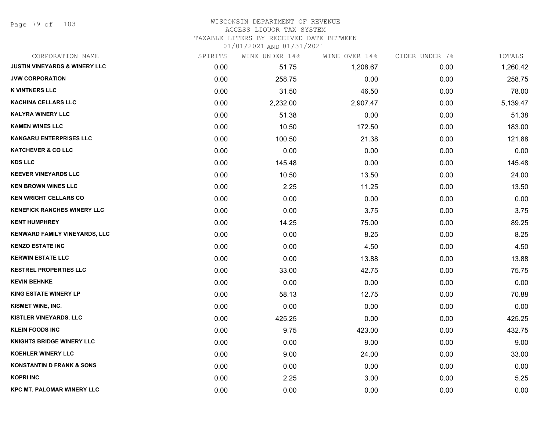Page 79 of 103

#### WISCONSIN DEPARTMENT OF REVENUE ACCESS LIQUOR TAX SYSTEM

TAXABLE LITERS BY RECEIVED DATE BETWEEN

| CORPORATION NAME                         | SPIRITS | WINE UNDER 14% | WINE OVER 14% | CIDER UNDER 7% | TOTALS   |
|------------------------------------------|---------|----------------|---------------|----------------|----------|
| <b>JUSTIN VINEYARDS &amp; WINERY LLC</b> | 0.00    | 51.75          | 1,208.67      | 0.00           | 1,260.42 |
| <b>JVW CORPORATION</b>                   | 0.00    | 258.75         | 0.00          | 0.00           | 258.75   |
| <b>K VINTNERS LLC</b>                    | 0.00    | 31.50          | 46.50         | 0.00           | 78.00    |
| <b>KACHINA CELLARS LLC</b>               | 0.00    | 2,232.00       | 2,907.47      | 0.00           | 5,139.47 |
| <b>KALYRA WINERY LLC</b>                 | 0.00    | 51.38          | 0.00          | 0.00           | 51.38    |
| <b>KAMEN WINES LLC</b>                   | 0.00    | 10.50          | 172.50        | 0.00           | 183.00   |
| <b>KANGARU ENTERPRISES LLC</b>           | 0.00    | 100.50         | 21.38         | 0.00           | 121.88   |
| <b>KATCHEVER &amp; CO LLC</b>            | 0.00    | 0.00           | 0.00          | 0.00           | 0.00     |
| <b>KDS LLC</b>                           | 0.00    | 145.48         | 0.00          | 0.00           | 145.48   |
| <b>KEEVER VINEYARDS LLC</b>              | 0.00    | 10.50          | 13.50         | 0.00           | 24.00    |
| <b>KEN BROWN WINES LLC</b>               | 0.00    | 2.25           | 11.25         | 0.00           | 13.50    |
| <b>KEN WRIGHT CELLARS CO</b>             | 0.00    | 0.00           | 0.00          | 0.00           | 0.00     |
| <b>KENEFICK RANCHES WINERY LLC</b>       | 0.00    | 0.00           | 3.75          | 0.00           | 3.75     |
| <b>KENT HUMPHREY</b>                     | 0.00    | 14.25          | 75.00         | 0.00           | 89.25    |
| KENWARD FAMILY VINEYARDS, LLC            | 0.00    | 0.00           | 8.25          | 0.00           | 8.25     |
| <b>KENZO ESTATE INC</b>                  | 0.00    | 0.00           | 4.50          | 0.00           | 4.50     |
| <b>KERWIN ESTATE LLC</b>                 | 0.00    | 0.00           | 13.88         | 0.00           | 13.88    |
| <b>KESTREL PROPERTIES LLC</b>            | 0.00    | 33.00          | 42.75         | 0.00           | 75.75    |
| <b>KEVIN BEHNKE</b>                      | 0.00    | 0.00           | 0.00          | 0.00           | 0.00     |
| <b>KING ESTATE WINERY LP</b>             | 0.00    | 58.13          | 12.75         | 0.00           | 70.88    |
| KISMET WINE, INC.                        | 0.00    | 0.00           | 0.00          | 0.00           | 0.00     |
| <b>KISTLER VINEYARDS, LLC</b>            | 0.00    | 425.25         | 0.00          | 0.00           | 425.25   |
| <b>KLEIN FOODS INC</b>                   | 0.00    | 9.75           | 423.00        | 0.00           | 432.75   |
| KNIGHTS BRIDGE WINERY LLC                | 0.00    | 0.00           | 9.00          | 0.00           | 9.00     |
| KOEHLER WINERY LLC                       | 0.00    | 9.00           | 24.00         | 0.00           | 33.00    |
| <b>KONSTANTIN D FRANK &amp; SONS</b>     | 0.00    | 0.00           | 0.00          | 0.00           | 0.00     |
| <b>KOPRI INC</b>                         | 0.00    | 2.25           | 3.00          | 0.00           | 5.25     |
| <b>KPC MT. PALOMAR WINERY LLC</b>        | 0.00    | 0.00           | 0.00          | 0.00           | 0.00     |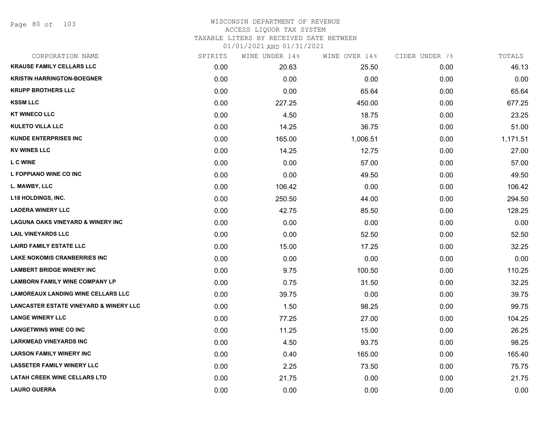#### WISCONSIN DEPARTMENT OF REVENUE ACCESS LIQUOR TAX SYSTEM TAXABLE LITERS BY RECEIVED DATE BETWEEN

| CORPORATION NAME                                  | SPIRITS | WINE UNDER 14% | WINE OVER 14% | CIDER UNDER 7% | TOTALS   |
|---------------------------------------------------|---------|----------------|---------------|----------------|----------|
| <b>KRAUSE FAMILY CELLARS LLC</b>                  | 0.00    | 20.63          | 25.50         | 0.00           | 46.13    |
| <b>KRISTIN HARRINGTON-BOEGNER</b>                 | 0.00    | 0.00           | 0.00          | 0.00           | 0.00     |
| <b>KRUPP BROTHERS LLC</b>                         | 0.00    | 0.00           | 65.64         | 0.00           | 65.64    |
| <b>KSSM LLC</b>                                   | 0.00    | 227.25         | 450.00        | 0.00           | 677.25   |
| <b>KT WINECO LLC</b>                              | 0.00    | 4.50           | 18.75         | 0.00           | 23.25    |
| <b>KULETO VILLA LLC</b>                           | 0.00    | 14.25          | 36.75         | 0.00           | 51.00    |
| <b>KUNDE ENTERPRISES INC</b>                      | 0.00    | 165.00         | 1,006.51      | 0.00           | 1,171.51 |
| <b>KV WINES LLC</b>                               | 0.00    | 14.25          | 12.75         | 0.00           | 27.00    |
| <b>LCWINE</b>                                     | 0.00    | 0.00           | 57.00         | 0.00           | 57.00    |
| L FOPPIANO WINE CO INC                            | 0.00    | 0.00           | 49.50         | 0.00           | 49.50    |
| L. MAWBY, LLC                                     | 0.00    | 106.42         | 0.00          | 0.00           | 106.42   |
| <b>L18 HOLDINGS, INC.</b>                         | 0.00    | 250.50         | 44.00         | 0.00           | 294.50   |
| <b>LADERA WINERY LLC</b>                          | 0.00    | 42.75          | 85.50         | 0.00           | 128.25   |
| <b>LAGUNA OAKS VINEYARD &amp; WINERY INC</b>      | 0.00    | 0.00           | 0.00          | 0.00           | 0.00     |
| <b>LAIL VINEYARDS LLC</b>                         | 0.00    | 0.00           | 52.50         | 0.00           | 52.50    |
| <b>LAIRD FAMILY ESTATE LLC</b>                    | 0.00    | 15.00          | 17.25         | 0.00           | 32.25    |
| <b>LAKE NOKOMIS CRANBERRIES INC</b>               | 0.00    | 0.00           | 0.00          | 0.00           | 0.00     |
| <b>LAMBERT BRIDGE WINERY INC</b>                  | 0.00    | 9.75           | 100.50        | 0.00           | 110.25   |
| <b>LAMBORN FAMILY WINE COMPANY LP</b>             | 0.00    | 0.75           | 31.50         | 0.00           | 32.25    |
| <b>LAMOREAUX LANDING WINE CELLARS LLC</b>         | 0.00    | 39.75          | 0.00          | 0.00           | 39.75    |
| <b>LANCASTER ESTATE VINEYARD &amp; WINERY LLC</b> | 0.00    | 1.50           | 98.25         | 0.00           | 99.75    |
| <b>LANGE WINERY LLC</b>                           | 0.00    | 77.25          | 27.00         | 0.00           | 104.25   |
| <b>LANGETWINS WINE CO INC</b>                     | 0.00    | 11.25          | 15.00         | 0.00           | 26.25    |
| <b>LARKMEAD VINEYARDS INC</b>                     | 0.00    | 4.50           | 93.75         | 0.00           | 98.25    |
| <b>LARSON FAMILY WINERY INC</b>                   | 0.00    | 0.40           | 165.00        | 0.00           | 165.40   |
| <b>LASSETER FAMILY WINERY LLC</b>                 | 0.00    | 2.25           | 73.50         | 0.00           | 75.75    |
| <b>LATAH CREEK WINE CELLARS LTD</b>               | 0.00    | 21.75          | 0.00          | 0.00           | 21.75    |
| <b>LAURO GUERRA</b>                               | 0.00    | 0.00           | 0.00          | 0.00           | 0.00     |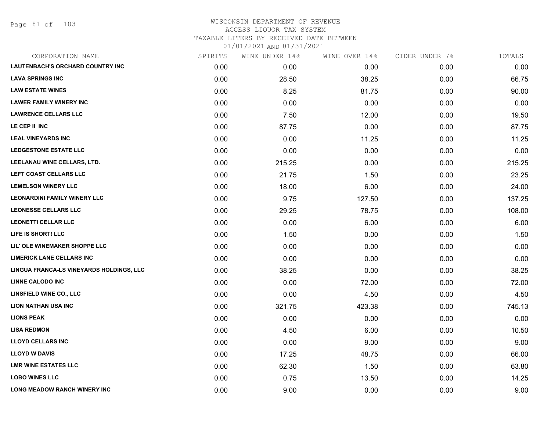Page 81 of 103

| CORPORATION NAME                         | SPIRITS | WINE UNDER 14% | WINE OVER 14% | CIDER UNDER 7% | TOTALS |
|------------------------------------------|---------|----------------|---------------|----------------|--------|
| <b>LAUTENBACH'S ORCHARD COUNTRY INC</b>  | 0.00    | 0.00           | 0.00          | 0.00           | 0.00   |
| <b>LAVA SPRINGS INC</b>                  | 0.00    | 28.50          | 38.25         | 0.00           | 66.75  |
| <b>LAW ESTATE WINES</b>                  | 0.00    | 8.25           | 81.75         | 0.00           | 90.00  |
| <b>LAWER FAMILY WINERY INC</b>           | 0.00    | 0.00           | 0.00          | 0.00           | 0.00   |
| <b>LAWRENCE CELLARS LLC</b>              | 0.00    | 7.50           | 12.00         | 0.00           | 19.50  |
| LE CEP II INC                            | 0.00    | 87.75          | 0.00          | 0.00           | 87.75  |
| <b>LEAL VINEYARDS INC</b>                | 0.00    | 0.00           | 11.25         | 0.00           | 11.25  |
| <b>LEDGESTONE ESTATE LLC</b>             | 0.00    | 0.00           | 0.00          | 0.00           | 0.00   |
| LEELANAU WINE CELLARS, LTD.              | 0.00    | 215.25         | 0.00          | 0.00           | 215.25 |
| LEFT COAST CELLARS LLC                   | 0.00    | 21.75          | 1.50          | 0.00           | 23.25  |
| <b>LEMELSON WINERY LLC</b>               | 0.00    | 18.00          | 6.00          | 0.00           | 24.00  |
| <b>LEONARDINI FAMILY WINERY LLC</b>      | 0.00    | 9.75           | 127.50        | 0.00           | 137.25 |
| <b>LEONESSE CELLARS LLC</b>              | 0.00    | 29.25          | 78.75         | 0.00           | 108.00 |
| <b>LEONETTI CELLAR LLC</b>               | 0.00    | 0.00           | 6.00          | 0.00           | 6.00   |
| LIFE IS SHORT! LLC                       | 0.00    | 1.50           | 0.00          | 0.00           | 1.50   |
| LIL' OLE WINEMAKER SHOPPE LLC            | 0.00    | 0.00           | 0.00          | 0.00           | 0.00   |
| <b>LIMERICK LANE CELLARS INC</b>         | 0.00    | 0.00           | 0.00          | 0.00           | 0.00   |
| LINGUA FRANCA-LS VINEYARDS HOLDINGS, LLC | 0.00    | 38.25          | 0.00          | 0.00           | 38.25  |
| <b>LINNE CALODO INC</b>                  | 0.00    | 0.00           | 72.00         | 0.00           | 72.00  |
| <b>LINSFIELD WINE CO., LLC</b>           | 0.00    | 0.00           | 4.50          | 0.00           | 4.50   |
| <b>LION NATHAN USA INC</b>               | 0.00    | 321.75         | 423.38        | 0.00           | 745.13 |
| <b>LIONS PEAK</b>                        | 0.00    | 0.00           | 0.00          | 0.00           | 0.00   |
| <b>LISA REDMON</b>                       | 0.00    | 4.50           | 6.00          | 0.00           | 10.50  |
| <b>LLOYD CELLARS INC</b>                 | 0.00    | 0.00           | 9.00          | 0.00           | 9.00   |
| <b>LLOYD W DAVIS</b>                     | 0.00    | 17.25          | 48.75         | 0.00           | 66.00  |
| <b>LMR WINE ESTATES LLC</b>              | 0.00    | 62.30          | 1.50          | 0.00           | 63.80  |
| <b>LOBO WINES LLC</b>                    | 0.00    | 0.75           | 13.50         | 0.00           | 14.25  |
| <b>LONG MEADOW RANCH WINERY INC</b>      | 0.00    | 9.00           | 0.00          | 0.00           | 9.00   |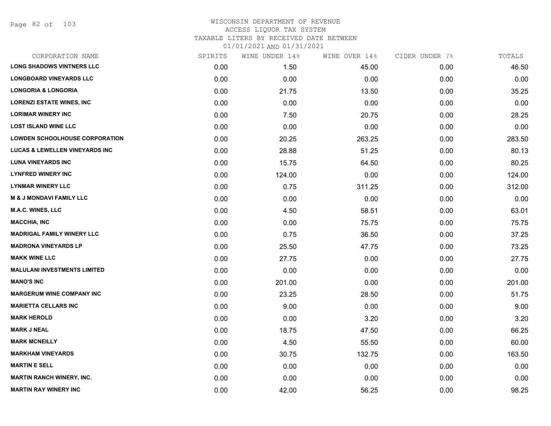Page 82 of 103

## WISCONSIN DEPARTMENT OF REVENUE ACCESS LIQUOR TAX SYSTEM

TAXABLE LITERS BY RECEIVED DATE BETWEEN

| CORPORATION NAME                          | SPIRITS | WINE UNDER 14% | WINE OVER 14% | CIDER UNDER 7% | TOTALS |
|-------------------------------------------|---------|----------------|---------------|----------------|--------|
| <b>LONG SHADOWS VINTNERS LLC</b>          | 0.00    | 1.50           | 45.00         | 0.00           | 46.50  |
| <b>LONGBOARD VINEYARDS LLC</b>            | 0.00    | 0.00           | 0.00          | 0.00           | 0.00   |
| <b>LONGORIA &amp; LONGORIA</b>            | 0.00    | 21.75          | 13.50         | 0.00           | 35.25  |
| <b>LORENZI ESTATE WINES, INC.</b>         | 0.00    | 0.00           | 0.00          | 0.00           | 0.00   |
| <b>LORIMAR WINERY INC</b>                 | 0.00    | 7.50           | 20.75         | 0.00           | 28.25  |
| <b>LOST ISLAND WINE LLC</b>               | 0.00    | 0.00           | 0.00          | 0.00           | 0.00   |
| <b>LOWDEN SCHOOLHOUSE CORPORATION</b>     | 0.00    | 20.25          | 263.25        | 0.00           | 283.50 |
| <b>LUCAS &amp; LEWELLEN VINEYARDS INC</b> | 0.00    | 28.88          | 51.25         | 0.00           | 80.13  |
| <b>LUNA VINEYARDS INC</b>                 | 0.00    | 15.75          | 64.50         | 0.00           | 80.25  |
| <b>LYNFRED WINERY INC</b>                 | 0.00    | 124.00         | 0.00          | 0.00           | 124.00 |
| <b>LYNMAR WINERY LLC</b>                  | 0.00    | 0.75           | 311.25        | 0.00           | 312.00 |
| <b>M &amp; J MONDAVI FAMILY LLC</b>       | 0.00    | 0.00           | 0.00          | 0.00           | 0.00   |
| M.A.C. WINES, LLC                         | 0.00    | 4.50           | 58.51         | 0.00           | 63.01  |
| <b>MACCHIA, INC</b>                       | 0.00    | 0.00           | 75.75         | 0.00           | 75.75  |
| <b>MADRIGAL FAMILY WINERY LLC</b>         | 0.00    | 0.75           | 36.50         | 0.00           | 37.25  |
| <b>MADRONA VINEYARDS LP</b>               | 0.00    | 25.50          | 47.75         | 0.00           | 73.25  |
| <b>MAKK WINE LLC</b>                      | 0.00    | 27.75          | 0.00          | 0.00           | 27.75  |
| <b>MALULANI INVESTMENTS LIMITED</b>       | 0.00    | 0.00           | 0.00          | 0.00           | 0.00   |
| <b>MANO'S INC</b>                         | 0.00    | 201.00         | 0.00          | 0.00           | 201.00 |
| <b>MARGERUM WINE COMPANY INC</b>          | 0.00    | 23.25          | 28.50         | 0.00           | 51.75  |
| <b>MARIETTA CELLARS INC</b>               | 0.00    | 9.00           | 0.00          | 0.00           | 9.00   |
| <b>MARK HEROLD</b>                        | 0.00    | 0.00           | 3.20          | 0.00           | 3.20   |
| <b>MARK J NEAL</b>                        | 0.00    | 18.75          | 47.50         | 0.00           | 66.25  |
| <b>MARK MCNEILLY</b>                      | 0.00    | 4.50           | 55.50         | 0.00           | 60.00  |
| <b>MARKHAM VINEYARDS</b>                  | 0.00    | 30.75          | 132.75        | 0.00           | 163.50 |
| <b>MARTIN E SELL</b>                      | 0.00    | 0.00           | 0.00          | 0.00           | 0.00   |
| <b>MARTIN RANCH WINERY, INC.</b>          | 0.00    | 0.00           | 0.00          | 0.00           | 0.00   |
| <b>MARTIN RAY WINERY INC</b>              | 0.00    | 42.00          | 56.25         | 0.00           | 98.25  |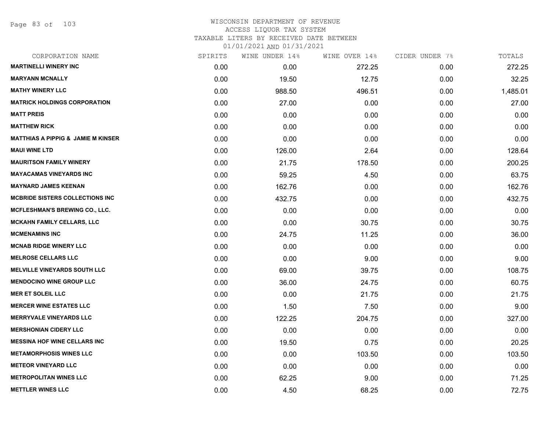Page 83 of 103

### WISCONSIN DEPARTMENT OF REVENUE ACCESS LIQUOR TAX SYSTEM TAXABLE LITERS BY RECEIVED DATE BETWEEN

| CORPORATION NAME                              | SPIRITS | WINE UNDER 14% | WINE OVER 14% | CIDER UNDER 7% | TOTALS   |
|-----------------------------------------------|---------|----------------|---------------|----------------|----------|
| <b>MARTINELLI WINERY INC</b>                  | 0.00    | 0.00           | 272.25        | 0.00           | 272.25   |
| <b>MARYANN MCNALLY</b>                        | 0.00    | 19.50          | 12.75         | 0.00           | 32.25    |
| <b>MATHY WINERY LLC</b>                       | 0.00    | 988.50         | 496.51        | 0.00           | 1,485.01 |
| <b>MATRICK HOLDINGS CORPORATION</b>           | 0.00    | 27.00          | 0.00          | 0.00           | 27.00    |
| <b>MATT PREIS</b>                             | 0.00    | 0.00           | 0.00          | 0.00           | 0.00     |
| <b>MATTHEW RICK</b>                           | 0.00    | 0.00           | 0.00          | 0.00           | 0.00     |
| <b>MATTHIAS A PIPPIG &amp; JAMIE M KINSER</b> | 0.00    | 0.00           | 0.00          | 0.00           | 0.00     |
| <b>MAUI WINE LTD</b>                          | 0.00    | 126.00         | 2.64          | 0.00           | 128.64   |
| <b>MAURITSON FAMILY WINERY</b>                | 0.00    | 21.75          | 178.50        | 0.00           | 200.25   |
| <b>MAYACAMAS VINEYARDS INC</b>                | 0.00    | 59.25          | 4.50          | 0.00           | 63.75    |
| <b>MAYNARD JAMES KEENAN</b>                   | 0.00    | 162.76         | 0.00          | 0.00           | 162.76   |
| <b>MCBRIDE SISTERS COLLECTIONS INC</b>        | 0.00    | 432.75         | 0.00          | 0.00           | 432.75   |
| MCFLESHMAN'S BREWING CO., LLC.                | 0.00    | 0.00           | 0.00          | 0.00           | 0.00     |
| <b>MCKAHN FAMILY CELLARS, LLC</b>             | 0.00    | 0.00           | 30.75         | 0.00           | 30.75    |
| <b>MCMENAMINS INC</b>                         | 0.00    | 24.75          | 11.25         | 0.00           | 36.00    |
| <b>MCNAB RIDGE WINERY LLC</b>                 | 0.00    | 0.00           | 0.00          | 0.00           | 0.00     |
| <b>MELROSE CELLARS LLC</b>                    | 0.00    | 0.00           | 9.00          | 0.00           | 9.00     |
| <b>MELVILLE VINEYARDS SOUTH LLC</b>           | 0.00    | 69.00          | 39.75         | 0.00           | 108.75   |
| <b>MENDOCINO WINE GROUP LLC</b>               | 0.00    | 36.00          | 24.75         | 0.00           | 60.75    |
| <b>MER ET SOLEIL LLC</b>                      | 0.00    | 0.00           | 21.75         | 0.00           | 21.75    |
| <b>MERCER WINE ESTATES LLC</b>                | 0.00    | 1.50           | 7.50          | 0.00           | 9.00     |
| <b>MERRYVALE VINEYARDS LLC</b>                | 0.00    | 122.25         | 204.75        | 0.00           | 327.00   |
| <b>MERSHONIAN CIDERY LLC</b>                  | 0.00    | 0.00           | 0.00          | 0.00           | 0.00     |
| <b>MESSINA HOF WINE CELLARS INC.</b>          | 0.00    | 19.50          | 0.75          | 0.00           | 20.25    |
| <b>METAMORPHOSIS WINES LLC</b>                | 0.00    | 0.00           | 103.50        | 0.00           | 103.50   |
| <b>METEOR VINEYARD LLC</b>                    | 0.00    | 0.00           | 0.00          | 0.00           | 0.00     |
| <b>METROPOLITAN WINES LLC</b>                 | 0.00    | 62.25          | 9.00          | 0.00           | 71.25    |
| <b>METTLER WINES LLC</b>                      | 0.00    | 4.50           | 68.25         | 0.00           | 72.75    |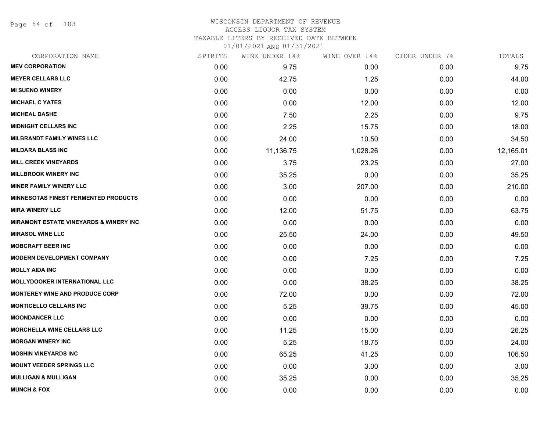Page 84 of 103

#### WISCONSIN DEPARTMENT OF REVENUE ACCESS LIQUOR TAX SYSTEM

TAXABLE LITERS BY RECEIVED DATE BETWEEN

| CORPORATION NAME                                  | SPIRITS | WINE UNDER 14% | WINE OVER 14% | CIDER UNDER 7% | TOTALS    |
|---------------------------------------------------|---------|----------------|---------------|----------------|-----------|
| <b>MEV CORPORATION</b>                            | 0.00    | 9.75           | 0.00          | 0.00           | 9.75      |
| <b>MEYER CELLARS LLC</b>                          | 0.00    | 42.75          | 1.25          | 0.00           | 44.00     |
| <b>MI SUENO WINERY</b>                            | 0.00    | 0.00           | 0.00          | 0.00           | 0.00      |
| <b>MICHAEL C YATES</b>                            | 0.00    | 0.00           | 12.00         | 0.00           | 12.00     |
| <b>MICHEAL DASHE</b>                              | 0.00    | 7.50           | 2.25          | 0.00           | 9.75      |
| <b>MIDNIGHT CELLARS INC</b>                       | 0.00    | 2.25           | 15.75         | 0.00           | 18.00     |
| <b>MILBRANDT FAMILY WINES LLC</b>                 | 0.00    | 24.00          | 10.50         | 0.00           | 34.50     |
| <b>MILDARA BLASS INC</b>                          | 0.00    | 11,136.75      | 1,028.26      | 0.00           | 12,165.01 |
| <b>MILL CREEK VINEYARDS</b>                       | 0.00    | 3.75           | 23.25         | 0.00           | 27.00     |
| <b>MILLBROOK WINERY INC</b>                       | 0.00    | 35.25          | 0.00          | 0.00           | 35.25     |
| <b>MINER FAMILY WINERY LLC</b>                    | 0.00    | 3.00           | 207.00        | 0.00           | 210.00    |
| MINNESOTAS FINEST FERMENTED PRODUCTS              | 0.00    | 0.00           | 0.00          | 0.00           | 0.00      |
| <b>MIRA WINERY LLC</b>                            | 0.00    | 12.00          | 51.75         | 0.00           | 63.75     |
| <b>MIRAMONT ESTATE VINEYARDS &amp; WINERY INC</b> | 0.00    | 0.00           | 0.00          | 0.00           | 0.00      |
| <b>MIRASOL WINE LLC</b>                           | 0.00    | 25.50          | 24.00         | 0.00           | 49.50     |
| <b>MOBCRAFT BEER INC</b>                          | 0.00    | 0.00           | 0.00          | 0.00           | 0.00      |
| <b>MODERN DEVELOPMENT COMPANY</b>                 | 0.00    | 0.00           | 7.25          | 0.00           | 7.25      |
| <b>MOLLY AIDA INC</b>                             | 0.00    | 0.00           | 0.00          | 0.00           | 0.00      |
| <b>MOLLYDOOKER INTERNATIONAL LLC</b>              | 0.00    | 0.00           | 38.25         | 0.00           | 38.25     |
| <b>MONTEREY WINE AND PRODUCE CORP</b>             | 0.00    | 72.00          | 0.00          | 0.00           | 72.00     |
| <b>MONTICELLO CELLARS INC</b>                     | 0.00    | 5.25           | 39.75         | 0.00           | 45.00     |
| <b>MOONDANCER LLC</b>                             | 0.00    | 0.00           | 0.00          | 0.00           | 0.00      |
| <b>MORCHELLA WINE CELLARS LLC</b>                 | 0.00    | 11.25          | 15.00         | 0.00           | 26.25     |
| <b>MORGAN WINERY INC</b>                          | 0.00    | 5.25           | 18.75         | 0.00           | 24.00     |
| <b>MOSHIN VINEYARDS INC</b>                       | 0.00    | 65.25          | 41.25         | 0.00           | 106.50    |
| <b>MOUNT VEEDER SPRINGS LLC</b>                   | 0.00    | 0.00           | 3.00          | 0.00           | 3.00      |
| <b>MULLIGAN &amp; MULLIGAN</b>                    | 0.00    | 35.25          | 0.00          | 0.00           | 35.25     |
| <b>MUNCH &amp; FOX</b>                            | 0.00    | 0.00           | 0.00          | 0.00           | 0.00      |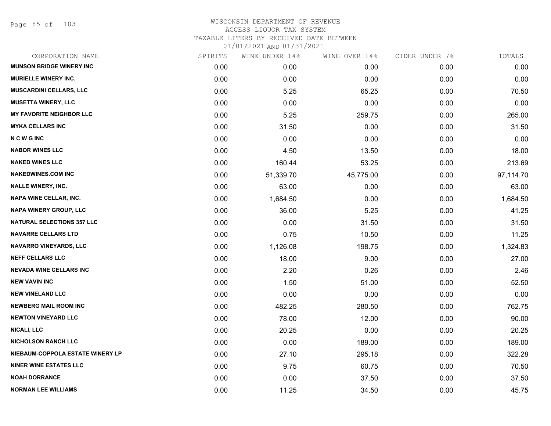Page 85 of 103

| CORPORATION NAME                  | SPIRITS | WINE UNDER 14% | WINE OVER 14% | CIDER UNDER 7% | TOTALS    |
|-----------------------------------|---------|----------------|---------------|----------------|-----------|
| <b>MUNSON BRIDGE WINERY INC</b>   | 0.00    | 0.00           | 0.00          | 0.00           | 0.00      |
| <b>MURIELLE WINERY INC.</b>       | 0.00    | 0.00           | 0.00          | 0.00           | 0.00      |
| <b>MUSCARDINI CELLARS, LLC</b>    | 0.00    | 5.25           | 65.25         | 0.00           | 70.50     |
| <b>MUSETTA WINERY, LLC</b>        | 0.00    | 0.00           | 0.00          | 0.00           | 0.00      |
| <b>MY FAVORITE NEIGHBOR LLC</b>   | 0.00    | 5.25           | 259.75        | 0.00           | 265.00    |
| <b>MYKA CELLARS INC</b>           | 0.00    | 31.50          | 0.00          | 0.00           | 31.50     |
| <b>NCWGINC</b>                    | 0.00    | 0.00           | 0.00          | 0.00           | 0.00      |
| <b>NABOR WINES LLC</b>            | 0.00    | 4.50           | 13.50         | 0.00           | 18.00     |
| <b>NAKED WINES LLC</b>            | 0.00    | 160.44         | 53.25         | 0.00           | 213.69    |
| <b>NAKEDWINES.COM INC</b>         | 0.00    | 51,339.70      | 45,775.00     | 0.00           | 97,114.70 |
| <b>NALLE WINERY, INC.</b>         | 0.00    | 63.00          | 0.00          | 0.00           | 63.00     |
| NAPA WINE CELLAR, INC.            | 0.00    | 1,684.50       | 0.00          | 0.00           | 1,684.50  |
| NAPA WINERY GROUP, LLC            | 0.00    | 36.00          | 5.25          | 0.00           | 41.25     |
| <b>NATURAL SELECTIONS 357 LLC</b> | 0.00    | 0.00           | 31.50         | 0.00           | 31.50     |
| <b>NAVARRE CELLARS LTD</b>        | 0.00    | 0.75           | 10.50         | 0.00           | 11.25     |
| NAVARRO VINEYARDS, LLC            | 0.00    | 1,126.08       | 198.75        | 0.00           | 1,324.83  |
| <b>NEFF CELLARS LLC</b>           | 0.00    | 18.00          | 9.00          | 0.00           | 27.00     |
| <b>NEVADA WINE CELLARS INC</b>    | 0.00    | 2.20           | 0.26          | 0.00           | 2.46      |
| <b>NEW VAVIN INC</b>              | 0.00    | 1.50           | 51.00         | 0.00           | 52.50     |
| <b>NEW VINELAND LLC</b>           | 0.00    | 0.00           | 0.00          | 0.00           | 0.00      |
| <b>NEWBERG MAIL ROOM INC</b>      | 0.00    | 482.25         | 280.50        | 0.00           | 762.75    |
| <b>NEWTON VINEYARD LLC</b>        | 0.00    | 78.00          | 12.00         | 0.00           | 90.00     |
| NICALI, LLC                       | 0.00    | 20.25          | 0.00          | 0.00           | 20.25     |
| <b>NICHOLSON RANCH LLC</b>        | 0.00    | 0.00           | 189.00        | 0.00           | 189.00    |
| NIEBAUM-COPPOLA ESTATE WINERY LP  | 0.00    | 27.10          | 295.18        | 0.00           | 322.28    |
| <b>NINER WINE ESTATES LLC</b>     | 0.00    | 9.75           | 60.75         | 0.00           | 70.50     |
| <b>NOAH DORRANCE</b>              | 0.00    | 0.00           | 37.50         | 0.00           | 37.50     |
| <b>NORMAN LEE WILLIAMS</b>        | 0.00    | 11.25          | 34.50         | 0.00           | 45.75     |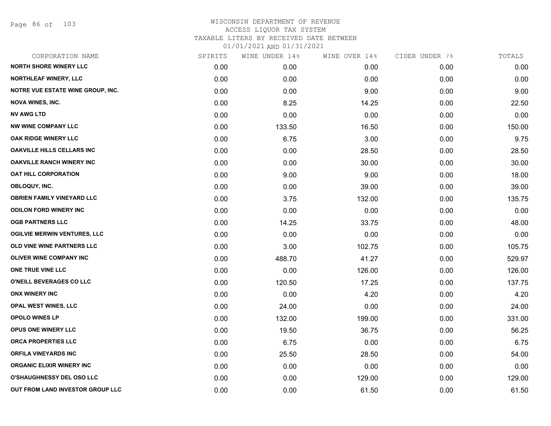Page 86 of 103

| CORPORATION NAME                    | SPIRITS | WINE UNDER 14% | WINE OVER 14% | CIDER UNDER 7% | TOTALS |
|-------------------------------------|---------|----------------|---------------|----------------|--------|
| <b>NORTH SHORE WINERY LLC</b>       | 0.00    | 0.00           | 0.00          | 0.00           | 0.00   |
| NORTHLEAF WINERY, LLC               | 0.00    | 0.00           | 0.00          | 0.00           | 0.00   |
| NOTRE VUE ESTATE WINE GROUP, INC.   | 0.00    | 0.00           | 9.00          | 0.00           | 9.00   |
| <b>NOVA WINES, INC.</b>             | 0.00    | 8.25           | 14.25         | 0.00           | 22.50  |
| <b>NV AWG LTD</b>                   | 0.00    | 0.00           | 0.00          | 0.00           | 0.00   |
| <b>NW WINE COMPANY LLC</b>          | 0.00    | 133.50         | 16.50         | 0.00           | 150.00 |
| OAK RIDGE WINERY LLC                | 0.00    | 6.75           | 3.00          | 0.00           | 9.75   |
| <b>OAKVILLE HILLS CELLARS INC</b>   | 0.00    | 0.00           | 28.50         | 0.00           | 28.50  |
| <b>OAKVILLE RANCH WINERY INC</b>    | 0.00    | 0.00           | 30.00         | 0.00           | 30.00  |
| <b>OAT HILL CORPORATION</b>         | 0.00    | 9.00           | 9.00          | 0.00           | 18.00  |
| OBLOQUY, INC.                       | 0.00    | 0.00           | 39.00         | 0.00           | 39.00  |
| <b>OBRIEN FAMILY VINEYARD LLC</b>   | 0.00    | 3.75           | 132.00        | 0.00           | 135.75 |
| <b>ODILON FORD WINERY INC</b>       | 0.00    | 0.00           | 0.00          | 0.00           | 0.00   |
| <b>OGB PARTNERS LLC</b>             | 0.00    | 14.25          | 33.75         | 0.00           | 48.00  |
| <b>OGILVIE MERWIN VENTURES, LLC</b> | 0.00    | 0.00           | 0.00          | 0.00           | 0.00   |
| OLD VINE WINE PARTNERS LLC          | 0.00    | 3.00           | 102.75        | 0.00           | 105.75 |
| <b>OLIVER WINE COMPANY INC</b>      | 0.00    | 488.70         | 41.27         | 0.00           | 529.97 |
| ONE TRUE VINE LLC                   | 0.00    | 0.00           | 126.00        | 0.00           | 126.00 |
| O'NEILL BEVERAGES CO LLC            | 0.00    | 120.50         | 17.25         | 0.00           | 137.75 |
| <b>ONX WINERY INC</b>               | 0.00    | 0.00           | 4.20          | 0.00           | 4.20   |
| OPAL WEST WINES, LLC                | 0.00    | 24.00          | 0.00          | 0.00           | 24.00  |
| <b>OPOLO WINES LP</b>               | 0.00    | 132.00         | 199.00        | 0.00           | 331.00 |
| OPUS ONE WINERY LLC                 | 0.00    | 19.50          | 36.75         | 0.00           | 56.25  |
| ORCA PROPERTIES LLC                 | 0.00    | 6.75           | 0.00          | 0.00           | 6.75   |
| <b>ORFILA VINEYARDS INC</b>         | 0.00    | 25.50          | 28.50         | 0.00           | 54.00  |
| <b>ORGANIC ELIXIR WINERY INC</b>    | 0.00    | 0.00           | 0.00          | 0.00           | 0.00   |
| <b>O'SHAUGHNESSY DEL OSO LLC</b>    | 0.00    | 0.00           | 129.00        | 0.00           | 129.00 |
| OUT FROM LAND INVESTOR GROUP LLC    | 0.00    | 0.00           | 61.50         | 0.00           | 61.50  |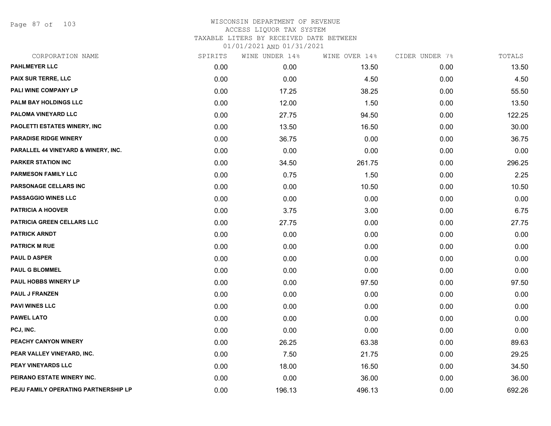Page 87 of 103

## WISCONSIN DEPARTMENT OF REVENUE ACCESS LIQUOR TAX SYSTEM TAXABLE LITERS BY RECEIVED DATE BETWEEN

| CORPORATION NAME                     | SPIRITS | WINE UNDER 14% | WINE OVER 14% | CIDER UNDER 7% | TOTALS |
|--------------------------------------|---------|----------------|---------------|----------------|--------|
| <b>PAHLMEYER LLC</b>                 | 0.00    | 0.00           | 13.50         | 0.00           | 13.50  |
| PAIX SUR TERRE, LLC                  | 0.00    | 0.00           | 4.50          | 0.00           | 4.50   |
| PALI WINE COMPANY LP                 | 0.00    | 17.25          | 38.25         | 0.00           | 55.50  |
| <b>PALM BAY HOLDINGS LLC</b>         | 0.00    | 12.00          | 1.50          | 0.00           | 13.50  |
| PALOMA VINEYARD LLC                  | 0.00    | 27.75          | 94.50         | 0.00           | 122.25 |
| PAOLETTI ESTATES WINERY, INC         | 0.00    | 13.50          | 16.50         | 0.00           | 30.00  |
| <b>PARADISE RIDGE WINERY</b>         | 0.00    | 36.75          | 0.00          | 0.00           | 36.75  |
| PARALLEL 44 VINEYARD & WINERY, INC.  | 0.00    | 0.00           | 0.00          | 0.00           | 0.00   |
| <b>PARKER STATION INC</b>            | 0.00    | 34.50          | 261.75        | 0.00           | 296.25 |
| <b>PARMESON FAMILY LLC</b>           | 0.00    | 0.75           | 1.50          | 0.00           | 2.25   |
| PARSONAGE CELLARS INC                | 0.00    | 0.00           | 10.50         | 0.00           | 10.50  |
| <b>PASSAGGIO WINES LLC</b>           | 0.00    | 0.00           | 0.00          | 0.00           | 0.00   |
| <b>PATRICIA A HOOVER</b>             | 0.00    | 3.75           | 3.00          | 0.00           | 6.75   |
| PATRICIA GREEN CELLARS LLC           | 0.00    | 27.75          | 0.00          | 0.00           | 27.75  |
| <b>PATRICK ARNDT</b>                 | 0.00    | 0.00           | 0.00          | 0.00           | 0.00   |
| <b>PATRICK M RUE</b>                 | 0.00    | 0.00           | 0.00          | 0.00           | 0.00   |
| <b>PAUL D ASPER</b>                  | 0.00    | 0.00           | 0.00          | 0.00           | 0.00   |
| <b>PAUL G BLOMMEL</b>                | 0.00    | 0.00           | 0.00          | 0.00           | 0.00   |
| PAUL HOBBS WINERY LP                 | 0.00    | 0.00           | 97.50         | 0.00           | 97.50  |
| <b>PAUL J FRANZEN</b>                | 0.00    | 0.00           | 0.00          | 0.00           | 0.00   |
| <b>PAVI WINES LLC</b>                | 0.00    | 0.00           | 0.00          | 0.00           | 0.00   |
| <b>PAWEL LATO</b>                    | 0.00    | 0.00           | 0.00          | 0.00           | 0.00   |
| PCJ, INC.                            | 0.00    | 0.00           | 0.00          | 0.00           | 0.00   |
| PEACHY CANYON WINERY                 | 0.00    | 26.25          | 63.38         | 0.00           | 89.63  |
| PEAR VALLEY VINEYARD, INC.           | 0.00    | 7.50           | 21.75         | 0.00           | 29.25  |
| PEAY VINEYARDS LLC                   | 0.00    | 18.00          | 16.50         | 0.00           | 34.50  |
| PEIRANO ESTATE WINERY INC.           | 0.00    | 0.00           | 36.00         | 0.00           | 36.00  |
| PEJU FAMILY OPERATING PARTNERSHIP LP | 0.00    | 196.13         | 496.13        | 0.00           | 692.26 |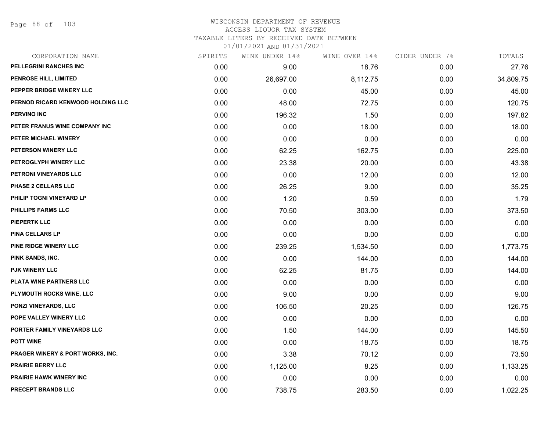Page 88 of 103

#### WISCONSIN DEPARTMENT OF REVENUE ACCESS LIQUOR TAX SYSTEM

TAXABLE LITERS BY RECEIVED DATE BETWEEN

| CORPORATION NAME                            | SPIRITS | WINE UNDER 14% | WINE OVER 14% | CIDER UNDER 7% | TOTALS    |
|---------------------------------------------|---------|----------------|---------------|----------------|-----------|
| PELLEGRINI RANCHES INC                      | 0.00    | 9.00           | 18.76         | 0.00           | 27.76     |
| PENROSE HILL, LIMITED                       | 0.00    | 26,697.00      | 8,112.75      | 0.00           | 34,809.75 |
| PEPPER BRIDGE WINERY LLC                    | 0.00    | 0.00           | 45.00         | 0.00           | 45.00     |
| PERNOD RICARD KENWOOD HOLDING LLC           | 0.00    | 48.00          | 72.75         | 0.00           | 120.75    |
| <b>PERVINO INC</b>                          | 0.00    | 196.32         | 1.50          | 0.00           | 197.82    |
| PETER FRANUS WINE COMPANY INC               | 0.00    | 0.00           | 18.00         | 0.00           | 18.00     |
| PETER MICHAEL WINERY                        | 0.00    | 0.00           | 0.00          | 0.00           | 0.00      |
| PETERSON WINERY LLC                         | 0.00    | 62.25          | 162.75        | 0.00           | 225.00    |
| PETROGLYPH WINERY LLC                       | 0.00    | 23.38          | 20.00         | 0.00           | 43.38     |
| PETRONI VINEYARDS LLC                       | 0.00    | 0.00           | 12.00         | 0.00           | 12.00     |
| PHASE 2 CELLARS LLC                         | 0.00    | 26.25          | 9.00          | 0.00           | 35.25     |
| PHILIP TOGNI VINEYARD LP                    | 0.00    | 1.20           | 0.59          | 0.00           | 1.79      |
| PHILLIPS FARMS LLC                          | 0.00    | 70.50          | 303.00        | 0.00           | 373.50    |
| <b>PIEPERTK LLC</b>                         | 0.00    | 0.00           | 0.00          | 0.00           | 0.00      |
| PINA CELLARS LP                             | 0.00    | 0.00           | 0.00          | 0.00           | 0.00      |
| PINE RIDGE WINERY LLC                       | 0.00    | 239.25         | 1,534.50      | 0.00           | 1,773.75  |
| PINK SANDS, INC.                            | 0.00    | 0.00           | 144.00        | 0.00           | 144.00    |
| PJK WINERY LLC                              | 0.00    | 62.25          | 81.75         | 0.00           | 144.00    |
| PLATA WINE PARTNERS LLC                     | 0.00    | 0.00           | 0.00          | 0.00           | 0.00      |
| PLYMOUTH ROCKS WINE, LLC                    | 0.00    | 9.00           | 0.00          | 0.00           | 9.00      |
| <b>PONZI VINEYARDS, LLC</b>                 | 0.00    | 106.50         | 20.25         | 0.00           | 126.75    |
| POPE VALLEY WINERY LLC                      | 0.00    | 0.00           | 0.00          | 0.00           | 0.00      |
| PORTER FAMILY VINEYARDS LLC                 | 0.00    | 1.50           | 144.00        | 0.00           | 145.50    |
| <b>POTT WINE</b>                            | 0.00    | 0.00           | 18.75         | 0.00           | 18.75     |
| <b>PRAGER WINERY &amp; PORT WORKS, INC.</b> | 0.00    | 3.38           | 70.12         | 0.00           | 73.50     |
| <b>PRAIRIE BERRY LLC</b>                    | 0.00    | 1,125.00       | 8.25          | 0.00           | 1,133.25  |
| <b>PRAIRIE HAWK WINERY INC</b>              | 0.00    | 0.00           | 0.00          | 0.00           | 0.00      |
| PRECEPT BRANDS LLC                          | 0.00    | 738.75         | 283.50        | 0.00           | 1,022.25  |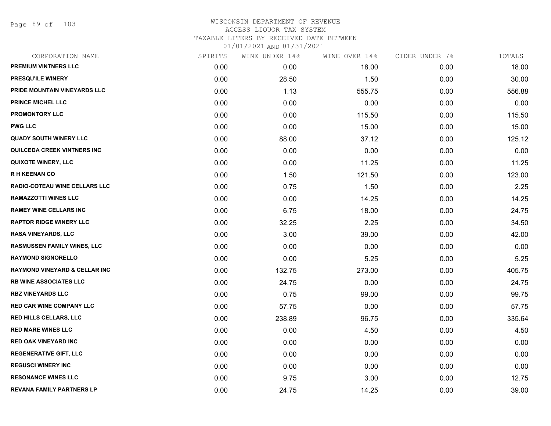Page 89 of 103

## WISCONSIN DEPARTMENT OF REVENUE ACCESS LIQUOR TAX SYSTEM TAXABLE LITERS BY RECEIVED DATE BETWEEN

| CORPORATION NAME                         | SPIRITS | WINE UNDER 14% | WINE OVER 14% | CIDER UNDER 7% | TOTALS |
|------------------------------------------|---------|----------------|---------------|----------------|--------|
| PREMIUM VINTNERS LLC                     | 0.00    | 0.00           | 18.00         | 0.00           | 18.00  |
| <b>PRESQU'ILE WINERY</b>                 | 0.00    | 28.50          | 1.50          | 0.00           | 30.00  |
| PRIDE MOUNTAIN VINEYARDS LLC             | 0.00    | 1.13           | 555.75        | 0.00           | 556.88 |
| <b>PRINCE MICHEL LLC</b>                 | 0.00    | 0.00           | 0.00          | 0.00           | 0.00   |
| <b>PROMONTORY LLC</b>                    | 0.00    | 0.00           | 115.50        | 0.00           | 115.50 |
| <b>PWG LLC</b>                           | 0.00    | 0.00           | 15.00         | 0.00           | 15.00  |
| <b>QUADY SOUTH WINERY LLC</b>            | 0.00    | 88.00          | 37.12         | 0.00           | 125.12 |
| <b>QUILCEDA CREEK VINTNERS INC</b>       | 0.00    | 0.00           | 0.00          | 0.00           | 0.00   |
| QUIXOTE WINERY, LLC                      | 0.00    | 0.00           | 11.25         | 0.00           | 11.25  |
| <b>RH KEENAN CO</b>                      | 0.00    | 1.50           | 121.50        | 0.00           | 123.00 |
| RADIO-COTEAU WINE CELLARS LLC            | 0.00    | 0.75           | 1.50          | 0.00           | 2.25   |
| <b>RAMAZZOTTI WINES LLC</b>              | 0.00    | 0.00           | 14.25         | 0.00           | 14.25  |
| <b>RAMEY WINE CELLARS INC</b>            | 0.00    | 6.75           | 18.00         | 0.00           | 24.75  |
| <b>RAPTOR RIDGE WINERY LLC</b>           | 0.00    | 32.25          | 2.25          | 0.00           | 34.50  |
| <b>RASA VINEYARDS, LLC</b>               | 0.00    | 3.00           | 39.00         | 0.00           | 42.00  |
| <b>RASMUSSEN FAMILY WINES, LLC</b>       | 0.00    | 0.00           | 0.00          | 0.00           | 0.00   |
| <b>RAYMOND SIGNORELLO</b>                | 0.00    | 0.00           | 5.25          | 0.00           | 5.25   |
| <b>RAYMOND VINEYARD &amp; CELLAR INC</b> | 0.00    | 132.75         | 273.00        | 0.00           | 405.75 |
| <b>RB WINE ASSOCIATES LLC</b>            | 0.00    | 24.75          | 0.00          | 0.00           | 24.75  |
| <b>RBZ VINEYARDS LLC</b>                 | 0.00    | 0.75           | 99.00         | 0.00           | 99.75  |
| <b>RED CAR WINE COMPANY LLC</b>          | 0.00    | 57.75          | 0.00          | 0.00           | 57.75  |
| RED HILLS CELLARS, LLC                   | 0.00    | 238.89         | 96.75         | 0.00           | 335.64 |
| <b>RED MARE WINES LLC</b>                | 0.00    | 0.00           | 4.50          | 0.00           | 4.50   |
| <b>RED OAK VINEYARD INC</b>              | 0.00    | 0.00           | 0.00          | 0.00           | 0.00   |
| <b>REGENERATIVE GIFT, LLC</b>            | 0.00    | 0.00           | 0.00          | 0.00           | 0.00   |
| <b>REGUSCI WINERY INC</b>                | 0.00    | 0.00           | 0.00          | 0.00           | 0.00   |
| <b>RESONANCE WINES LLC</b>               | 0.00    | 9.75           | 3.00          | 0.00           | 12.75  |
| <b>REVANA FAMILY PARTNERS LP</b>         | 0.00    | 24.75          | 14.25         | 0.00           | 39.00  |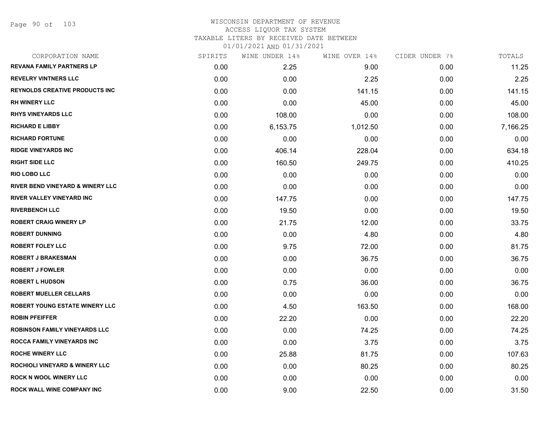## WISCONSIN DEPARTMENT OF REVENUE ACCESS LIQUOR TAX SYSTEM

TAXABLE LITERS BY RECEIVED DATE BETWEEN

| CORPORATION NAME                            | SPIRITS | WINE UNDER 14% | WINE OVER 14% | CIDER UNDER 7% | TOTALS   |
|---------------------------------------------|---------|----------------|---------------|----------------|----------|
| <b>REVANA FAMILY PARTNERS LP</b>            | 0.00    | 2.25           | 9.00          | 0.00           | 11.25    |
| <b>REVELRY VINTNERS LLC</b>                 | 0.00    | 0.00           | 2.25          | 0.00           | 2.25     |
| <b>REYNOLDS CREATIVE PRODUCTS INC</b>       | 0.00    | 0.00           | 141.15        | 0.00           | 141.15   |
| <b>RH WINERY LLC</b>                        | 0.00    | 0.00           | 45.00         | 0.00           | 45.00    |
| <b>RHYS VINEYARDS LLC</b>                   | 0.00    | 108.00         | 0.00          | 0.00           | 108.00   |
| <b>RICHARD E LIBBY</b>                      | 0.00    | 6,153.75       | 1,012.50      | 0.00           | 7,166.25 |
| <b>RICHARD FORTUNE</b>                      | 0.00    | 0.00           | 0.00          | 0.00           | 0.00     |
| <b>RIDGE VINEYARDS INC</b>                  | 0.00    | 406.14         | 228.04        | 0.00           | 634.18   |
| <b>RIGHT SIDE LLC</b>                       | 0.00    | 160.50         | 249.75        | 0.00           | 410.25   |
| <b>RIO LOBO LLC</b>                         | 0.00    | 0.00           | 0.00          | 0.00           | 0.00     |
| <b>RIVER BEND VINEYARD &amp; WINERY LLC</b> | 0.00    | 0.00           | 0.00          | 0.00           | 0.00     |
| <b>RIVER VALLEY VINEYARD INC</b>            | 0.00    | 147.75         | 0.00          | 0.00           | 147.75   |
| <b>RIVERBENCH LLC</b>                       | 0.00    | 19.50          | 0.00          | 0.00           | 19.50    |
| <b>ROBERT CRAIG WINERY LP</b>               | 0.00    | 21.75          | 12.00         | 0.00           | 33.75    |
| <b>ROBERT DUNNING</b>                       | 0.00    | 0.00           | 4.80          | 0.00           | 4.80     |
| <b>ROBERT FOLEY LLC</b>                     | 0.00    | 9.75           | 72.00         | 0.00           | 81.75    |
| <b>ROBERT J BRAKESMAN</b>                   | 0.00    | 0.00           | 36.75         | 0.00           | 36.75    |
| <b>ROBERT J FOWLER</b>                      | 0.00    | 0.00           | 0.00          | 0.00           | 0.00     |
| <b>ROBERT L HUDSON</b>                      | 0.00    | 0.75           | 36.00         | 0.00           | 36.75    |
| <b>ROBERT MUELLER CELLARS</b>               | 0.00    | 0.00           | 0.00          | 0.00           | 0.00     |
| ROBERT YOUNG ESTATE WINERY LLC              | 0.00    | 4.50           | 163.50        | 0.00           | 168.00   |
| <b>ROBIN PFEIFFER</b>                       | 0.00    | 22.20          | 0.00          | 0.00           | 22.20    |
| <b>ROBINSON FAMILY VINEYARDS LLC</b>        | 0.00    | 0.00           | 74.25         | 0.00           | 74.25    |
| <b>ROCCA FAMILY VINEYARDS INC</b>           | 0.00    | 0.00           | 3.75          | 0.00           | 3.75     |
| <b>ROCHE WINERY LLC</b>                     | 0.00    | 25.88          | 81.75         | 0.00           | 107.63   |
| <b>ROCHIOLI VINEYARD &amp; WINERY LLC</b>   | 0.00    | 0.00           | 80.25         | 0.00           | 80.25    |
| <b>ROCK N WOOL WINERY LLC</b>               | 0.00    | 0.00           | 0.00          | 0.00           | 0.00     |
| <b>ROCK WALL WINE COMPANY INC</b>           | 0.00    | 9.00           | 22.50         | 0.00           | 31.50    |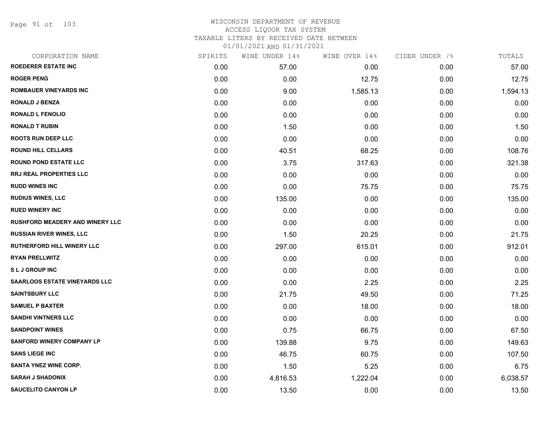Page 91 of 103

| CORPORATION NAME                       | SPIRITS | WINE UNDER 14% | WINE OVER 14% | CIDER UNDER 7% | TOTALS   |
|----------------------------------------|---------|----------------|---------------|----------------|----------|
| <b>ROEDERER ESTATE INC</b>             | 0.00    | 57.00          | 0.00          | 0.00           | 57.00    |
| <b>ROGER PENG</b>                      | 0.00    | 0.00           | 12.75         | 0.00           | 12.75    |
| <b>ROMBAUER VINEYARDS INC</b>          | 0.00    | 9.00           | 1,585.13      | 0.00           | 1,594.13 |
| <b>RONALD J BENZA</b>                  | 0.00    | 0.00           | 0.00          | 0.00           | 0.00     |
| <b>RONALD L FENOLIO</b>                | 0.00    | 0.00           | 0.00          | 0.00           | 0.00     |
| <b>RONALD T RUBIN</b>                  | 0.00    | 1.50           | 0.00          | 0.00           | 1.50     |
| <b>ROOTS RUN DEEP LLC</b>              | 0.00    | 0.00           | 0.00          | 0.00           | 0.00     |
| <b>ROUND HILL CELLARS</b>              | 0.00    | 40.51          | 68.25         | 0.00           | 108.76   |
| <b>ROUND POND ESTATE LLC</b>           | 0.00    | 3.75           | 317.63        | 0.00           | 321.38   |
| RRJ REAL PROPERTIES LLC                | 0.00    | 0.00           | 0.00          | 0.00           | 0.00     |
| <b>RUDD WINES INC</b>                  | 0.00    | 0.00           | 75.75         | 0.00           | 75.75    |
| <b>RUDIUS WINES, LLC</b>               | 0.00    | 135.00         | 0.00          | 0.00           | 135.00   |
| <b>RUED WINERY INC</b>                 | 0.00    | 0.00           | 0.00          | 0.00           | 0.00     |
| <b>RUSHFORD MEADERY AND WINERY LLC</b> | 0.00    | 0.00           | 0.00          | 0.00           | 0.00     |
| <b>RUSSIAN RIVER WINES, LLC</b>        | 0.00    | 1.50           | 20.25         | 0.00           | 21.75    |
| <b>RUTHERFORD HILL WINERY LLC</b>      | 0.00    | 297.00         | 615.01        | 0.00           | 912.01   |
| <b>RYAN PRELLWITZ</b>                  | 0.00    | 0.00           | 0.00          | 0.00           | 0.00     |
| <b>SLJ GROUP INC</b>                   | 0.00    | 0.00           | 0.00          | 0.00           | 0.00     |
| <b>SAARLOOS ESTATE VINEYARDS LLC</b>   | 0.00    | 0.00           | 2.25          | 0.00           | 2.25     |
| <b>SAINTSBURY LLC</b>                  | 0.00    | 21.75          | 49.50         | 0.00           | 71.25    |
| <b>SAMUEL P BAXTER</b>                 | 0.00    | 0.00           | 18.00         | 0.00           | 18.00    |
| <b>SANDHI VINTNERS LLC</b>             | 0.00    | 0.00           | 0.00          | 0.00           | 0.00     |
| <b>SANDPOINT WINES</b>                 | 0.00    | 0.75           | 66.75         | 0.00           | 67.50    |
| <b>SANFORD WINERY COMPANY LP</b>       | 0.00    | 139.88         | 9.75          | 0.00           | 149.63   |
| <b>SANS LIEGE INC</b>                  | 0.00    | 46.75          | 60.75         | 0.00           | 107.50   |
| SANTA YNEZ WINE CORP.                  | 0.00    | 1.50           | 5.25          | 0.00           | 6.75     |
| <b>SARAH J SHADONIX</b>                | 0.00    | 4,816.53       | 1,222.04      | 0.00           | 6,038.57 |
| <b>SAUCELITO CANYON LP</b>             | 0.00    | 13.50          | 0.00          | 0.00           | 13.50    |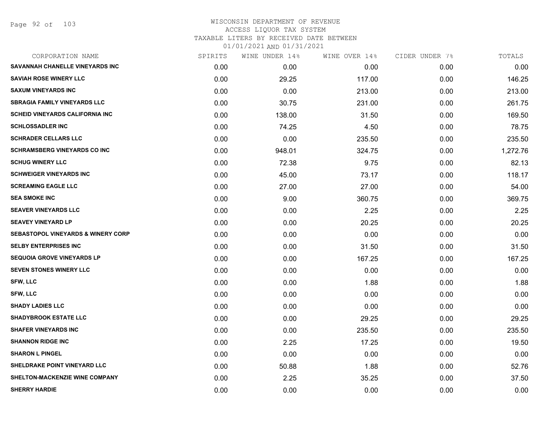| CORPORATION NAME                              | SPIRITS | WINE UNDER 14% | WINE OVER 14% | CIDER UNDER 7% | TOTALS   |
|-----------------------------------------------|---------|----------------|---------------|----------------|----------|
| SAVANNAH CHANELLE VINEYARDS INC               | 0.00    | 0.00           | 0.00          | 0.00           | 0.00     |
| <b>SAVIAH ROSE WINERY LLC</b>                 | 0.00    | 29.25          | 117.00        | 0.00           | 146.25   |
| <b>SAXUM VINEYARDS INC</b>                    | 0.00    | 0.00           | 213.00        | 0.00           | 213.00   |
| <b>SBRAGIA FAMILY VINEYARDS LLC</b>           | 0.00    | 30.75          | 231.00        | 0.00           | 261.75   |
| <b>SCHEID VINEYARDS CALIFORNIA INC</b>        | 0.00    | 138.00         | 31.50         | 0.00           | 169.50   |
| <b>SCHLOSSADLER INC</b>                       | 0.00    | 74.25          | 4.50          | 0.00           | 78.75    |
| <b>SCHRADER CELLARS LLC</b>                   | 0.00    | 0.00           | 235.50        | 0.00           | 235.50   |
| <b>SCHRAMSBERG VINEYARDS CO INC</b>           | 0.00    | 948.01         | 324.75        | 0.00           | 1,272.76 |
| <b>SCHUG WINERY LLC</b>                       | 0.00    | 72.38          | 9.75          | 0.00           | 82.13    |
| <b>SCHWEIGER VINEYARDS INC</b>                | 0.00    | 45.00          | 73.17         | 0.00           | 118.17   |
| <b>SCREAMING EAGLE LLC</b>                    | 0.00    | 27.00          | 27.00         | 0.00           | 54.00    |
| <b>SEA SMOKE INC</b>                          | 0.00    | 9.00           | 360.75        | 0.00           | 369.75   |
| <b>SEAVER VINEYARDS LLC</b>                   | 0.00    | 0.00           | 2.25          | 0.00           | 2.25     |
| <b>SEAVEY VINEYARD LP</b>                     | 0.00    | 0.00           | 20.25         | 0.00           | 20.25    |
| <b>SEBASTOPOL VINEYARDS &amp; WINERY CORP</b> | 0.00    | 0.00           | 0.00          | 0.00           | 0.00     |
| <b>SELBY ENTERPRISES INC</b>                  | 0.00    | 0.00           | 31.50         | 0.00           | 31.50    |
| <b>SEQUOIA GROVE VINEYARDS LP</b>             | 0.00    | 0.00           | 167.25        | 0.00           | 167.25   |
| <b>SEVEN STONES WINERY LLC</b>                | 0.00    | 0.00           | 0.00          | 0.00           | 0.00     |
| <b>SFW, LLC</b>                               | 0.00    | 0.00           | 1.88          | 0.00           | 1.88     |
| <b>SFW, LLC</b>                               | 0.00    | 0.00           | 0.00          | 0.00           | 0.00     |
| <b>SHADY LADIES LLC</b>                       | 0.00    | 0.00           | 0.00          | 0.00           | 0.00     |
| <b>SHADYBROOK ESTATE LLC</b>                  | 0.00    | 0.00           | 29.25         | 0.00           | 29.25    |
| <b>SHAFER VINEYARDS INC</b>                   | 0.00    | 0.00           | 235.50        | 0.00           | 235.50   |
| <b>SHANNON RIDGE INC</b>                      | 0.00    | 2.25           | 17.25         | 0.00           | 19.50    |
| <b>SHARON L PINGEL</b>                        | 0.00    | 0.00           | 0.00          | 0.00           | 0.00     |
| SHELDRAKE POINT VINEYARD LLC                  | 0.00    | 50.88          | 1.88          | 0.00           | 52.76    |
| <b>SHELTON-MACKENZIE WINE COMPANY</b>         | 0.00    | 2.25           | 35.25         | 0.00           | 37.50    |
| <b>SHERRY HARDIE</b>                          | 0.00    | 0.00           | 0.00          | 0.00           | 0.00     |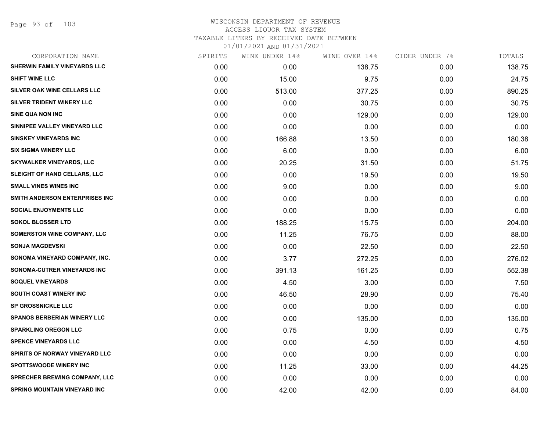Page 93 of 103

| CORPORATION NAME                     | SPIRITS | WINE UNDER 14% | WINE OVER 14% | CIDER UNDER 7% | TOTALS |
|--------------------------------------|---------|----------------|---------------|----------------|--------|
| <b>SHERWIN FAMILY VINEYARDS LLC</b>  | 0.00    | 0.00           | 138.75        | 0.00           | 138.75 |
| <b>SHIFT WINE LLC</b>                | 0.00    | 15.00          | 9.75          | 0.00           | 24.75  |
| SILVER OAK WINE CELLARS LLC          | 0.00    | 513.00         | 377.25        | 0.00           | 890.25 |
| SILVER TRIDENT WINERY LLC            | 0.00    | 0.00           | 30.75         | 0.00           | 30.75  |
| <b>SINE QUA NON INC</b>              | 0.00    | 0.00           | 129.00        | 0.00           | 129.00 |
| SINNIPEE VALLEY VINEYARD LLC         | 0.00    | 0.00           | 0.00          | 0.00           | 0.00   |
| <b>SINSKEY VINEYARDS INC</b>         | 0.00    | 166.88         | 13.50         | 0.00           | 180.38 |
| <b>SIX SIGMA WINERY LLC</b>          | 0.00    | 6.00           | 0.00          | 0.00           | 6.00   |
| <b>SKYWALKER VINEYARDS, LLC</b>      | 0.00    | 20.25          | 31.50         | 0.00           | 51.75  |
| <b>SLEIGHT OF HAND CELLARS, LLC</b>  | 0.00    | 0.00           | 19.50         | 0.00           | 19.50  |
| <b>SMALL VINES WINES INC</b>         | 0.00    | 9.00           | 0.00          | 0.00           | 9.00   |
| SMITH ANDERSON ENTERPRISES INC       | 0.00    | 0.00           | 0.00          | 0.00           | 0.00   |
| <b>SOCIAL ENJOYMENTS LLC</b>         | 0.00    | 0.00           | 0.00          | 0.00           | 0.00   |
| <b>SOKOL BLOSSER LTD</b>             | 0.00    | 188.25         | 15.75         | 0.00           | 204.00 |
| SOMERSTON WINE COMPANY, LLC          | 0.00    | 11.25          | 76.75         | 0.00           | 88.00  |
| <b>SONJA MAGDEVSKI</b>               | 0.00    | 0.00           | 22.50         | 0.00           | 22.50  |
| SONOMA VINEYARD COMPANY, INC.        | 0.00    | 3.77           | 272.25        | 0.00           | 276.02 |
| SONOMA-CUTRER VINEYARDS INC          | 0.00    | 391.13         | 161.25        | 0.00           | 552.38 |
| <b>SOQUEL VINEYARDS</b>              | 0.00    | 4.50           | 3.00          | 0.00           | 7.50   |
| <b>SOUTH COAST WINERY INC</b>        | 0.00    | 46.50          | 28.90         | 0.00           | 75.40  |
| <b>SP GROSSNICKLE LLC</b>            | 0.00    | 0.00           | 0.00          | 0.00           | 0.00   |
| <b>SPANOS BERBERIAN WINERY LLC</b>   | 0.00    | 0.00           | 135.00        | 0.00           | 135.00 |
| <b>SPARKLING OREGON LLC</b>          | 0.00    | 0.75           | 0.00          | 0.00           | 0.75   |
| <b>SPENCE VINEYARDS LLC</b>          | 0.00    | 0.00           | 4.50          | 0.00           | 4.50   |
| SPIRITS OF NORWAY VINEYARD LLC       | 0.00    | 0.00           | 0.00          | 0.00           | 0.00   |
| <b>SPOTTSWOODE WINERY INC</b>        | 0.00    | 11.25          | 33.00         | 0.00           | 44.25  |
| <b>SPRECHER BREWING COMPANY, LLC</b> | 0.00    | 0.00           | 0.00          | 0.00           | 0.00   |
| <b>SPRING MOUNTAIN VINEYARD INC</b>  | 0.00    | 42.00          | 42.00         | 0.00           | 84.00  |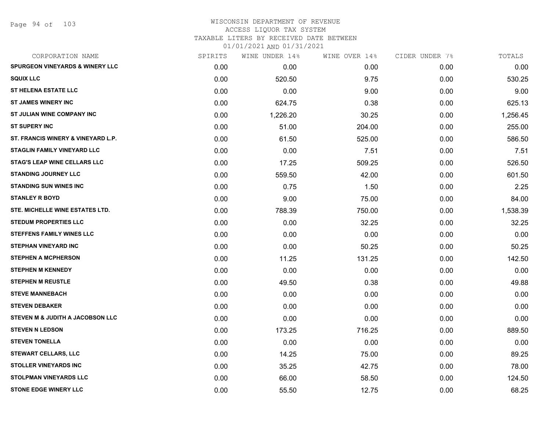Page 94 of 103

### WISCONSIN DEPARTMENT OF REVENUE ACCESS LIQUOR TAX SYSTEM

TAXABLE LITERS BY RECEIVED DATE BETWEEN

| CORPORATION NAME                           | SPIRITS | WINE UNDER 14% | WINE OVER 14% | CIDER UNDER 7% | TOTALS   |
|--------------------------------------------|---------|----------------|---------------|----------------|----------|
| <b>SPURGEON VINEYARDS &amp; WINERY LLC</b> | 0.00    | 0.00           | 0.00          | 0.00           | 0.00     |
| <b>SQUIX LLC</b>                           | 0.00    | 520.50         | 9.75          | 0.00           | 530.25   |
| <b>ST HELENA ESTATE LLC</b>                | 0.00    | 0.00           | 9.00          | 0.00           | 9.00     |
| <b>ST JAMES WINERY INC</b>                 | 0.00    | 624.75         | 0.38          | 0.00           | 625.13   |
| ST JULIAN WINE COMPANY INC                 | 0.00    | 1,226.20       | 30.25         | 0.00           | 1,256.45 |
| <b>ST SUPERY INC</b>                       | 0.00    | 51.00          | 204.00        | 0.00           | 255.00   |
| ST. FRANCIS WINERY & VINEYARD L.P.         | 0.00    | 61.50          | 525.00        | 0.00           | 586.50   |
| <b>STAGLIN FAMILY VINEYARD LLC</b>         | 0.00    | 0.00           | 7.51          | 0.00           | 7.51     |
| <b>STAG'S LEAP WINE CELLARS LLC</b>        | 0.00    | 17.25          | 509.25        | 0.00           | 526.50   |
| <b>STANDING JOURNEY LLC</b>                | 0.00    | 559.50         | 42.00         | 0.00           | 601.50   |
| <b>STANDING SUN WINES INC</b>              | 0.00    | 0.75           | 1.50          | 0.00           | 2.25     |
| <b>STANLEY R BOYD</b>                      | 0.00    | 9.00           | 75.00         | 0.00           | 84.00    |
| STE. MICHELLE WINE ESTATES LTD.            | 0.00    | 788.39         | 750.00        | 0.00           | 1,538.39 |
| <b>STEDUM PROPERTIES LLC</b>               | 0.00    | 0.00           | 32.25         | 0.00           | 32.25    |
| <b>STEFFENS FAMILY WINES LLC</b>           | 0.00    | 0.00           | 0.00          | 0.00           | 0.00     |
| <b>STEPHAN VINEYARD INC</b>                | 0.00    | 0.00           | 50.25         | 0.00           | 50.25    |
| <b>STEPHEN A MCPHERSON</b>                 | 0.00    | 11.25          | 131.25        | 0.00           | 142.50   |
| <b>STEPHEN M KENNEDY</b>                   | 0.00    | 0.00           | 0.00          | 0.00           | 0.00     |
| <b>STEPHEN M REUSTLE</b>                   | 0.00    | 49.50          | 0.38          | 0.00           | 49.88    |
| <b>STEVE MANNEBACH</b>                     | 0.00    | 0.00           | 0.00          | 0.00           | 0.00     |
| <b>STEVEN DEBAKER</b>                      | 0.00    | 0.00           | 0.00          | 0.00           | 0.00     |
| STEVEN M & JUDITH A JACOBSON LLC           | 0.00    | 0.00           | 0.00          | 0.00           | 0.00     |
| <b>STEVEN N LEDSON</b>                     | 0.00    | 173.25         | 716.25        | 0.00           | 889.50   |
| <b>STEVEN TONELLA</b>                      | 0.00    | 0.00           | 0.00          | 0.00           | 0.00     |
| <b>STEWART CELLARS, LLC</b>                | 0.00    | 14.25          | 75.00         | 0.00           | 89.25    |
| <b>STOLLER VINEYARDS INC</b>               | 0.00    | 35.25          | 42.75         | 0.00           | 78.00    |
| <b>STOLPMAN VINEYARDS LLC</b>              | 0.00    | 66.00          | 58.50         | 0.00           | 124.50   |
| <b>STONE EDGE WINERY LLC</b>               | 0.00    | 55.50          | 12.75         | 0.00           | 68.25    |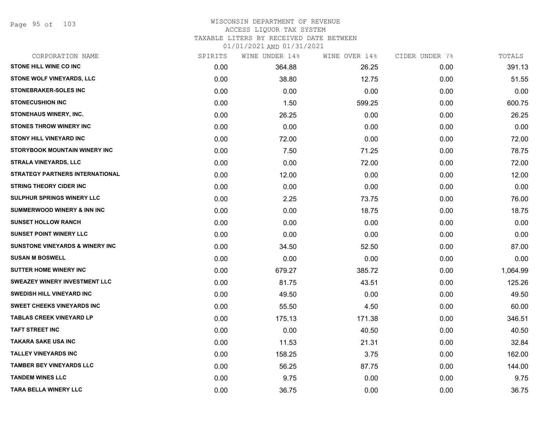Page 95 of 103

#### WISCONSIN DEPARTMENT OF REVENUE ACCESS LIQUOR TAX SYSTEM

TAXABLE LITERS BY RECEIVED DATE BETWEEN

| CORPORATION NAME                           | SPIRITS | WINE UNDER 14% | WINE OVER 14% | CIDER UNDER 7% | TOTALS   |
|--------------------------------------------|---------|----------------|---------------|----------------|----------|
| STONE HILL WINE CO INC                     | 0.00    | 364.88         | 26.25         | 0.00           | 391.13   |
| STONE WOLF VINEYARDS, LLC                  | 0.00    | 38.80          | 12.75         | 0.00           | 51.55    |
| <b>STONEBRAKER-SOLES INC</b>               | 0.00    | 0.00           | 0.00          | 0.00           | 0.00     |
| <b>STONECUSHION INC</b>                    | 0.00    | 1.50           | 599.25        | 0.00           | 600.75   |
| STONEHAUS WINERY, INC.                     | 0.00    | 26.25          | 0.00          | 0.00           | 26.25    |
| <b>STONES THROW WINERY INC</b>             | 0.00    | 0.00           | 0.00          | 0.00           | 0.00     |
| <b>STONY HILL VINEYARD INC</b>             | 0.00    | 72.00          | 0.00          | 0.00           | 72.00    |
| <b>STORYBOOK MOUNTAIN WINERY INC</b>       | 0.00    | 7.50           | 71.25         | 0.00           | 78.75    |
| <b>STRALA VINEYARDS, LLC</b>               | 0.00    | 0.00           | 72.00         | 0.00           | 72.00    |
| <b>STRATEGY PARTNERS INTERNATIONAL</b>     | 0.00    | 12.00          | 0.00          | 0.00           | 12.00    |
| <b>STRING THEORY CIDER INC</b>             | 0.00    | 0.00           | 0.00          | 0.00           | 0.00     |
| SULPHUR SPRINGS WINERY LLC                 | 0.00    | 2.25           | 73.75         | 0.00           | 76.00    |
| <b>SUMMERWOOD WINERY &amp; INN INC</b>     | 0.00    | 0.00           | 18.75         | 0.00           | 18.75    |
| <b>SUNSET HOLLOW RANCH</b>                 | 0.00    | 0.00           | 0.00          | 0.00           | 0.00     |
| <b>SUNSET POINT WINERY LLC</b>             | 0.00    | 0.00           | 0.00          | 0.00           | 0.00     |
| <b>SUNSTONE VINEYARDS &amp; WINERY INC</b> | 0.00    | 34.50          | 52.50         | 0.00           | 87.00    |
| <b>SUSAN M BOSWELL</b>                     | 0.00    | 0.00           | 0.00          | 0.00           | 0.00     |
| SUTTER HOME WINERY INC                     | 0.00    | 679.27         | 385.72        | 0.00           | 1,064.99 |
| <b>SWEAZEY WINERY INVESTMENT LLC</b>       | 0.00    | 81.75          | 43.51         | 0.00           | 125.26   |
| <b>SWEDISH HILL VINEYARD INC</b>           | 0.00    | 49.50          | 0.00          | 0.00           | 49.50    |
| <b>SWEET CHEEKS VINEYARDS INC</b>          | 0.00    | 55.50          | 4.50          | 0.00           | 60.00    |
| <b>TABLAS CREEK VINEYARD LP</b>            | 0.00    | 175.13         | 171.38        | 0.00           | 346.51   |
| <b>TAFT STREET INC</b>                     | 0.00    | 0.00           | 40.50         | 0.00           | 40.50    |
| TAKARA SAKE USA INC                        | 0.00    | 11.53          | 21.31         | 0.00           | 32.84    |
| <b>TALLEY VINEYARDS INC</b>                | 0.00    | 158.25         | 3.75          | 0.00           | 162.00   |
| <b>TAMBER BEY VINEYARDS LLC</b>            | 0.00    | 56.25          | 87.75         | 0.00           | 144.00   |
| <b>TANDEM WINES LLC</b>                    | 0.00    | 9.75           | 0.00          | 0.00           | 9.75     |
| <b>TARA BELLA WINERY LLC</b>               | 0.00    | 36.75          | 0.00          | 0.00           | 36.75    |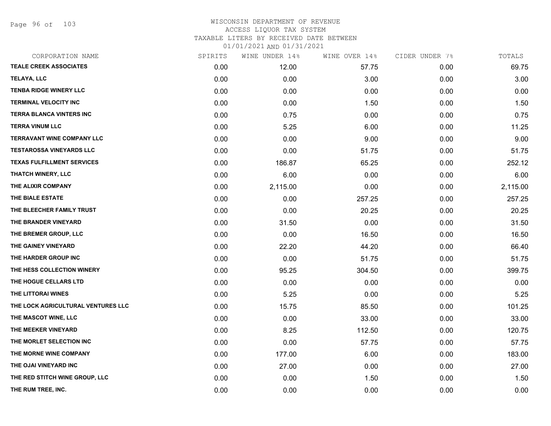Page 96 of 103

| CORPORATION NAME                   | SPIRITS | WINE UNDER 14% | WINE OVER 14% | CIDER UNDER 7% | TOTALS   |
|------------------------------------|---------|----------------|---------------|----------------|----------|
| <b>TEALE CREEK ASSOCIATES</b>      | 0.00    | 12.00          | 57.75         | 0.00           | 69.75    |
| TELAYA, LLC                        | 0.00    | 0.00           | 3.00          | 0.00           | 3.00     |
| <b>TENBA RIDGE WINERY LLC</b>      | 0.00    | 0.00           | 0.00          | 0.00           | 0.00     |
| <b>TERMINAL VELOCITY INC</b>       | 0.00    | 0.00           | 1.50          | 0.00           | 1.50     |
| TERRA BLANCA VINTERS INC           | 0.00    | 0.75           | 0.00          | 0.00           | 0.75     |
| <b>TERRA VINUM LLC</b>             | 0.00    | 5.25           | 6.00          | 0.00           | 11.25    |
| <b>TERRAVANT WINE COMPANY LLC</b>  | 0.00    | 0.00           | 9.00          | 0.00           | 9.00     |
| <b>TESTAROSSA VINEYARDS LLC</b>    | 0.00    | 0.00           | 51.75         | 0.00           | 51.75    |
| <b>TEXAS FULFILLMENT SERVICES</b>  | 0.00    | 186.87         | 65.25         | 0.00           | 252.12   |
| <b>THATCH WINERY, LLC</b>          | 0.00    | 6.00           | 0.00          | 0.00           | 6.00     |
| THE ALIXIR COMPANY                 | 0.00    | 2,115.00       | 0.00          | 0.00           | 2,115.00 |
| THE BIALE ESTATE                   | 0.00    | 0.00           | 257.25        | 0.00           | 257.25   |
| THE BLEECHER FAMILY TRUST          | 0.00    | 0.00           | 20.25         | 0.00           | 20.25    |
| THE BRANDER VINEYARD               | 0.00    | 31.50          | 0.00          | 0.00           | 31.50    |
| THE BREMER GROUP, LLC              | 0.00    | 0.00           | 16.50         | 0.00           | 16.50    |
| THE GAINEY VINEYARD                | 0.00    | 22.20          | 44.20         | 0.00           | 66.40    |
| THE HARDER GROUP INC               | 0.00    | 0.00           | 51.75         | 0.00           | 51.75    |
| THE HESS COLLECTION WINERY         | 0.00    | 95.25          | 304.50        | 0.00           | 399.75   |
| THE HOGUE CELLARS LTD              | 0.00    | 0.00           | 0.00          | 0.00           | 0.00     |
| THE LITTORAI WINES                 | 0.00    | 5.25           | 0.00          | 0.00           | 5.25     |
| THE LOCK AGRICULTURAL VENTURES LLC | 0.00    | 15.75          | 85.50         | 0.00           | 101.25   |
| THE MASCOT WINE, LLC               | 0.00    | 0.00           | 33.00         | 0.00           | 33.00    |
| THE MEEKER VINEYARD                | 0.00    | 8.25           | 112.50        | 0.00           | 120.75   |
| THE MORLET SELECTION INC           | 0.00    | 0.00           | 57.75         | 0.00           | 57.75    |
| THE MORNE WINE COMPANY             | 0.00    | 177.00         | 6.00          | 0.00           | 183.00   |
| THE OJAI VINEYARD INC              | 0.00    | 27.00          | 0.00          | 0.00           | 27.00    |
| THE RED STITCH WINE GROUP, LLC     | 0.00    | 0.00           | 1.50          | 0.00           | 1.50     |
| THE RUM TREE, INC.                 | 0.00    | 0.00           | 0.00          | 0.00           | 0.00     |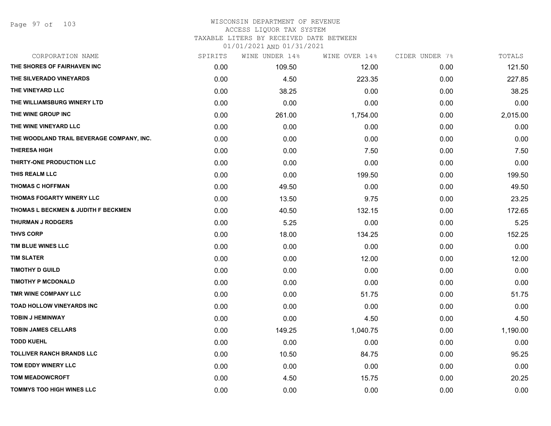## WISCONSIN DEPARTMENT OF REVENUE

### ACCESS LIQUOR TAX SYSTEM

TAXABLE LITERS BY RECEIVED DATE BETWEEN

| CORPORATION NAME                          | SPIRITS | WINE UNDER 14% | WINE OVER 14% | CIDER UNDER 7% | TOTALS   |
|-------------------------------------------|---------|----------------|---------------|----------------|----------|
| THE SHORES OF FAIRHAVEN INC               | 0.00    | 109.50         | 12.00         | 0.00           | 121.50   |
| THE SILVERADO VINEYARDS                   | 0.00    | 4.50           | 223.35        | 0.00           | 227.85   |
| THE VINEYARD LLC                          | 0.00    | 38.25          | 0.00          | 0.00           | 38.25    |
| THE WILLIAMSBURG WINERY LTD               | 0.00    | 0.00           | 0.00          | 0.00           | 0.00     |
| THE WINE GROUP INC                        | 0.00    | 261.00         | 1,754.00      | 0.00           | 2,015.00 |
| THE WINE VINEYARD LLC                     | 0.00    | 0.00           | 0.00          | 0.00           | 0.00     |
| THE WOODLAND TRAIL BEVERAGE COMPANY, INC. | 0.00    | 0.00           | 0.00          | 0.00           | 0.00     |
| <b>THERESA HIGH</b>                       | 0.00    | 0.00           | 7.50          | 0.00           | 7.50     |
| THIRTY-ONE PRODUCTION LLC                 | 0.00    | 0.00           | 0.00          | 0.00           | 0.00     |
| THIS REALM LLC                            | 0.00    | 0.00           | 199.50        | 0.00           | 199.50   |
| <b>THOMAS C HOFFMAN</b>                   | 0.00    | 49.50          | 0.00          | 0.00           | 49.50    |
| THOMAS FOGARTY WINERY LLC                 | 0.00    | 13.50          | 9.75          | 0.00           | 23.25    |
| THOMAS L BECKMEN & JUDITH F BECKMEN       | 0.00    | 40.50          | 132.15        | 0.00           | 172.65   |
| <b>THURMAN J RODGERS</b>                  | 0.00    | 5.25           | 0.00          | 0.00           | 5.25     |
| <b>THVS CORP</b>                          | 0.00    | 18.00          | 134.25        | 0.00           | 152.25   |
| TIM BLUE WINES LLC                        | 0.00    | 0.00           | 0.00          | 0.00           | 0.00     |
| <b>TIM SLATER</b>                         | 0.00    | 0.00           | 12.00         | 0.00           | 12.00    |
| <b>TIMOTHY D GUILD</b>                    | 0.00    | 0.00           | 0.00          | 0.00           | 0.00     |
| <b>TIMOTHY P MCDONALD</b>                 | 0.00    | 0.00           | 0.00          | 0.00           | 0.00     |
| TMR WINE COMPANY LLC                      | 0.00    | 0.00           | 51.75         | 0.00           | 51.75    |
| TOAD HOLLOW VINEYARDS INC                 | 0.00    | 0.00           | 0.00          | 0.00           | 0.00     |
| <b>TOBIN J HEMINWAY</b>                   | 0.00    | 0.00           | 4.50          | 0.00           | 4.50     |
| <b>TOBIN JAMES CELLARS</b>                | 0.00    | 149.25         | 1,040.75      | 0.00           | 1,190.00 |
| <b>TODD KUEHL</b>                         | 0.00    | 0.00           | 0.00          | 0.00           | 0.00     |
| <b>TOLLIVER RANCH BRANDS LLC</b>          | 0.00    | 10.50          | 84.75         | 0.00           | 95.25    |
| TOM EDDY WINERY LLC                       | 0.00    | 0.00           | 0.00          | 0.00           | 0.00     |
| <b>TOM MEADOWCROFT</b>                    | 0.00    | 4.50           | 15.75         | 0.00           | 20.25    |
| <b>TOMMYS TOO HIGH WINES LLC</b>          | 0.00    | 0.00           | 0.00          | 0.00           | 0.00     |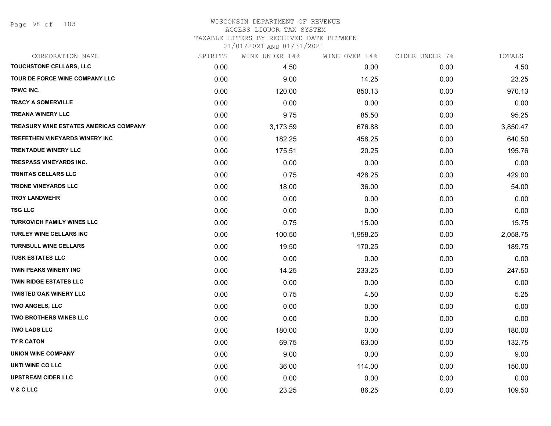### WISCONSIN DEPARTMENT OF REVENUE ACCESS LIQUOR TAX SYSTEM

TAXABLE LITERS BY RECEIVED DATE BETWEEN

| CORPORATION NAME                       | SPIRITS | WINE UNDER 14% | WINE OVER 14% | CIDER UNDER 7% | TOTALS   |
|----------------------------------------|---------|----------------|---------------|----------------|----------|
| TOUCHSTONE CELLARS, LLC                | 0.00    | 4.50           | 0.00          | 0.00           | 4.50     |
| TOUR DE FORCE WINE COMPANY LLC         | 0.00    | 9.00           | 14.25         | 0.00           | 23.25    |
| TPWC INC.                              | 0.00    | 120.00         | 850.13        | 0.00           | 970.13   |
| <b>TRACY A SOMERVILLE</b>              | 0.00    | 0.00           | 0.00          | 0.00           | 0.00     |
| <b>TREANA WINERY LLC</b>               | 0.00    | 9.75           | 85.50         | 0.00           | 95.25    |
| TREASURY WINE ESTATES AMERICAS COMPANY | 0.00    | 3,173.59       | 676.88        | 0.00           | 3,850.47 |
| TREFETHEN VINEYARDS WINERY INC         | 0.00    | 182.25         | 458.25        | 0.00           | 640.50   |
| <b>TRENTADUE WINERY LLC</b>            | 0.00    | 175.51         | 20.25         | 0.00           | 195.76   |
| <b>TRESPASS VINEYARDS INC.</b>         | 0.00    | 0.00           | 0.00          | 0.00           | 0.00     |
| TRINITAS CELLARS LLC                   | 0.00    | 0.75           | 428.25        | 0.00           | 429.00   |
| <b>TRIONE VINEYARDS LLC</b>            | 0.00    | 18.00          | 36.00         | 0.00           | 54.00    |
| <b>TROY LANDWEHR</b>                   | 0.00    | 0.00           | 0.00          | 0.00           | 0.00     |
| <b>TSG LLC</b>                         | 0.00    | 0.00           | 0.00          | 0.00           | 0.00     |
| <b>TURKOVICH FAMILY WINES LLC</b>      | 0.00    | 0.75           | 15.00         | 0.00           | 15.75    |
| TURLEY WINE CELLARS INC                | 0.00    | 100.50         | 1,958.25      | 0.00           | 2,058.75 |
| <b>TURNBULL WINE CELLARS</b>           | 0.00    | 19.50          | 170.25        | 0.00           | 189.75   |
| <b>TUSK ESTATES LLC</b>                | 0.00    | 0.00           | 0.00          | 0.00           | 0.00     |
| TWIN PEAKS WINERY INC                  | 0.00    | 14.25          | 233.25        | 0.00           | 247.50   |
| <b>TWIN RIDGE ESTATES LLC</b>          | 0.00    | 0.00           | 0.00          | 0.00           | 0.00     |
| <b>TWISTED OAK WINERY LLC</b>          | 0.00    | 0.75           | 4.50          | 0.00           | 5.25     |
| <b>TWO ANGELS, LLC</b>                 | 0.00    | 0.00           | 0.00          | 0.00           | 0.00     |
| TWO BROTHERS WINES LLC                 | 0.00    | 0.00           | 0.00          | 0.00           | 0.00     |
| <b>TWO LADS LLC</b>                    | 0.00    | 180.00         | 0.00          | 0.00           | 180.00   |
| TY R CATON                             | 0.00    | 69.75          | 63.00         | 0.00           | 132.75   |
| <b>UNION WINE COMPANY</b>              | 0.00    | 9.00           | 0.00          | 0.00           | 9.00     |
| UNTI WINE CO LLC                       | 0.00    | 36.00          | 114.00        | 0.00           | 150.00   |
| <b>UPSTREAM CIDER LLC</b>              | 0.00    | 0.00           | 0.00          | 0.00           | 0.00     |
| <b>V&amp;CLLC</b>                      | 0.00    | 23.25          | 86.25         | 0.00           | 109.50   |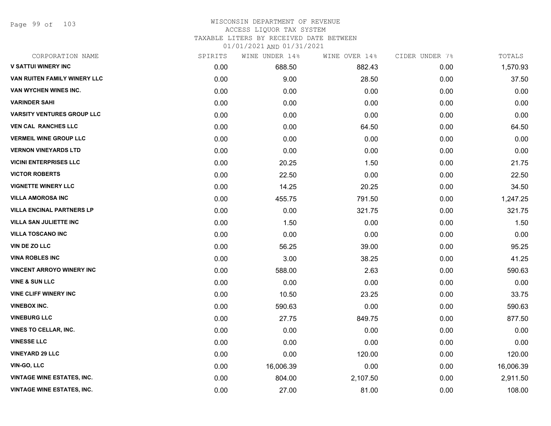Page 99 of 103

#### WISCONSIN DEPARTMENT OF REVENUE ACCESS LIQUOR TAX SYSTEM TAXABLE LITERS BY RECEIVED DATE BETWEEN

| CORPORATION NAME                  | SPIRITS | WINE UNDER 14% | WINE OVER 14% | CIDER UNDER 7% | TOTALS    |
|-----------------------------------|---------|----------------|---------------|----------------|-----------|
| <b>V SATTUI WINERY INC</b>        | 0.00    | 688.50         | 882.43        | 0.00           | 1,570.93  |
| VAN RUITEN FAMILY WINERY LLC      | 0.00    | 9.00           | 28.50         | 0.00           | 37.50     |
| VAN WYCHEN WINES INC.             | 0.00    | 0.00           | 0.00          | 0.00           | 0.00      |
| <b>VARINDER SAHI</b>              | 0.00    | 0.00           | 0.00          | 0.00           | 0.00      |
| <b>VARSITY VENTURES GROUP LLC</b> | 0.00    | 0.00           | 0.00          | 0.00           | 0.00      |
| <b>VEN CAL RANCHES LLC</b>        | 0.00    | 0.00           | 64.50         | 0.00           | 64.50     |
| <b>VERMEIL WINE GROUP LLC</b>     | 0.00    | 0.00           | 0.00          | 0.00           | 0.00      |
| <b>VERNON VINEYARDS LTD</b>       | 0.00    | 0.00           | 0.00          | 0.00           | 0.00      |
| <b>VICINI ENTERPRISES LLC</b>     | 0.00    | 20.25          | 1.50          | 0.00           | 21.75     |
| <b>VICTOR ROBERTS</b>             | 0.00    | 22.50          | 0.00          | 0.00           | 22.50     |
| <b>VIGNETTE WINERY LLC</b>        | 0.00    | 14.25          | 20.25         | 0.00           | 34.50     |
| <b>VILLA AMOROSA INC</b>          | 0.00    | 455.75         | 791.50        | 0.00           | 1,247.25  |
| <b>VILLA ENCINAL PARTNERS LP</b>  | 0.00    | 0.00           | 321.75        | 0.00           | 321.75    |
| <b>VILLA SAN JULIETTE INC</b>     | 0.00    | 1.50           | 0.00          | 0.00           | 1.50      |
| <b>VILLA TOSCANO INC</b>          | 0.00    | 0.00           | 0.00          | 0.00           | 0.00      |
| VIN DE ZO LLC                     | 0.00    | 56.25          | 39.00         | 0.00           | 95.25     |
| <b>VINA ROBLES INC</b>            | 0.00    | 3.00           | 38.25         | 0.00           | 41.25     |
| <b>VINCENT ARROYO WINERY INC</b>  | 0.00    | 588.00         | 2.63          | 0.00           | 590.63    |
| <b>VINE &amp; SUN LLC</b>         | 0.00    | 0.00           | 0.00          | 0.00           | 0.00      |
| <b>VINE CLIFF WINERY INC</b>      | 0.00    | 10.50          | 23.25         | 0.00           | 33.75     |
| <b>VINEBOX INC.</b>               | 0.00    | 590.63         | 0.00          | 0.00           | 590.63    |
| <b>VINEBURG LLC</b>               | 0.00    | 27.75          | 849.75        | 0.00           | 877.50    |
| <b>VINES TO CELLAR, INC.</b>      | 0.00    | 0.00           | 0.00          | 0.00           | 0.00      |
| <b>VINESSE LLC</b>                | 0.00    | 0.00           | 0.00          | 0.00           | 0.00      |
| <b>VINEYARD 29 LLC</b>            | 0.00    | 0.00           | 120.00        | 0.00           | 120.00    |
| VIN-GO, LLC                       | 0.00    | 16,006.39      | 0.00          | 0.00           | 16,006.39 |
| <b>VINTAGE WINE ESTATES, INC.</b> | 0.00    | 804.00         | 2,107.50      | 0.00           | 2,911.50  |
| <b>VINTAGE WINE ESTATES, INC.</b> | 0.00    | 27.00          | 81.00         | 0.00           | 108.00    |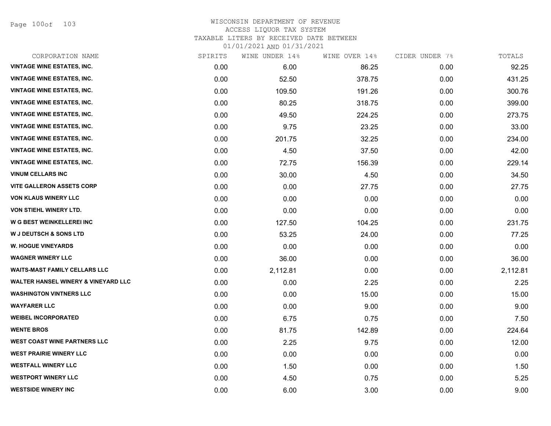Page 100of 103

## WISCONSIN DEPARTMENT OF REVENUE ACCESS LIQUOR TAX SYSTEM

TAXABLE LITERS BY RECEIVED DATE BETWEEN

| CORPORATION NAME                               | SPIRITS | WINE UNDER 14% | WINE OVER 14% | CIDER UNDER 7% | TOTALS   |
|------------------------------------------------|---------|----------------|---------------|----------------|----------|
| <b>VINTAGE WINE ESTATES, INC.</b>              | 0.00    | 6.00           | 86.25         | 0.00           | 92.25    |
| <b>VINTAGE WINE ESTATES, INC.</b>              | 0.00    | 52.50          | 378.75        | 0.00           | 431.25   |
| <b>VINTAGE WINE ESTATES, INC.</b>              | 0.00    | 109.50         | 191.26        | 0.00           | 300.76   |
| <b>VINTAGE WINE ESTATES, INC.</b>              | 0.00    | 80.25          | 318.75        | 0.00           | 399.00   |
| <b>VINTAGE WINE ESTATES, INC.</b>              | 0.00    | 49.50          | 224.25        | 0.00           | 273.75   |
| <b>VINTAGE WINE ESTATES, INC.</b>              | 0.00    | 9.75           | 23.25         | 0.00           | 33.00    |
| <b>VINTAGE WINE ESTATES, INC.</b>              | 0.00    | 201.75         | 32.25         | 0.00           | 234.00   |
| <b>VINTAGE WINE ESTATES, INC.</b>              | 0.00    | 4.50           | 37.50         | 0.00           | 42.00    |
| <b>VINTAGE WINE ESTATES, INC.</b>              | 0.00    | 72.75          | 156.39        | 0.00           | 229.14   |
| <b>VINUM CELLARS INC</b>                       | 0.00    | 30.00          | 4.50          | 0.00           | 34.50    |
| <b>VITE GALLERON ASSETS CORP</b>               | 0.00    | 0.00           | 27.75         | 0.00           | 27.75    |
| <b>VON KLAUS WINERY LLC</b>                    | 0.00    | 0.00           | 0.00          | 0.00           | 0.00     |
| VON STIEHL WINERY LTD.                         | 0.00    | 0.00           | 0.00          | 0.00           | 0.00     |
| W G BEST WEINKELLEREI INC                      | 0.00    | 127.50         | 104.25        | 0.00           | 231.75   |
| <b>W J DEUTSCH &amp; SONS LTD</b>              | 0.00    | 53.25          | 24.00         | 0.00           | 77.25    |
| <b>W. HOGUE VINEYARDS</b>                      | 0.00    | 0.00           | 0.00          | 0.00           | 0.00     |
| <b>WAGNER WINERY LLC</b>                       | 0.00    | 36.00          | 0.00          | 0.00           | 36.00    |
| <b>WAITS-MAST FAMILY CELLARS LLC</b>           | 0.00    | 2,112.81       | 0.00          | 0.00           | 2,112.81 |
| <b>WALTER HANSEL WINERY &amp; VINEYARD LLC</b> | 0.00    | 0.00           | 2.25          | 0.00           | 2.25     |
| <b>WASHINGTON VINTNERS LLC</b>                 | 0.00    | 0.00           | 15.00         | 0.00           | 15.00    |
| <b>WAYFARER LLC</b>                            | 0.00    | 0.00           | 9.00          | 0.00           | 9.00     |
| <b>WEIBEL INCORPORATED</b>                     | 0.00    | 6.75           | 0.75          | 0.00           | 7.50     |
| <b>WENTE BROS</b>                              | 0.00    | 81.75          | 142.89        | 0.00           | 224.64   |
| <b>WEST COAST WINE PARTNERS LLC</b>            | 0.00    | 2.25           | 9.75          | 0.00           | 12.00    |
| <b>WEST PRAIRIE WINERY LLC</b>                 | 0.00    | 0.00           | 0.00          | 0.00           | 0.00     |
| <b>WESTFALL WINERY LLC</b>                     | 0.00    | 1.50           | 0.00          | 0.00           | 1.50     |
| <b>WESTPORT WINERY LLC</b>                     | 0.00    | 4.50           | 0.75          | 0.00           | 5.25     |
| <b>WESTSIDE WINERY INC</b>                     | 0.00    | 6.00           | 3.00          | 0.00           | 9.00     |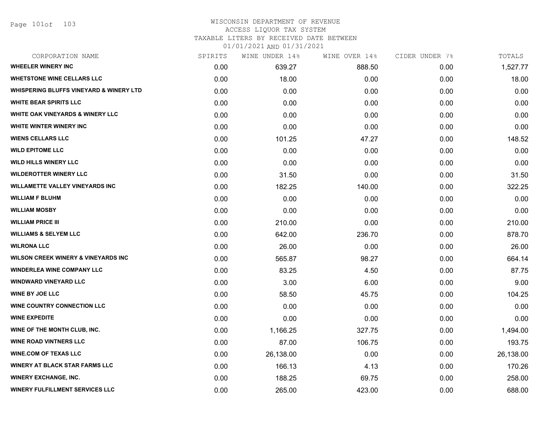Page 101of 103

#### WISCONSIN DEPARTMENT OF REVENUE ACCESS LIQUOR TAX SYSTEM

TAXABLE LITERS BY RECEIVED DATE BETWEEN

| CORPORATION NAME                               | SPIRITS | WINE UNDER 14% | WINE OVER 14% | CIDER UNDER 7% | TOTALS    |
|------------------------------------------------|---------|----------------|---------------|----------------|-----------|
| <b>WHEELER WINERY INC</b>                      | 0.00    | 639.27         | 888.50        | 0.00           | 1,527.77  |
| <b>WHETSTONE WINE CELLARS LLC</b>              | 0.00    | 18.00          | 0.00          | 0.00           | 18.00     |
| WHISPERING BLUFFS VINEYARD & WINERY LTD        | 0.00    | 0.00           | 0.00          | 0.00           | 0.00      |
| <b>WHITE BEAR SPIRITS LLC</b>                  | 0.00    | 0.00           | 0.00          | 0.00           | 0.00      |
| <b>WHITE OAK VINEYARDS &amp; WINERY LLC</b>    | 0.00    | 0.00           | 0.00          | 0.00           | 0.00      |
| <b>WHITE WINTER WINERY INC</b>                 | 0.00    | 0.00           | 0.00          | 0.00           | 0.00      |
| <b>WIENS CELLARS LLC</b>                       | 0.00    | 101.25         | 47.27         | 0.00           | 148.52    |
| <b>WILD EPITOME LLC</b>                        | 0.00    | 0.00           | 0.00          | 0.00           | 0.00      |
| <b>WILD HILLS WINERY LLC</b>                   | 0.00    | 0.00           | 0.00          | 0.00           | 0.00      |
| <b>WILDEROTTER WINERY LLC</b>                  | 0.00    | 31.50          | 0.00          | 0.00           | 31.50     |
| <b>WILLAMETTE VALLEY VINEYARDS INC</b>         | 0.00    | 182.25         | 140.00        | 0.00           | 322.25    |
| <b>WILLIAM F BLUHM</b>                         | 0.00    | 0.00           | 0.00          | 0.00           | 0.00      |
| <b>WILLIAM MOSBY</b>                           | 0.00    | 0.00           | 0.00          | 0.00           | 0.00      |
| <b>WILLIAM PRICE III</b>                       | 0.00    | 210.00         | 0.00          | 0.00           | 210.00    |
| <b>WILLIAMS &amp; SELYEM LLC</b>               | 0.00    | 642.00         | 236.70        | 0.00           | 878.70    |
| <b>WILRONA LLC</b>                             | 0.00    | 26.00          | 0.00          | 0.00           | 26.00     |
| <b>WILSON CREEK WINERY &amp; VINEYARDS INC</b> | 0.00    | 565.87         | 98.27         | 0.00           | 664.14    |
| <b>WINDERLEA WINE COMPANY LLC</b>              | 0.00    | 83.25          | 4.50          | 0.00           | 87.75     |
| <b>WINDWARD VINEYARD LLC</b>                   | 0.00    | 3.00           | 6.00          | 0.00           | 9.00      |
| <b>WINE BY JOE LLC</b>                         | 0.00    | 58.50          | 45.75         | 0.00           | 104.25    |
| WINE COUNTRY CONNECTION LLC                    | 0.00    | 0.00           | 0.00          | 0.00           | 0.00      |
| <b>WINE EXPEDITE</b>                           | 0.00    | 0.00           | 0.00          | 0.00           | 0.00      |
| WINE OF THE MONTH CLUB, INC.                   | 0.00    | 1,166.25       | 327.75        | 0.00           | 1,494.00  |
| <b>WINE ROAD VINTNERS LLC</b>                  | 0.00    | 87.00          | 106.75        | 0.00           | 193.75    |
| <b>WINE.COM OF TEXAS LLC</b>                   | 0.00    | 26,138.00      | 0.00          | 0.00           | 26,138.00 |
| <b>WINERY AT BLACK STAR FARMS LLC</b>          | 0.00    | 166.13         | 4.13          | 0.00           | 170.26    |
| <b>WINERY EXCHANGE, INC.</b>                   | 0.00    | 188.25         | 69.75         | 0.00           | 258.00    |
| <b>WINERY FULFILLMENT SERVICES LLC</b>         | 0.00    | 265.00         | 423.00        | 0.00           | 688.00    |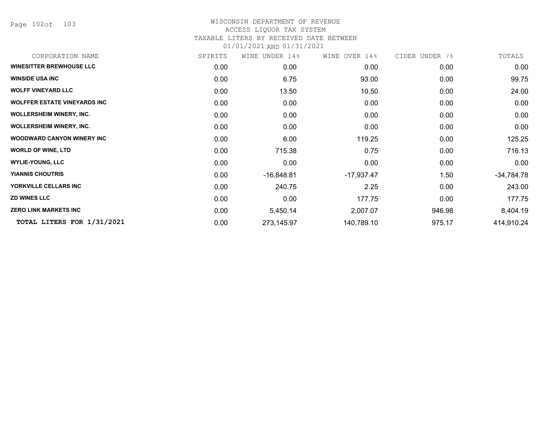Page 102of 103

## WISCONSIN DEPARTMENT OF REVENUE ACCESS LIQUOR TAX SYSTEM TAXABLE LITERS BY RECEIVED DATE BETWEEN

| CORPORATION NAME                    | SPIRITS | WINE UNDER 14% | WINE OVER 14% | CIDER UNDER 7% | TOTALS       |
|-------------------------------------|---------|----------------|---------------|----------------|--------------|
| <b>WINESITTER BREWHOUSE LLC</b>     | 0.00    | 0.00           | 0.00          | 0.00           | 0.00         |
| <b>WINSIDE USA INC</b>              | 0.00    | 6.75           | 93.00         | 0.00           | 99.75        |
| <b>WOLFF VINEYARD LLC</b>           | 0.00    | 13.50          | 10.50         | 0.00           | 24.00        |
| <b>WOLFFER ESTATE VINEYARDS INC</b> | 0.00    | 0.00           | 0.00          | 0.00           | 0.00         |
| <b>WOLLERSHEIM WINERY, INC.</b>     | 0.00    | 0.00           | 0.00          | 0.00           | 0.00         |
| <b>WOLLERSHEIM WINERY, INC.</b>     | 0.00    | 0.00           | 0.00          | 0.00           | 0.00         |
| <b>WOODWARD CANYON WINERY INC.</b>  | 0.00    | 6.00           | 119.25        | 0.00           | 125.25       |
| <b>WORLD OF WINE, LTD</b>           | 0.00    | 715.38         | 0.75          | 0.00           | 716.13       |
| <b>WYLIE-YOUNG, LLC</b>             | 0.00    | 0.00           | 0.00          | 0.00           | 0.00         |
| <b>YIANNIS CHOUTRIS</b>             | 0.00    | $-16,848.81$   | $-17,937.47$  | 1.50           | $-34,784.78$ |
| YORKVILLE CELLARS INC               | 0.00    | 240.75         | 2.25          | 0.00           | 243.00       |
| <b>ZD WINES LLC</b>                 | 0.00    | 0.00           | 177.75        | 0.00           | 177.75       |
| <b>ZERO LINK MARKETS INC</b>        | 0.00    | 5,450.14       | 2,007.07      | 946.98         | 8,404.19     |
| TOTAL LITERS FOR 1/31/2021          | 0.00    | 273,145.97     | 140,789.10    | 975.17         | 414,910.24   |